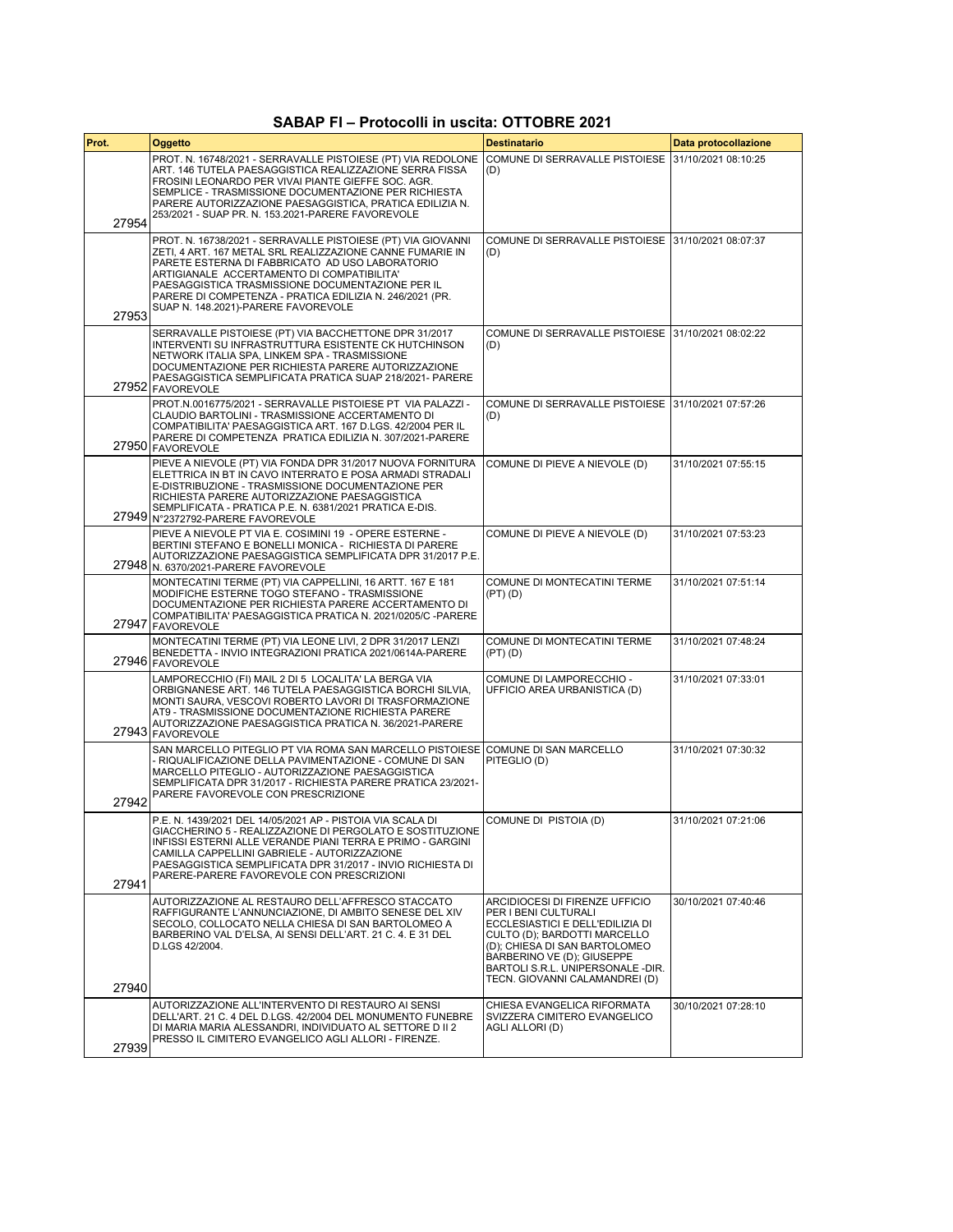## **SABAP FI – Protocolli in uscita: OTTOBRE 2021**

| Prot. | Oggetto                                                                                                                                                                                                                                                                                                                                                                           | <b>Destinatario</b>                                                                                                                                                                                                                                              | Data protocollazione |
|-------|-----------------------------------------------------------------------------------------------------------------------------------------------------------------------------------------------------------------------------------------------------------------------------------------------------------------------------------------------------------------------------------|------------------------------------------------------------------------------------------------------------------------------------------------------------------------------------------------------------------------------------------------------------------|----------------------|
| 27954 | PROT. N. 16748/2021 - SERRAVALLE PISTOIESE (PT) VIA REDOLONE<br>ART. 146 TUTELA PAESAGGISTICA REALIZZAZIONE SERRA FISSA<br>FROSINI LEONARDO PER VIVAI PIANTE GIEFFE SOC. AGR.<br>SEMPLICE - TRASMISSIONE DOCUMENTAZIONE PER RICHIESTA<br>PARERE AUTORIZZAZIONE PAESAGGISTICA, PRATICA EDILIZIA N.<br>253/2021 - SUAP PR. N. 153.2021-PARERE FAVOREVOLE                            | COMUNE DI SERRAVALLE PISTOIESE   31/10/2021 08:10:25<br>(D)                                                                                                                                                                                                      |                      |
| 27953 | PROT. N. 16738/2021 - SERRAVALLE PISTOIESE (PT) VIA GIOVANNI<br>ZETI, 4 ART. 167 METAL SRL REALIZZAZIONE CANNE FUMARIE IN<br>PARETE ESTERNA DI FABBRICATO AD USO LABORATORIO<br>ARTIGIANALE ACCERTAMENTO DI COMPATIBILITA'<br>PAESAGGISTICA TRASMISSIONE DOCUMENTAZIONE PER IL<br>PARERE DI COMPETENZA - PRATICA EDILIZIA N. 246/2021 (PR.<br>SUAP N. 148.2021)-PARERE FAVOREVOLE | COMUNE DI SERRAVALLE PISTOIESE   31/10/2021 08:07:37<br>(D)                                                                                                                                                                                                      |                      |
|       | SERRAVALLE PISTOIESE (PT) VIA BACCHETTONE DPR 31/2017<br>INTERVENTI SU INFRASTRUTTURA ESISTENTE CK HUTCHINSON<br>NETWORK ITALIA SPA, LINKEM SPA - TRASMISSIONE<br>DOCUMENTAZIONE PER RICHIESTA PARERE AUTORIZZAZIONE<br>PAESAGGISTICA SEMPLIFICATA PRATICA SUAP 218/2021- PARERE<br>27952 FAVOREVOLE                                                                              | COMUNE DI SERRAVALLE PISTOIESE 131/10/2021 08:02:22<br>(D)                                                                                                                                                                                                       |                      |
|       | PROT.N.0016775/2021 - SERRAVALLE PISTOIESE PT VIA PALAZZI -<br>CLAUDIO BARTOLINI - TRASMISSIONE ACCERTAMENTO DI<br>COMPATIBILITA' PAESAGGISTICA ART. 167 D.LGS. 42/2004 PER IL<br>PARERE DI COMPETENZA PRATICA EDILIZIA N. 307/2021-PARERE<br>27950 FAVOREVOLE                                                                                                                    | COMUNE DI SERRAVALLE PISTOIESE   31/10/2021 07:57:26<br>(D)                                                                                                                                                                                                      |                      |
|       | PIEVE A NIEVOLE (PT) VIA FONDA DPR 31/2017 NUOVA FORNITURA<br>ELETTRICA IN BT IN CAVO INTERRATO E POSA ARMADI STRADALI<br>E-DISTRIBUZIONE - TRASMISSIONE DOCUMENTAZIONE PER<br>RICHIESTA PARERE AUTORIZZAZIONE PAESAGGISTICA<br>SEMPLIFICATA - PRATICA P.E. N. 6381/2021 PRATICA E-DIS.<br>27949 N°2372792-PARERE FAVOREVOLE                                                      | COMUNE DI PIEVE A NIEVOLE (D)                                                                                                                                                                                                                                    | 31/10/2021 07:55:15  |
|       | PIEVE A NIEVOLE PT VIA E. COSIMINI 19 - OPERE ESTERNE -<br>BERTINI STEFANO E BONELLI MONICA - RICHIESTA DI PARERE<br>AUTORIZZAZIONE PAESAGGISTICA SEMPLIFICATA DPR 31/2017 P.E.<br>27948 N. 6370/2021-PARERE FAVOREVOLE                                                                                                                                                           | COMUNE DI PIEVE A NIEVOLE (D)                                                                                                                                                                                                                                    | 31/10/2021 07:53:23  |
| 27947 | MONTECATINI TERME (PT) VIA CAPPELLINI, 16 ARTT. 167 E 181<br>MODIFICHE ESTERNE TOGO STEFANO - TRASMISSIONE<br>DOCUMENTAZIONE PER RICHIESTA PARERE ACCERTAMENTO DI<br>COMPATIBILITA' PAESAGGISTICA PRATICA N. 2021/0205/C -PARERE<br>FAVOREVOLE                                                                                                                                    | COMUNE DI MONTECATINI TERME<br>(PT) (D)                                                                                                                                                                                                                          | 31/10/2021 07:51:14  |
|       | MONTECATINI TERME (PT) VIA LEONE LIVI, 2 DPR 31/2017 LENZI<br>BENEDETTA - INVIO INTEGRAZIONI PRATICA 2021/0614A-PARERE<br>27946 FAVOREVOLE                                                                                                                                                                                                                                        | COMUNE DI MONTECATINI TERME<br>$(PT)$ $(D)$                                                                                                                                                                                                                      | 31/10/2021 07:48:24  |
|       | LAMPORECCHIO (FI) MAIL 2 DI 5 LOCALITA' LA BERGA VIA<br>ORBIGNANESE ART. 146 TUTELA PAESAGGISTICA BORCHI SILVIA,<br>MONTI SAURA, VESCOVI ROBERTO LAVORI DI TRASFORMAZIONE<br>AT9 - TRASMISSIONE DOCUMENTAZIONE RICHIESTA PARERE<br>AUTORIZZAZIONE PAESAGGISTICA PRATICA N. 36/2021-PARERE<br>27943 FAVOREVOLE                                                                     | COMUNE DI LAMPORECCHIO -<br>UFFICIO AREA URBANISTICA (D)                                                                                                                                                                                                         | 31/10/2021 07:33:01  |
| 27942 | SAN MARCELLO PITEGLIO PT VIA ROMA SAN MARCELLO PISTOIESE COMUNE DI SAN MARCELLO<br>- RIQUALIFICAZIONE DELLA PAVIMENTAZIONE - COMUNE DI SAN<br>MARCELLO PITEGLIO - AUTORIZZAZIONE PAESAGGISTICA<br>SEMPLIFICATA DPR 31/2017 - RICHIESTA PARERE PRATICA 23/2021-<br>PARERE FAVOREVOLE CON PRESCRIZIONE                                                                              | PITEGLIO (D)                                                                                                                                                                                                                                                     | 31/10/2021 07:30:32  |
| 27941 | P.E. N. 1439/2021 DEL 14/05/2021 AP - PISTOIA VIA SCALA DI<br>GIACCHERINO 5 - REALIZZAZIONE DI PERGOLATO E SOSTITUZIONE<br>INFISSI ESTERNI ALLE VERANDE PIANI TERRA E PRIMO - GARGINI<br>CAMILLA CAPPELLINI GABRIELE - AUTORIZZAZIONE<br>PAESAGGISTICA SEMPLIFICATA DPR 31/2017 - INVIO RICHIESTA DI<br>PARERE-PARERE FAVOREVOLE CON PRESCRIZIONI                                 | COMUNE DI PISTOIA (D)                                                                                                                                                                                                                                            | 31/10/2021 07:21:06  |
| 27940 | AUTORIZZAZIONE AL RESTAURO DELL'AFFRESCO STACCATO<br>RAFFIGURANTE L'ANNUNCIAZIONE, DI AMBITO SENESE DEL XIV<br>SECOLO, COLLOCATO NELLA CHIESA DI SAN BARTOLOMEO A<br>BARBERINO VAL D'ELSA, AI SENSI DELL'ART. 21 C. 4. E 31 DEL<br>D.LGS 42/2004.                                                                                                                                 | ARCIDIOCESI DI FIRENZE UFFICIO<br>PER I BENI CULTURALI<br>ECCLESIASTICI E DELL'EDILIZIA DI<br>CULTO (D); BARDOTTI MARCELLO<br>(D); CHIESA DI SAN BARTOLOMEO<br>BARBERINO VE (D); GIUSEPPE<br>BARTOLI S.R.L. UNIPERSONALE -DIR.<br>TECN. GIOVANNI CALAMANDREI (D) | 30/10/2021 07:40:46  |
| 27939 | AUTORIZZAZIONE ALL'INTERVENTO DI RESTAURO AI SENSI<br>DELL'ART. 21 C. 4 DEL D.LGS. 42/2004 DEL MONUMENTO FUNEBRE<br>DI MARIA MARIA ALESSANDRI, INDIVIDUATO AL SETTORE D II 2<br>PRESSO IL CIMITERO EVANGELICO AGLI ALLORI - FIRENZE.                                                                                                                                              | CHIESA EVANGELICA RIFORMATA<br>SVIZZERA CIMITERO EVANGELICO<br>AGLI ALLORI (D)                                                                                                                                                                                   | 30/10/2021 07:28:10  |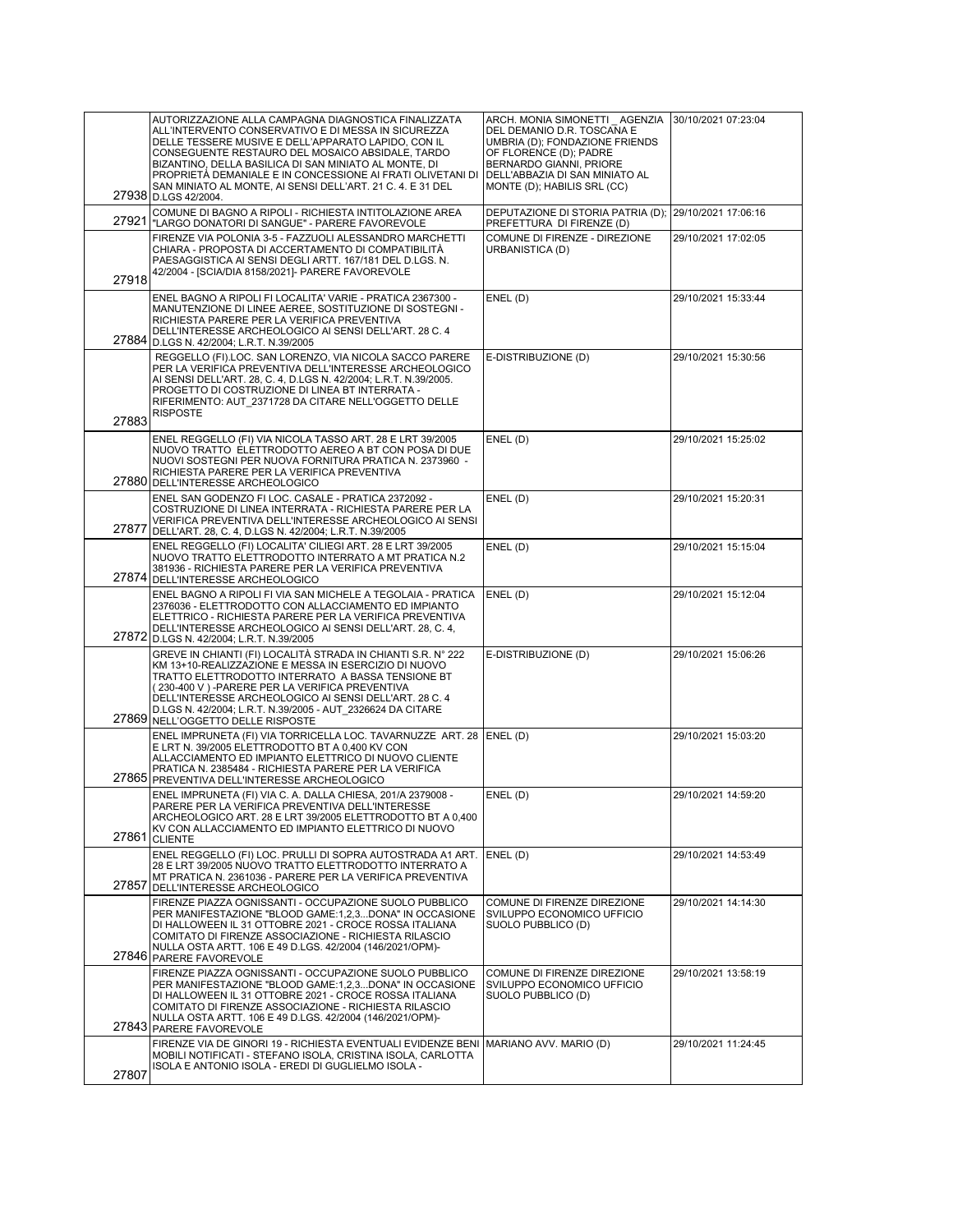|       | AUTORIZZAZIONE ALLA CAMPAGNA DIAGNOSTICA FINALIZZATA<br>ALL'INTERVENTO CONSERVATIVO E DI MESSA IN SICUREZZA<br>DELLE TESSERE MUSIVE E DELL'APPARATO LAPIDO, CON IL<br>CONSEGUENTE RESTAURO DEL MOSAICO ABSIDALE, TARDO<br>BIZANTINO, DELLA BASILICA DI SAN MINIATO AL MONTE, DI<br>PROPRIETÀ DEMANIALE E IN CONCESSIONE AI FRATI OLIVETANI DI<br>SAN MINIATO AL MONTE, AI SENSI DELL'ART. 21 C. 4. E 31 DEL<br>27938 D.LGS 42/2004. | ARCH. MONIA SIMONETTI AGENZIA<br>DEL DEMANIO D.R. TOSCANA E<br>UMBRIA (D); FONDAZIONE FRIENDS<br>OF FLORENCE (D); PADRE<br>BERNARDO GIANNI, PRIORE<br>DELL'ABBAZIA DI SAN MINIATO AL<br>MONTE (D); HABILIS SRL (CC) | 30/10/2021 07:23:04 |
|-------|-------------------------------------------------------------------------------------------------------------------------------------------------------------------------------------------------------------------------------------------------------------------------------------------------------------------------------------------------------------------------------------------------------------------------------------|---------------------------------------------------------------------------------------------------------------------------------------------------------------------------------------------------------------------|---------------------|
|       | COMUNE DI BAGNO A RIPOLI - RICHIESTA INTITOLAZIONE AREA<br>27921   LARGO DONATORI DI SANGUE" - PARERE FAVOREVOLE                                                                                                                                                                                                                                                                                                                    | DEPUTAZIONE DI STORIA PATRIA (D);<br>PREFETTURA DI FIRENZE (D)                                                                                                                                                      | 29/10/2021 17:06:16 |
| 27918 | FIRENZE VIA POLONIA 3-5 - FAZZUOLI ALESSANDRO MARCHETTI<br>CHIARA - PROPOSTA DI ACCERTAMENTO DI COMPATIBILITÀ<br>PAESAGGISTICA AI SENSI DEGLI ARTT. 167/181 DEL D.LGS. N.<br>42/2004 - [SCIA/DIA 8158/2021]- PARERE FAVOREVOLE                                                                                                                                                                                                      | COMUNE DI FIRENZE - DIREZIONE<br>URBANISTICA (D)                                                                                                                                                                    | 29/10/2021 17:02:05 |
|       | ENEL BAGNO A RIPOLI FI LOCALITA' VARIE - PRATICA 2367300 -<br>MANUTENZIONE DI LINEE AEREE, SOSTITUZIONE DI SOSTEGNI -<br>RICHIESTA PARERE PER LA VERIFICA PREVENTIVA<br>DELL'INTERESSE ARCHEOLOGICO AI SENSI DELL'ART. 28 C. 4<br>27884 D.LGS N. 42/2004; L.R.T. N.39/2005                                                                                                                                                          | ENEL (D)                                                                                                                                                                                                            | 29/10/2021 15:33:44 |
|       | REGGELLO (FI).LOC. SAN LORENZO, VIA NICOLA SACCO PARERE<br>PER LA VERIFICA PREVENTIVA DELL'INTERESSE ARCHEOLOGICO<br>AI SENSI DELL'ART. 28, C. 4, D.LGS N. 42/2004; L.R.T. N.39/2005.<br>PROGETTO DI COSTRUZIONE DI LINEA BT INTERRATA -<br>RIFERIMENTO: AUT 2371728 DA CITARE NELL'OGGETTO DELLE<br><b>RISPOSTE</b>                                                                                                                | E-DISTRIBUZIONE (D)                                                                                                                                                                                                 | 29/10/2021 15:30:56 |
| 27883 | ENEL REGGELLO (FI) VIA NICOLA TASSO ART. 28 E LRT 39/2005<br>NUOVO TRATTO ELETTRODOTTO AEREO A BT CON POSA DI DUE<br>NUOVI SOSTEGNI PER NUOVA FORNITURA PRATICA N. 2373960 -<br>RICHIESTA PARERE PER LA VERIFICA PREVENTIVA                                                                                                                                                                                                         | ENEL (D)                                                                                                                                                                                                            | 29/10/2021 15:25:02 |
| 27877 | 27880 DELL'INTERESSE ARCHEOLOGICO<br>ENEL SAN GODENZO FI LOC. CASALE - PRATICA 2372092 -<br>COSTRUZIONE DI LINEA INTERRATA - RICHIESTA PARERE PER LA<br>VERIFICA PREVENTIVA DELL'INTERESSE ARCHEOLOGICO AI SENSI<br>DELL'ART. 28, C. 4, D.LGS N. 42/2004; L.R.T. N.39/2005                                                                                                                                                          | ENEL (D)                                                                                                                                                                                                            | 29/10/2021 15:20:31 |
|       | ENEL REGGELLO (FI) LOCALITA' CILIEGI ART. 28 E LRT 39/2005<br>NUOVO TRATTO ELETTRODOTTO INTERRATO A MT PRATICA N.2<br>381936 - RICHIESTA PARERE PER LA VERIFICA PREVENTIVA<br>27874 DELL'INTERESSE ARCHEOLOGICO                                                                                                                                                                                                                     | ENEL (D)                                                                                                                                                                                                            | 29/10/2021 15:15:04 |
|       | ENEL BAGNO A RIPOLI FI VIA SAN MICHELE A TEGOLAIA - PRATICA<br>2376036 - ELETTRODOTTO CON ALLACCIAMENTO ED IMPIANTO<br>ELETTRICO - RICHIESTA PARERE PER LA VERIFICA PREVENTIVA<br>DELL'INTERESSE ARCHEOLOGICO AI SENSI DELL'ART. 28, C. 4,<br>27872 D.LGS N. 42/2004; L.R.T. N.39/2005                                                                                                                                              | ENEL(D)                                                                                                                                                                                                             | 29/10/2021 15:12:04 |
|       | GREVE IN CHIANTI (FI) LOCALITÀ STRADA IN CHIANTI S.R. N° 222<br>KM 13+10-REALIZZAZIONE E MESSA IN ESERCIZIO DI NUOVO<br>TRATTO ELETTRODOTTO INTERRATO A BASSA TENSIONE BT<br>(230-400 V) - PARERE PER LA VERIFICA PREVENTIVA<br>DELL'INTERESSE ARCHEOLOGICO AI SENSI DELL'ART. 28 C. 4<br>D.LGS N. 42/2004; L.R.T. N.39/2005 - AUT 2326624 DA CITARE<br>27869 NELL'OGGETTO DELLE RISPOSTE                                           | E-DISTRIBUZIONE (D)                                                                                                                                                                                                 | 29/10/2021 15:06:26 |
|       | ENEL IMPRUNETA (FI) VIA TORRICELLA LOC. TAVARNUZZE ART. 28 ENEL (D)<br>E LRT N. 39/2005 ELETTRODOTTO BT A 0,400 KV CON<br>ALLACCIAMENTO ED IMPIANTO ELETTRICO DI NUOVO CLIENTE<br>PRATICA N. 2385484 - RICHIESTA PARERE PER LA VERIFICA<br>27865 PREVENTIVA DELL'INTERESSE ARCHEOLOGICO                                                                                                                                             |                                                                                                                                                                                                                     | 29/10/2021 15:03:20 |
| 27861 | ENEL IMPRUNETA (FI) VIA C. A. DALLA CHIESA, 201/A 2379008 -<br>PARERE PER LA VERIFICA PREVENTIVA DELL'INTERESSE<br>ARCHEOLOGICO ART. 28 E LRT 39/2005 ELETTRODOTTO BT A 0,400<br>KV CON ALLACCIAMENTO ED IMPIANTO ELETTRICO DI NUOVO<br><b>CLIENTE</b>                                                                                                                                                                              | ENEL(D)                                                                                                                                                                                                             | 29/10/2021 14:59:20 |
| 27857 | ENEL REGGELLO (FI) LOC. PRULLI DI SOPRA AUTOSTRADA A1 ART.<br>28 E LRT 39/2005 NUOVO TRATTO ELETTRODOTTO INTERRATO A<br>MT PRATICA N. 2361036 - PARERE PER LA VERIFICA PREVENTIVA<br>DELL'INTERESSE ARCHEOLOGICO                                                                                                                                                                                                                    | ENEL(D)                                                                                                                                                                                                             | 29/10/2021 14:53:49 |
|       | FIRENZE PIAZZA OGNISSANTI - OCCUPAZIONE SUOLO PUBBLICO<br>PER MANIFESTAZIONE "BLOOD GAME:1,2,3DONA" IN OCCASIONE<br>DI HALLOWEEN IL 31 OTTOBRE 2021 - CROCE ROSSA ITALIANA<br>COMITATO DI FIRENZE ASSOCIAZIONE - RICHIESTA RILASCIO<br>NULLA OSTA ARTT. 106 E 49 D.LGS. 42/2004 (146/2021/OPM)-<br>27846 PARERE FAVOREVOLE                                                                                                          | COMUNE DI FIRENZE DIREZIONE<br>SVILUPPO ECONOMICO UFFICIO<br>SUOLO PUBBLICO (D)                                                                                                                                     | 29/10/2021 14:14:30 |
|       | FIRENZE PIAZZA OGNISSANTI - OCCUPAZIONE SUOLO PUBBLICO<br>PER MANIFESTAZIONE "BLOOD GAME:1,2,3DONA" IN OCCASIONE<br>DI HALLOWEEN IL 31 OTTOBRE 2021 - CROCE ROSSA ITALIANA<br>COMITATO DI FIRENZE ASSOCIAZIONE - RICHIESTA RILASCIO<br>NULLA OSTA ARTT. 106 E 49 D.LGS. 42/2004 (146/2021/OPM)-<br>27843 PARERE FAVOREVOLE                                                                                                          | COMUNE DI FIRENZE DIREZIONE<br>SVILUPPO ECONOMICO UFFICIO<br>SUOLO PUBBLICO (D)                                                                                                                                     | 29/10/2021 13:58:19 |
| 27807 | FIRENZE VIA DE GINORI 19 - RICHIESTA EVENTUALI EVIDENZE BENI<br>MOBILI NOTIFICATI - STEFANO ISOLA, CRISTINA ISOLA, CARLOTTA<br>ISOLA E ANTONIO ISOLA - EREDI DI GUGLIELMO ISOLA -                                                                                                                                                                                                                                                   | MARIANO AVV. MARIO (D)                                                                                                                                                                                              | 29/10/2021 11:24:45 |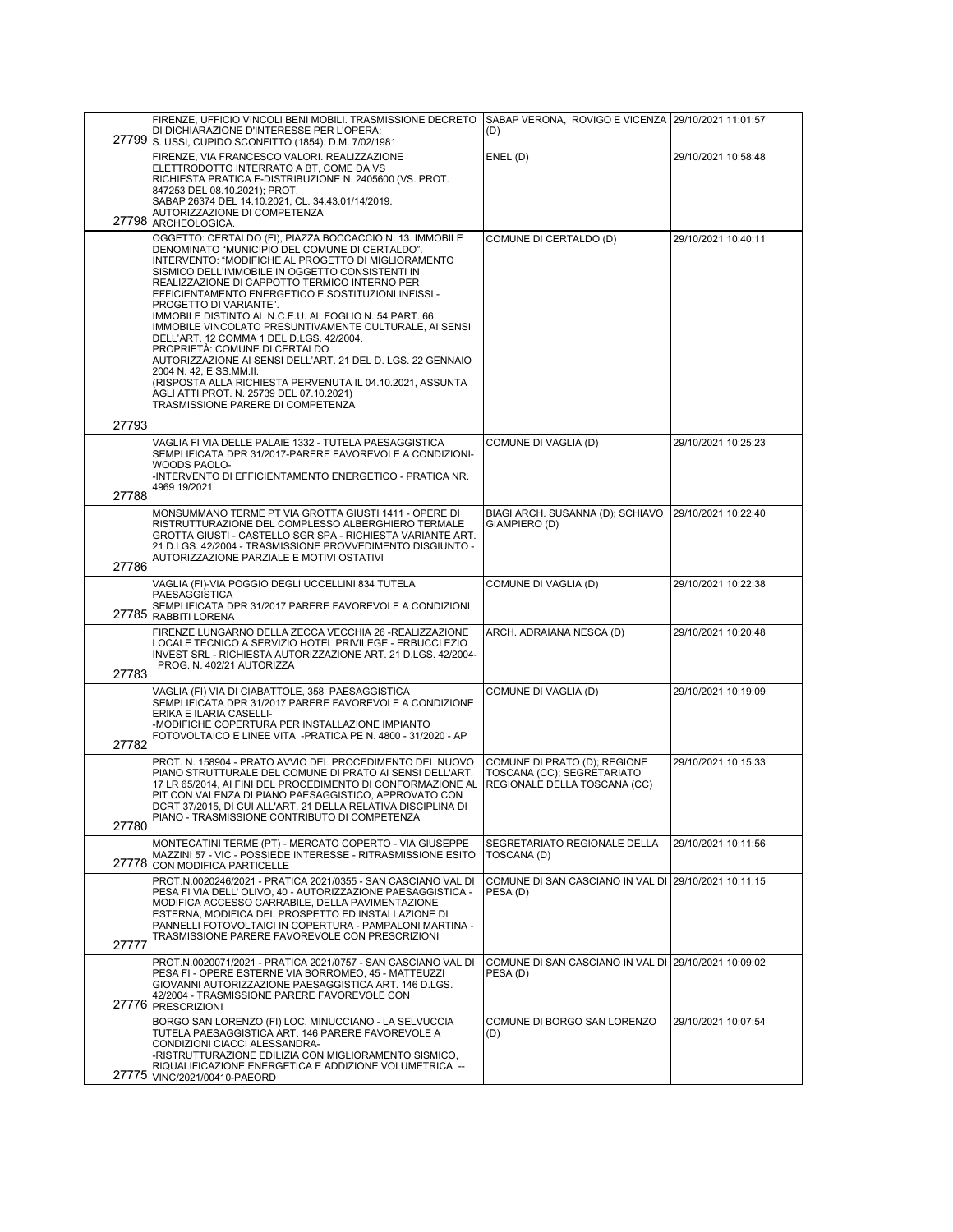|       | FIRENZE, UFFICIO VINCOLI BENI MOBILI. TRASMISSIONE DECRETO   SABAP VERONA, ROVIGO E VICENZA   29/10/2021 11:01:57                                                                                                                                                                                                                                                                                                                                                                                                                                                                                                                                                                                                                                                                                |                                                                                            |                     |
|-------|--------------------------------------------------------------------------------------------------------------------------------------------------------------------------------------------------------------------------------------------------------------------------------------------------------------------------------------------------------------------------------------------------------------------------------------------------------------------------------------------------------------------------------------------------------------------------------------------------------------------------------------------------------------------------------------------------------------------------------------------------------------------------------------------------|--------------------------------------------------------------------------------------------|---------------------|
|       | DI DICHIARAZIONE D'INTERESSE PER L'OPERA:<br>27799 S. USSI, CUPIDO SCONFITTO (1854). D.M. 7/02/1981                                                                                                                                                                                                                                                                                                                                                                                                                                                                                                                                                                                                                                                                                              | (D)                                                                                        |                     |
|       | FIRENZE. VIA FRANCESCO VALORI. REALIZZAZIONE<br>ELETTRODOTTO INTERRATO A BT, COME DA VS<br>RICHIESTA PRATICA E-DISTRIBUZIONE N. 2405600 (VS. PROT.<br>847253 DEL 08.10.2021); PROT.<br>SABAP 26374 DEL 14.10.2021, CL. 34.43.01/14/2019.                                                                                                                                                                                                                                                                                                                                                                                                                                                                                                                                                         | ENEL (D)                                                                                   | 29/10/2021 10:58:48 |
|       | AUTORIZZAZIONE DI COMPETENZA<br>27798 ARCHEOLOGICA.                                                                                                                                                                                                                                                                                                                                                                                                                                                                                                                                                                                                                                                                                                                                              |                                                                                            |                     |
|       | OGGETTO: CERTALDO (FI), PIAZZA BOCCACCIO N. 13. IMMOBILE<br>DENOMINATO "MUNICIPIO DEL COMUNE DI CERTALDO".<br>INTERVENTO: "MODIFICHE AL PROGETTO DI MIGLIORAMENTO<br>SISMICO DELL'IMMOBILE IN OGGETTO CONSISTENTI IN<br>REALIZZAZIONE DI CAPPOTTO TERMICO INTERNO PER<br>EFFICIENTAMENTO ENERGETICO E SOSTITUZIONI INFISSI -<br>PROGETTO DI VARIANTE".<br>IMMOBILE DISTINTO AL N.C.E.U. AL FOGLIO N. 54 PART. 66.<br>IMMOBILE VINCOLATO PRESUNTIVAMENTE CULTURALE, AI SENSI<br>DELL'ART. 12 COMMA 1 DEL D.LGS. 42/2004.<br>PROPRIETÀ: COMUNE DI CERTALDO<br>AUTORIZZAZIONE AI SENSI DELL'ART. 21 DEL D. LGS. 22 GENNAIO<br>2004 N. 42, E SS.MM.II.<br>(RISPOSTA ALLA RICHIESTA PERVENUTA IL 04.10.2021, ASSUNTA<br>AGLI ATTI PROT. N. 25739 DEL 07.10.2021)<br>TRASMISSIONE PARERE DI COMPETENZA | COMUNE DI CERTALDO (D)                                                                     | 29/10/2021 10:40:11 |
| 27793 |                                                                                                                                                                                                                                                                                                                                                                                                                                                                                                                                                                                                                                                                                                                                                                                                  |                                                                                            |                     |
| 27788 | VAGLIA FI VIA DELLE PALAIE 1332 - TUTELA PAESAGGISTICA<br>SEMPLIFICATA DPR 31/2017-PARERE FAVOREVOLE A CONDIZIONI-<br>WOODS PAOLO-<br>-INTERVENTO DI EFFICIENTAMENTO ENERGETICO - PRATICA NR.<br>4969 19/2021                                                                                                                                                                                                                                                                                                                                                                                                                                                                                                                                                                                    | COMUNE DI VAGLIA (D)                                                                       | 29/10/2021 10:25:23 |
| 27786 | MONSUMMANO TERME PT VIA GROTTA GIUSTI 1411 - OPERE DI<br>RISTRUTTURAZIONE DEL COMPLESSO ALBERGHIERO TERMALE<br>GROTTA GIUSTI - CASTELLO SGR SPA - RICHIESTA VARIANTE ART.<br>21 D.LGS. 42/2004 - TRASMISSIONE PROVVEDIMENTO DISGIUNTO -<br>AUTORIZZAZIONE PARZIALE E MOTIVI OSTATIVI                                                                                                                                                                                                                                                                                                                                                                                                                                                                                                             | BIAGI ARCH. SUSANNA (D); SCHIAVO   29/10/2021 10:22:40<br>GIAMPIERO (D)                    |                     |
|       | VAGLIA (FI)-VIA POGGIO DEGLI UCCELLINI 834 TUTELA<br><b>PAESAGGISTICA</b><br>SEMPLIFICATA DPR 31/2017 PARERE FAVOREVOLE A CONDIZIONI<br>27785 RABBITI LORENA                                                                                                                                                                                                                                                                                                                                                                                                                                                                                                                                                                                                                                     | COMUNE DI VAGLIA (D)                                                                       | 29/10/2021 10:22:38 |
| 27783 | FIRENZE LUNGARNO DELLA ZECCA VECCHIA 26 -REALIZZAZIONE<br>LOCALE TECNICO A SERVIZIO HOTEL PRIVILEGE - ERBUCCI EZIO<br>INVEST SRL - RICHIESTA AUTORIZZAZIONE ART. 21 D.LGS. 42/2004-<br>PROG. N. 402/21 AUTORIZZA                                                                                                                                                                                                                                                                                                                                                                                                                                                                                                                                                                                 | ARCH. ADRAIANA NESCA (D)                                                                   | 29/10/2021 10:20:48 |
| 27782 | VAGLIA (FI) VIA DI CIABATTOLE, 358 PAESAGGISTICA<br>SEMPLIFICATA DPR 31/2017 PARERE FAVOREVOLE A CONDIZIONE<br>ERIKA E ILARIA CASELLI-<br>-MODIFICHE COPERTURA PER INSTALLAZIONE IMPIANTO<br>FOTOVOLTAICO E LINEE VITA - PRATICA PE N. 4800 - 31/2020 - AP                                                                                                                                                                                                                                                                                                                                                                                                                                                                                                                                       | COMUNE DI VAGLIA (D)                                                                       | 29/10/2021 10:19:09 |
| 27780 | PROT. N. 158904 - PRATO AVVIO DEL PROCEDIMENTO DEL NUOVO<br>PIANO STRUTTURALE DEL COMUNE DI PRATO AI SENSI DELL'ART.<br>17 LR 65/2014, AI FINI DEL PROCEDIMENTO DI CONFORMAZIONE AL<br>PIT CON VALENZA DI PIANO PAESAGGISTICO, APPROVATO CON<br>DCRT 37/2015. DI CUI ALL'ART. 21 DELLA RELATIVA DISCIPLINA DI<br>PIANO - TRASMISSIONE CONTRIBUTO DI COMPETENZA                                                                                                                                                                                                                                                                                                                                                                                                                                   | COMUNE DI PRATO (D); REGIONE<br>TOSCANA (CC); SEGRETARIATO<br>REGIONALE DELLA TOSCANA (CC) | 29/10/2021 10:15:33 |
| 27778 | MONTECATINI TERME (PT) - MERCATO COPERTO - VIA GIUSEPPE<br>MAZZINI 57 - VIC - POSSIEDE INTERESSE - RITRASMISSIONE ESITO<br>CON MODIFICA PARTICELLE                                                                                                                                                                                                                                                                                                                                                                                                                                                                                                                                                                                                                                               | SEGRETARIATO REGIONALE DELLA<br>TOSCANA (D)                                                | 29/10/2021 10:11:56 |
| 27777 | PROT.N.0020246/2021 - PRATICA 2021/0355 - SAN CASCIANO VAL DI<br>PESA FI VIA DELL' OLIVO, 40 - AUTORIZZAZIONE PAESAGGISTICA -<br>MODIFICA ACCESSO CARRABILE, DELLA PAVIMENTAZIONE<br>ESTERNA, MODIFICA DEL PROSPETTO ED INSTALLAZIONE DI<br>PANNELLI FOTOVOLTAICI IN COPERTURA - PAMPALONI MARTINA -<br>TRASMISSIONE PARERE FAVOREVOLE CON PRESCRIZIONI                                                                                                                                                                                                                                                                                                                                                                                                                                          | COMUNE DI SAN CASCIANO IN VAL DI 29/10/2021 10:11:15<br>PESA (D)                           |                     |
| 27776 | PROT.N.0020071/2021 - PRATICA 2021/0757 - SAN CASCIANO VAL DI<br>PESA FI - OPERE ESTERNE VIA BORROMEO, 45 - MATTEUZZI<br>GIOVANNI AUTORIZZAZIONE PAESAGGISTICA ART. 146 D.LGS.<br>42/2004 - TRASMISSIONE PARERE FAVOREVOLE CON<br><b>PRESCRIZIONI</b>                                                                                                                                                                                                                                                                                                                                                                                                                                                                                                                                            | COMUNE DI SAN CASCIANO IN VAL DI 29/10/2021 10:09:02<br>PESA (D)                           |                     |
| 27775 | BORGO SAN LORENZO (FI) LOC. MINUCCIANO - LA SELVUCCIA<br>TUTELA PAESAGGISTICA ART. 146 PARERE FAVOREVOLE A<br>CONDIZIONI CIACCI ALESSANDRA-<br>-RISTRUTTURAZIONE EDILIZIA CON MIGLIORAMENTO SISMICO,<br>RIQUALIFICAZIONE ENERGETICA E ADDIZIONE VOLUMETRICA --<br>VINC/2021/00410-PAEORD                                                                                                                                                                                                                                                                                                                                                                                                                                                                                                         | COMUNE DI BORGO SAN LORENZO<br>(D)                                                         | 29/10/2021 10:07:54 |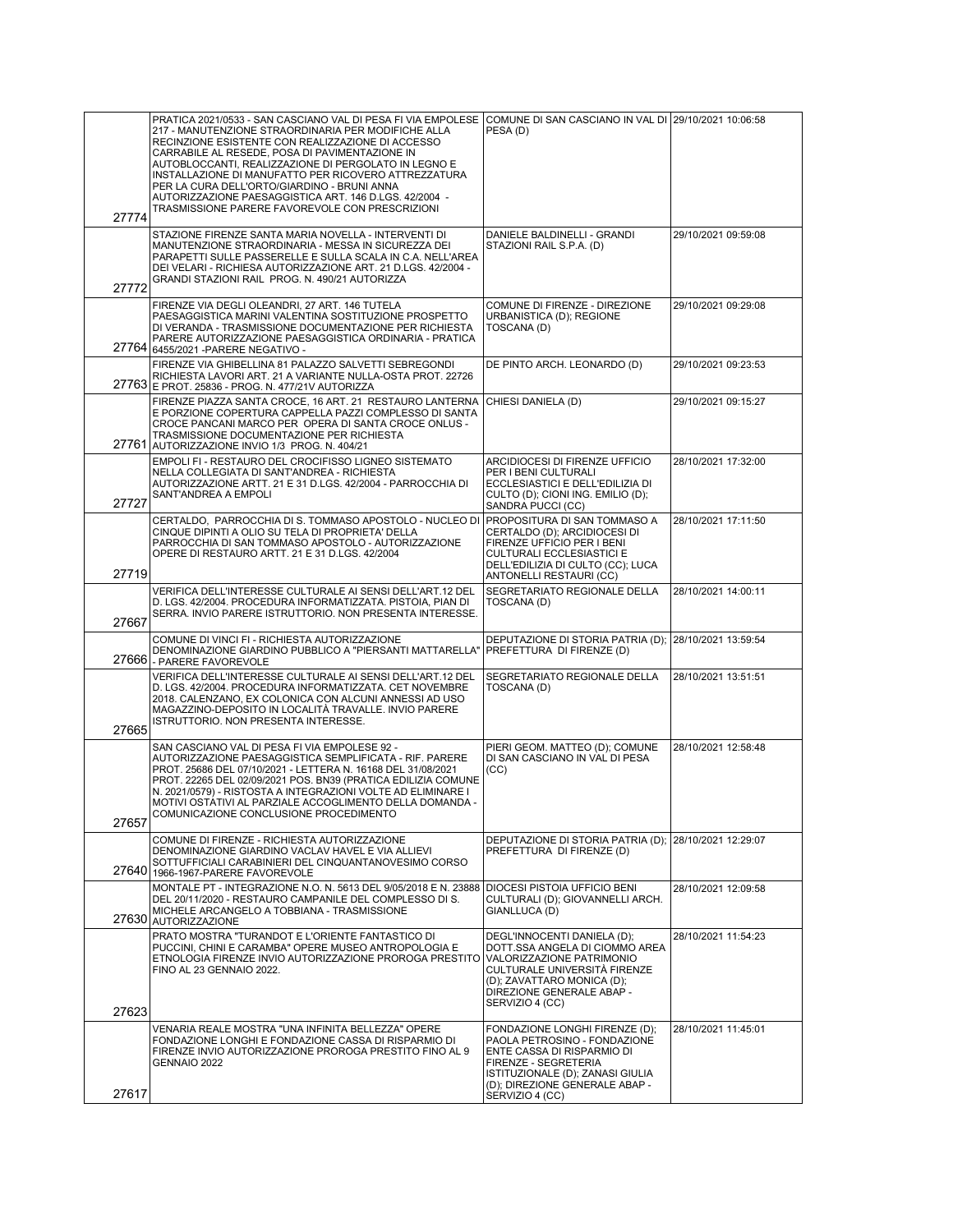|       | PRATICA 2021/0533 - SAN CASCIANO VAL DI PESA FI VIA EMPOLESE COMUNE DI SAN CASCIANO IN VAL DI 29/10/2021 10:06:58                                                                                                                                                                                                                                                                                                                      |                                                                                                                                                                                                          |                     |
|-------|----------------------------------------------------------------------------------------------------------------------------------------------------------------------------------------------------------------------------------------------------------------------------------------------------------------------------------------------------------------------------------------------------------------------------------------|----------------------------------------------------------------------------------------------------------------------------------------------------------------------------------------------------------|---------------------|
|       | 217 - MANUTENZIONE STRAORDINARIA PER MODIFICHE ALLA<br>RECINZIONE ESISTENTE CON REALIZZAZIONE DI ACCESSO<br>CARRABILE AL RESEDE, POSA DI PAVIMENTAZIONE IN<br>AUTOBLOCCANTI, REALIZZAZIONE DI PERGOLATO IN LEGNO E<br>INSTALLAZIONE DI MANUFATTO PER RICOVERO ATTREZZATURA<br>PER LA CURA DELL'ORTO/GIARDINO - BRUNI ANNA<br>AUTORIZZAZIONE PAESAGGISTICA ART. 146 D.LGS. 42/2004 -<br>TRASMISSIONE PARERE FAVOREVOLE CON PRESCRIZIONI | PESA(D)                                                                                                                                                                                                  |                     |
| 27774 |                                                                                                                                                                                                                                                                                                                                                                                                                                        |                                                                                                                                                                                                          |                     |
| 27772 | STAZIONE FIRENZE SANTA MARIA NOVELLA - INTERVENTI DI<br>MANUTENZIONE STRAORDINARIA - MESSA IN SICUREZZA DEI<br>PARAPETTI SULLE PASSERELLE E SULLA SCALA IN C.A. NELL'AREA<br>DEI VELARI - RICHIESA AUTORIZZAZIONE ART. 21 D.LGS. 42/2004 -<br>GRANDI STAZIONI RAIL PROG. N. 490/21 AUTORIZZA                                                                                                                                           | DANIELE BALDINELLI - GRANDI<br>STAZIONI RAIL S.P.A. (D)                                                                                                                                                  | 29/10/2021 09:59:08 |
|       | FIRENZE VIA DEGLI OLEANDRI, 27 ART. 146 TUTELA<br>PAESAGGISTICA MARINI VALENTINA SOSTITUZIONE PROSPETTO<br>DI VERANDA - TRASMISSIONE DOCUMENTAZIONE PER RICHIESTA<br>PARERE AUTORIZZAZIONE PAESAGGISTICA ORDINARIA - PRATICA<br>27764 6455/2021 - PARERE NEGATIVO -                                                                                                                                                                    | COMUNE DI FIRENZE - DIREZIONE<br>URBANISTICA (D); REGIONE<br>TOSCANA (D)                                                                                                                                 | 29/10/2021 09:29:08 |
|       | FIRENZE VIA GHIBELLINA 81 PALAZZO SALVETTI SEBREGONDI<br>RICHIESTA LAVORI ART. 21 A VARIANTE NULLA-OSTA PROT. 22726<br>27763 E PROT. 25836 - PROG. N. 477/21V AUTORIZZA                                                                                                                                                                                                                                                                | DE PINTO ARCH. LEONARDO (D)                                                                                                                                                                              | 29/10/2021 09:23:53 |
|       | FIRENZE PIAZZA SANTA CROCE, 16 ART. 21 RESTAURO LANTERNA<br>E PORZIONE COPERTURA CAPPELLA PAZZI COMPLESSO DI SANTA<br>CROCE PANCANI MARCO PER OPERA DI SANTA CROCE ONLUS -<br>TRASMISSIONE DOCUMENTAZIONE PER RICHIESTA<br>27761 AUTORIZZAZIONE INVIO 1/3 PROG. N. 404/21                                                                                                                                                              | CHIESI DANIELA (D)                                                                                                                                                                                       | 29/10/2021 09:15:27 |
| 27727 | EMPOLI FI - RESTAURO DEL CROCIFISSO LIGNEO SISTEMATO<br>NELLA COLLEGIATA DI SANT'ANDREA - RICHIESTA<br>AUTORIZZAZIONE ARTT. 21 E 31 D.LGS. 42/2004 - PARROCCHIA DI<br>SANT'ANDREA A EMPOLI                                                                                                                                                                                                                                             | ARCIDIOCESI DI FIRENZE UFFICIO<br>PER I BENI CULTURALI<br>ECCLESIASTICI E DELL'EDILIZIA DI<br>CULTO (D); CIONI ING. EMILIO (D);<br>SANDRA PUCCI (CC)                                                     | 28/10/2021 17:32:00 |
| 27719 | CERTALDO, PARROCCHIA DI S. TOMMASO APOSTOLO - NUCLEO DI<br>CINQUE DIPINTI A OLIO SU TELA DI PROPRIETA' DELLA<br>PARROCCHIA DI SAN TOMMASO APOSTOLO - AUTORIZZAZIONE<br>OPERE DI RESTAURO ARTT. 21 E 31 D.LGS. 42/2004                                                                                                                                                                                                                  | <b>PROPOSITURA DI SAN TOMMASO A</b><br>CERTALDO (D); ARCIDIOCESI DI<br>FIRENZE UFFICIO PER I BENI<br>CULTURALI ECCLESIASTICI E<br>DELL'EDILIZIA DI CULTO (CC); LUCA<br>ANTONELLI RESTAURI (CC)           | 28/10/2021 17:11:50 |
| 27667 | VERIFICA DELL'INTERESSE CULTURALE AI SENSI DELL'ART.12 DEL<br>D. LGS. 42/2004. PROCEDURA INFORMATIZZATA. PISTOIA, PIAN DI<br>SERRA. INVIO PARERE ISTRUTTORIO. NON PRESENTA INTERESSE.                                                                                                                                                                                                                                                  | SEGRETARIATO REGIONALE DELLA<br>TOSCANA (D)                                                                                                                                                              | 28/10/2021 14:00:11 |
|       | COMUNE DI VINCI FI - RICHIESTA AUTORIZZAZIONE<br>DENOMINAZIONE GIARDINO PUBBLICO A "PIERSANTI MATTARELLA"<br>27666 - PARERE FAVOREVOLE                                                                                                                                                                                                                                                                                                 | DEPUTAZIONE DI STORIA PATRIA (D); 28/10/2021 13:59:54<br>PREFETTURA DI FIRENZE (D)                                                                                                                       |                     |
| 27665 | VERIFICA DELL'INTERESSE CULTURALE AI SENSI DELL'ART.12 DEL<br>D. LGS. 42/2004. PROCEDURA INFORMATIZZATA. CET NOVEMBRE<br>2018. CALENZANO, EX COLONICA CON ALCUNI ANNESSI AD USO<br>MAGAZZINO-DEPOSITO IN LOCALITÀ TRAVALLE. INVIO PARERE<br>ISTRUTTORIO. NON PRESENTA INTERESSE.                                                                                                                                                       | SEGRETARIATO REGIONALE DELLA<br>TOSCANA (D)                                                                                                                                                              | 28/10/2021 13:51:51 |
| 27657 | SAN CASCIANO VAL DI PESA FI VIA EMPOLESE 92 -<br>AUTORIZZAZIONE PAESAGGISTICA SEMPLIFICATA - RIF. PARERE<br>PROT. 25686 DEL 07/10/2021 - LETTERA N. 16168 DEL 31/08/2021<br>PROT. 22265 DEL 02/09/2021 POS. BN39 (PRATICA EDILIZIA COMUNE<br>N. 2021/0579) - RISTOSTA A INTEGRAZIONI VOLTE AD ELIMINARE I<br>MOTIVI OSTATIVI AL PARZIALE ACCOGLIMENTO DELLA DOMANDA -<br>COMUNICAZIONE CONCLUSIONE PROCEDIMENTO                        | PIERI GEOM. MATTEO (D); COMUNE<br>DI SAN CASCIANO IN VAL DI PESA<br>(CC)                                                                                                                                 | 28/10/2021 12:58:48 |
|       | COMUNE DI FIRENZE - RICHIESTA AUTORIZZAZIONE<br>DENOMINAZIONE GIARDINO VACLAV HAVEL E VIA ALLIEVI<br>SOTTUFFICIALI CARABINIERI DEL CINQUANTANOVESIMO CORSO<br>27640 1966-1967-PARERE FAVOREVOLE                                                                                                                                                                                                                                        | DEPUTAZIONE DI STORIA PATRIA (D); 28/10/2021 12:29:07<br>PREFETTURA DI FIRENZE (D)                                                                                                                       |                     |
| 27630 | MONTALE PT - INTEGRAZIONE N.O. N. 5613 DEL 9/05/2018 E N. 23888<br>DEL 20/11/2020 - RESTAURO CAMPANILE DEL COMPLESSO DI S.<br>MICHELE ARCANGELO A TOBBIANA - TRASMISSIONE<br>AUTORIZZAZIONE                                                                                                                                                                                                                                            | DIOCESI PISTOIA UFFICIO BENI<br>CULTURALI (D); GIOVANNELLI ARCH.<br>GIANLLUCA (D)                                                                                                                        | 28/10/2021 12:09:58 |
|       | PRATO MOSTRA "TURANDOT E L'ORIENTE FANTASTICO DI<br>PUCCINI. CHINI E CARAMBA" OPERE MUSEO ANTROPOLOGIA E<br>ETNOLOGIA FIRENZE INVIO AUTORIZZAZIONE PROROGA PRESTITO<br>FINO AL 23 GENNAIO 2022.                                                                                                                                                                                                                                        | DEGL'INNOCENTI DANIELA (D);<br>DOTT.SSA ANGELA DI CIOMMO AREA<br>VALORIZZAZIONE PATRIMONIO<br>CULTURALE UNIVERSITÀ FIRENZE<br>(D); ZAVATTARO MONICA (D);<br>DIREZIONE GENERALE ABAP -<br>SERVIZIO 4 (CC) | 28/10/2021 11:54:23 |
| 27623 |                                                                                                                                                                                                                                                                                                                                                                                                                                        |                                                                                                                                                                                                          |                     |
|       | VENARIA REALE MOSTRA "UNA INFINITA BELLEZZA" OPERE<br>FONDAZIONE LONGHI E FONDAZIONE CASSA DI RISPARMIO DI<br>FIRENZE INVIO AUTORIZZAZIONE PROROGA PRESTITO FINO AL 9<br>GENNAIO 2022                                                                                                                                                                                                                                                  | FONDAZIONE LONGHI FIRENZE (D);<br>PAOLA PETROSINO - FONDAZIONE<br>ENTE CASSA DI RISPARMIO DI<br>FIRENZE - SEGRETERIA<br>ISTITUZIONALE (D); ZANASI GIULIA<br>(D); DIREZIONE GENERALE ABAP -               | 28/10/2021 11:45:01 |
| 27617 |                                                                                                                                                                                                                                                                                                                                                                                                                                        | SERVIZIO 4 (CC)                                                                                                                                                                                          |                     |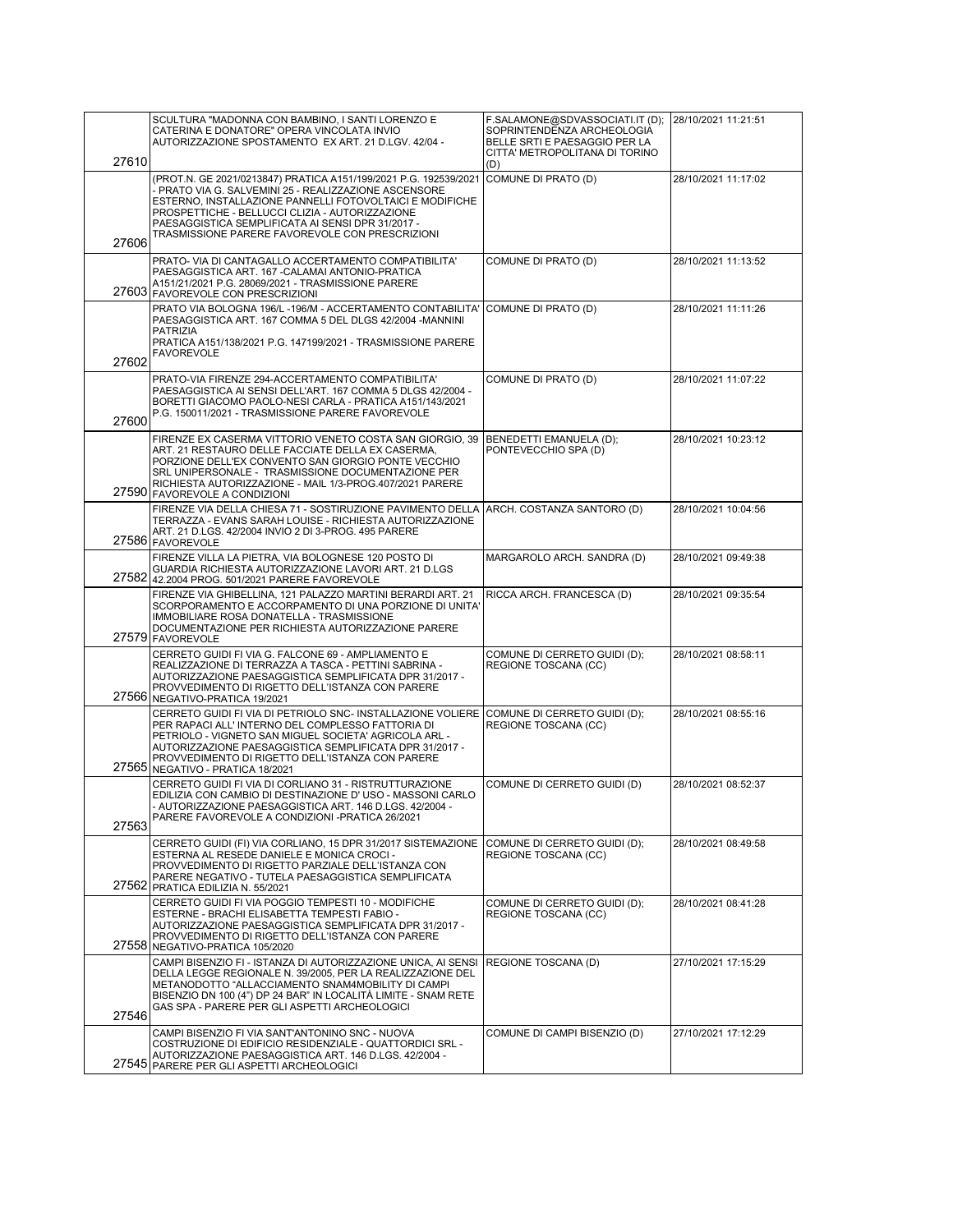|       | SCULTURA "MADONNA CON BAMBINO, I SANTI LORENZO E<br>CATERINA E DONATORE" OPERA VINCOLATA INVIO<br>AUTORIZZAZIONE SPOSTAMENTO EX ART. 21 D.LGV. 42/04 -                                                                                                                                                                                           | F.SALAMONE@SDVASSOCIATI.IT (D);<br>SOPRINTENDENZA ARCHEOLOGIA<br>BELLE SRTI E PAESAGGIO PER LA<br>CITTA' METROPOLITANA DI TORINO | 28/10/2021 11:21:51 |
|-------|--------------------------------------------------------------------------------------------------------------------------------------------------------------------------------------------------------------------------------------------------------------------------------------------------------------------------------------------------|----------------------------------------------------------------------------------------------------------------------------------|---------------------|
| 27610 |                                                                                                                                                                                                                                                                                                                                                  | (D)                                                                                                                              |                     |
| 27606 | (PROT.N. GE 2021/0213847) PRATICA A151/199/2021 P.G. 192539/2021<br>- PRATO VIA G. SALVEMINI 25 - REALIZZAZIONE ASCENSORE<br>ESTERNO, INSTALLAZIONE PANNELLI FOTOVOLTAICI E MODIFICHE<br>PROSPETTICHE - BELLUCCI CLIZIA - AUTORIZZAZIONE<br>PAESAGGISTICA SEMPLIFICATA AI SENSI DPR 31/2017 -<br>TRASMISSIONE PARERE FAVOREVOLE CON PRESCRIZIONI | COMUNE DI PRATO (D)                                                                                                              | 28/10/2021 11:17:02 |
|       |                                                                                                                                                                                                                                                                                                                                                  |                                                                                                                                  |                     |
|       | PRATO- VIA DI CANTAGALLO ACCERTAMENTO COMPATIBILITA'<br>PAESAGGISTICA ART. 167 - CALAMAI ANTONIO-PRATICA<br>A151/21/2021 P.G. 28069/2021 - TRASMISSIONE PARERE<br>27603 FAVOREVOLE CON PRESCRIZIONI                                                                                                                                              | COMUNE DI PRATO (D)                                                                                                              | 28/10/2021 11:13:52 |
|       | PRATO VIA BOLOGNA 196/L-196/M - ACCERTAMENTO CONTABILITA' COMUNE DI PRATO (D)<br>PAESAGGISTICA ART. 167 COMMA 5 DEL DLGS 42/2004 -MANNINI<br><b>PATRIZIA</b><br>PRATICA A151/138/2021 P.G. 147199/2021 - TRASMISSIONE PARERE<br><b>FAVOREVOLE</b>                                                                                                |                                                                                                                                  | 28/10/2021 11:11:26 |
| 27602 |                                                                                                                                                                                                                                                                                                                                                  |                                                                                                                                  |                     |
| 27600 | PRATO-VIA FIRENZE 294-ACCERTAMENTO COMPATIBILITA'<br>PAESAGGISTICA AI SENSI DELL'ART. 167 COMMA 5 DLGS 42/2004 -<br>BORETTI GIACOMO PAOLO-NESI CARLA - PRATICA A151/143/2021<br>P.G. 150011/2021 - TRASMISSIONE PARERE FAVOREVOLE                                                                                                                | COMUNE DI PRATO (D)                                                                                                              | 28/10/2021 11:07:22 |
|       | FIRENZE EX CASERMA VITTORIO VENETO COSTA SAN GIORGIO, 39<br>ART. 21 RESTAURO DELLE FACCIATE DELLA EX CASERMA,<br>PORZIONE DELL'EX CONVENTO SAN GIORGIO PONTE VECCHIO<br>SRL UNIPERSONALE - TRASMISSIONE DOCUMENTAZIONE PER<br>RICHIESTA AUTORIZZAZIONE - MAIL 1/3-PROG.407/2021 PARERE<br>27590 FAVOREVOLE A CONDIZIONI                          | BENEDETTI EMANUELA (D);<br>PONTEVECCHIO SPA (D)                                                                                  | 28/10/2021 10:23:12 |
|       | FIRENZE VIA DELLA CHIESA 71 - SOSTIRUZIONE PAVIMENTO DELLA ARCH. COSTANZA SANTORO (D)<br>TERRAZZA - EVANS SARAH LOUISE - RICHIESTA AUTORIZZAZIONE<br>ART. 21 D.LGS. 42/2004 INVIO 2 DI 3-PROG. 495 PARERE<br>27586 FAVOREVOLE                                                                                                                    |                                                                                                                                  | 28/10/2021 10:04:56 |
|       | FIRENZE VILLA LA PIETRA, VIA BOLOGNESE 120 POSTO DI<br>GUARDIA RICHIESTA AUTORIZZAZIONE LAVORI ART. 21 D.LGS<br>27582 42.2004 PROG. 501/2021 PARERE FAVOREVOLE                                                                                                                                                                                   | MARGAROLO ARCH. SANDRA (D)                                                                                                       | 28/10/2021 09:49:38 |
| 27579 | FIRENZE VIA GHIBELLINA, 121 PALAZZO MARTINI BERARDI ART. 21<br>SCORPORAMENTO E ACCORPAMENTO DI UNA PORZIONE DI UNITA'<br>IMMOBILIARE ROSA DONATELLA - TRASMISSIONE<br>DOCUMENTAZIONE PER RICHIESTA AUTORIZZAZIONE PARERE<br><b>FAVOREVOLE</b>                                                                                                    | RICCA ARCH. FRANCESCA (D)                                                                                                        | 28/10/2021 09:35:54 |
|       | CERRETO GUIDI FI VIA G. FALCONE 69 - AMPLIAMENTO E<br>REALIZZAZIONE DI TERRAZZA A TASCA - PETTINI SABRINA -<br>AUTORIZZAZIONE PAESAGGISTICA SEMPLIFICATA DPR 31/2017 -<br>PROVVEDIMENTO DI RIGETTO DELL'ISTANZA CON PARERE<br>27566 NEGATIVO-PRATICA 19/2021                                                                                     | COMUNE DI CERRETO GUIDI (D);<br>REGIONE TOSCANA (CC)                                                                             | 28/10/2021 08:58:11 |
|       | CERRETO GUIDI FI VIA DI PETRIOLO SNC- INSTALLAZIONE VOLIERE<br>PER RAPACI ALL'INTERNO DEL COMPLESSO FATTORIA DI<br>PETRIOLO - VIGNETO SAN MIGUEL SOCIETA' AGRICOLA ARL -<br>AUTORIZZAZIONE PAESAGGISTICA SEMPLIFICATA DPR 31/2017 -<br>PROVVEDIMENTO DI RIGETTO DELL'ISTANZA CON PARERE<br>27565 NEGATIVO - PRATICA 18/2021                      | COMUNE DI CERRETO GUIDI (D);<br>REGIONE TOSCANA (CC)                                                                             | 28/10/2021 08:55:16 |
| 27563 | CERRETO GUIDI FI VIA DI CORLIANO 31 - RISTRUTTURAZIONE<br>EDILIZIA CON CAMBIO DI DESTINAZIONE D' USO - MASSONI CARLO<br>AUTORIZZAZIONE PAESAGGISTICA ART. 146 D.LGS. 42/2004 -<br>PARERE FAVOREVOLE A CONDIZIONI -PRATICA 26/2021                                                                                                                | COMUNE DI CERRETO GUIDI (D)                                                                                                      | 28/10/2021 08:52:37 |
|       |                                                                                                                                                                                                                                                                                                                                                  |                                                                                                                                  |                     |
|       | CERRETO GUIDI (FI) VIA CORLIANO, 15 DPR 31/2017 SISTEMAZIONE<br>ESTERNA AL RESEDE DANIELE E MONICA CROCI -<br>PROVVEDIMENTO DI RIGETTO PARZIALE DELL'ISTANZA CON<br>PARERE NEGATIVO - TUTELA PAESAGGISTICA SEMPLIFICATA<br>27562 PRATICA EDILIZIA N. 55/2021                                                                                     | COMUNE DI CERRETO GUIDI (D);<br>REGIONE TOSCANA (CC)                                                                             | 28/10/2021 08:49:58 |
|       | CERRETO GUIDI FI VIA POGGIO TEMPESTI 10 - MODIFICHE<br>ESTERNE - BRACHI ELISABETTA TEMPESTI FABIO -<br>AUTORIZZAZIONE PAESAGGISTICA SEMPLIFICATA DPR 31/2017 -                                                                                                                                                                                   | COMUNE DI CERRETO GUIDI (D);<br>REGIONE TOSCANA (CC)                                                                             | 28/10/2021 08:41:28 |
| 27558 | PROVVEDIMENTO DI RIGETTO DELL'ISTANZA CON PARERE<br>NEGATIVO-PRATICA 105/2020                                                                                                                                                                                                                                                                    |                                                                                                                                  |                     |
|       | CAMPI BISENZIO FI - ISTANZA DI AUTORIZZAZIONE UNICA, AI SENSI<br>DELLA LEGGE REGIONALE N. 39/2005, PER LA REALIZZAZIONE DEL<br>METANODOTTO "ALLACCIAMENTO SNAM4MOBILITY DI CAMPI<br>BISENZIO DN 100 (4") DP 24 BAR" IN LOCALITÁ LIMITE - SNAM RETE<br>GAS SPA - PARERE PER GLI ASPETTI ARCHEOLOGICI                                              | REGIONE TOSCANA (D)                                                                                                              | 27/10/2021 17:15:29 |
| 27546 | CAMPI BISENZIO FI VIA SANT'ANTONINO SNC - NUOVA<br>COSTRUZIONE DI EDIFICIO RESIDENZIALE - QUATTORDICI SRL -                                                                                                                                                                                                                                      | COMUNE DI CAMPI BISENZIO (D)                                                                                                     | 27/10/2021 17:12:29 |
|       | AUTORIZZAZIONE PAESAGGISTICA ART. 146 D.LGS. 42/2004 -<br>27545 PARERE PER GLI ASPETTI ARCHEOLOGICI                                                                                                                                                                                                                                              |                                                                                                                                  |                     |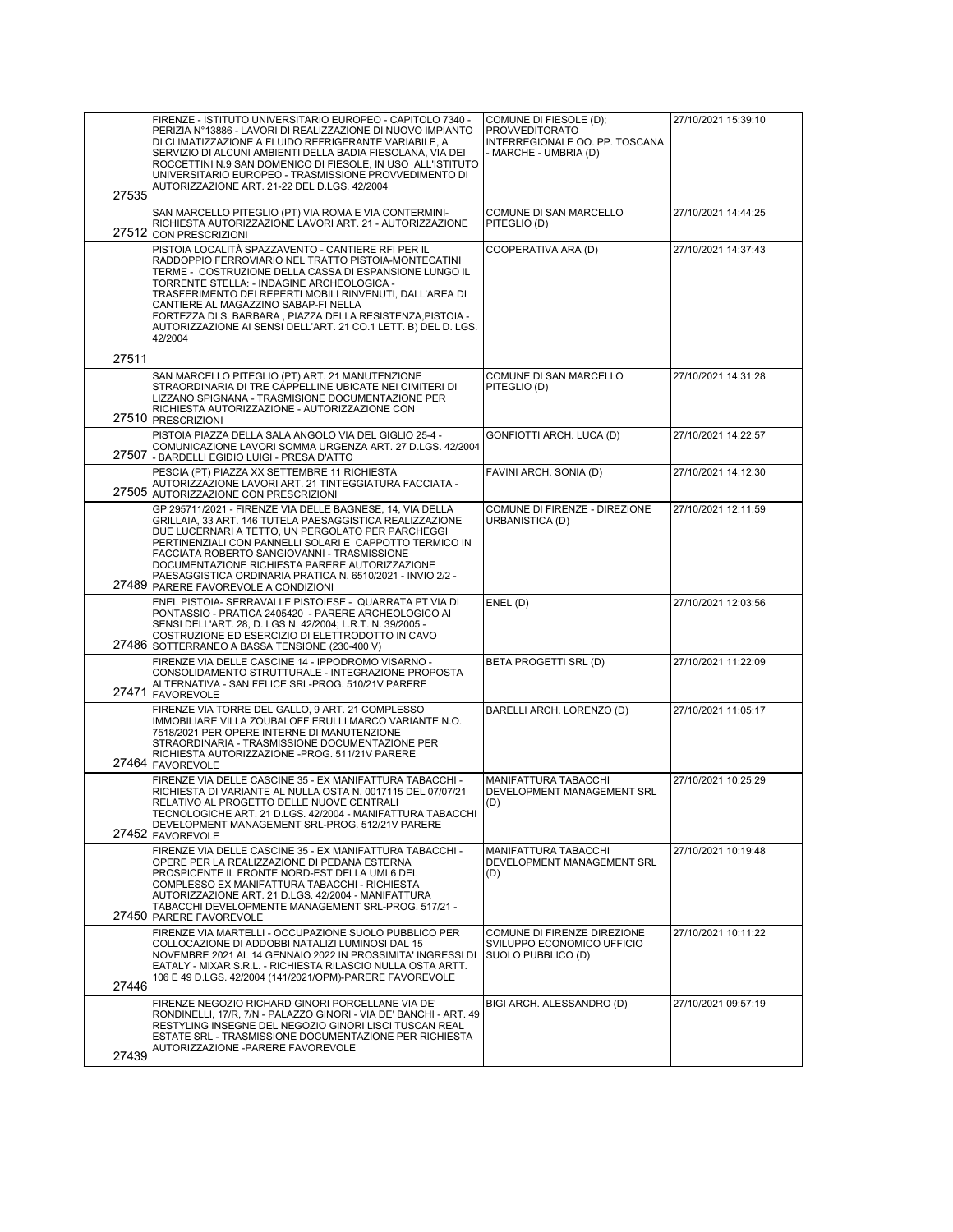| 27535 | FIRENZE - ISTITUTO UNIVERSITARIO EUROPEO - CAPITOLO 7340 -<br>PERIZIA N°13886 - LAVORI DI REALIZZAZIONE DI NUOVO IMPIANTO<br>DI CLIMATIZZAZIONE A FLUIDO REFRIGERANTE VARIABILE, A<br>SERVIZIO DI ALCUNI AMBIENTI DELLA BADIA FIESOLANA, VIA DEI<br>ROCCETTINI N.9 SAN DOMENICO DI FIESOLE, IN USO ALL'ISTITUTO<br>UNIVERSITARIO EUROPEO - TRASMISSIONE PROVVEDIMENTO DI<br>AUTORIZZAZIONE ART. 21-22 DEL D.LGS. 42/2004                                          | COMUNE DI FIESOLE (D);<br><b>PROVVEDITORATO</b><br>INTERREGIONALE OO. PP. TOSCANA<br>- MARCHE - UMBRIA (D) | 27/10/2021 15:39:10 |
|-------|-------------------------------------------------------------------------------------------------------------------------------------------------------------------------------------------------------------------------------------------------------------------------------------------------------------------------------------------------------------------------------------------------------------------------------------------------------------------|------------------------------------------------------------------------------------------------------------|---------------------|
|       | SAN MARCELLO PITEGLIO (PT) VIA ROMA E VIA CONTERMINI-<br>RICHIESTA AUTORIZZAZIONE LAVORI ART. 21 - AUTORIZZAZIONE<br>27512 CON PRESCRIZIONI                                                                                                                                                                                                                                                                                                                       | COMUNE DI SAN MARCELLO<br>PITEGLIO (D)                                                                     | 27/10/2021 14:44:25 |
|       | PISTOIA LOCALITÀ SPAZZAVENTO - CANTIERE RFI PER IL<br>RADDOPPIO FERROVIARIO NEL TRATTO PISTOIA-MONTECATINI<br>TERME - COSTRUZIONE DELLA CASSA DI ESPANSIONE LUNGO IL<br>TORRENTE STELLA: - INDAGINE ARCHEOLOGICA -<br>TRASFERIMENTO DEI REPERTI MOBILI RINVENUTI, DALL'AREA DI<br>CANTIERE AL MAGAZZINO SABAP-FI NELLA<br>FORTEZZA DI S. BARBARA, PIAZZA DELLA RESISTENZA, PISTOIA -<br>AUTORIZZAZIONE AI SENSI DELL'ART. 21 CO.1 LETT. B) DEL D. LGS.<br>42/2004 | COOPERATIVA ARA (D)                                                                                        | 27/10/2021 14:37:43 |
| 27511 | SAN MARCELLO PITEGLIO (PT) ART. 21 MANUTENZIONE                                                                                                                                                                                                                                                                                                                                                                                                                   | COMUNE DI SAN MARCELLO                                                                                     | 27/10/2021 14:31:28 |
|       | STRAORDINARIA DI TRE CAPPELLINE UBICATE NEI CIMITERI DI<br>LIZZANO SPIGNANA - TRASMISIONE DOCUMENTAZIONE PER<br>RICHIESTA AUTORIZZAZIONE - AUTORIZZAZIONE CON<br>27510 PRESCRIZIONI                                                                                                                                                                                                                                                                               | PITEGLIO (D)                                                                                               |                     |
| 27507 | PISTOIA PIAZZA DELLA SALA ANGOLO VIA DEL GIGLIO 25-4 -<br>COMUNICAZIONE LAVORI SOMMA URGENZA ART. 27 D.LGS. 42/2004<br>- BARDELLI EGIDIO LUIGI - PRESA D'ATTO                                                                                                                                                                                                                                                                                                     | GONFIOTTI ARCH. LUCA (D)                                                                                   | 27/10/2021 14:22:57 |
|       | PESCIA (PT) PIAZZA XX SETTEMBRE 11 RICHIESTA<br>AUTORIZZAZIONE LAVORI ART. 21 TINTEGGIATURA FACCIATA -<br>27505 AUTORIZZAZIONE CON PRESCRIZIONI                                                                                                                                                                                                                                                                                                                   | FAVINI ARCH. SONIA (D)                                                                                     | 27/10/2021 14:12:30 |
|       | GP 295711/2021 - FIRENZE VIA DELLE BAGNESE, 14, VIA DELLA<br>GRILLAIA, 33 ART. 146 TUTELA PAESAGGISTICA REALIZZAZIONE<br>DUE LUCERNARI A TETTO, UN PERGOLATO PER PARCHEGGI<br>PERTINENZIALI CON PANNELLI SOLARI E CAPPOTTO TERMICO IN<br>FACCIATA ROBERTO SANGIOVANNI - TRASMISSIONE<br>DOCUMENTAZIONE RICHIESTA PARERE AUTORIZZAZIONE<br>PAESAGGISTICA ORDINARIA PRATICA N. 6510/2021 - INVIO 2/2 -<br>27489 PARERE FAVOREVOLE A CONDIZIONI                      | COMUNE DI FIRENZE - DIREZIONE<br>URBANISTICA (D)                                                           | 27/10/2021 12:11:59 |
|       | ENEL PISTOIA- SERRAVALLE PISTOIESE - QUARRATA PT VIA DI<br>PONTASSIO - PRATICA 2405420 - PARERE ARCHEOLOGICO AI<br>SENSI DELL'ART. 28, D. LGS N. 42/2004; L.R.T. N. 39/2005 -<br>COSTRUZIONE ED ESERCIZIO DI ELETTRODOTTO IN CAVO<br>27486 SOTTERRANEO A BASSA TENSIONE (230-400 V)                                                                                                                                                                               | ENEL (D)                                                                                                   | 27/10/2021 12:03:56 |
| 27471 | FIRENZE VIA DELLE CASCINE 14 - IPPODROMO VISARNO -<br>CONSOLIDAMENTO STRUTTURALE - INTEGRAZIONE PROPOSTA<br>ALTERNATIVA - SAN FELICE SRL-PROG. 510/21V PARERE<br><b>FAVOREVOLE</b>                                                                                                                                                                                                                                                                                | BETA PROGETTI SRL (D)                                                                                      | 27/10/2021 11:22:09 |
|       | FIRENZE VIA TORRE DEL GALLO, 9 ART. 21 COMPLESSO<br>IMMOBILIARE VILLA ZOUBALOFF ERULLI MARCO VARIANTE N.O.<br>7518/2021 PER OPERE INTERNE DI MANUTENZIONE<br>STRAORDINARIA - TRASMISSIONE DOCUMENTAZIONE PER<br>RICHIESTA AUTORIZZAZIONE - PROG. 511/21V PARERE<br>27464 FAVOREVOLE                                                                                                                                                                               | BARELLI ARCH. LORENZO (D)                                                                                  | 27/10/2021 11:05:17 |
|       | FIRENZE VIA DELLE CASCINE 35 - EX MANIFATTURA TABACCHI -<br>RICHIESTA DI VARIANTE AL NULLA OSTA N. 0017115 DEL 07/07/21<br>RELATIVO AL PROGETTO DELLE NUOVE CENTRALI<br>TECNOLOGICHE ART. 21 D.LGS. 42/2004 - MANIFATTURA TABACCHI<br>DEVELOPMENT MANAGEMENT SRL-PROG. 512/21V PARERE<br>27452 FAVOREVOLE                                                                                                                                                         | <b>MANIFATTURA TABACCHI</b><br>DEVELOPMENT MANAGEMENT SRL<br>(D)                                           | 27/10/2021 10:25:29 |
|       | FIRENZE VIA DELLE CASCINE 35 - EX MANIFATTURA TABACCHI -<br>OPERE PER LA REALIZZAZIONE DI PEDANA ESTERNA<br>PROSPICENTE IL FRONTE NORD-EST DELLA UMI 6 DEL<br>COMPLESSO EX MANIFATTURA TABACCHI - RICHIESTA<br>AUTORIZZAZIONE ART. 21 D.LGS. 42/2004 - MANIFATTURA<br>TABACCHI DEVELOPMENTE MANAGEMENT SRL-PROG. 517/21 -<br>27450 PARERE FAVOREVOLE                                                                                                              | <b>MANIFATTURA TABACCHI</b><br>DEVELOPMENT MANAGEMENT SRL<br>(D)                                           | 27/10/2021 10:19:48 |
| 27446 | FIRENZE VIA MARTELLI - OCCUPAZIONE SUOLO PUBBLICO PER<br>COLLOCAZIONE DI ADDOBBI NATALIZI LUMINOSI DAL 15<br>NOVEMBRE 2021 AL 14 GENNAIO 2022 IN PROSSIMITA' INGRESSI DI<br>EATALY - MIXAR S.R.L. - RICHIESTA RILASCIO NULLA OSTA ARTT.<br>106 E 49 D.LGS. 42/2004 (141/2021/OPM)-PARERE FAVOREVOLE                                                                                                                                                               | COMUNE DI FIRENZE DIREZIONE<br>SVILUPPO ECONOMICO UFFICIO<br>SUOLO PUBBLICO (D)                            | 27/10/2021 10:11:22 |
| 27439 | FIRENZE NEGOZIO RICHARD GINORI PORCELLANE VIA DE'<br>RONDINELLI, 17/R, 7/N - PALAZZO GINORI - VIA DE' BANCHI - ART. 49<br>RESTYLING INSEGNE DEL NEGOZIO GINORI LISCI TUSCAN REAL<br>ESTATE SRL - TRASMISSIONE DOCUMENTAZIONE PER RICHIESTA<br>AUTORIZZAZIONE - PARERE FAVOREVOLE                                                                                                                                                                                  | BIGI ARCH. ALESSANDRO (D)                                                                                  | 27/10/2021 09:57:19 |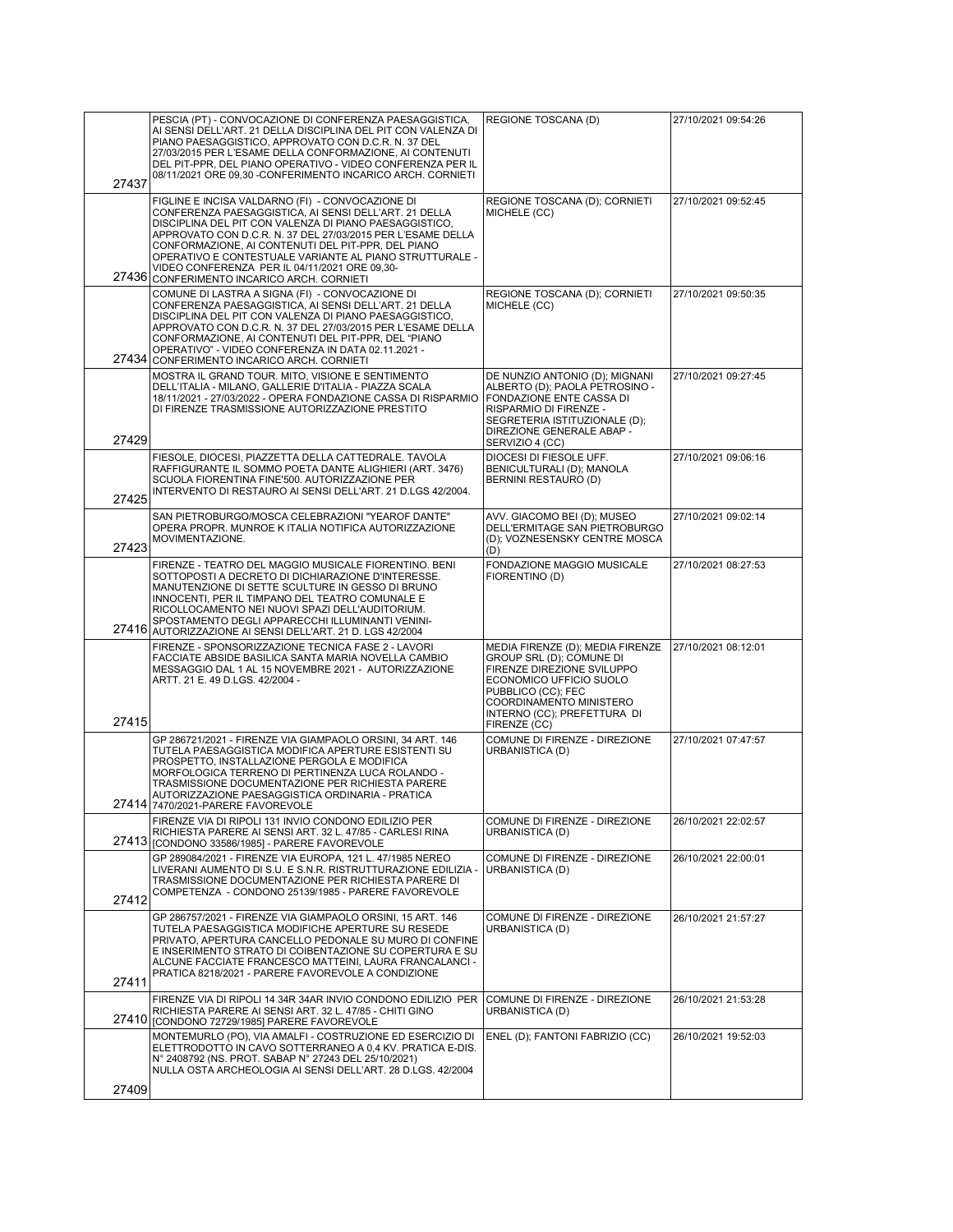| 27437 | PESCIA (PT) - CONVOCAZIONE DI CONFERENZA PAESAGGISTICA,<br>AI SENSI DELL'ART. 21 DELLA DISCIPLINA DEL PIT CON VALENZA DI<br>PIANO PAESAGGISTICO, APPROVATO CON D.C.R. N. 37 DEL<br>27/03/2015 PER L'ESAME DELLA CONFORMAZIONE, AI CONTENUTI<br>DEL PIT-PPR, DEL PIANO OPERATIVO - VIDEO CONFERENZA PER IL<br>08/11/2021 ORE 09,30 -CONFERIMENTO INCARICO ARCH. CORNIETI                                                                            | REGIONE TOSCANA (D)                                                                                                                                                                                                   | 27/10/2021 09:54:26 |
|-------|----------------------------------------------------------------------------------------------------------------------------------------------------------------------------------------------------------------------------------------------------------------------------------------------------------------------------------------------------------------------------------------------------------------------------------------------------|-----------------------------------------------------------------------------------------------------------------------------------------------------------------------------------------------------------------------|---------------------|
|       |                                                                                                                                                                                                                                                                                                                                                                                                                                                    |                                                                                                                                                                                                                       |                     |
|       | FIGLINE E INCISA VALDARNO (FI) - CONVOCAZIONE DI<br>CONFERENZA PAESAGGISTICA, AI SENSI DELL'ART. 21 DELLA<br>DISCIPLINA DEL PIT CON VALENZA DI PIANO PAESAGGISTICO.<br>APPROVATO CON D.C.R. N. 37 DEL 27/03/2015 PER L'ESAME DELLA<br>CONFORMAZIONE, AI CONTENUTI DEL PIT-PPR, DEL PIANO<br>OPERATIVO E CONTESTUALE VARIANTE AL PIANO STRUTTURALE -<br>VIDEO CONFERENZA PER IL 04/11/2021 ORE 09,30-<br>27436 CONFERIMENTO INCARICO ARCH. CORNIETI | REGIONE TOSCANA (D); CORNIETI<br>MICHELE (CC)                                                                                                                                                                         | 27/10/2021 09:52:45 |
|       | COMUNE DI LASTRA A SIGNA (FI) - CONVOCAZIONE DI<br>CONFERENZA PAESAGGISTICA, AI SENSI DELL'ART. 21 DELLA<br>DISCIPLINA DEL PIT CON VALENZA DI PIANO PAESAGGISTICO,                                                                                                                                                                                                                                                                                 | REGIONE TOSCANA (D); CORNIETI<br>MICHELE (CC)                                                                                                                                                                         | 27/10/2021 09:50:35 |
|       | APPROVATO CON D.C.R. N. 37 DEL 27/03/2015 PER L'ESAME DELLA<br>CONFORMAZIONE, AI CONTENUTI DEL PIT-PPR, DEL "PIANO<br>OPERATIVO" - VIDEO CONFERENZA IN DATA 02.11.2021 -<br>27434 CONFERIMENTO INCARICO ARCH. CORNIETI                                                                                                                                                                                                                             |                                                                                                                                                                                                                       |                     |
| 27429 | MOSTRA IL GRAND TOUR. MITO, VISIONE E SENTIMENTO<br>DELL'ITALIA - MILANO, GALLERIE D'ITALIA - PIAZZA SCALA<br>18/11/2021 - 27/03/2022 - OPERA FONDAZIONE CASSA DI RISPARMIO<br>DI FIRENZE TRASMISSIONE AUTORIZZAZIONE PRESTITO                                                                                                                                                                                                                     | DE NUNZIO ANTONIO (D); MIGNANI<br>ALBERTO (D); PAOLA PETROSINO -<br>FONDAZIONE ENTE CASSA DI<br>RISPARMIO DI FIRENZE -<br>SEGRETERIA ISTITUZIONALE (D):<br>DIREZIONE GENERALE ABAP -<br>SERVIZIO 4 (CC)               | 27/10/2021 09:27:45 |
| 27425 | FIESOLE, DIOCESI, PIAZZETTA DELLA CATTEDRALE. TAVOLA<br>RAFFIGURANTE IL SOMMO POETA DANTE ALIGHIERI (ART. 3476)<br>SCUOLA FIORENTINA FINE'500. AUTORIZZAZIONE PER<br>INTERVENTO DI RESTAURO AI SENSI DELL'ART. 21 D.LGS 42/2004.                                                                                                                                                                                                                   | DIOCESI DI FIESOLE UFF.<br>BENICULTURALI (D); MANOLA<br>BERNINI RESTAURO (D)                                                                                                                                          | 27/10/2021 09:06:16 |
| 27423 | SAN PIETROBURGO/MOSCA CELEBRAZIONI "YEAROF DANTE"<br>OPERA PROPR. MUNROE K ITALIA NOTIFICA AUTORIZZAZIONE<br>MOVIMENTAZIONE.                                                                                                                                                                                                                                                                                                                       | AVV. GIACOMO BEI (D); MUSEO<br>DELL'ERMITAGE SAN PIETROBURGO<br>(D); VOZNESENSKY CENTRE MOSCA<br>(D)                                                                                                                  | 27/10/2021 09:02:14 |
|       | FIRENZE - TEATRO DEL MAGGIO MUSICALE FIORENTINO. BENI<br>SOTTOPOSTI A DECRETO DI DICHIARAZIONE D'INTERESSE.<br>MANUTENZIONE DI SETTE SCULTURE IN GESSO DI BRUNO<br>INNOCENTI, PER IL TIMPANO DEL TEATRO COMUNALE E<br>RICOLLOCAMENTO NEI NUOVI SPAZI DELL'AUDITORIUM.<br>SPOSTAMENTO DEGLI APPARECCHI ILLUMINANTI VENINI-<br>27416 AUTORIZZAZIONE AI SENSI DELL'ART. 21 D. LGS 42/2004                                                             | FONDAZIONE MAGGIO MUSICALE<br>FIORENTINO (D)                                                                                                                                                                          | 27/10/2021 08:27:53 |
| 27415 | FIRENZE - SPONSORIZZAZIONE TECNICA FASE 2 - LAVORI<br>FACCIATE ABSIDE BASILICA SANTA MARIA NOVELLA CAMBIO<br>MESSAGGIO DAL 1 AL 15 NOVEMBRE 2021 - AUTORIZZAZIONE<br>ARTT. 21 E. 49 D.LGS. 42/2004 -                                                                                                                                                                                                                                               | MEDIA FIRENZE (D); MEDIA FIRENZE<br>GROUP SRL (D); COMUNE DI<br>FIRENZE DIREZIONE SVILUPPO<br>ECONOMICO UFFICIO SUOLO<br>PUBBLICO (CC); FEC<br>COORDINAMENTO MINISTERO<br>INTERNO (CC); PREFETTURA DI<br>FIRENZE (CC) | 27/10/2021 08:12:01 |
|       | GP 286721/2021 - FIRENZE VIA GIAMPAOLO ORSINI, 34 ART. 146<br>TUTELA PAESAGGISTICA MODIFICA APERTURE ESISTENTI SU<br>PROSPETTO, INSTALLAZIONE PERGOLA E MODIFICA<br>MORFOLOGICA TERRENO DI PERTINENZA LUCA ROLANDO -<br>TRASMISSIONE DOCUMENTAZIONE PER RICHIESTA PARERE<br>AUTORIZZAZIONE PAESAGGISTICA ORDINARIA - PRATICA<br>27414 7470/2021-PARERE FAVOREVOLE                                                                                  | COMUNE DI FIRENZE - DIREZIONE<br>URBANISTICA (D)                                                                                                                                                                      | 27/10/2021 07:47:57 |
|       | FIRENZE VIA DI RIPOLI 131 INVIO CONDONO EDILIZIO PER<br>RICHIESTA PARERE AI SENSI ART. 32 L. 47/85 - CARLESI RINA<br>27413 [CONDONO 33586/1985] - PARERE FAVOREVOLE                                                                                                                                                                                                                                                                                | COMUNE DI FIRENZE - DIREZIONE<br>URBANISTICA (D)                                                                                                                                                                      | 26/10/2021 22:02:57 |
| 27412 | GP 289084/2021 - FIRENZE VIA EUROPA, 121 L, 47/1985 NEREO<br>LIVERANI AUMENTO DI S.U. E S.N.R. RISTRUTTURAZIONE EDILIZIA -<br>TRASMISSIONE DOCUMENTAZIONE PER RICHIESTA PARERE DI<br>COMPETENZA - CONDONO 25139/1985 - PARERE FAVOREVOLE                                                                                                                                                                                                           | COMUNE DI FIRENZE - DIREZIONE<br>URBANISTICA (D)                                                                                                                                                                      | 26/10/2021 22:00:01 |
| 27411 | GP 286757/2021 - FIRENZE VIA GIAMPAOLO ORSINI, 15 ART. 146<br>TUTELA PAESAGGISTICA MODIFICHE APERTURE SU RESEDE<br>PRIVATO, APERTURA CANCELLO PEDONALE SU MURO DI CONFINE<br>E INSERIMENTO STRATO DI COIBENTAZIONE SU COPERTURA E SU<br>ALCUNE FACCIATE FRANCESCO MATTEINI, LAURA FRANCALANCI -<br>PRATICA 8218/2021 - PARERE FAVOREVOLE A CONDIZIONE                                                                                              | COMUNE DI FIRENZE - DIREZIONE<br>URBANISTICA (D)                                                                                                                                                                      | 26/10/2021 21:57:27 |
| 27410 | FIRENZE VIA DI RIPOLI 14 34R 34AR INVIO CONDONO EDILIZIO PER<br>RICHIESTA PARERE AI SENSI ART. 32 L. 47/85 - CHITI GINO<br>[CONDONO 72729/1985] PARERE FAVOREVOLE                                                                                                                                                                                                                                                                                  | COMUNE DI FIRENZE - DIREZIONE<br>URBANISTICA (D)                                                                                                                                                                      | 26/10/2021 21:53:28 |
|       | MONTEMURLO (PO), VIA AMALFI - COSTRUZIONE ED ESERCIZIO DI<br>ELETTRODOTTO IN CAVO SOTTERRANEO A 0,4 KV. PRATICA E-DIS.<br>N° 2408792 (NS. PROT. SABAP N° 27243 DEL 25/10/2021)<br>NULLA OSTA ARCHEOLOGIA AI SENSI DELL'ART. 28 D.LGS. 42/2004                                                                                                                                                                                                      | ENEL (D); FANTONI FABRIZIO (CC)                                                                                                                                                                                       | 26/10/2021 19:52:03 |
| 27409 |                                                                                                                                                                                                                                                                                                                                                                                                                                                    |                                                                                                                                                                                                                       |                     |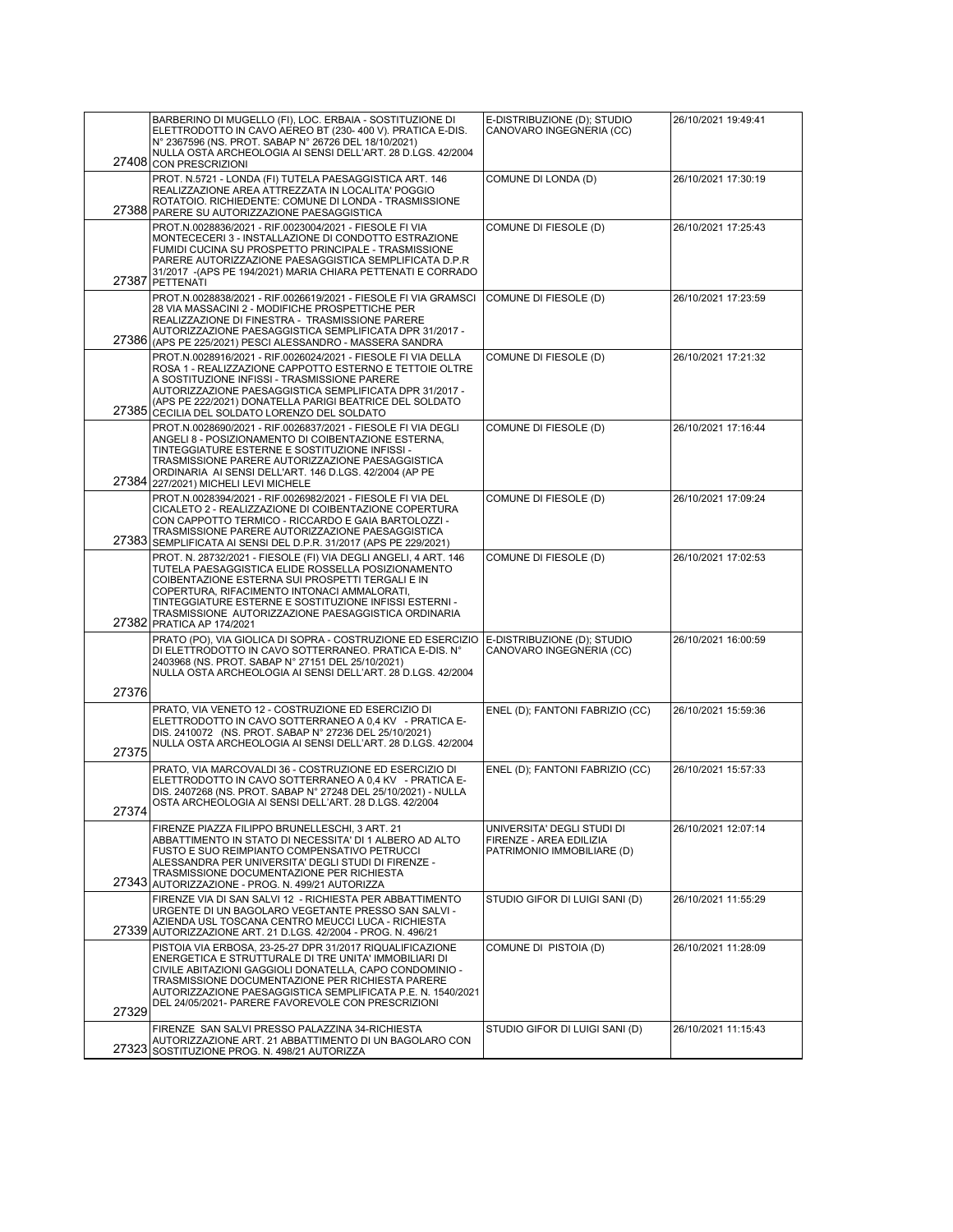|       | BARBERINO DI MUGELLO (FI), LOC. ERBAIA - SOSTITUZIONE DI<br>ELETTRODOTTO IN CAVO AEREO BT (230- 400 V). PRATICA E-DIS.<br>N° 2367596 (NS. PROT. SABAP N° 26726 DEL 18/10/2021)                                                                                                                                                                                         | E-DISTRIBUZIONE (D); STUDIO<br>CANOVARO INGEGNERIA (CC)                             | 26/10/2021 19:49:41 |
|-------|------------------------------------------------------------------------------------------------------------------------------------------------------------------------------------------------------------------------------------------------------------------------------------------------------------------------------------------------------------------------|-------------------------------------------------------------------------------------|---------------------|
|       | NULLA OSTA ARCHEOLOGIA AI SENSI DELL'ART. 28 D.LGS. 42/2004<br>27408 CON PRESCRIZIONI<br>PROT. N.5721 - LONDA (FI) TUTELA PAESAGGISTICA ART. 146<br>REALIZZAZIONE AREA ATTREZZATA IN LOCALITA' POGGIO                                                                                                                                                                  | COMUNE DI LONDA (D)                                                                 | 26/10/2021 17:30:19 |
|       | ROTATOIO. RICHIEDENTE: COMUNE DI LONDA - TRASMISSIONE<br>27388 PARERE SU AUTORIZZAZIONE PAESAGGISTICA                                                                                                                                                                                                                                                                  |                                                                                     |                     |
|       | PROT.N.0028836/2021 - RIF.0023004/2021 - FIESOLE FI VIA<br>MONTECECERI 3 - INSTALLAZIONE DI CONDOTTO ESTRAZIONE<br>FUMIDI CUCINA SU PROSPETTO PRINCIPALE - TRASMISSIONE<br>PARERE AUTORIZZAZIONE PAESAGGISTICA SEMPLIFICATA D.P.R<br>31/2017 - (APS PE 194/2021) MARIA CHIARA PETTENATI E CORRADO<br>27387 PETTENATI                                                   | COMUNE DI FIESOLE (D)                                                               | 26/10/2021 17:25:43 |
|       | PROT.N.0028838/2021 - RIF.0026619/2021 - FIESOLE FI VIA GRAMSCI<br>28 VIA MASSACINI 2 - MODIFICHE PROSPETTICHE PER<br>REALIZZAZIONE DI FINESTRA - TRASMISSIONE PARERE<br>AUTORIZZAZIONE PAESAGGISTICA SEMPLIFICATA DPR 31/2017 -<br>27386 (APS PE 225/2021) PESCI ALESSANDRO - MASSERA SANDRA                                                                          | COMUNE DI FIESOLE (D)                                                               | 26/10/2021 17:23:59 |
|       | PROT.N.0028916/2021 - RIF.0026024/2021 - FIESOLE FI VIA DELLA<br>ROSA 1 - REALIZZAZIONE CAPPOTTO ESTERNO E TETTOIE OLTRE<br>A SOSTITUZIONE INFISSI - TRASMISSIONE PARERE<br>AUTORIZZAZIONE PAESAGGISTICA SEMPLIFICATA DPR 31/2017 -<br>(APS PE 222/2021) DONATELLA PARIGI BEATRICE DEL SOLDATO<br>27385 CECILIA DEL SOLDATO LORENZO DEL SOLDATO                        | COMUNE DI FIESOLE (D)                                                               | 26/10/2021 17:21:32 |
|       | PROT.N.0028690/2021 - RIF.0026837/2021 - FIESOLE FI VIA DEGLI<br>ANGELI 8 - POSIZIONAMENTO DI COIBENTAZIONE ESTERNA,<br>TINTEGGIATURE ESTERNE E SOSTITUZIONE INFISSI -<br>TRASMISSIONE PARERE AUTORIZZAZIONE PAESAGGISTICA<br>ORDINARIA AI SENSI DELL'ART. 146 D.LGS. 42/2004 (AP PE<br>27384 227/2021) MICHELI LEVI MICHELE                                           | COMUNE DI FIESOLE (D)                                                               | 26/10/2021 17:16:44 |
|       | PROT.N.0028394/2021 - RIF.0026982/2021 - FIESOLE FI VIA DEL<br>CICALETO 2 - REALIZZAZIONE DI COIBENTAZIONE COPERTURA<br>CON CAPPOTTO TERMICO - RICCARDO E GAIA BARTOLOZZI -<br>TRASMISSIONE PARERE AUTORIZZAZIONE PAESAGGISTICA<br>27383 SEMPLIFICATA AI SENSI DEL D.P.R. 31/2017 (APS PE 229/2021)                                                                    | COMUNE DI FIESOLE (D)                                                               | 26/10/2021 17:09:24 |
|       | PROT. N. 28732/2021 - FIESOLE (FI) VIA DEGLI ANGELI, 4 ART. 146<br>TUTELA PAESAGGISTICA ELIDE ROSSELLA POSIZIONAMENTO<br>COIBENTAZIONE ESTERNA SUI PROSPETTI TERGALI E IN<br>COPERTURA, RIFACIMENTO INTONACI AMMALORATI,<br>TINTEGGIATURE ESTERNE E SOSTITUZIONE INFISSI ESTERNI -<br>TRASMISSIONE AUTORIZZAZIONE PAESAGGISTICA ORDINARIA<br>27382 PRATICA AP 174/2021 | COMUNE DI FIESOLE (D)                                                               | 26/10/2021 17:02:53 |
|       | PRATO (PO), VIA GIOLICA DI SOPRA - COSTRUZIONE ED ESERCIZIO<br>DI ELETTRODOTTO IN CAVO SOTTERRANEO. PRATICA E-DIS. Nº<br>2403968 (NS. PROT. SABAP N° 27151 DEL 25/10/2021)<br>NULLA OSTA ARCHEOLOGIA AI SENSI DELL'ART. 28 D.LGS. 42/2004                                                                                                                              | E-DISTRIBUZIONE (D); STUDIO<br>CANOVARO INGEGNERIA (CC)                             | 26/10/2021 16:00:59 |
| 27376 |                                                                                                                                                                                                                                                                                                                                                                        |                                                                                     |                     |
| 27375 | PRATO, VIA VENETO 12 - COSTRUZIONE ED ESERCIZIO DI<br>ELETTRODOTTO IN CAVO SOTTERRANEO A 0,4 KV - PRATICA E-<br>DIS. 2410072 (NS. PROT. SABAP N° 27236 DEL 25/10/2021)<br>NULLA OSTA ARCHEOLOGIA AI SENSI DELL'ART. 28 D.LGS. 42/2004                                                                                                                                  | ENEL (D); FANTONI FABRIZIO (CC)                                                     | 26/10/2021 15:59:36 |
|       | PRATO. VIA MARCOVALDI 36 - COSTRUZIONE ED ESERCIZIO DI<br>ELETTRODOTTO IN CAVO SOTTERRANEO A 0.4 KV - PRATICA E-<br>DIS. 2407268 (NS. PROT. SABAP N° 27248 DEL 25/10/2021) - NULLA<br>OSTA ARCHEOLOGIA AI SENSI DELL'ART. 28 D.LGS. 42/2004                                                                                                                            | ENEL (D); FANTONI FABRIZIO (CC)                                                     | 26/10/2021 15:57:33 |
| 27374 | FIRENZE PIAZZA FILIPPO BRUNELLESCHI, 3 ART. 21<br>ABBATTIMENTO IN STATO DI NECESSITA' DI 1 ALBERO AD ALTO<br>FUSTO E SUO REIMPIANTO COMPENSATIVO PETRUCCI<br>ALESSANDRA PER UNIVERSITA' DEGLI STUDI DI FIRENZE -<br>TRASMISSIONE DOCUMENTAZIONE PER RICHIESTA<br>27343 AUTORIZZAZIONE - PROG. N. 499/21 AUTORIZZA                                                      | UNIVERSITA' DEGLI STUDI DI<br>FIRENZE - AREA EDILIZIA<br>PATRIMONIO IMMOBILIARE (D) | 26/10/2021 12:07:14 |
|       | FIRENZE VIA DI SAN SALVI 12 - RICHIESTA PER ABBATTIMENTO<br>URGENTE DI UN BAGOLARO VEGETANTE PRESSO SAN SALVI -<br>AZIENDA USL TOSCANA CENTRO MEUCCI LUCA - RICHIESTA<br>27339 AUTORIZZAZIONE ART. 21 D.LGS. 42/2004 - PROG. N. 496/21                                                                                                                                 | STUDIO GIFOR DI LUIGI SANI (D)                                                      | 26/10/2021 11:55:29 |
|       | PISTOIA VIA ERBOSA, 23-25-27 DPR 31/2017 RIQUALIFICAZIONE<br>ENERGETICA E STRUTTURALE DI TRE UNITA' IMMOBILIARI DI<br>CIVILE ABITAZIONI GAGGIOLI DONATELLA, CAPO CONDOMINIO -<br>TRASMISSIONE DOCUMENTAZIONE PER RICHIESTA PARERE<br>AUTORIZZAZIONE PAESAGGISTICA SEMPLIFICATA P.E. N. 1540/2021<br>DEL 24/05/2021- PARERE FAVOREVOLE CON PRESCRIZIONI                 | COMUNE DI PISTOIA (D)                                                               | 26/10/2021 11:28:09 |
| 27329 | FIRENZE SAN SALVI PRESSO PALAZZINA 34-RICHIESTA                                                                                                                                                                                                                                                                                                                        | STUDIO GIFOR DI LUIGI SANI (D)                                                      | 26/10/2021 11:15:43 |
| 27323 | AUTORIZZAZIONE ART. 21 ABBATTIMENTO DI UN BAGOLARO CON<br>SOSTITUZIONE PROG. N. 498/21 AUTORIZZA                                                                                                                                                                                                                                                                       |                                                                                     |                     |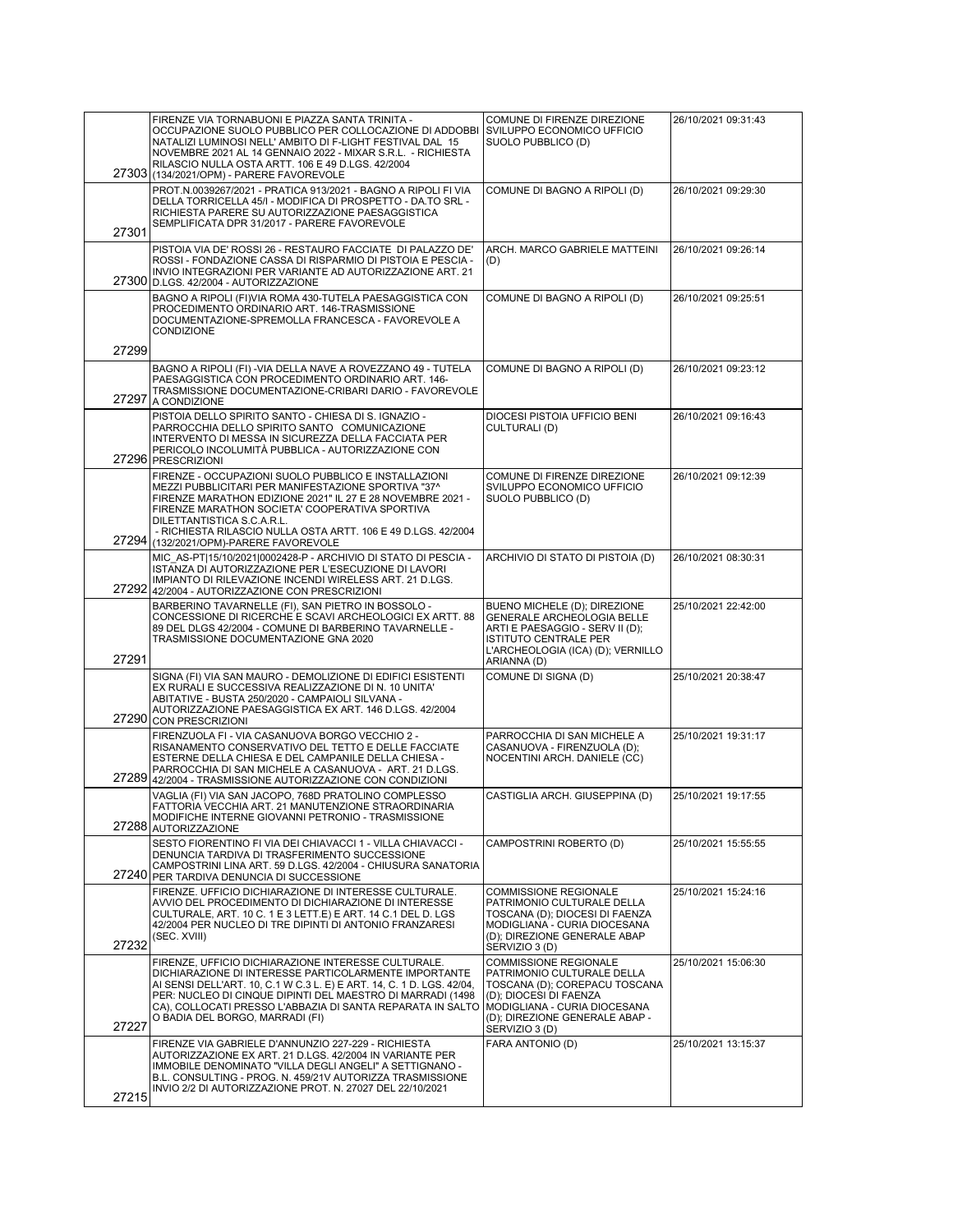|       | FIRENZE VIA TORNABUONI E PIAZZA SANTA TRINITA -<br>OCCUPAZIONE SUOLO PUBBLICO PER COLLOCAZIONE DI ADDOBBI<br>NATALIZI LUMINOSI NELL' AMBITO DI F-LIGHT FESTIVAL DAL 15<br>NOVEMBRE 2021 AL 14 GENNAIO 2022 - MIXAR S.R.L. - RICHIESTA<br>RILASCIO NULLA OSTA ARTT. 106 E 49 D.LGS. 42/2004<br>27303 (134/2021/OPM) - PARERE FAVOREVOLE                               | COMUNE DI FIRENZE DIREZIONE<br>SVILUPPO ECONOMICO UFFICIO<br>SUOLO PUBBLICO (D)                                                                                                                           | 26/10/2021 09:31:43 |
|-------|----------------------------------------------------------------------------------------------------------------------------------------------------------------------------------------------------------------------------------------------------------------------------------------------------------------------------------------------------------------------|-----------------------------------------------------------------------------------------------------------------------------------------------------------------------------------------------------------|---------------------|
| 27301 | PROT.N.0039267/2021 - PRATICA 913/2021 - BAGNO A RIPOLI FI VIA<br>DELLA TORRICELLA 45/I - MODIFICA DI PROSPETTO - DA.TO SRL -<br>RICHIESTA PARERE SU AUTORIZZAZIONE PAESAGGISTICA<br>SEMPLIFICATA DPR 31/2017 - PARERE FAVOREVOLE                                                                                                                                    | COMUNE DI BAGNO A RIPOLI (D)                                                                                                                                                                              | 26/10/2021 09:29:30 |
|       | PISTOIA VIA DE' ROSSI 26 - RESTAURO FACCIATE DI PALAZZO DE'<br>ROSSI - FONDAZIONE CASSA DI RISPARMIO DI PISTOIA E PESCIA -<br>INVIO INTEGRAZIONI PER VARIANTE AD AUTORIZZAZIONE ART. 21<br>27300 D.LGS. 42/2004 - AUTORIZZAZIONE                                                                                                                                     | ARCH. MARCO GABRIELE MATTEINI<br>(D)                                                                                                                                                                      | 26/10/2021 09:26:14 |
|       | BAGNO A RIPOLI (FI)VIA ROMA 430-TUTELA PAESAGGISTICA CON<br>PROCEDIMENTO ORDINARIO ART. 146-TRASMISSIONE<br>DOCUMENTAZIONE-SPREMOLLA FRANCESCA - FAVOREVOLE A<br>CONDIZIONE                                                                                                                                                                                          | COMUNE DI BAGNO A RIPOLI (D)                                                                                                                                                                              | 26/10/2021 09:25:51 |
| 27299 |                                                                                                                                                                                                                                                                                                                                                                      |                                                                                                                                                                                                           |                     |
| 27297 | BAGNO A RIPOLI (FI) - VIA DELLA NAVE A ROVEZZANO 49 - TUTELA<br>PAESAGGISTICA CON PROCEDIMENTO ORDINARIO ART. 146-<br>TRASMISSIONE DOCUMENTAZIONE-CRIBARI DARIO - FAVOREVOLE<br>A CONDIZIONE                                                                                                                                                                         | COMUNE DI BAGNO A RIPOLI (D)                                                                                                                                                                              | 26/10/2021 09:23:12 |
|       | PISTOIA DELLO SPIRITO SANTO - CHIESA DI S. IGNAZIO -<br>PARROCCHIA DELLO SPIRITO SANTO COMUNICAZIONE<br>INTERVENTO DI MESSA IN SICUREZZA DELLA FACCIATA PER<br>PERICOLO INCOLUMITÀ PUBBLICA - AUTORIZZAZIONE CON<br>27296 PRESCRIZIONI                                                                                                                               | DIOCESI PISTOIA UFFICIO BENI<br>CULTURALI (D)                                                                                                                                                             | 26/10/2021 09:16:43 |
|       | FIRENZE - OCCUPAZIONI SUOLO PUBBLICO E INSTALLAZIONI<br>MEZZI PUBBLICITARI PER MANIFESTAZIONE SPORTIVA "37^<br>FIRENZE MARATHON EDIZIONE 2021" IL 27 E 28 NOVEMBRE 2021 -<br>FIRENZE MARATHON SOCIETA' COOPERATIVA SPORTIVA<br>DILETTANTISTICA S.C.A.R.L.<br>- RICHIESTA RILASCIO NULLA OSTA ARTT. 106 E 49 D.LGS. 42/2004<br>27294 (132/2021/OPM)-PARERE FAVOREVOLE | COMUNE DI FIRENZE DIREZIONE<br>SVILUPPO ECONOMICO UFFICIO<br>SUOLO PUBBLICO (D)                                                                                                                           | 26/10/2021 09:12:39 |
|       | MIC AS-PT 15/10/2021 0002428-P - ARCHIVIO DI STATO DI PESCIA -<br>ISTANZA DI AUTORIZZAZIONE PER L'ESECUZIONE DI LAVORI<br>IMPIANTO DI RILEVAZIONE INCENDI WIRELESS ART. 21 D.LGS.<br>27292 42/2004 - AUTORIZZAZIONE CON PRESCRIZIONI                                                                                                                                 | ARCHIVIO DI STATO DI PISTOIA (D)                                                                                                                                                                          | 26/10/2021 08:30:31 |
| 27291 | BARBERINO TAVARNELLE (FI), SAN PIETRO IN BOSSOLO -<br>CONCESSIONE DI RICERCHE E SCAVI ARCHEOLOGICI EX ARTT. 88<br>89 DEL DLGS 42/2004 - COMUNE DI BARBERINO TAVARNELLE -<br>TRASMISSIONE DOCUMENTAZIONE GNA 2020                                                                                                                                                     | BUENO MICHELE (D); DIREZIONE<br>GENERALE ARCHEOLOGIA BELLE<br>ARTI E PAESAGGIO - SERV II (D);<br><b>ISTITUTO CENTRALE PER</b><br>L'ARCHEOLOGIA (ICA) (D); VERNILLO<br>ARIANNA (D)                         | 25/10/2021 22:42:00 |
|       | SIGNA (FI) VIA SAN MAURO - DEMOLIZIONE DI EDIFICI ESISTENTI<br>EX RURALI E SUCCESSIVA REALIZZAZIONE DI N. 10 UNITA'<br>ABITATIVE - BUSTA 250/2020 - CAMPAIOLI SILVANA -<br>AUTORIZZAZIONE PAESAGGISTICA EX ART. 146 D.LGS. 42/2004<br>27290 CON PRESCRIZIONI                                                                                                         | COMUNE DI SIGNA (D)                                                                                                                                                                                       | 25/10/2021 20:38:47 |
| 27289 | FIRENZUOLA FI - VIA CASANUOVA BORGO VECCHIO 2 -<br>RISANAMENTO CONSERVATIVO DEL TETTO E DELLE FACCIATE<br>ESTERNE DELLA CHIESA E DEL CAMPANILE DELLA CHIESA -<br>PARROCCHIA DI SAN MICHELE A CASANUOVA - ART. 21 D.LGS.<br>42/2004 - TRASMISSIONE AUTORIZZAZIONE CON CONDIZIONI                                                                                      | PARROCCHIA DI SAN MICHELE A<br>CASANUOVA - FIRENZUOLA (D);<br>NOCENTINI ARCH. DANIELE (CC)                                                                                                                | 25/10/2021 19:31:17 |
|       | VAGLIA (FI) VIA SAN JACOPO, 768D PRATOLINO COMPLESSO<br>FATTORIA VECCHIA ART. 21 MANUTENZIONE STRAORDINARIA<br>MODIFICHE INTERNE GIOVANNI PETRONIO - TRASMISSIONE<br>27288 AUTORIZZAZIONE                                                                                                                                                                            | CASTIGLIA ARCH. GIUSEPPINA (D)                                                                                                                                                                            | 25/10/2021 19:17:55 |
|       | SESTO FIORENTINO FI VIA DEI CHIAVACCI 1 - VILLA CHIAVACCI -<br>DENUNCIA TARDIVA DI TRASFERIMENTO SUCCESSIONE<br>CAMPOSTRINI LINA ART. 59 D.LGS. 42/2004 - CHIUSURA SANATORIA<br>27240 PER TARDIVA DENUNCIA DI SUCCESSIONE                                                                                                                                            | CAMPOSTRINI ROBERTO (D)                                                                                                                                                                                   | 25/10/2021 15:55:55 |
| 27232 | FIRENZE. UFFICIO DICHIARAZIONE DI INTERESSE CULTURALE.<br>AVVIO DEL PROCEDIMENTO DI DICHIARAZIONE DI INTERESSE<br>CULTURALE, ART. 10 C. 1 E 3 LETT.E) E ART. 14 C.1 DEL D. LGS<br>42/2004 PER NUCLEO DI TRE DIPINTI DI ANTONIO FRANZARESI<br>(SEC. XVIII)                                                                                                            | <b>COMMISSIONE REGIONALE</b><br>PATRIMONIO CULTURALE DELLA<br>TOSCANA (D); DIOCESI DI FAENZA<br>MODIGLIANA - CURIA DIOCESANA<br>(D); DIREZIONE GENERALE ABAP<br>SERVIZIO 3 (D)                            | 25/10/2021 15:24:16 |
| 27227 | FIRENZE, UFFICIO DICHIARAZIONE INTERESSE CULTURALE.<br>DICHIARAZIONE DI INTERESSE PARTICOLARMENTE IMPORTANTE<br>AI SENSI DELL'ART. 10, C.1 W C.3 L. E) E ART. 14, C. 1 D. LGS. 42/04,<br>PER: NUCLEO DI CINQUE DIPINTI DEL MAESTRO DI MARRADI (1498<br>CA), COLLOCATI PRESSO L'ABBAZIA DI SANTA REPARATA IN SALTO<br>O BADIA DEL BORGO, MARRADI (FI)                 | <b>COMMISSIONE REGIONALE</b><br>PATRIMONIO CULTURALE DELLA<br>TOSCANA (D); COREPACU TOSCANA<br>(D); DIOCESI DI FAENZA<br>MODIGLIANA - CURIA DIOCESANA<br>(D); DIREZIONE GENERALE ABAP -<br>SERVIZIO 3 (D) | 25/10/2021 15:06:30 |
| 27215 | FIRENZE VIA GABRIELE D'ANNUNZIO 227-229 - RICHIESTA<br>AUTORIZZAZIONE EX ART. 21 D.LGS. 42/2004 IN VARIANTE PER<br>IMMOBILE DENOMINATO "VILLA DEGLI ANGELI" A SETTIGNANO -<br>B.L. CONSULTING - PROG. N. 459/21V AUTORIZZA TRASMISSIONE<br>INVIO 2/2 DI AUTORIZZAZIONE PROT. N. 27027 DEL 22/10/2021                                                                 | FARA ANTONIO (D)                                                                                                                                                                                          | 25/10/2021 13:15:37 |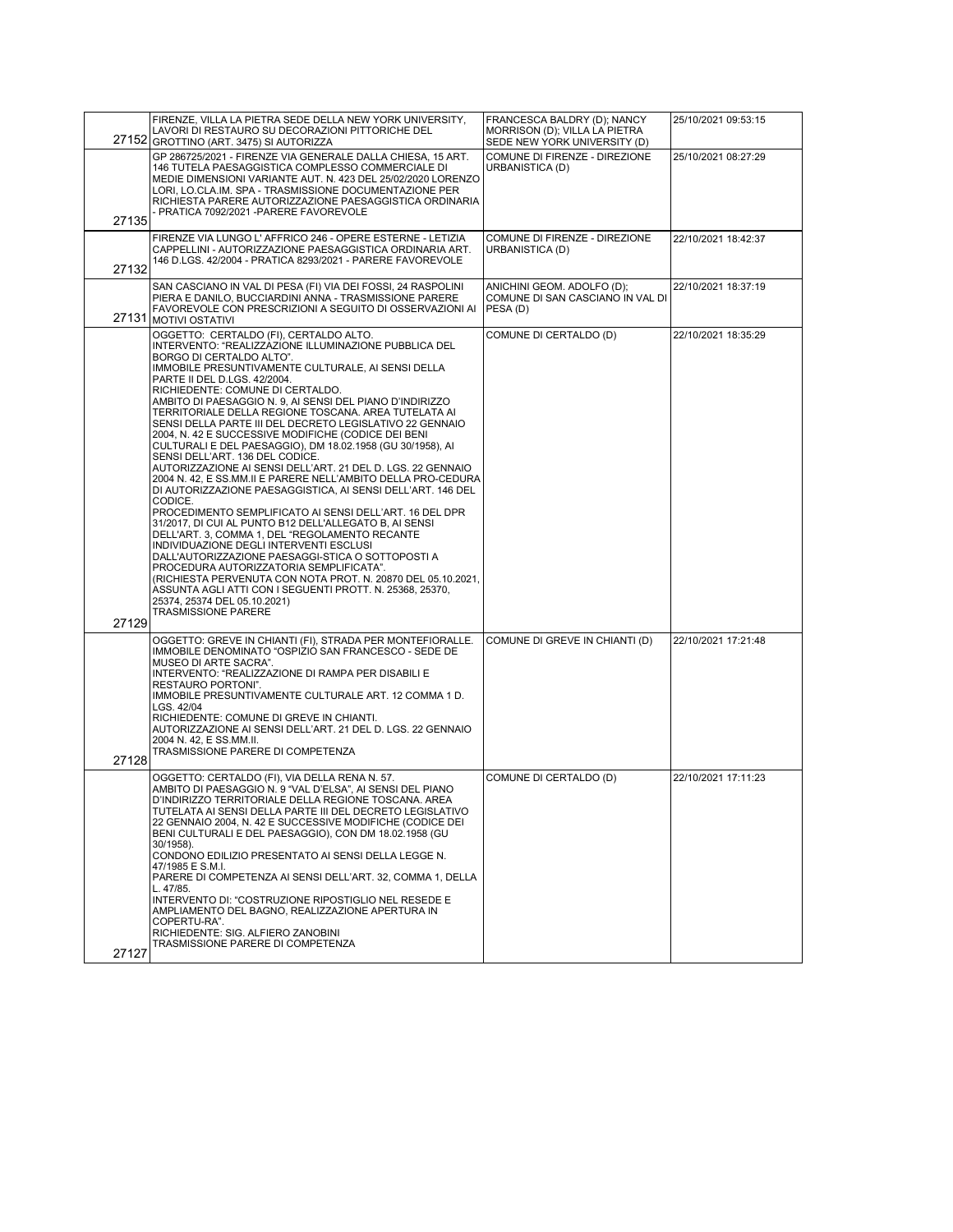|       | FIRENZE, VILLA LA PIETRA SEDE DELLA NEW YORK UNIVERSITY,<br>LAVORI DI RESTAURO SU DECORAZIONI PITTORICHE DEL<br>27152 GROTTINO (ART. 3475) SI AUTORIZZA                                                                                                                                                                                                                                                                                                                                                                                                                                                                                                                                                                                                                                                                                                                                                                                                                                                                                                                                                                                                                                                                                                                                                            | FRANCESCA BALDRY (D); NANCY<br>MORRISON (D); VILLA LA PIETRA<br>SEDE NEW YORK UNIVERSITY (D) | 25/10/2021 09:53:15 |
|-------|--------------------------------------------------------------------------------------------------------------------------------------------------------------------------------------------------------------------------------------------------------------------------------------------------------------------------------------------------------------------------------------------------------------------------------------------------------------------------------------------------------------------------------------------------------------------------------------------------------------------------------------------------------------------------------------------------------------------------------------------------------------------------------------------------------------------------------------------------------------------------------------------------------------------------------------------------------------------------------------------------------------------------------------------------------------------------------------------------------------------------------------------------------------------------------------------------------------------------------------------------------------------------------------------------------------------|----------------------------------------------------------------------------------------------|---------------------|
| 27135 | GP 286725/2021 - FIRENZE VIA GENERALE DALLA CHIESA, 15 ART.<br>146 TUTELA PAESAGGISTICA COMPLESSO COMMERCIALE DI<br>MEDIE DIMENSIONI VARIANTE AUT. N. 423 DEL 25/02/2020 LORENZO<br>LORI, LO.CLA.IM. SPA - TRASMISSIONE DOCUMENTAZIONE PER<br>RICHIESTA PARERE AUTORIZZAZIONE PAESAGGISTICA ORDINARIA<br>- PRATICA 7092/2021 - PARERE FAVOREVOLE                                                                                                                                                                                                                                                                                                                                                                                                                                                                                                                                                                                                                                                                                                                                                                                                                                                                                                                                                                   | COMUNE DI FIRENZE - DIREZIONE<br>URBANISTICA (D)                                             | 25/10/2021 08:27:29 |
| 27132 | FIRENZE VIA LUNGO L' AFFRICO 246 - OPERE ESTERNE - LETIZIA<br>CAPPELLINI - AUTORIZZAZIONE PAESAGGISTICA ORDINARIA ART.<br>146 D.LGS. 42/2004 - PRATICA 8293/2021 - PARERE FAVOREVOLE                                                                                                                                                                                                                                                                                                                                                                                                                                                                                                                                                                                                                                                                                                                                                                                                                                                                                                                                                                                                                                                                                                                               | COMUNE DI FIRENZE - DIREZIONE<br>URBANISTICA (D)                                             | 22/10/2021 18:42:37 |
|       | SAN CASCIANO IN VAL DI PESA (FI) VIA DEI FOSSI, 24 RASPOLINI<br>PIERA E DANILO, BUCCIARDINI ANNA - TRASMISSIONE PARERE<br>FAVOREVOLE CON PRESCRIZIONI A SEGUITO DI OSSERVAZIONI AI<br>27131 MOTIVI OSTATIVI                                                                                                                                                                                                                                                                                                                                                                                                                                                                                                                                                                                                                                                                                                                                                                                                                                                                                                                                                                                                                                                                                                        | ANICHINI GEOM. ADOLFO (D);<br>COMUNE DI SAN CASCIANO IN VAL DI<br>PESA (D)                   | 22/10/2021 18:37:19 |
| 27129 | OGGETTO: CERTALDO (FI), CERTALDO ALTO.<br>INTERVENTO: "REALIZZAZIONE ILLUMINAZIONE PUBBLICA DEL<br>BORGO DI CERTALDO ALTO".<br>IMMOBILE PRESUNTIVAMENTE CULTURALE, AI SENSI DELLA<br>PARTE II DEL D.LGS. 42/2004.<br>RICHIEDENTE: COMUNE DI CERTALDO.<br>AMBITO DI PAESAGGIO N. 9, AI SENSI DEL PIANO D'INDIRIZZO<br>TERRITORIALE DELLA REGIONE TOSCANA. AREA TUTELATA AI<br>SENSI DELLA PARTE III DEL DECRETO LEGISLATIVO 22 GENNAIO<br>2004, N. 42 E SUCCESSIVE MODIFICHE (CODICE DEI BENI<br>CULTURALI E DEL PAESAGGIO), DM 18.02.1958 (GU 30/1958), AI<br>SENSI DELL'ART. 136 DEL CODICE.<br>AUTORIZZAZIONE AI SENSI DELL'ART. 21 DEL D. LGS. 22 GENNAIO<br>2004 N. 42, E SS.MM.II E PARERE NELL'AMBITO DELLA PRO-CEDURA<br>DI AUTORIZZAZIONE PAESAGGISTICA. AI SENSI DELL'ART. 146 DEL<br>CODICE.<br>PROCEDIMENTO SEMPLIFICATO AI SENSI DELL'ART. 16 DEL DPR<br>31/2017, DI CUI AL PUNTO B12 DELL'ALLEGATO B, AI SENSI<br>DELL'ART. 3, COMMA 1, DEL "REGOLAMENTO RECANTE<br>INDIVIDUAZIONE DEGLI INTERVENTI ESCLUSI<br>DALL'AUTORIZZAZIONE PAESAGGI-STICA O SOTTOPOSTI A<br>PROCEDURA AUTORIZZATORIA SEMPLIFICATA".<br>(RICHIESTA PERVENUTA CON NOTA PROT. N. 20870 DEL 05.10.2021,<br>ASSUNTA AGLI ATTI CON I SEGUENTI PROTT. N. 25368, 25370,<br>25374, 25374 DEL 05.10.2021)<br><b>TRASMISSIONE PARERE</b> | COMUNE DI CERTALDO (D)                                                                       | 22/10/2021 18:35:29 |
| 27128 | OGGETTO: GREVE IN CHIANTI (FI), STRADA PER MONTEFIORALLE.<br>IMMOBILE DENOMINATO "OSPIZIO SAN FRANCESCO - SEDE DE<br>MUSEO DI ARTE SACRA".<br>INTERVENTO: "REALIZZAZIONE DI RAMPA PER DISABILI E<br>RESTAURO PORTONI".<br>IMMOBILE PRESUNTIVAMENTE CULTURALE ART. 12 COMMA 1 D.<br>LGS. 42/04<br>RICHIEDENTE: COMUNE DI GREVE IN CHIANTI.<br>AUTORIZZAZIONE AI SENSI DELL'ART. 21 DEL D. LGS. 22 GENNAIO<br>2004 N. 42, E SS.MM.II.<br>TRASMISSIONE PARERE DI COMPETENZA                                                                                                                                                                                                                                                                                                                                                                                                                                                                                                                                                                                                                                                                                                                                                                                                                                           | COMUNE DI GREVE IN CHIANTI (D)                                                               | 22/10/2021 17:21:48 |
| 27127 | OGGETTO: CERTALDO (FI), VIA DELLA RENA N. 57.<br>AMBITO DI PAESAGGIO N. 9 "VAL D'ELSA", AI SENSI DEL PIANO<br>D'INDIRIZZO TERRITORIALE DELLA REGIONE TOSCANA. AREA<br>TUTELATA AI SENSI DELLA PARTE III DEL DECRETO LEGISLATIVO<br>22 GENNAIO 2004, N. 42 E SUCCESSIVE MODIFICHE (CODICE DEI<br>BENI CULTURALI E DEL PAESAGGIO), CON DM 18.02.1958 (GU<br>30/1958).<br>CONDONO EDILIZIO PRESENTATO AI SENSI DELLA LEGGE N.<br>47/1985 E S.M.I.<br>PARERE DI COMPETENZA AI SENSI DELL'ART. 32, COMMA 1, DELLA<br>L. 47/85.<br>INTERVENTO DI: "COSTRUZIONE RIPOSTIGLIO NEL RESEDE E<br>AMPLIAMENTO DEL BAGNO, REALIZZAZIONE APERTURA IN<br>COPERTU-RA".<br>RICHIEDENTE: SIG. ALFIERO ZANOBINI<br>TRASMISSIONE PARERE DI COMPETENZA                                                                                                                                                                                                                                                                                                                                                                                                                                                                                                                                                                                   | COMUNE DI CERTALDO (D)                                                                       | 22/10/2021 17:11:23 |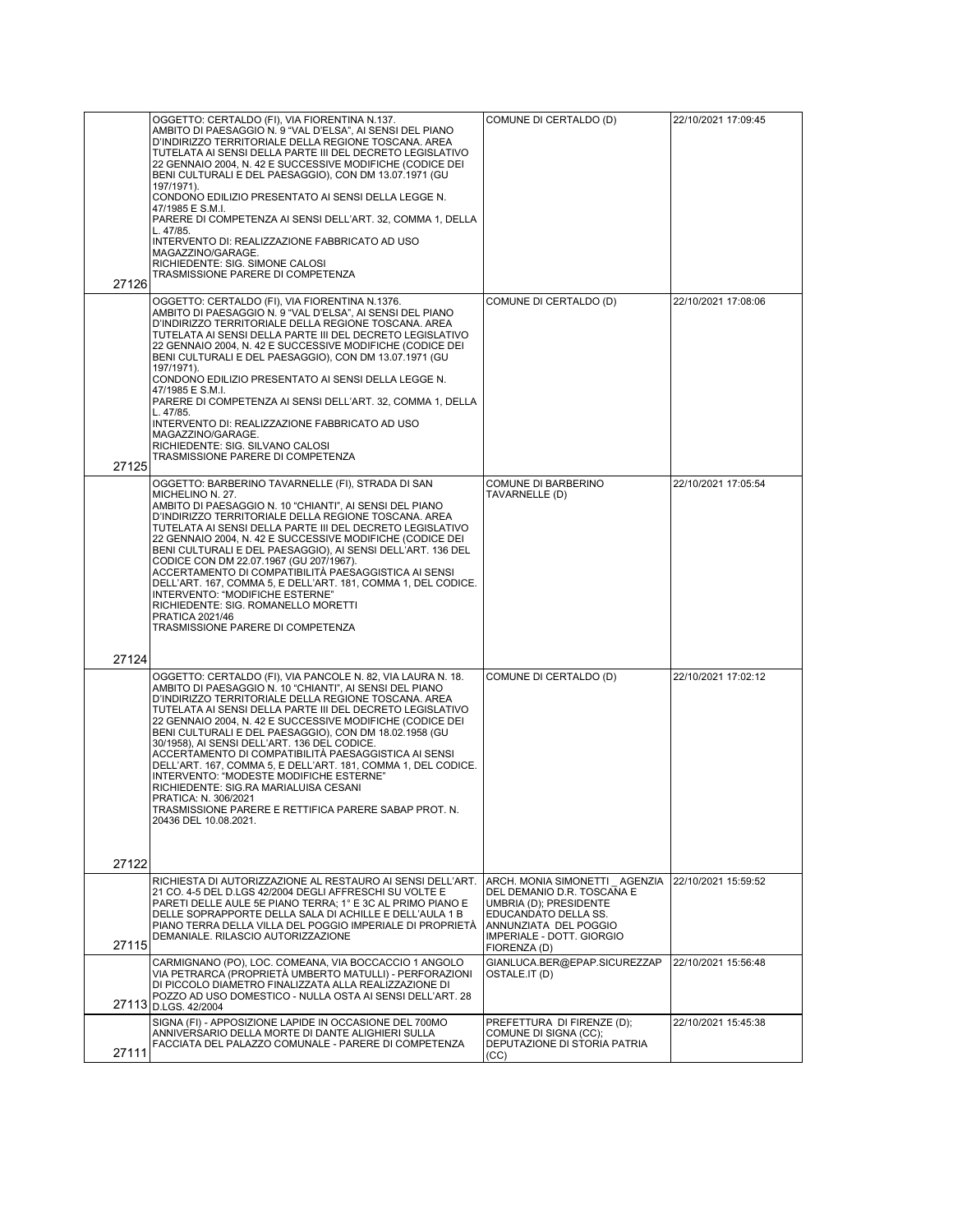|       | OGGETTO: CERTALDO (FI), VIA FIORENTINA N.137.                                                                                                                                                                                                                                                                                                                                                                                                                                                                                                                                                                                                                                                                                             | COMUNE DI CERTALDO (D)                                                                                                                                                              | 22/10/2021 17:09:45 |
|-------|-------------------------------------------------------------------------------------------------------------------------------------------------------------------------------------------------------------------------------------------------------------------------------------------------------------------------------------------------------------------------------------------------------------------------------------------------------------------------------------------------------------------------------------------------------------------------------------------------------------------------------------------------------------------------------------------------------------------------------------------|-------------------------------------------------------------------------------------------------------------------------------------------------------------------------------------|---------------------|
|       | AMBITO DI PAESAGGIO N. 9 "VAL D'ELSA", AI SENSI DEL PIANO<br>D'INDIRIZZO TERRITORIALE DELLA REGIONE TOSCANA. AREA<br>TUTELATA AI SENSI DELLA PARTE III DEL DECRETO LEGISLATIVO<br>22 GENNAIO 2004, N. 42 E SUCCESSIVE MODIFICHE (CODICE DEI<br>BENI CULTURALI E DEL PAESAGGIO), CON DM 13.07.1971 (GU<br>197/1971).<br>CONDONO EDILIZIO PRESENTATO AI SENSI DELLA LEGGE N.                                                                                                                                                                                                                                                                                                                                                                |                                                                                                                                                                                     |                     |
|       | 47/1985 E S.M.I.<br>PARERE DI COMPETENZA AI SENSI DELL'ART. 32, COMMA 1, DELLA                                                                                                                                                                                                                                                                                                                                                                                                                                                                                                                                                                                                                                                            |                                                                                                                                                                                     |                     |
|       | L. 47/85.<br>INTERVENTO DI: REALIZZAZIONE FABBRICATO AD USO<br>MAGAZZINO/GARAGE.                                                                                                                                                                                                                                                                                                                                                                                                                                                                                                                                                                                                                                                          |                                                                                                                                                                                     |                     |
|       | RICHIEDENTE: SIG. SIMONE CALOSI<br>TRASMISSIONE PARERE DI COMPETENZA                                                                                                                                                                                                                                                                                                                                                                                                                                                                                                                                                                                                                                                                      |                                                                                                                                                                                     |                     |
| 27126 |                                                                                                                                                                                                                                                                                                                                                                                                                                                                                                                                                                                                                                                                                                                                           |                                                                                                                                                                                     |                     |
|       | OGGETTO: CERTALDO (FI), VIA FIORENTINA N.1376.<br>AMBITO DI PAESAGGIO N. 9 "VAL D'ELSA", AI SENSI DEL PIANO<br>D'INDIRIZZO TERRITORIALE DELLA REGIONE TOSCANA. AREA<br>TUTELATA AI SENSI DELLA PARTE III DEL DECRETO LEGISLATIVO<br>22 GENNAIO 2004, N. 42 E SUCCESSIVE MODIFICHE (CODICE DEI<br>BENI CULTURALI E DEL PAESAGGIO), CON DM 13.07.1971 (GU<br>197/1971).                                                                                                                                                                                                                                                                                                                                                                     | COMUNE DI CERTALDO (D)                                                                                                                                                              | 22/10/2021 17:08:06 |
|       | CONDONO EDILIZIO PRESENTATO AI SENSI DELLA LEGGE N.<br>47/1985 E S.M.I.                                                                                                                                                                                                                                                                                                                                                                                                                                                                                                                                                                                                                                                                   |                                                                                                                                                                                     |                     |
|       | PARERE DI COMPETENZA AI SENSI DELL'ART. 32, COMMA 1, DELLA<br>L. 47/85.                                                                                                                                                                                                                                                                                                                                                                                                                                                                                                                                                                                                                                                                   |                                                                                                                                                                                     |                     |
| 27125 | INTERVENTO DI: REALIZZAZIONE FABBRICATO AD USO<br>MAGAZZINO/GARAGE.<br>RICHIEDENTE: SIG. SILVANO CALOSI<br>TRASMISSIONE PARERE DI COMPETENZA                                                                                                                                                                                                                                                                                                                                                                                                                                                                                                                                                                                              |                                                                                                                                                                                     |                     |
|       | OGGETTO: BARBERINO TAVARNELLE (FI), STRADA DI SAN<br>MICHELINO N. 27.<br>AMBITO DI PAESAGGIO N. 10 "CHIANTI", AI SENSI DEL PIANO<br>D'INDIRIZZO TERRITORIALE DELLA REGIONE TOSCANA. AREA<br>TUTELATA AI SENSI DELLA PARTE III DEL DECRETO LEGISLATIVO<br>22 GENNAIO 2004, N. 42 E SUCCESSIVE MODIFICHE (CODICE DEI<br>BENI CULTURALI E DEL PAESAGGIO), AI SENSI DELL'ART. 136 DEL<br>CODICE CON DM 22.07.1967 (GU 207/1967).<br>ACCERTAMENTO DI COMPATIBILITÀ PAESAGGISTICA AI SENSI<br>DELL'ART. 167, COMMA 5, E DELL'ART. 181, COMMA 1, DEL CODICE.<br>INTERVENTO: "MODIFICHE ESTERNE"<br>RICHIEDENTE: SIG. ROMANELLO MORETTI<br>PRATICA 2021/46                                                                                        | COMUNE DI BARBERINO<br>TAVARNELLE (D)                                                                                                                                               | 22/10/2021 17:05:54 |
| 27124 | TRASMISSIONE PARERE DI COMPETENZA                                                                                                                                                                                                                                                                                                                                                                                                                                                                                                                                                                                                                                                                                                         |                                                                                                                                                                                     |                     |
|       | OGGETTO: CERTALDO (FI), VIA PANCOLE N. 82, VIA LAURA N. 18.<br>AMBITO DI PAESAGGIO N. 10 "CHIANTI", AI SENSI DEL PIANO<br>D'INDIRIZZO TERRITORIALE DELLA REGIONE TOSCANA. AREA<br>TUTELATA AI SENSI DELLA PARTE III DEL DECRETO LEGISLATIVO<br>22 GENNAIO 2004, N. 42 E SUCCESSIVE MODIFICHE (CODICE DEI<br>BENI CULTURALI E DEL PAESAGGIO), CON DM 18.02.1958 (GU<br>30/1958), AI SENSI DELL'ART. 136 DEL CODICE.<br>ACCERTAMENTO DI COMPATIBILITÀ PAESAGGISTICA AI SENSI<br>DELL'ART. 167, COMMA 5, E DELL'ART. 181, COMMA 1, DEL CODICE.<br>INTERVENTO: "MODESTE MODIFICHE ESTERNE"<br>RICHIEDENTE: SIG.RA MARIALUISA CESANI<br>PRATICA: N. 306/2021<br>TRASMISSIONE PARERE E RETTIFICA PARERE SABAP PROT. N.<br>20436 DEL 10.08.2021. | COMUNE DI CERTALDO (D)                                                                                                                                                              | 22/10/2021 17:02:12 |
| 27122 |                                                                                                                                                                                                                                                                                                                                                                                                                                                                                                                                                                                                                                                                                                                                           |                                                                                                                                                                                     |                     |
| 27115 | RICHIESTA DI AUTORIZZAZIONE AL RESTAURO AI SENSI DELL'ART.<br>21 CO. 4-5 DEL D.LGS 42/2004 DEGLI AFFRESCHI SU VOLTE E<br>PARETI DELLE AULE 5E PIANO TERRA; 1° E 3C AL PRIMO PIANO E<br>DELLE SOPRAPPORTE DELLA SALA DI ACHILLE E DELL'AULA 1 B<br>PIANO TERRA DELLA VILLA DEL POGGIO IMPERIALE DI PROPRIETÀ<br>DEMANIALE. RILASCIO AUTORIZZAZIONE                                                                                                                                                                                                                                                                                                                                                                                         | ARCH. MONIA SIMONETTI AGENZIA<br>DEL DEMANIO D.R. TOSCANA E<br>UMBRIA (D); PRESIDENTE<br>EDUCANDATO DELLA SS.<br>ANNUNZIATA DEL POGGIO<br>IMPERIALE - DOTT. GIORGIO<br>FIORENZA (D) | 22/10/2021 15:59:52 |
|       | CARMIGNANO (PO), LOC. COMEANA, VIA BOCCACCIO 1 ANGOLO<br>VIA PETRARCA (PROPRIETÀ UMBERTO MATULLI) - PERFORAZIONI<br>DI PICCOLO DIAMETRO FINALIZZATA ALLA REALIZZAZIONE DI<br>POZZO AD USO DOMESTICO - NULLA OSTA AI SENSI DELL'ART. 28<br>27113 D.LGS. 42/2004                                                                                                                                                                                                                                                                                                                                                                                                                                                                            | GIANLUCA.BER@EPAP.SICUREZZAP<br>OSTALE.IT (D)                                                                                                                                       | 22/10/2021 15:56:48 |
| 27111 | SIGNA (FI) - APPOSIZIONE LAPIDE IN OCCASIONE DEL 700MO<br>ANNIVERSARIO DELLA MORTE DI DANTE ALIGHIERI SULLA<br>FACCIATA DEL PALAZZO COMUNALE - PARERE DI COMPETENZA                                                                                                                                                                                                                                                                                                                                                                                                                                                                                                                                                                       | PREFETTURA DI FIRENZE (D);<br>COMUNE DI SIGNA (CC);<br>DEPUTAZIONE DI STORIA PATRIA<br>(CC)                                                                                         | 22/10/2021 15:45:38 |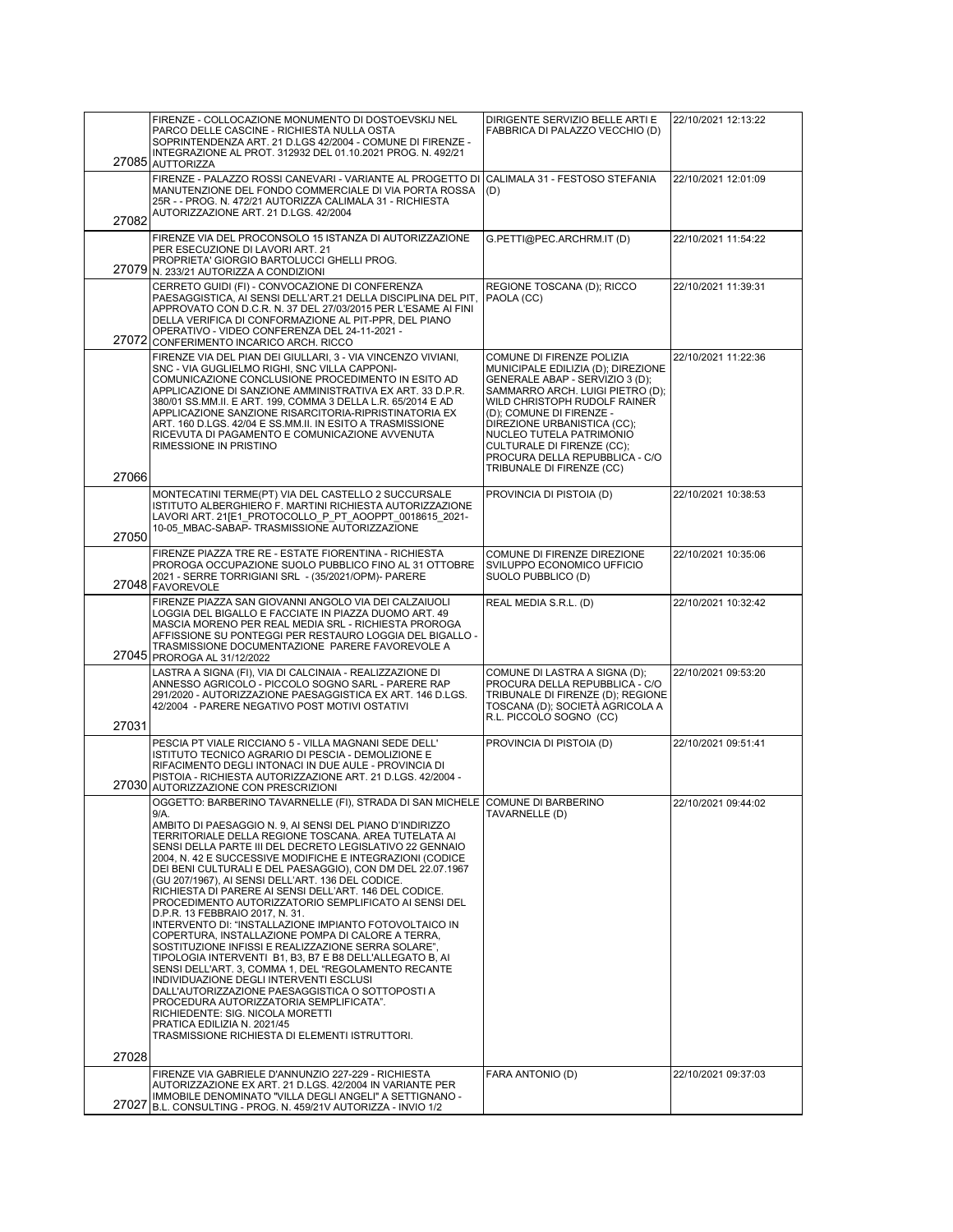|       | FIRENZE - COLLOCAZIONE MONUMENTO DI DOSTOEVSKIJ NEL                                                                                                                                                                                                                                                                                                                                                                                                                                                                                                                                                                                                                                                                                                                                                                                                                                                                                                                                                                                                                                                                                                                  | DIRIGENTE SERVIZIO BELLE ARTI E                                                                                                                                                                                                                                                                                                                            | 22/10/2021 12:13:22 |
|-------|----------------------------------------------------------------------------------------------------------------------------------------------------------------------------------------------------------------------------------------------------------------------------------------------------------------------------------------------------------------------------------------------------------------------------------------------------------------------------------------------------------------------------------------------------------------------------------------------------------------------------------------------------------------------------------------------------------------------------------------------------------------------------------------------------------------------------------------------------------------------------------------------------------------------------------------------------------------------------------------------------------------------------------------------------------------------------------------------------------------------------------------------------------------------|------------------------------------------------------------------------------------------------------------------------------------------------------------------------------------------------------------------------------------------------------------------------------------------------------------------------------------------------------------|---------------------|
|       | PARCO DELLE CASCINE - RICHIESTA NULLA OSTA<br>SOPRINTENDENZA ART. 21 D.LGS 42/2004 - COMUNE DI FIRENZE -<br>INTEGRAZIONE AL PROT. 312932 DEL 01.10.2021 PROG. N. 492/21<br>27085 AUTTORIZZA                                                                                                                                                                                                                                                                                                                                                                                                                                                                                                                                                                                                                                                                                                                                                                                                                                                                                                                                                                          | FABBRICA DI PALAZZO VECCHIO (D)                                                                                                                                                                                                                                                                                                                            |                     |
| 27082 | FIRENZE - PALAZZO ROSSI CANEVARI - VARIANTE AL PROGETTO DI<br>MANUTENZIONE DEL FONDO COMMERCIALE DI VIA PORTA ROSSA<br>25R - - PROG. N. 472/21 AUTORIZZA CALIMALA 31 - RICHIESTA<br>AUTORIZZAZIONE ART. 21 D.LGS. 42/2004                                                                                                                                                                                                                                                                                                                                                                                                                                                                                                                                                                                                                                                                                                                                                                                                                                                                                                                                            | CALIMALA 31 - FESTOSO STEFANIA<br>(D)                                                                                                                                                                                                                                                                                                                      | 22/10/2021 12:01:09 |
|       | FIRENZE VIA DEL PROCONSOLO 15 ISTANZA DI AUTORIZZAZIONE<br>PER ESECUZIONE DI LAVORI ART. 21<br>PROPRIETA' GIORGIO BARTOLUCCI GHELLI PROG.<br>27079 N. 233/21 AUTORIZZA A CONDIZIONI                                                                                                                                                                                                                                                                                                                                                                                                                                                                                                                                                                                                                                                                                                                                                                                                                                                                                                                                                                                  | G.PETTI@PEC.ARCHRM.IT (D)                                                                                                                                                                                                                                                                                                                                  | 22/10/2021 11:54:22 |
|       | CERRETO GUIDI (FI) - CONVOCAZIONE DI CONFERENZA<br>PAESAGGISTICA, AI SENSI DELL'ART.21 DELLA DISCIPLINA DEL PIT,<br>APPROVATO CON D.C.R. N. 37 DEL 27/03/2015 PER L'ESAME AI FINI<br>DELLA VERIFICA DI CONFORMAZIONE AL PIT-PPR, DEL PIANO<br>OPERATIVO - VIDEO CONFERENZA DEL 24-11-2021 -<br>27072 CONFERIMENTO INCARICO ARCH. RICCO                                                                                                                                                                                                                                                                                                                                                                                                                                                                                                                                                                                                                                                                                                                                                                                                                               | REGIONE TOSCANA (D); RICCO<br>PAOLA (CC)                                                                                                                                                                                                                                                                                                                   | 22/10/2021 11:39:31 |
|       | FIRENZE VIA DEL PIAN DEI GIULLARI, 3 - VIA VINCENZO VIVIANI,<br>SNC - VIA GUGLIELMO RIGHI, SNC VILLA CAPPONI-<br>COMUNICAZIONE CONCLUSIONE PROCEDIMENTO IN ESITO AD<br>APPLICAZIONE DI SANZIONE AMMINISTRATIVA EX ART. 33 D.P.R.<br>380/01 SS.MM.II. E ART. 199, COMMA 3 DELLA L.R. 65/2014 E AD<br>APPLICAZIONE SANZIONE RISARCITORIA-RIPRISTINATORIA EX<br>ART. 160 D.LGS. 42/04 E SS.MM.II. IN ESITO A TRASMISSIONE<br>RICEVUTA DI PAGAMENTO E COMUNICAZIONE AVVENUTA<br>RIMESSIONE IN PRISTINO                                                                                                                                                                                                                                                                                                                                                                                                                                                                                                                                                                                                                                                                   | COMUNE DI FIRENZE POLIZIA<br>MUNICIPALE EDILIZIA (D); DIREZIONE<br>GENERALE ABAP - SERVIZIO 3 (D);<br>SAMMARRO ARCH. LUIGI PIETRO (D);<br>WILD CHRISTOPH RUDOLF RAINER<br>(D); COMUNE DI FIRENZE -<br>DIREZIONE URBANISTICA (CC);<br>NUCLEO TUTELA PATRIMONIO<br>CULTURALE DI FIRENZE (CC);<br>PROCURA DELLA REPUBBLICA - C/O<br>TRIBUNALE DI FIRENZE (CC) | 22/10/2021 11:22:36 |
| 27066 | MONTECATINI TERME(PT) VIA DEL CASTELLO 2 SUCCURSALE<br>ISTITUTO ALBERGHIERO F. MARTINI RICHIESTA AUTORIZZAZIONE<br>LAVORI ART. 21[E1 PROTOCOLLO P PT AOOPPT 0018615 2021-                                                                                                                                                                                                                                                                                                                                                                                                                                                                                                                                                                                                                                                                                                                                                                                                                                                                                                                                                                                            | PROVINCIA DI PISTOIA (D)                                                                                                                                                                                                                                                                                                                                   | 22/10/2021 10:38:53 |
| 27050 | 10-05 MBAC-SABAP- TRASMISSIONE AUTORIZZAZIONE                                                                                                                                                                                                                                                                                                                                                                                                                                                                                                                                                                                                                                                                                                                                                                                                                                                                                                                                                                                                                                                                                                                        |                                                                                                                                                                                                                                                                                                                                                            |                     |
|       | FIRENZE PIAZZA TRE RE - ESTATE FIORENTINA - RICHIESTA<br>PROROGA OCCUPAZIONE SUOLO PUBBLICO FINO AL 31 OTTOBRE<br>2021 - SERRE TORRIGIANI SRL - (35/2021/OPM)- PARERE<br>27048 FAVOREVOLE                                                                                                                                                                                                                                                                                                                                                                                                                                                                                                                                                                                                                                                                                                                                                                                                                                                                                                                                                                            | COMUNE DI FIRENZE DIREZIONE<br>SVILUPPO ECONOMICO UFFICIO<br>SUOLO PUBBLICO (D)                                                                                                                                                                                                                                                                            | 22/10/2021 10:35:06 |
|       | FIRENZE PIAZZA SAN GIOVANNI ANGOLO VIA DEI CALZAIUOLI<br>LOGGIA DEL BIGALLO E FACCIATE IN PIAZZA DUOMO ART. 49<br>MASCIA MORENO PER REAL MEDIA SRL - RICHIESTA PROROGA<br>AFFISSIONE SU PONTEGGI PER RESTAURO LOGGIA DEL BIGALLO -<br>TRASMISSIONE DOCUMENTAZIONE PARERE FAVOREVOLE A<br>27045 PROROGA AL 31/12/2022                                                                                                                                                                                                                                                                                                                                                                                                                                                                                                                                                                                                                                                                                                                                                                                                                                                 | REAL MEDIA S.R.L. (D)                                                                                                                                                                                                                                                                                                                                      | 22/10/2021 10:32:42 |
|       | LASTRA A SIGNA (FI), VIA DI CALCINAIA - REALIZZAZIONE DI<br>ANNESSO AGRICOLO - PICCOLO SOGNO SARL - PARERE RAP<br>291/2020 - AUTORIZZAZIONE PAESAGGISTICA EX ART. 146 D.LGS.<br>42/2004 - PARERE NEGATIVO POST MOTIVI OSTATIVI                                                                                                                                                                                                                                                                                                                                                                                                                                                                                                                                                                                                                                                                                                                                                                                                                                                                                                                                       | COMUNE DI LASTRA A SIGNA (D);<br>PROCURA DELLA REPUBBLICA - C/O<br>TRIBUNALE DI FIRENZE (D); REGIONE<br>TOSCANA (D); SOCIETÀ AGRICOLA A<br>R.L. PICCOLO SOGNO (CC)                                                                                                                                                                                         | 22/10/2021 09:53:20 |
| 27031 |                                                                                                                                                                                                                                                                                                                                                                                                                                                                                                                                                                                                                                                                                                                                                                                                                                                                                                                                                                                                                                                                                                                                                                      |                                                                                                                                                                                                                                                                                                                                                            |                     |
|       | PESCIA PT VIALE RICCIANO 5 - VILLA MAGNANI SEDE DELL'<br>ISTITUTO TECNICO AGRARIO DI PESCIA - DEMOLIZIONE E<br>RIFACIMENTO DEGLI INTONACI IN DUE AULE - PROVINCIA DI<br>PISTOIA - RICHIESTA AUTORIZZAZIONE ART. 21 D.LGS. 42/2004 -<br>27030 AUTORIZZAZIONE CON PRESCRIZIONI                                                                                                                                                                                                                                                                                                                                                                                                                                                                                                                                                                                                                                                                                                                                                                                                                                                                                         | PROVINCIA DI PISTOIA (D)                                                                                                                                                                                                                                                                                                                                   | 22/10/2021 09:51:41 |
| 27028 | OGGETTO: BARBERINO TAVARNELLE (FI), STRADA DI SAN MICHELE COMUNE DI BARBERINO<br>9/A.<br>AMBITO DI PAESAGGIO N. 9, AI SENSI DEL PIANO D'INDIRIZZO<br>TERRITORIALE DELLA REGIONE TOSCANA. AREA TUTELATA AI<br>SENSI DELLA PARTE III DEL DECRETO LEGISLATIVO 22 GENNAIO<br>2004, N. 42 E SUCCESSIVE MODIFICHE E INTEGRAZIONI (CODICE<br>DEI BENI CULTURALI E DEL PAESAGGIO), CON DM DEL 22.07.1967<br>(GU 207/1967), AI SENSI DELL'ART. 136 DEL CODICE.<br>RICHIESTA DI PARERE AI SENSI DELL'ART. 146 DEL CODICE.<br>PROCEDIMENTO AUTORIZZATORIO SEMPLIFICATO AI SENSI DEL<br>D.P.R. 13 FEBBRAIO 2017, N. 31.<br>INTERVENTO DI: "INSTALLAZIONE IMPIANTO FOTOVOLTAICO IN<br>COPERTURA, INSTALLAZIONE POMPA DI CALORE A TERRA,<br>SOSTITUZIONE INFISSI E REALIZZAZIONE SERRA SOLARE",<br>TIPOLOGIA INTERVENTI B1, B3, B7 E B8 DELL'ALLEGATO B, AI<br>SENSI DELL'ART. 3, COMMA 1, DEL "REGOLAMENTO RECANTE<br>INDIVIDUAZIONE DEGLI INTERVENTI ESCLUSI<br>DALL'AUTORIZZAZIONE PAESAGGISTICA O SOTTOPOSTI A<br>PROCEDURA AUTORIZZATORIA SEMPLIFICATA".<br>RICHIEDENTE: SIG. NICOLA MORETTI<br>PRATICA EDILIZIA N. 2021/45<br>TRASMISSIONE RICHIESTA DI ELEMENTI ISTRUTTORI. | TAVARNELLE (D)                                                                                                                                                                                                                                                                                                                                             | 22/10/2021 09:44:02 |
|       | FIRENZE VIA GABRIELE D'ANNUNZIO 227-229 - RICHIESTA<br>AUTORIZZAZIONE EX ART. 21 D.LGS. 42/2004 IN VARIANTE PER<br>IMMOBILE DENOMINATO "VILLA DEGLI ANGELI" A SETTIGNANO -                                                                                                                                                                                                                                                                                                                                                                                                                                                                                                                                                                                                                                                                                                                                                                                                                                                                                                                                                                                           | FARA ANTONIO (D)                                                                                                                                                                                                                                                                                                                                           | 22/10/2021 09:37:03 |
| 27027 | B.L. CONSULTING - PROG. N. 459/21V AUTORIZZA - INVIO 1/2                                                                                                                                                                                                                                                                                                                                                                                                                                                                                                                                                                                                                                                                                                                                                                                                                                                                                                                                                                                                                                                                                                             |                                                                                                                                                                                                                                                                                                                                                            |                     |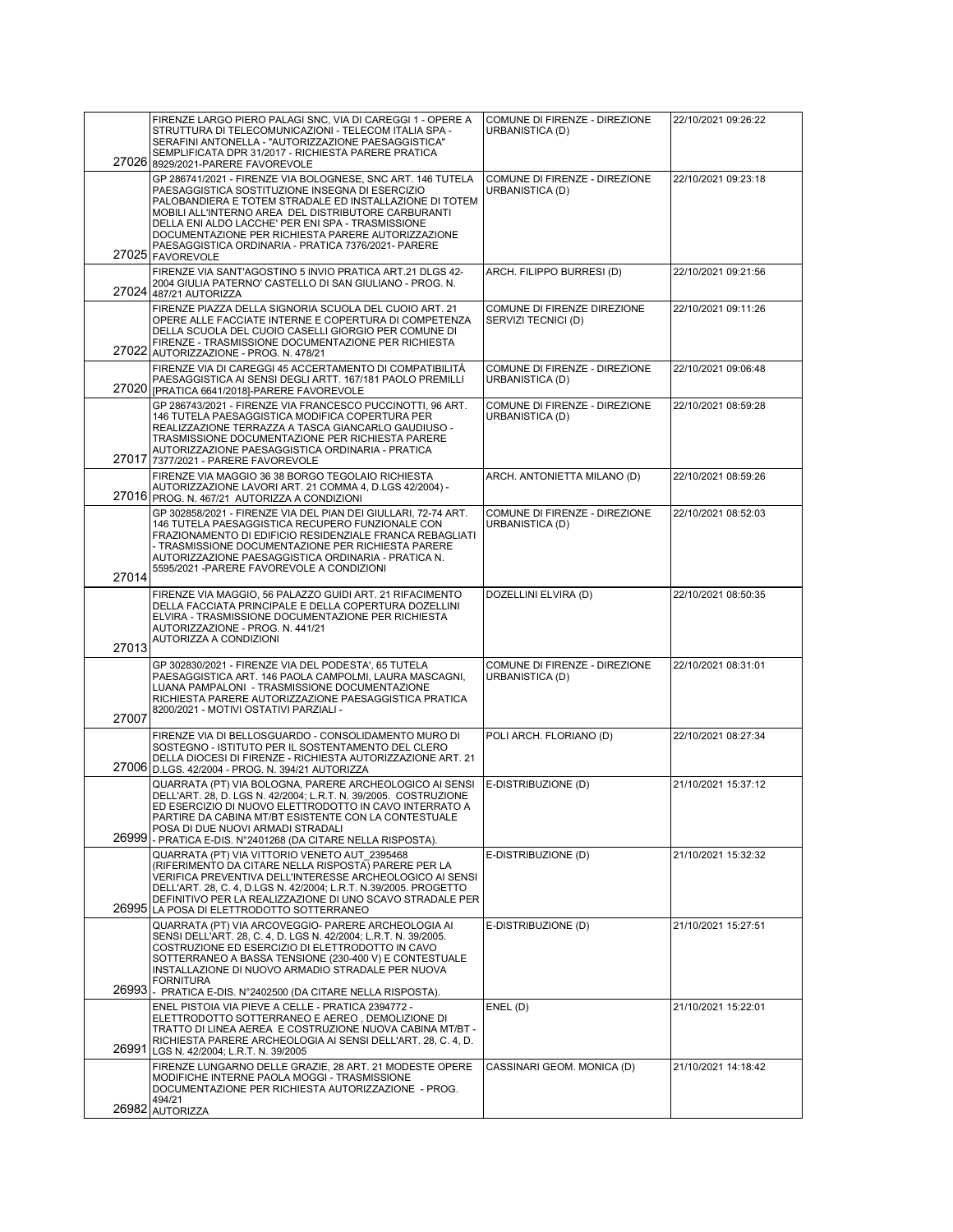|       | FIRENZE LARGO PIERO PALAGI SNC, VIA DI CAREGGI 1 - OPERE A                                                                                                                                                                                                                                                                                                                                                             | COMUNE DI FIRENZE - DIREZIONE                           | 22/10/2021 09:26:22 |
|-------|------------------------------------------------------------------------------------------------------------------------------------------------------------------------------------------------------------------------------------------------------------------------------------------------------------------------------------------------------------------------------------------------------------------------|---------------------------------------------------------|---------------------|
|       | STRUTTURA DI TELECOMUNICAZIONI - TELECOM ITALIA SPA -<br>SERAFINI ANTONELLA - "AUTORIZZAZIONE PAESAGGISTICA"<br>SEMPLIFICATA DPR 31/2017 - RICHIESTA PARERE PRATICA<br>27026 8929/2021-PARERE FAVOREVOLE                                                                                                                                                                                                               | URBANISTICA (D)                                         |                     |
|       | GP 286741/2021 - FIRENZE VIA BOLOGNESE, SNC ART. 146 TUTELA<br>PAESAGGISTICA SOSTITUZIONE INSEGNA DI ESERCIZIO<br>PALOBANDIERA E TOTEM STRADALE ED INSTALLAZIONE DI TOTEM<br>MOBILI ALL'INTERNO AREA DEL DISTRIBUTORE CARBURANTI<br>DELLA ENI ALDO LACCHE' PER ENI SPA - TRASMISSIONE<br>DOCUMENTAZIONE PER RICHIESTA PARERE AUTORIZZAZIONE<br>PAESAGGISTICA ORDINARIA - PRATICA 7376/2021- PARERE<br>27025 FAVOREVOLE | COMUNE DI FIRENZE - DIREZIONE<br>URBANISTICA (D)        | 22/10/2021 09:23:18 |
|       | FIRENZE VIA SANT'AGOSTINO 5 INVIO PRATICA ART.21 DLGS 42-<br>2004 GIULIA PATERNO' CASTELLO DI SAN GIULIANO - PROG. N.<br>27024 487/21 AUTORIZZA                                                                                                                                                                                                                                                                        | ARCH. FILIPPO BURRESI (D)                               | 22/10/2021 09:21:56 |
|       | FIRENZE PIAZZA DELLA SIGNORIA SCUOLA DEL CUOIO ART. 21<br>OPERE ALLE FACCIATE INTERNE E COPERTURA DI COMPETENZA<br>DELLA SCUOLA DEL CUOIO CASELLI GIORGIO PER COMUNE DI<br>FIRENZE - TRASMISSIONE DOCUMENTAZIONE PER RICHIESTA<br>27022 AUTORIZZAZIONE - PROG. N. 478/21                                                                                                                                               | COMUNE DI FIRENZE DIREZIONE<br>SERVIZI TECNICI (D)      | 22/10/2021 09:11:26 |
|       | FIRENZE VIA DI CAREGGI 45 ACCERTAMENTO DI COMPATIBILITÀ<br>PAESAGGISTICA AI SENSI DEGLI ARTT. 167/181 PAOLO PREMILLI<br>27020 FRATICA 6641/2018]-PARERE FAVOREVOLE                                                                                                                                                                                                                                                     | COMUNE DI FIRENZE - DIREZIONE<br>URBANISTICA (D)        | 22/10/2021 09:06:48 |
|       | GP 286743/2021 - FIRENZE VIA FRANCESCO PUCCINOTTI, 96 ART.<br>146 TUTELA PAESAGGISTICA MODIFICA COPERTURA PER<br>REALIZZAZIONE TERRAZZA A TASCA GIANCARLO GAUDIUSO -<br>TRASMISSIONE DOCUMENTAZIONE PER RICHIESTA PARERE<br>AUTORIZZAZIONE PAESAGGISTICA ORDINARIA - PRATICA<br>27017 7377/2021 - PARERE FAVOREVOLE                                                                                                    | COMUNE DI FIRENZE - DIREZIONE<br>URBANISTICA (D)        | 22/10/2021 08:59:28 |
|       | FIRENZE VIA MAGGIO 36 38 BORGO TEGOLAIO RICHIESTA<br>AUTORIZZAZIONE LAVORI ART. 21 COMMA 4, D.LGS 42/2004) -<br>27016 PROG. N. 467/21 AUTORIZZA A CONDIZIONI                                                                                                                                                                                                                                                           | ARCH. ANTONIETTA MILANO (D)                             | 22/10/2021 08:59:26 |
| 27014 | GP 302858/2021 - FIRENZE VIA DEL PIAN DEI GIULLARI, 72-74 ART.<br>146 TUTELA PAESAGGISTICA RECUPERO FUNZIONALE CON<br>FRAZIONAMENTO DI EDIFICIO RESIDENZIALE FRANCA REBAGLIATI<br>- TRASMISSIONE DOCUMENTAZIONE PER RICHIESTA PARERE<br>AUTORIZZAZIONE PAESAGGISTICA ORDINARIA - PRATICA N.<br>5595/2021 - PARERE FAVOREVOLE A CONDIZIONI                                                                              | COMUNE DI FIRENZE - DIREZIONE<br><b>URBANISTICA (D)</b> | 22/10/2021 08:52:03 |
| 27013 | FIRENZE VIA MAGGIO, 56 PALAZZO GUIDI ART. 21 RIFACIMENTO<br>DELLA FACCIATA PRINCIPALE E DELLA COPERTURA DOZELLINI<br>ELVIRA - TRASMISSIONE DOCUMENTAZIONE PER RICHIESTA<br>AUTORIZZAZIONE - PROG. N. 441/21<br>AUTORIZZA A CONDIZIONI                                                                                                                                                                                  | DOZELLINI ELVIRA (D)                                    | 22/10/2021 08:50:35 |
| 27007 | GP 302830/2021 - FIRENZE VIA DEL PODESTA', 65 TUTELA<br>PAESAGGISTICA ART. 146 PAOLA CAMPOLMI, LAURA MASCAGNI,<br>LUANA PAMPALONI - TRASMISSIONE DOCUMENTAZIONE<br>RICHIESTA PARERE AUTORIZZAZIONE PAESAGGISTICA PRATICA<br>8200/2021 - MOTIVI OSTATIVI PARZIALI -                                                                                                                                                     | COMUNE DI FIRENZE - DIREZIONE<br>URBANISTICA (D)        | 22/10/2021 08:31:01 |
|       | FIRENZE VIA DI BELLOSGUARDO - CONSOLIDAMENTO MURO DI<br>SOSTEGNO - ISTITUTO PER IL SOSTENTAMENTO DEL CLERO<br>DELLA DIOCESI DI FIRENZE - RICHIESTA AUTORIZZAZIONE ART. 21<br>27006 D.LGS. 42/2004 - PROG. N. 394/21 AUTORIZZA                                                                                                                                                                                          | POLI ARCH. FLORIANO (D)                                 | 22/10/2021 08:27:34 |
|       | QUARRATA (PT) VIA BOLOGNA, PARERE ARCHEOLOGICO AI SENSI<br>DELL'ART. 28, D. LGS N. 42/2004; L.R.T. N. 39/2005. COSTRUZIONE<br>ED ESERCIZIO DI NUOVO ELETTRODOTTO IN CAVO INTERRATO A<br>PARTIRE DA CABINA MT/BT ESISTENTE CON LA CONTESTUALE<br>POSA DI DUE NUOVI ARMADI STRADALI<br>26999 - PRATICA E-DIS. N°2401268 (DA CITARE NELLA RISPOSTA).                                                                      | E-DISTRIBUZIONE (D)                                     | 21/10/2021 15:37:12 |
|       | QUARRATA (PT) VIA VITTORIO VENETO AUT 2395468<br>(RIFERIMENTO DA CITARE NELLA RISPOSTA) PARERE PER LA<br>VERIFICA PREVENTIVA DELL'INTERESSE ARCHEOLOGICO AI SENSI<br>DELL'ART. 28, C. 4, D.LGS N. 42/2004; L.R.T. N.39/2005. PROGETTO<br>DEFINITIVO PER LA REALIZZAZIONE DI UNO SCAVO STRADALE PER<br>26995 LA POSA DI ELETTRODOTTO SOTTERRANEO                                                                        | E-DISTRIBUZIONE (D)                                     | 21/10/2021 15:32:32 |
|       | QUARRATA (PT) VIA ARCOVEGGIO- PARERE ARCHEOLOGIA AI<br>SENSI DELL'ART. 28, C. 4, D. LGS N. 42/2004; L.R.T. N. 39/2005.<br>COSTRUZIONE ED ESERCIZIO DI ELETTRODOTTO IN CAVO<br>SOTTERRANEO A BASSA TENSIONE (230-400 V) E CONTESTUALE<br>INSTALLAZIONE DI NUOVO ARMADIO STRADALE PER NUOVA<br><b>FORNITURA</b><br>26993 - PRATICA E-DIS. N°2402500 (DA CITARE NELLA RISPOSTA).                                          | E-DISTRIBUZIONE (D)                                     | 21/10/2021 15:27:51 |
| 26991 | ENEL PISTOIA VIA PIEVE A CELLE - PRATICA 2394772 -<br>ELETTRODOTTO SOTTERRANEO E AEREO, DEMOLIZIONE DI<br>TRATTO DI LINEA AEREA E COSTRUZIONE NUOVA CABINA MT/BT -<br>RICHIESTA PARERE ARCHEOLOGIA AI SENSI DELL'ART. 28, C. 4, D.<br>LGS N. 42/2004; L.R.T. N. 39/2005                                                                                                                                                | ENEL (D)                                                | 21/10/2021 15:22:01 |
|       | FIRENZE LUNGARNO DELLE GRAZIE, 28 ART. 21 MODESTE OPERE<br>MODIFICHE INTERNE PAOLA MOGGI - TRASMISSIONE<br>DOCUMENTAZIONE PER RICHIESTA AUTORIZZAZIONE - PROG.<br>494/21                                                                                                                                                                                                                                               | CASSINARI GEOM. MONICA (D)                              | 21/10/2021 14:18:42 |
|       | 26982 AUTORIZZA                                                                                                                                                                                                                                                                                                                                                                                                        |                                                         |                     |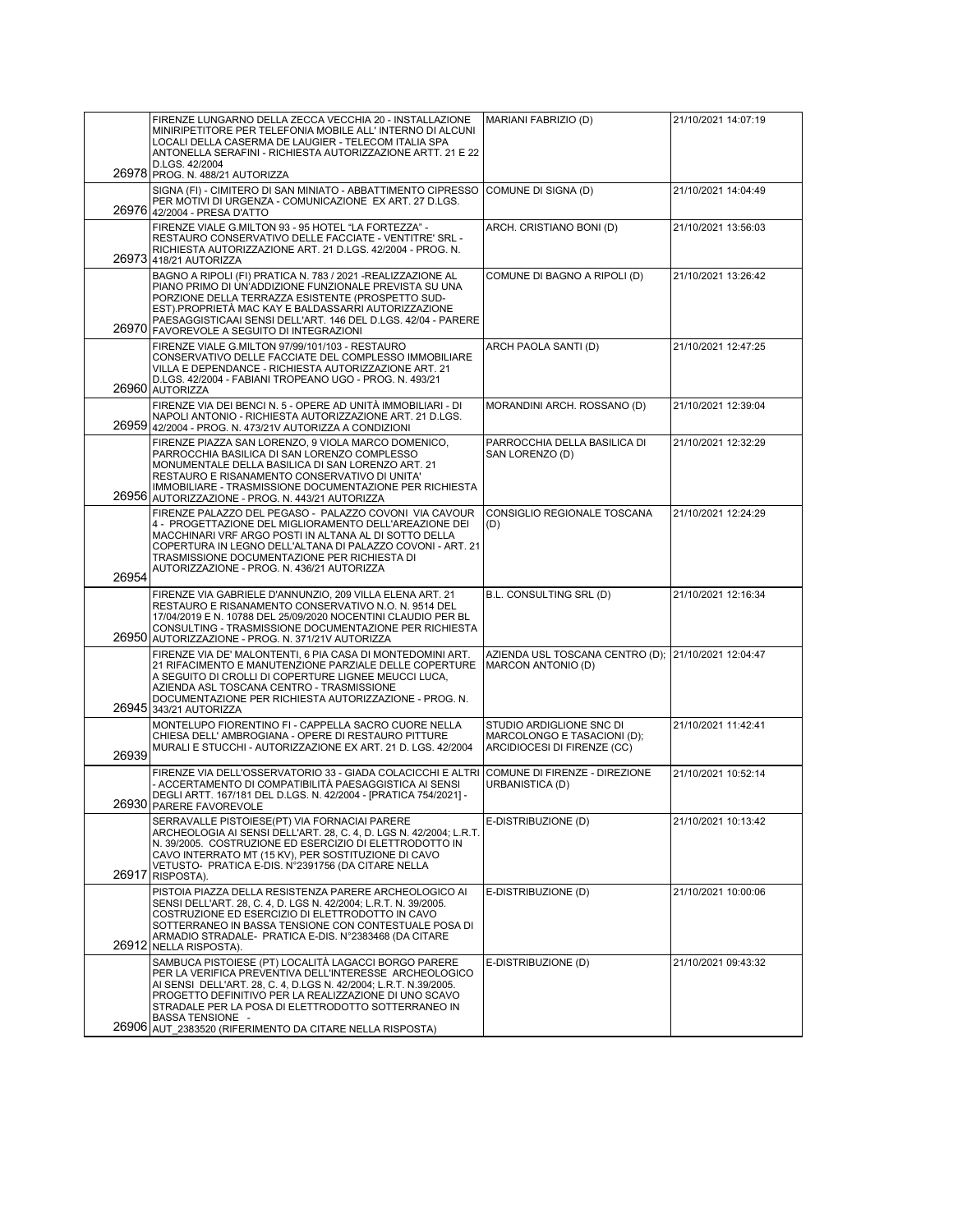|       | FIRENZE LUNGARNO DELLA ZECCA VECCHIA 20 - INSTALLAZIONE<br>MINIRIPETITORE PER TELEFONIA MOBILE ALL'INTERNO DI ALCUNI<br>LOCALI DELLA CASERMA DE LAUGIER - TELECOM ITALIA SPA<br>ANTONELLA SERAFINI - RICHIESTA AUTORIZZAZIONE ARTT. 21 E 22<br>D.LGS. 42/2004                                                                         | MARIANI FABRIZIO (D)                                                                   | 21/10/2021 14:07:19 |
|-------|---------------------------------------------------------------------------------------------------------------------------------------------------------------------------------------------------------------------------------------------------------------------------------------------------------------------------------------|----------------------------------------------------------------------------------------|---------------------|
|       | 26978 PROG. N. 488/21 AUTORIZZA                                                                                                                                                                                                                                                                                                       |                                                                                        |                     |
|       | SIGNA (FI) - CIMITERO DI SAN MINIATO - ABBATTIMENTO CIPRESSO<br>PER MOTIVI DI URGENZA - COMUNICAZIONE EX ART. 27 D.LGS.<br>26976 42/2004 - PRESA D'ATTO                                                                                                                                                                               | COMUNE DI SIGNA (D)                                                                    | 21/10/2021 14:04:49 |
|       | FIRENZE VIALE G.MILTON 93 - 95 HOTEL "LA FORTEZZA" -<br>RESTAURO CONSERVATIVO DELLE FACCIATE - VENTITRE' SRL -<br>RICHIESTA AUTORIZZAZIONE ART. 21 D.LGS. 42/2004 - PROG. N.<br>26973 418/21 AUTORIZZA                                                                                                                                | ARCH. CRISTIANO BONI (D)                                                               | 21/10/2021 13:56:03 |
|       | BAGNO A RIPOLI (FI) PRATICA N. 783 / 2021 - REALIZZAZIONE AL<br>PIANO PRIMO DI UN'ADDIZIONE FUNZIONALE PREVISTA SU UNA<br>PORZIONE DELLA TERRAZZA ESISTENTE (PROSPETTO SUD-<br>EST).PROPRIETÀ MAC KAY E BALDASSARRI AUTORIZZAZIONE<br>PAESAGGISTICAAI SENSI DELL'ART. 146 DEL D.LGS. 42/04 - PARERE                                   | COMUNE DI BAGNO A RIPOLI (D)                                                           | 21/10/2021 13:26:42 |
|       | 26970 FAVOREVOLE A SEGUITO DI INTEGRAZIONI                                                                                                                                                                                                                                                                                            |                                                                                        |                     |
|       | FIRENZE VIALE G.MILTON 97/99/101/103 - RESTAURO<br>CONSERVATIVO DELLE FACCIATE DEL COMPLESSO IMMOBILIARE<br>VILLA E DEPENDANCE - RICHIESTA AUTORIZZAZIONE ART. 21<br>D.LGS. 42/2004 - FABIANI TROPEANO UGO - PROG. N. 493/21<br>26960 AUTORIZZA                                                                                       | ARCH PAOLA SANTI (D)                                                                   | 21/10/2021 12:47:25 |
|       | FIRENZE VIA DEI BENCI N. 5 - OPERE AD UNITÀ IMMOBILIARI - DI<br>NAPOLI ANTONIO - RICHIESTA AUTORIZZAZIONE ART. 21 D.LGS.<br>26959 42/2004 - PROG. N. 473/21V AUTORIZZA A CONDIZIONI                                                                                                                                                   | MORANDINI ARCH. ROSSANO (D)                                                            | 21/10/2021 12:39:04 |
|       | FIRENZE PIAZZA SAN LORENZO, 9 VIOLA MARCO DOMENICO,<br>PARROCCHIA BASILICA DI SAN LORENZO COMPLESSO<br>MONUMENTALE DELLA BASILICA DI SAN LORENZO ART. 21<br>RESTAURO E RISANAMENTO CONSERVATIVO DI UNITA'<br>IMMOBILIARE - TRASMISSIONE DOCUMENTAZIONE PER RICHIESTA<br>26956 AUTORIZZAZIONE - PROG. N. 443/21 AUTORIZZA              | PARROCCHIA DELLA BASILICA DI<br>SAN LORENZO (D)                                        | 21/10/2021 12:32:29 |
| 26954 | FIRENZE PALAZZO DEL PEGASO - PALAZZO COVONI VIA CAVOUR<br>4 - PROGETTAZIONE DEL MIGLIORAMENTO DELL'AREAZIONE DEI<br>MACCHINARI VRF ARGO POSTI IN ALTANA AL DI SOTTO DELLA<br>COPERTURA IN LEGNO DELL'ALTANA DI PALAZZO COVONI - ART. 21<br>TRASMISSIONE DOCUMENTAZIONE PER RICHIESTA DI<br>AUTORIZZAZIONE - PROG. N. 436/21 AUTORIZZA | CONSIGLIO REGIONALE TOSCANA<br>(D)                                                     | 21/10/2021 12:24:29 |
|       | FIRENZE VIA GABRIELE D'ANNUNZIO, 209 VILLA ELENA ART. 21<br>RESTAURO E RISANAMENTO CONSERVATIVO N.O. N. 9514 DEL<br>17/04/2019 E N. 10788 DEL 25/09/2020 NOCENTINI CLAUDIO PER BL<br>CONSULTING - TRASMISSIONE DOCUMENTAZIONE PER RICHIESTA<br>26950 AUTORIZZAZIONE - PROG. N. 371/21V AUTORIZZA                                      | B.L. CONSULTING SRL (D)                                                                | 21/10/2021 12:16:34 |
|       | FIRENZE VIA DE' MALONTENTI, 6 PIA CASA DI MONTEDOMINI ART.<br>21 RIFACIMENTO E MANUTENZIONE PARZIALE DELLE COPERTURE<br>A SEGUITO DI CROLLI DI COPERTURE LIGNEE MEUCCI LUCA,<br>AZIENDA ASL TOSCANA CENTRO - TRASMISSIONE<br>DOCUMENTAZIONE PER RICHIESTA AUTORIZZAZIONE - PROG. N.<br>26945 343/21 AUTORIZZA                         | AZIENDA USL TOSCANA CENTRO (D); 21/10/2021 12:04:47<br>MARCON ANTONIO (D)              |                     |
| 26939 | MONTELUPO FIORENTINO FI - CAPPELLA SACRO CUORE NELLA<br>CHIESA DELL' AMBROGIANA - OPERE DI RESTAURO PITTURE<br>MURALI E STUCCHI - AUTORIZZAZIONE EX ART. 21 D. LGS. 42/2004                                                                                                                                                           | STUDIO ARDIGLIONE SNC DI<br>MARCOLONGO E TASACIONI (D);<br>ARCIDIOCESI DI FIRENZE (CC) | 21/10/2021 11:42:41 |
|       | FIRENZE VIA DELL'OSSERVATORIO 33 - GIADA COLACICCHI E ALTRI<br>- ACCERTAMENTO DI COMPATIBILITÀ PAESAGGISTICA AI SENSI<br>DEGLI ARTT. 167/181 DEL D.LGS. N. 42/2004 - [PRATICA 754/2021] -<br>26930 PARERE FAVOREVOLE                                                                                                                  | COMUNE DI FIRENZE - DIREZIONE<br>URBANISTICA (D)                                       | 21/10/2021 10:52:14 |
| 26917 | SERRAVALLE PISTOIESE(PT) VIA FORNACIAI PARERE<br>ARCHEOLOGIA AI SENSI DELL'ART. 28, C. 4, D. LGS N. 42/2004; L.R.T.<br>N. 39/2005. COSTRUZIONE ED ESERCIZIO DI ELETTRODOTTO IN<br>CAVO INTERRATO MT (15 KV), PER SOSTITUZIONE DI CAVO<br>VETUSTO- PRATICA E-DIS. N°2391756 (DA CITARE NELLA<br>RISPOSTA).                             | E-DISTRIBUZIONE (D)                                                                    | 21/10/2021 10:13:42 |
| 26912 | PISTOIA PIAZZA DELLA RESISTENZA PARERE ARCHEOLOGICO AI<br>SENSI DELL'ART. 28, C. 4, D. LGS N. 42/2004; L.R.T. N. 39/2005.<br>COSTRUZIONE ED ESERCIZIO DI ELETTRODOTTO IN CAVO<br>SOTTERRANEO IN BASSA TENSIONE CON CONTESTUALE POSA DI<br>ARMADIO STRADALE- PRATICA E-DIS. N°2383468 (DA CITARE<br>NELLA RISPOSTA).                   | E-DISTRIBUZIONE (D)                                                                    | 21/10/2021 10:00:06 |
|       | SAMBUCA PISTOIESE (PT) LOCALITÀ LAGACCI BORGO PARERE<br>PER LA VERIFICA PREVENTIVA DELL'INTERESSE ARCHEOLOGICO<br>AI SENSI DELL'ART. 28, C. 4, D.LGS N. 42/2004; L.R.T. N.39/2005.<br>PROGETTO DEFINITIVO PER LA REALIZZAZIONE DI UNO SCAVO<br>STRADALE PER LA POSA DI ELETTRODOTTO SOTTERRANEO IN<br><b>BASSA TENSIONE -</b>         | E-DISTRIBUZIONE (D)                                                                    | 21/10/2021 09:43:32 |
| 26906 | AUT 2383520 (RIFERIMENTO DA CITARE NELLA RISPOSTA)                                                                                                                                                                                                                                                                                    |                                                                                        |                     |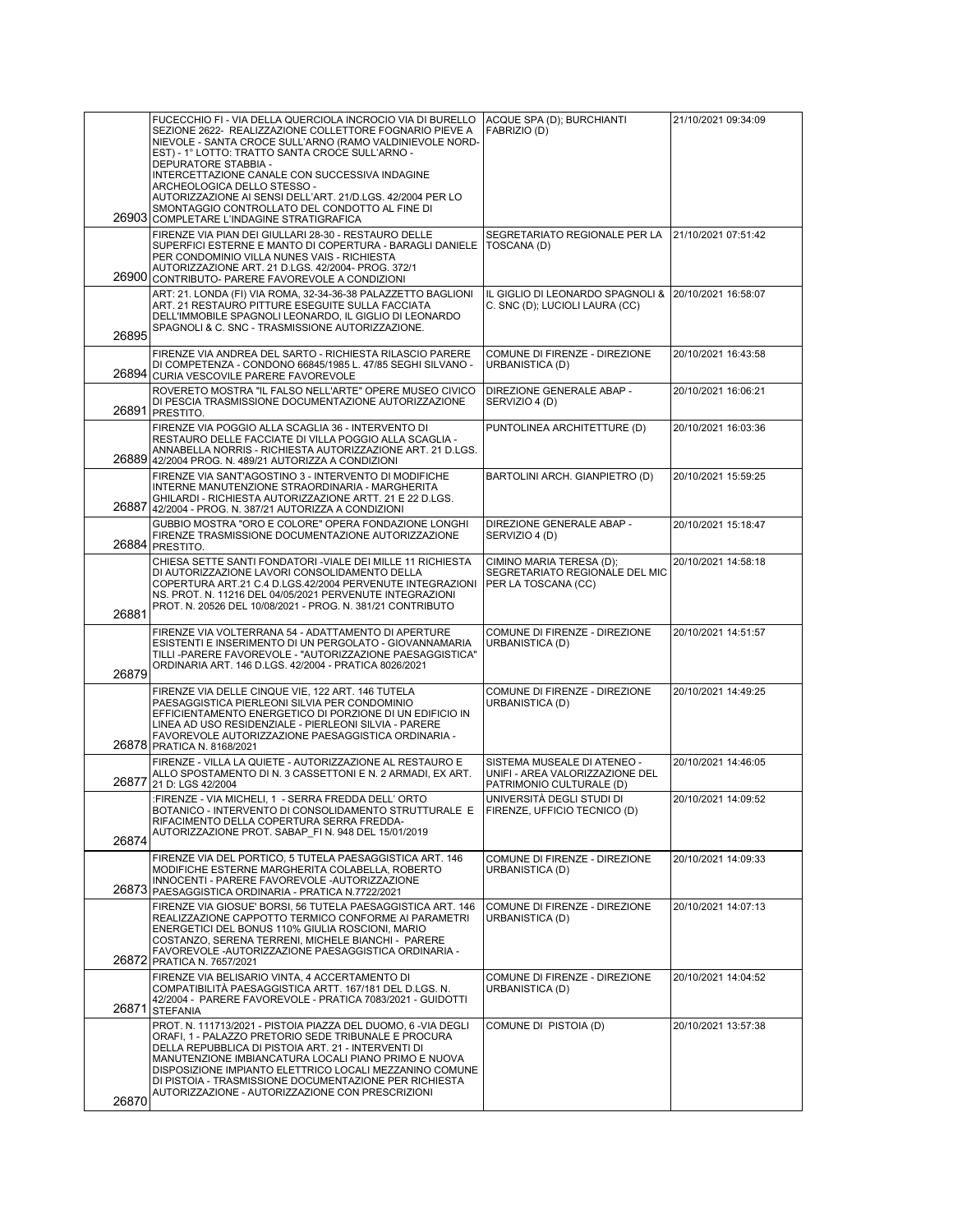| 26903 | FUCECCHIO FI - VIA DELLA QUERCIOLA INCROCIO VIA DI BURELLO<br>SEZIONE 2622- REALIZZAZIONE COLLETTORE FOGNARIO PIEVE A<br>NIEVOLE - SANTA CROCE SULL'ARNO (RAMO VALDINIEVOLE NORD-<br>EST) - 1° LOTTO: TRATTO SANTA CROCE SULL'ARNO -<br>DEPURATORE STABBIA -<br>INTERCETTAZIONE CANALE CON SUCCESSIVA INDAGINE<br>ARCHEOLOGICA DELLO STESSO -<br>AUTORIZZAZIONE AI SENSI DELL'ART. 21/D.LGS. 42/2004 PER LO<br>SMONTAGGIO CONTROLLATO DEL CONDOTTO AL FINE DI | ACQUE SPA (D); BURCHIANTI<br>FABRIZIO (D)                                                  | 21/10/2021 09:34:09 |
|-------|---------------------------------------------------------------------------------------------------------------------------------------------------------------------------------------------------------------------------------------------------------------------------------------------------------------------------------------------------------------------------------------------------------------------------------------------------------------|--------------------------------------------------------------------------------------------|---------------------|
|       | COMPLETARE L'INDAGINE STRATIGRAFICA<br>FIRENZE VIA PIAN DEI GIULLARI 28-30 - RESTAURO DELLE<br>SUPERFICI ESTERNE E MANTO DI COPERTURA - BARAGLI DANIELE<br>PER CONDOMINIO VILLA NUNES VAIS - RICHIESTA<br>AUTORIZZAZIONE ART. 21 D.LGS. 42/2004- PROG. 372/1<br>26900 CONTRIBUTO- PARERE FAVOREVOLE A CONDIZIONI                                                                                                                                              | SEGRETARIATO REGIONALE PER LA<br>TOSCANA (D)                                               | 21/10/2021 07:51:42 |
| 26895 | ART: 21. LONDA (FI) VIA ROMA, 32-34-36-38 PALAZZETTO BAGLIONI<br>ART. 21 RESTAURO PITTURE ESEGUITE SULLA FACCIATA<br>DELL'IMMOBILE SPAGNOLI LEONARDO, IL GIGLIO DI LEONARDO<br>SPAGNOLI & C. SNC - TRASMISSIONE AUTORIZZAZIONE.                                                                                                                                                                                                                               | IL GIGLIO DI LEONARDO SPAGNOLI &<br>C. SNC (D); LUCIOLI LAURA (CC)                         | 20/10/2021 16:58:07 |
|       | FIRENZE VIA ANDREA DEL SARTO - RICHIESTA RILASCIO PARERE<br>DI COMPETENZA - CONDONO 66845/1985 L. 47/85 SEGHI SILVANO -<br>26894 CURIA VESCOVILE PARERE FAVOREVOLE                                                                                                                                                                                                                                                                                            | COMUNE DI FIRENZE - DIREZIONE<br>URBANISTICA (D)                                           | 20/10/2021 16:43:58 |
|       | ROVERETO MOSTRA "IL FALSO NELL'ARTE" OPERE MUSEO CIVICO<br>DI PESCIA TRASMISSIONE DOCUMENTAZIONE AUTORIZZAZIONE<br>26891 PRESTITO.                                                                                                                                                                                                                                                                                                                            | DIREZIONE GENERALE ABAP -<br>SERVIZIO 4 (D)                                                | 20/10/2021 16:06:21 |
|       | FIRENZE VIA POGGIO ALLA SCAGLIA 36 - INTERVENTO DI<br>RESTAURO DELLE FACCIATE DI VILLA POGGIO ALLA SCAGLIA -<br>ANNABELLA NORRIS - RICHIESTA AUTORIZZAZIONE ART. 21 D.LGS.<br>26889 42/2004 PROG. N. 489/21 AUTORIZZA A CONDIZIONI                                                                                                                                                                                                                            | PUNTOLINEA ARCHITETTURE (D)                                                                | 20/10/2021 16:03:36 |
| 26887 | FIRENZE VIA SANT'AGOSTINO 3 - INTERVENTO DI MODIFICHE<br>INTERNE MANUTENZIONE STRAORDINARIA - MARGHERITA<br>GHILARDI - RICHIESTA AUTORIZZAZIONE ARTT. 21 E 22 D.LGS.<br>42/2004 - PROG. N. 387/21 AUTORIZZA A CONDIZIONI                                                                                                                                                                                                                                      | BARTOLINI ARCH. GIANPIETRO (D)                                                             | 20/10/2021 15:59:25 |
| 26884 | GUBBIO MOSTRA "ORO E COLORE" OPERA FONDAZIONE LONGHI<br>FIRENZE TRASMISSIONE DOCUMENTAZIONE AUTORIZZAZIONE<br>PRESTITO.                                                                                                                                                                                                                                                                                                                                       | DIREZIONE GENERALE ABAP -<br>SERVIZIO 4 (D)                                                | 20/10/2021 15:18:47 |
| 26881 | CHIESA SETTE SANTI FONDATORI - VIALE DEI MILLE 11 RICHIESTA<br>DI AUTORIZZAZIONE LAVORI CONSOLIDAMENTO DELLA<br>COPERTURA ART.21 C.4 D.LGS.42/2004 PERVENUTE INTEGRAZIONI<br>NS. PROT. N. 11216 DEL 04/05/2021 PERVENUTE INTEGRAZIONI<br>PROT. N. 20526 DEL 10/08/2021 - PROG. N. 381/21 CONTRIBUTO                                                                                                                                                           | CIMINO MARIA TERESA (D);<br>SEGRETARIATO REGIONALE DEL MIC<br>PER LA TOSCANA (CC)          | 20/10/2021 14:58:18 |
| 26879 | FIRENZE VIA VOLTERRANA 54 - ADATTAMENTO DI APERTURE<br>ESISTENTI E INSERIMENTO DI UN PERGOLATO - GIOVANNAMARIA<br>TILLI-PARERE FAVOREVOLE - "AUTORIZZAZIONE PAESAGGISTICA"<br>ORDINARIA ART. 146 D.LGS. 42/2004 - PRATICA 8026/2021                                                                                                                                                                                                                           | COMUNE DI FIRENZE - DIREZIONE<br>URBANISTICA (D)                                           | 20/10/2021 14:51:57 |
|       | FIRENZE VIA DELLE CINQUE VIE, 122 ART. 146 TUTELA<br>PAESAGGISTICA PIERLEONI SILVIA PER CONDOMINIO<br>EFFICIENTAMENTO ENERGETICO DI PORZIONE DI UN EDIFICIO IN<br>LINEA AD USO RESIDENZIALE - PIERLEONI SILVIA - PARERE<br>FAVOREVOLE AUTORIZZAZIONE PAESAGGISTICA ORDINARIA -<br>26878 PRATICA N. 8168/2021                                                                                                                                                  | COMUNE DI FIRENZE - DIREZIONE<br>URBANISTICA (D)                                           | 20/10/2021 14:49:25 |
| 26877 | FIRENZE - VILLA LA QUIETE - AUTORIZZAZIONE AL RESTAURO E<br>ALLO SPOSTAMENTO DI N. 3 CASSETTONI E N. 2 ARMADI, EX ART.<br>21 D: LGS 42/2004                                                                                                                                                                                                                                                                                                                   | SISTEMA MUSEALE DI ATENEO -<br>UNIFI - AREA VALORIZZAZIONE DEL<br>PATRIMONIO CULTURALE (D) | 20/10/2021 14:46:05 |
| 26874 | :FIRENZE - VIA MICHELI, 1 - SERRA FREDDA DELL' ORTO<br>BOTANICO - INTERVENTO DI CONSOLIDAMENTO STRUTTURALE_E_   FIRENZE, UFFICIO TECNICO (D)<br>RIFACIMENTO DELLA COPERTURA SERRA FREDDA-<br>AUTORIZZAZIONE PROT. SABAP_FI N. 948 DEL 15/01/2019                                                                                                                                                                                                              | UNIVERSITÀ DEGLI STUDI DI                                                                  | 20/10/2021 14:09:52 |
|       | FIRENZE VIA DEL PORTICO, 5 TUTELA PAESAGGISTICA ART. 146<br>MODIFICHE ESTERNE MARGHERITA COLABELLA, ROBERTO<br>INNOCENTI - PARERE FAVOREVOLE -AUTORIZZAZIONE<br>26873 PAESAGGISTICA ORDINARIA - PRATICA N.7722/2021                                                                                                                                                                                                                                           | COMUNE DI FIRENZE - DIREZIONE<br>URBANISTICA (D)                                           | 20/10/2021 14:09:33 |
|       | FIRENZE VIA GIOSUE' BORSI, 56 TUTELA PAESAGGISTICA ART. 146<br>REALIZZAZIONE CAPPOTTO TERMICO CONFORME AI PARAMETRI<br>ENERGETICI DEL BONUS 110% GIULIA ROSCIONI, MARIO<br>COSTANZO, SERENA TERRENI, MICHELE BIANCHI - PARERE<br>FAVOREVOLE - AUTORIZZAZIONE PAESAGGISTICA ORDINARIA -<br>26872 PRATICA N. 7657/2021                                                                                                                                          | COMUNE DI FIRENZE - DIREZIONE<br>URBANISTICA (D)                                           | 20/10/2021 14:07:13 |
| 26871 | FIRENZE VIA BELISARIO VINTA, 4 ACCERTAMENTO DI<br>COMPATIBILITÀ PAESAGGISTICA ARTT. 167/181 DEL D.LGS. N.<br>42/2004 - PARERE FAVOREVOLE - PRATICA 7083/2021 - GUIDOTTI<br><b>STEFANIA</b>                                                                                                                                                                                                                                                                    | COMUNE DI FIRENZE - DIREZIONE<br>URBANISTICA (D)                                           | 20/10/2021 14:04:52 |
| 26870 | PROT. N. 111713/2021 - PISTOIA PIAZZA DEL DUOMO, 6 - VIA DEGLI<br>ORAFI, 1 - PALAZZO PRETORIO SEDE TRIBUNALE E PROCURA<br>DELLA REPUBBLICA DI PISTOIA ART. 21 - INTERVENTI DI<br>MANUTENZIONE IMBIANCATURA LOCALI PIANO PRIMO E NUOVA<br>DISPOSIZIONE IMPIANTO ELETTRICO LOCALI MEZZANINO COMUNE<br>DI PISTOIA - TRASMISSIONE DOCUMENTAZIONE PER RICHIESTA<br>AUTORIZZAZIONE - AUTORIZZAZIONE CON PRESCRIZIONI                                                | COMUNE DI PISTOIA (D)                                                                      | 20/10/2021 13:57:38 |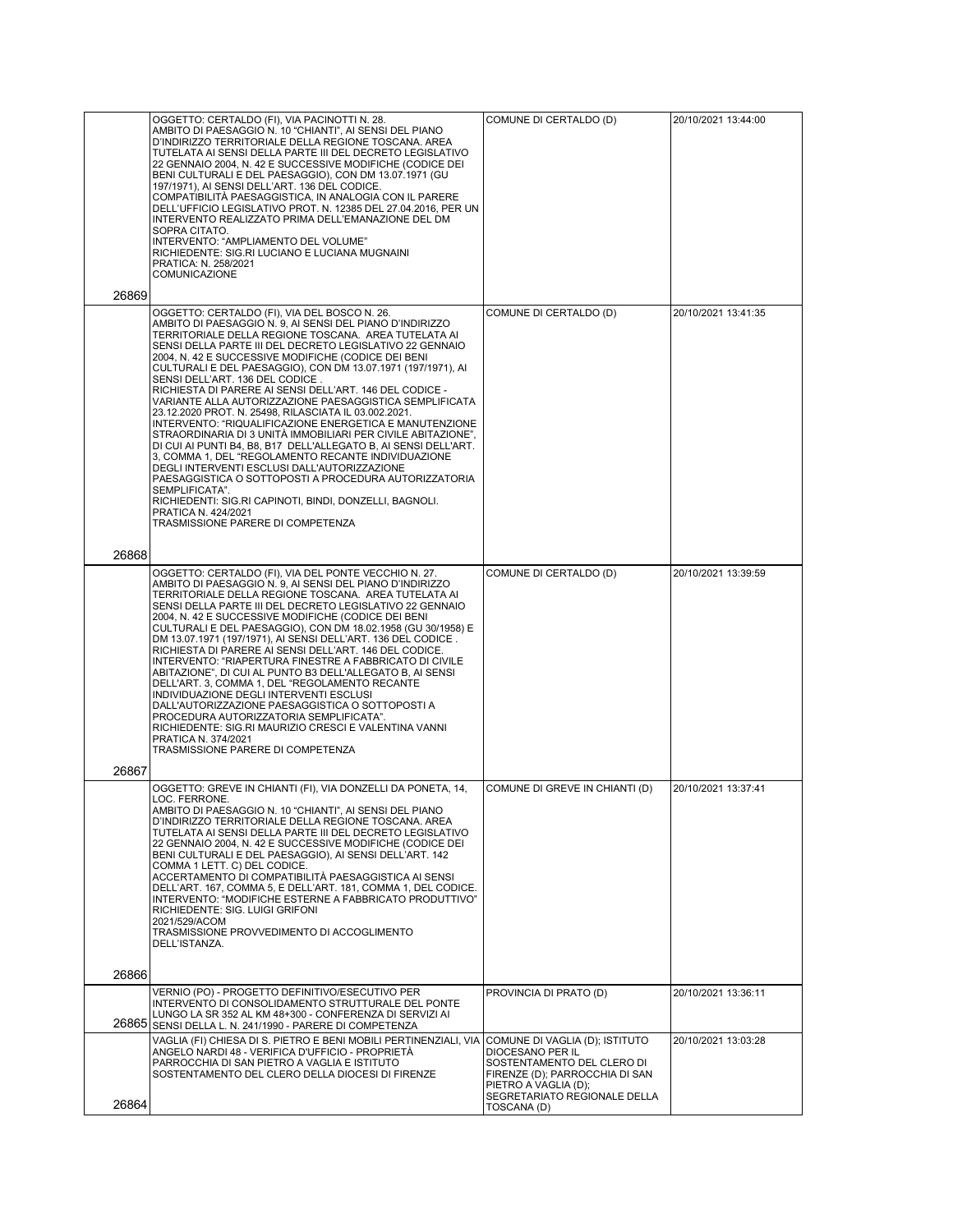| OGGETTO: CERTALDO (FI), VIA PACINOTTI N. 28.<br>AMBITO DI PAESAGGIO N. 10 "CHIANTI", AI SENSI DEL PIANO<br>D'INDIRIZZO TERRITORIALE DELLA REGIONE TOSCANA. AREA<br>TUTELATA AI SENSI DELLA PARTE III DEL DECRETO LEGISLATIVO<br>22 GENNAIO 2004, N. 42 E SUCCESSIVE MODIFICHE (CODICE DEI<br>BENI CULTURALI E DEL PAESAGGIO), CON DM 13.07.1971 (GU<br>197/1971), AI SENSI DELL'ART. 136 DEL CODICE.<br>COMPATIBILITÀ PAESAGGISTICA, IN ANALOGIA CON IL PARERE<br>DELL'UFFICIO LEGISLATIVO PROT. N. 12385 DEL 27.04.2016, PER UN<br>INTERVENTO REALIZZATO PRIMA DELL'EMANAZIONE DEL DM<br>SOPRA CITATO.<br>INTERVENTO: "AMPLIAMENTO DEL VOLUME"<br>RICHIEDENTE: SIG.RI LUCIANO E LUCIANA MUGNAINI<br>PRATICA: N. 258/2021<br>COMUNICAZIONE                                                                                                                                                                                                                                                                                                                                   | COMUNE DI CERTALDO (D)                                                                                                                                                     | 20/10/2021 13:44:00 |
|------------------------------------------------------------------------------------------------------------------------------------------------------------------------------------------------------------------------------------------------------------------------------------------------------------------------------------------------------------------------------------------------------------------------------------------------------------------------------------------------------------------------------------------------------------------------------------------------------------------------------------------------------------------------------------------------------------------------------------------------------------------------------------------------------------------------------------------------------------------------------------------------------------------------------------------------------------------------------------------------------------------------------------------------------------------------------|----------------------------------------------------------------------------------------------------------------------------------------------------------------------------|---------------------|
| OGGETTO: CERTALDO (FI), VIA DEL BOSCO N. 26.<br>AMBITO DI PAESAGGIO N. 9, AI SENSI DEL PIANO D'INDIRIZZO<br>TERRITORIALE DELLA REGIONE TOSCANA. AREA TUTELATA AI<br>SENSI DELLA PARTE III DEL DECRETO LEGISLATIVO 22 GENNAIO<br>2004, N. 42 E SUCCESSIVE MODIFICHE (CODICE DEI BENI<br>CULTURALI E DEL PAESAGGIO), CON DM 13.07.1971 (197/1971), AI<br>SENSI DELL'ART. 136 DEL CODICE.<br>RICHIESTA DI PARERE AI SENSI DELL'ART. 146 DEL CODICE -<br>VARIANTE ALLA AUTORIZZAZIONE PAESAGGISTICA SEMPLIFICATA<br>23.12.2020 PROT. N. 25498, RILASCIATA IL 03.002.2021.<br>INTERVENTO: "RIQUALIFICAZIONE ENERGETICA E MANUTENZIONE<br>STRAORDINARIA DI 3 UNITÀ IMMOBILIARI PER CIVILE ABITAZIONE",<br>DI CUI AI PUNTI B4, B8, B17 DELL'ALLEGATO B, AI SENSI DELL'ART.<br>3, COMMA 1, DEL "REGOLAMENTO RECANTE INDIVIDUAZIONE<br>DEGLI INTERVENTI ESCLUSI DALL'AUTORIZZAZIONE<br>PAESAGGISTICA O SOTTOPOSTI A PROCEDURA AUTORIZZATORIA<br>SEMPLIFICATA".<br>RICHIEDENTI: SIG.RI CAPINOTI, BINDI, DONZELLI, BAGNOLI.<br>PRATICA N. 424/2021<br>TRASMISSIONE PARERE DI COMPETENZA | COMUNE DI CERTALDO (D)                                                                                                                                                     | 20/10/2021 13:41:35 |
| OGGETTO: CERTALDO (FI), VIA DEL PONTE VECCHIO N. 27.<br>AMBITO DI PAESAGGIO N. 9, AI SENSI DEL PIANO D'INDIRIZZO<br>TERRITORIALE DELLA REGIONE TOSCANA. AREA TUTELATA AI<br>SENSI DELLA PARTE III DEL DECRETO LEGISLATIVO 22 GENNAIO<br>2004, N. 42 E SUCCESSIVE MODIFICHE (CODICE DEI BENI<br>CULTURALI E DEL PAESAGGIO), CON DM 18.02.1958 (GU 30/1958) E<br>DM 13.07.1971 (197/1971), AI SENSI DELL'ART. 136 DEL CODICE.<br>RICHIESTA DI PARERE AI SENSI DELL'ART. 146 DEL CODICE.<br>INTERVENTO: "RIAPERTURA FINESTRE A FABBRICATO DI CIVILE<br>ABITAZIONE", DI CUI AL PUNTO B3 DELL'ALLEGATO B, AI SENSI<br>DELL'ART. 3, COMMA 1, DEL "REGOLAMENTO RECANTE<br>INDIVIDUAZIONE DEGLI INTERVENTI ESCLUSI<br>DALL'AUTORIZZAZIONE PAESAGGISTICA O SOTTOPOSTI A<br>PROCEDURA AUTORIZZATORIA SEMPLIFICATA".<br>RICHIEDENTE: SIG.RI MAURIZIO CRESCI E VALENTINA VANNI<br>PRATICA N. 374/2021<br>TRASMISSIONE PARERE DI COMPETENZA                                                                                                                                               | COMUNE DI CERTALDO (D)                                                                                                                                                     | 20/10/2021 13:39:59 |
| OGGETTO: GREVE IN CHIANTI (FI), VIA DONZELLI DA PONETA, 14,<br>LOC. FERRONE.<br>AMBITO DI PAESAGGIO N. 10 "CHIANTI", AI SENSI DEL PIANO<br>D'INDIRIZZO TERRITORIALE DELLA REGIONE TOSCANA. AREA<br>TUTELATA AI SENSI DELLA PARTE III DEL DECRETO LEGISLATIVO<br>22 GENNAIO 2004. N. 42 E SUCCESSIVE MODIFICHE (CODICE DEI)<br>BENI CULTURALI E DEL PAESAGGIO), AI SENSI DELL'ART. 142<br>COMMA 1 LETT. C) DEL CODICE.<br>ACCERTAMENTO DI COMPATIBILITÀ PAESAGGISTICA AI SENSI<br>DELL'ART. 167, COMMA 5, E DELL'ART. 181, COMMA 1, DEL CODICE.<br>INTERVENTO: "MODIFICHE ESTERNE A FABBRICATO PRODUTTIVO"<br>RICHIEDENTE: SIG. LUIGI GRIFONI<br>2021/529/ACOM<br>TRASMISSIONE PROVVEDIMENTO DI ACCOGLIMENTO<br>DELL'ISTANZA.                                                                                                                                                                                                                                                                                                                                                 | COMUNE DI GREVE IN CHIANTI (D)                                                                                                                                             | 20/10/2021 13:37:41 |
| VERNIO (PO) - PROGETTO DEFINITIVO/ESECUTIVO PER                                                                                                                                                                                                                                                                                                                                                                                                                                                                                                                                                                                                                                                                                                                                                                                                                                                                                                                                                                                                                              | PROVINCIA DI PRATO (D)                                                                                                                                                     | 20/10/2021 13:36:11 |
| INTERVENTO DI CONSOLIDAMENTO STRUTTURALE DEL PONTE<br>LUNGO LA SR 352 AL KM 48+300 - CONFERENZA DI SERVIZI AI<br>26865 SENSI DELLA L. N. 241/1990 - PARERE DI COMPETENZA                                                                                                                                                                                                                                                                                                                                                                                                                                                                                                                                                                                                                                                                                                                                                                                                                                                                                                     |                                                                                                                                                                            |                     |
| VAGLIA (FI) CHIESA DI S. PIETRO E BENI MOBILI PERTINENZIALI, VIA<br>ANGELO NARDI 48 - VERIFICA D'UFFICIO - PROPRIETÀ<br>PARROCCHIA DI SAN PIETRO A VAGLIA E ISTITUTO<br>SOSTENTAMENTO DEL CLERO DELLA DIOCESI DI FIRENZE                                                                                                                                                                                                                                                                                                                                                                                                                                                                                                                                                                                                                                                                                                                                                                                                                                                     | COMUNE DI VAGLIA (D); ISTITUTO<br>DIOCESANO PER IL<br>SOSTENTAMENTO DEL CLERO DI<br>FIRENZE (D); PARROCCHIA DI SAN<br>PIETRO A VAGLIA (D);<br>SEGRETARIATO REGIONALE DELLA | 20/10/2021 13:03:28 |
|                                                                                                                                                                                                                                                                                                                                                                                                                                                                                                                                                                                                                                                                                                                                                                                                                                                                                                                                                                                                                                                                              |                                                                                                                                                                            | TOSCANA (D)         |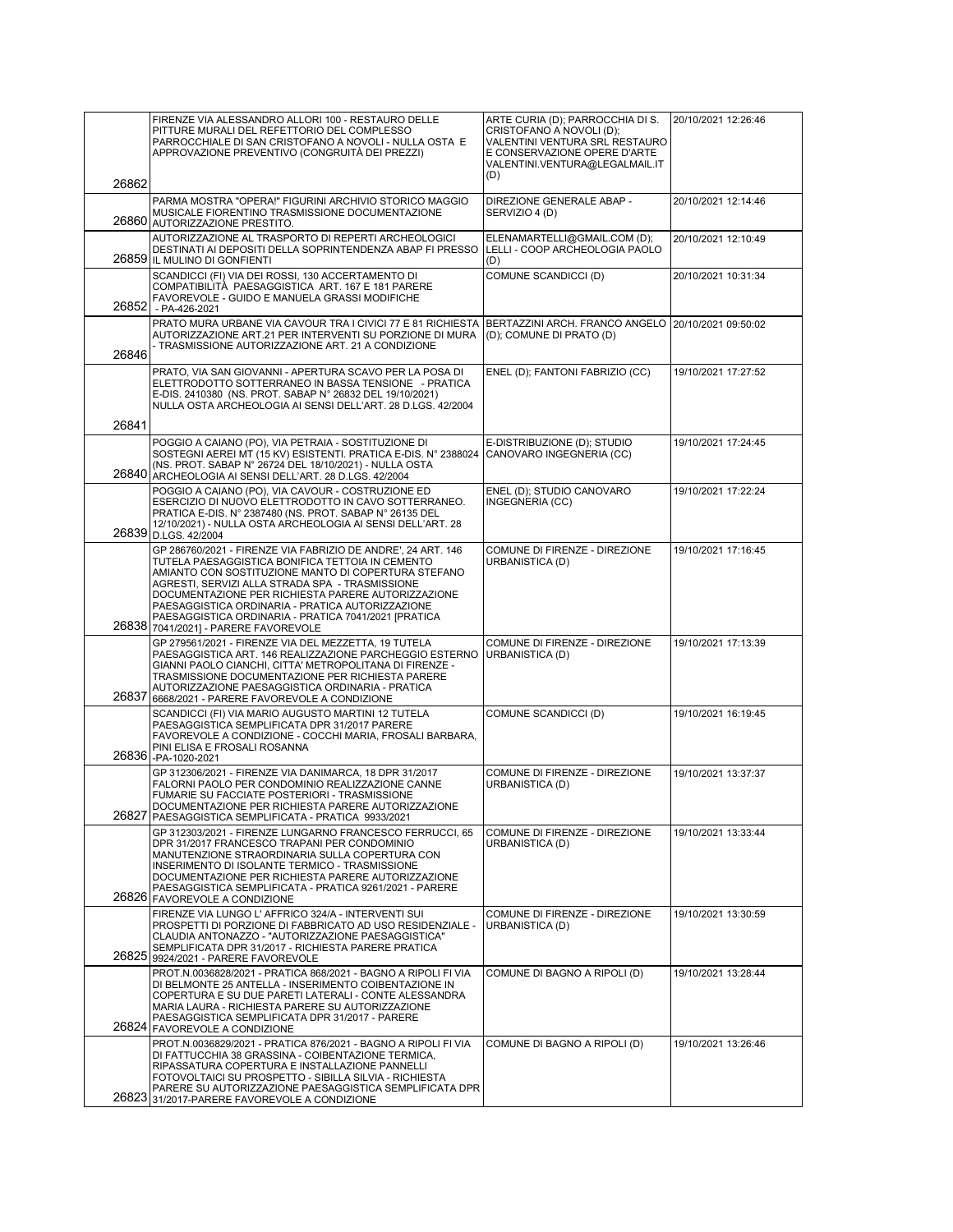|                | FIRENZE VIA ALESSANDRO ALLORI 100 - RESTAURO DELLE<br>PITTURE MURALI DEL REFETTORIO DEL COMPLESSO<br>PARROCCHIALE DI SAN CRISTOFANO A NOVOLI - NULLA OSTA E<br>APPROVAZIONE PREVENTIVO (CONGRUITÀ DEI PREZZI)                                                                                                                                                                                                                        | ARTE CURIA (D); PARROCCHIA DI S.<br>CRISTOFANO A NOVOLI (D);<br>VALENTINI VENTURA SRL RESTAURO<br>E CONSERVAZIONE OPERE D'ARTE<br>VALENTINI.VENTURA@LEGALMAIL.IT<br>(D) | 20/10/2021 12:26:46 |
|----------------|--------------------------------------------------------------------------------------------------------------------------------------------------------------------------------------------------------------------------------------------------------------------------------------------------------------------------------------------------------------------------------------------------------------------------------------|-------------------------------------------------------------------------------------------------------------------------------------------------------------------------|---------------------|
| 26862<br>26860 | PARMA MOSTRA "OPERA!" FIGURINI ARCHIVIO STORICO MAGGIO<br>MUSICALE FIORENTINO TRASMISSIONE DOCUMENTAZIONE                                                                                                                                                                                                                                                                                                                            | DIREZIONE GENERALE ABAP -<br>SERVIZIO 4 (D)                                                                                                                             | 20/10/2021 12:14:46 |
|                | AUTORIZZAZIONE PRESTITO.<br>AUTORIZZAZIONE AL TRASPORTO DI REPERTI ARCHEOLOGICI<br>DESTINATI AI DEPOSITI DELLA SOPRINTENDENZA ABAP FI PRESSO<br>26859 IL MULINO DI GONFIENTI                                                                                                                                                                                                                                                         | ELENAMARTELLI@GMAIL.COM (D);<br>LELLI - COOP ARCHEOLOGIA PAOLO<br>(D)                                                                                                   | 20/10/2021 12:10:49 |
| 26852          | SCANDICCI (FI) VIA DEI ROSSI, 130 ACCERTAMENTO DI<br>COMPATIBILITÀ PAESAGGISTICA ART. 167 E 181 PARERE<br>FAVOREVOLE - GUIDO E MANUELA GRASSI MODIFICHE<br>- PA-426-2021                                                                                                                                                                                                                                                             | COMUNE SCANDICCI (D)                                                                                                                                                    | 20/10/2021 10:31:34 |
| 26846          | PRATO MURA URBANE VIA CAVOUR TRA I CIVICI 77 E 81 RICHIESTA<br>AUTORIZZAZIONE ART.21 PER INTERVENTI SU PORZIONE DI MURA<br>- TRASMISSIONE AUTORIZZAZIONE ART. 21 A CONDIZIONE                                                                                                                                                                                                                                                        | BERTAZZINI ARCH. FRANCO ANGELO 20/10/2021 09:50:02<br>(D); COMUNE DI PRATO (D)                                                                                          |                     |
| 26841          | PRATO, VIA SAN GIOVANNI - APERTURA SCAVO PER LA POSA DI<br>ELETTRODOTTO SOTTERRANEO IN BASSA TENSIONE - PRATICA<br>E-DIS. 2410380 (NS. PROT. SABAP N° 26832 DEL 19/10/2021)<br>NULLA OSTA ARCHEOLOGIA AI SENSI DELL'ART. 28 D.LGS. 42/2004                                                                                                                                                                                           | ENEL (D); FANTONI FABRIZIO (CC)                                                                                                                                         | 19/10/2021 17:27:52 |
|                | POGGIO A CAIANO (PO), VIA PETRAIA - SOSTITUZIONE DI<br>SOSTEGNI AEREI MT (15 KV) ESISTENTI. PRATICA E-DIS. N° 2388024<br>(NS. PROT. SABAP N° 26724 DEL 18/10/2021) - NULLA OSTA<br>26840 ARCHEOLOGIA AI SENSI DELL'ART. 28 D.LGS. 42/2004                                                                                                                                                                                            | E-DISTRIBUZIONE (D); STUDIO<br>CANOVARO INGEGNERIA (CC)                                                                                                                 | 19/10/2021 17:24:45 |
|                | POGGIO A CAIANO (PO), VIA CAVOUR - COSTRUZIONE ED<br>ESERCIZIO DI NUOVO ELETTRODOTTO IN CAVO SOTTERRANEO.<br>PRATICA E-DIS. N° 2387480 (NS. PROT. SABAP N° 26135 DEL<br>12/10/2021) - NULLA OSTA ARCHEOLOGIA AI SENSI DELL'ART. 28<br>26839 D.LGS. 42/2004                                                                                                                                                                           | ENEL (D); STUDIO CANOVARO<br>INGEGNERIA (CC)                                                                                                                            | 19/10/2021 17:22:24 |
|                | GP 286760/2021 - FIRENZE VIA FABRIZIO DE ANDRE', 24 ART, 146<br>TUTELA PAESAGGISTICA BONIFICA TETTOIA IN CEMENTO<br>AMIANTO CON SOSTITUZIONE MANTO DI COPERTURA STEFANO<br>AGRESTI, SERVIZI ALLA STRADA SPA - TRASMISSIONE<br>DOCUMENTAZIONE PER RICHIESTA PARERE AUTORIZZAZIONE<br>PAESAGGISTICA ORDINARIA - PRATICA AUTORIZZAZIONE<br>PAESAGGISTICA ORDINARIA - PRATICA 7041/2021 [PRATICA<br>26838 7041/2021] - PARERE FAVOREVOLE | COMUNE DI FIRENZE - DIREZIONE<br>URBANISTICA (D)                                                                                                                        | 19/10/2021 17:16:45 |
| 26837          | GP 279561/2021 - FIRENZE VIA DEL MEZZETTA, 19 TUTELA<br>PAESAGGISTICA ART. 146 REALIZZAZIONE PARCHEGGIO ESTERNO<br>GIANNI PAOLO CIANCHI, CITTA' METROPOLITANA DI FIRENZE -<br>TRASMISSIONE DOCUMENTAZIONE PER RICHIESTA PARERE<br>AUTORIZZAZIONE PAESAGGISTICA ORDINARIA - PRATICA<br>6668/2021 - PARERE FAVOREVOLE A CONDIZIONE                                                                                                     | COMUNE DI FIRENZE - DIREZIONE<br>URBANISTICA (D)                                                                                                                        | 19/10/2021 17:13:39 |
|                | SCANDICCI (FI) VIA MARIO AUGUSTO MARTINI 12 TUTELA<br>PAESAGGISTICA SEMPLIFICATA DPR 31/2017 PARERE<br>FAVOREVOLE A CONDIZIONE - COCCHI MARIA, FROSALI BARBARA,<br>PINI ELISA E FROSALI ROSANNA<br>26836 -PA-1020-2021                                                                                                                                                                                                               | COMUNE SCANDICCI (D)                                                                                                                                                    | 19/10/2021 16:19:45 |
|                | GP 312306/2021 - FIRENZE VIA DANIMARCA, 18 DPR 31/2017<br>FALORNI PAOLO PER CONDOMINIO REALIZZAZIONE CANNE<br>FUMARIE SU FACCIATE POSTERIORI - TRASMISSIONE<br>DOCUMENTAZIONE PER RICHIESTA PARERE AUTORIZZAZIONE<br>26827 PAESAGGISTICA SEMPLIFICATA - PRATICA 9933/2021                                                                                                                                                            | COMUNE DI FIRENZE - DIREZIONE<br>URBANISTICA (D)                                                                                                                        | 19/10/2021 13:37:37 |
|                | GP 312303/2021 - FIRENZE LUNGARNO FRANCESCO FERRUCCI, 65<br>DPR 31/2017 FRANCESCO TRAPANI PER CONDOMINIO<br>MANUTENZIONE STRAORDINARIA SULLA COPERTURA CON<br>INSERIMENTO DI ISOLANTE TERMICO - TRASMISSIONE<br>DOCUMENTAZIONE PER RICHIESTA PARERE AUTORIZZAZIONE<br>PAESAGGISTICA SEMPLIFICATA - PRATICA 9261/2021 - PARERE<br>26826 FAVOREVOLE A CONDIZIONE                                                                       | COMUNE DI FIRENZE - DIREZIONE<br>URBANISTICA (D)                                                                                                                        | 19/10/2021 13:33:44 |
| 26825          | FIRENZE VIA LUNGO L'AFFRICO 324/A - INTERVENTI SUI<br>PROSPETTI DI PORZIONE DI FABBRICATO AD USO RESIDENZIALE -<br>CLAUDIA ANTONAZZO - "AUTORIZZAZIONE PAESAGGISTICA"<br>SEMPLIFICATA DPR 31/2017 - RICHIESTA PARERE PRATICA<br>9924/2021 - PARERE FAVOREVOLE                                                                                                                                                                        | COMUNE DI FIRENZE - DIREZIONE<br>URBANISTICA (D)                                                                                                                        | 19/10/2021 13:30:59 |
|                | PROT.N.0036828/2021 - PRATICA 868/2021 - BAGNO A RIPOLI FI VIA<br>DI BELMONTE 25 ANTELLA - INSERIMENTO COIBENTAZIONE IN<br>COPERTURA E SU DUE PARETI LATERALI - CONTE ALESSANDRA<br>MARIA LAURA - RICHIESTA PARERE SU AUTORIZZAZIONE<br>PAESAGGISTICA SEMPLIFICATA DPR 31/2017 - PARERE<br>26824 FAVOREVOLE A CONDIZIONE                                                                                                             | COMUNE DI BAGNO A RIPOLI (D)                                                                                                                                            | 19/10/2021 13:28:44 |
|                | PROT.N.0036829/2021 - PRATICA 876/2021 - BAGNO A RIPOLI FI VIA<br>DI FATTUCCHIA 38 GRASSINA - COIBENTAZIONE TERMICA,<br>RIPASSATURA COPERTURA E INSTALLAZIONE PANNELLI<br>FOTOVOLTAICI SU PROSPETTO - SIBILLA SILVIA - RICHIESTA<br>PARERE SU AUTORIZZAZIONE PAESAGGISTICA SEMPLIFICATA DPR<br>26823 31/2017-PARERE FAVOREVOLE A CONDIZIONE                                                                                          | COMUNE DI BAGNO A RIPOLI (D)                                                                                                                                            | 19/10/2021 13:26:46 |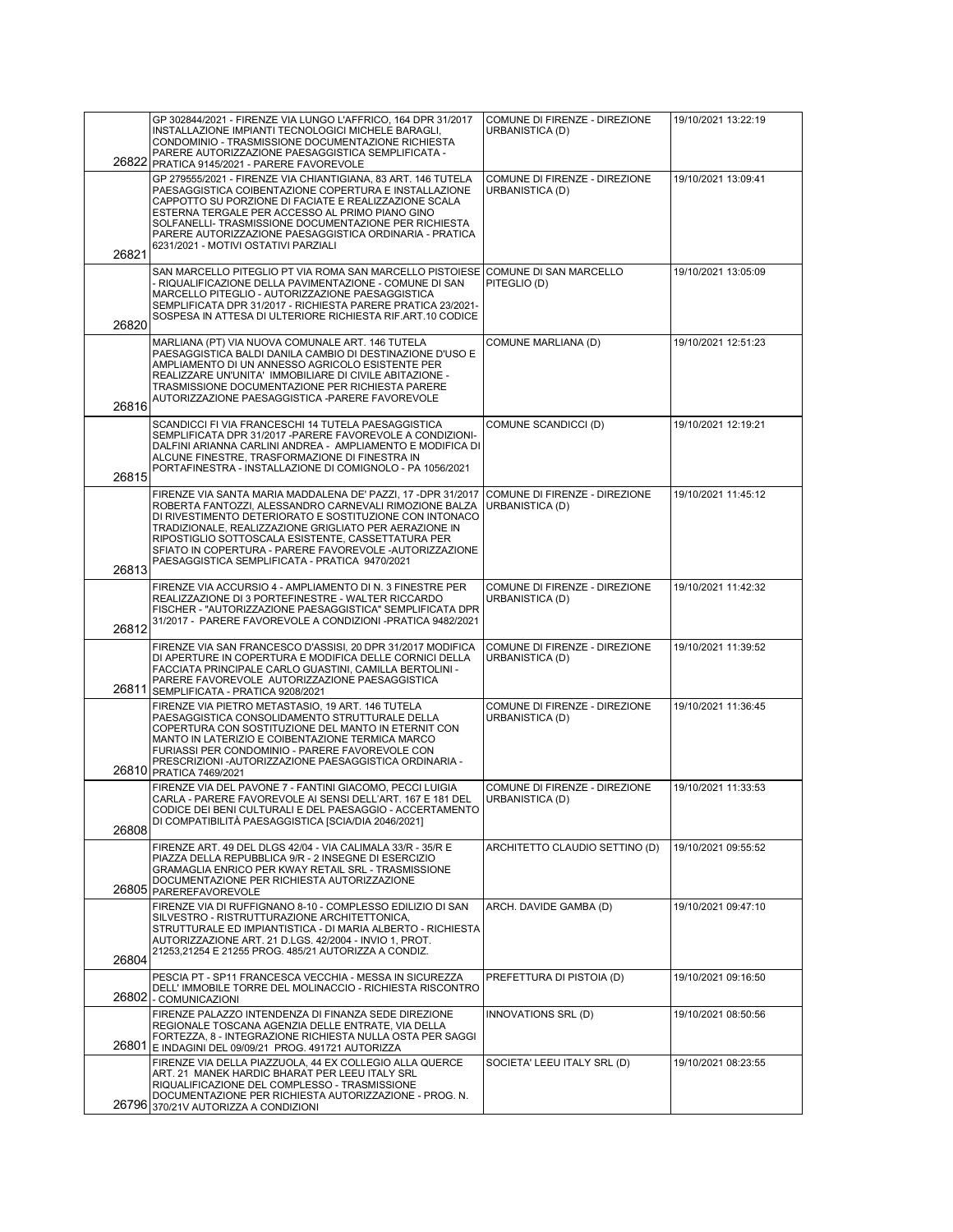| 26822 | GP 302844/2021 - FIRENZE VIA LUNGO L'AFFRICO, 164 DPR 31/2017<br>INSTALLAZIONE IMPIANTI TECNOLOGICI MICHELE BARAGLI,<br>CONDOMINIO - TRASMISSIONE DOCUMENTAZIONE RICHIESTA<br>PARERE AUTORIZZAZIONE PAESAGGISTICA SEMPLIFICATA -<br>PRATICA 9145/2021 - PARERE FAVOREVOLE                                                                                                                                        | COMUNE DI FIRENZE - DIREZIONE<br>URBANISTICA (D) | 19/10/2021 13:22:19 |
|-------|------------------------------------------------------------------------------------------------------------------------------------------------------------------------------------------------------------------------------------------------------------------------------------------------------------------------------------------------------------------------------------------------------------------|--------------------------------------------------|---------------------|
| 26821 | GP 279555/2021 - FIRENZE VIA CHIANTIGIANA, 83 ART. 146 TUTELA<br>PAESAGGISTICA COIBENTAZIONE COPERTURA E INSTALLAZIONE<br>CAPPOTTO SU PORZIONE DI FACIATE E REALIZZAZIONE SCALA<br>ESTERNA TERGALE PER ACCESSO AL PRIMO PIANO GINO<br>SOLFANELLI- TRASMISSIONE DOCUMENTAZIONE PER RICHIESTA<br>PARERE AUTORIZZAZIONE PAESAGGISTICA ORDINARIA - PRATICA<br>6231/2021 - MOTIVI OSTATIVI PARZIALI                   | COMUNE DI FIRENZE - DIREZIONE<br>URBANISTICA (D) | 19/10/2021 13:09:41 |
| 26820 | SAN MARCELLO PITEGLIO PT VIA ROMA SAN MARCELLO PISTOIESE<br>- RIQUALIFICAZIONE DELLA PAVIMENTAZIONE - COMUNE DI SAN<br>MARCELLO PITEGLIO - AUTORIZZAZIONE PAESAGGISTICA<br>SEMPLIFICATA DPR 31/2017 - RICHIESTA PARERE PRATICA 23/2021-<br>SOSPESA IN ATTESA DI ULTERIORE RICHIESTA RIF.ART.10 CODICE                                                                                                            | COMUNE DI SAN MARCELLO<br>PITEGLIO (D)           | 19/10/2021 13:05:09 |
| 26816 | MARLIANA (PT) VIA NUOVA COMUNALE ART. 146 TUTELA<br>PAESAGGISTICA BALDI DANILA CAMBIO DI DESTINAZIONE D'USO E<br>AMPLIAMENTO DI UN ANNESSO AGRICOLO ESISTENTE PER<br>REALIZZARE UN'UNITA' IMMOBILIARE DI CIVILE ABITAZIONE -<br>TRASMISSIONE DOCUMENTAZIONE PER RICHIESTA PARERE<br>AUTORIZZAZIONE PAESAGGISTICA -PARERE FAVOREVOLE                                                                              | COMUNE MARLIANA (D)                              | 19/10/2021 12:51:23 |
| 26815 | SCANDICCI FI VIA FRANCESCHI 14 TUTELA PAESAGGISTICA<br>SEMPLIFICATA DPR 31/2017 - PARERE FAVOREVOLE A CONDIZIONI-<br>DALFINI ARIANNA CARLINI ANDREA - AMPLIAMENTO E MODIFICA DI<br>ALCUNE FINESTRE, TRASFORMAZIONE DI FINESTRA IN<br>PORTAFINESTRA - INSTALLAZIONE DI COMIGNOLO - PA 1056/2021                                                                                                                   | COMUNE SCANDICCI (D)                             | 19/10/2021 12:19:21 |
| 26813 | FIRENZE VIA SANTA MARIA MADDALENA DE' PAZZI, 17 - DPR 31/2017<br>ROBERTA FANTOZZI, ALESSANDRO CARNEVALI RIMOZIONE BALZA<br>DI RIVESTIMENTO DETERIORATO E SOSTITUZIONE CON INTONACO<br>TRADIZIONALE, REALIZZAZIONE GRIGLIATO PER AERAZIONE IN<br>RIPOSTIGLIO SOTTOSCALA ESISTENTE, CASSETTATURA PER<br>SFIATO IN COPERTURA - PARERE FAVOREVOLE - AUTORIZZAZIONE<br>PAESAGGISTICA SEMPLIFICATA - PRATICA 9470/2021 | COMUNE DI FIRENZE - DIREZIONE<br>URBANISTICA (D) | 19/10/2021 11:45:12 |
| 26812 | FIRENZE VIA ACCURSIO 4 - AMPLIAMENTO DI N. 3 FINESTRE PER<br>REALIZZAZIONE DI 3 PORTEFINESTRE - WALTER RICCARDO<br>FISCHER - "AUTORIZZAZIONE PAESAGGISTICA" SEMPLIFICATA DPR<br>31/2017 - PARERE FAVOREVOLE A CONDIZIONI -PRATICA 9482/2021                                                                                                                                                                      | COMUNE DI FIRENZE - DIREZIONE<br>URBANISTICA (D) | 19/10/2021 11:42:32 |
| 26811 | FIRENZE VIA SAN FRANCESCO D'ASSISI, 20 DPR 31/2017 MODIFICA<br>DI APERTURE IN COPERTURA E MODIFICA DELLE CORNICI DELLA<br>FACCIATA PRINCIPALE CARLO GUASTINI, CAMILLA BERTOLINI -<br>PARERE FAVOREVOLE AUTORIZZAZIONE PAESAGGISTICA<br>SEMPLIFICATA - PRATICA 9208/2021                                                                                                                                          | COMUNE DI FIRENZE - DIREZIONE<br>URBANISTICA (D) | 19/10/2021 11:39:52 |
|       | FIRENZE VIA PIETRO METASTASIO, 19 ART. 146 TUTELA<br>PAESAGGISTICA CONSOLIDAMENTO STRUTTURALE DELLA<br>COPERTURA CON SOSTITUZIONE DEL MANTO IN ETERNIT CON<br>MANTO IN LATERIZIO E COIBENTAZIONE TERMICA MARCO<br>FURIASSI PER CONDOMINIO - PARERE FAVOREVOLE CON<br>PRESCRIZIONI-AUTORIZZAZIONE PAESAGGISTICA ORDINARIA -<br>26810 PRATICA 7469/2021                                                            | COMUNE DI FIRENZE - DIREZIONE<br>URBANISTICA (D) | 19/10/2021 11:36:45 |
| 26808 | FIRENZE VIA DEL PAVONE 7 - FANTINI GIACOMO, PECCI LUIGIA<br>CARLA - PARERE FAVOREVOLE AI SENSI DELL'ART. 167 E 181 DEL<br>CODICE DEI BENI CULTURALI E DEL PAESAGGIO - ACCERTAMENTO<br>DI COMPATIBILITA PAESAGGISTICA [SCIA/DIA 2046/2021]                                                                                                                                                                        | COMUNE DI FIRENZE - DIREZIONE<br>URBANISTICA (D) | 19/10/2021 11:33:53 |
| 26805 | FIRENZE ART. 49 DEL DLGS 42/04 - VIA CALIMALA 33/R - 35/R E<br>PIAZZA DELLA REPUBBLICA 9/R - 2 INSEGNE DI ESERCIZIO<br>GRAMAGLIA ENRICO PER KWAY RETAIL SRL - TRASMISSIONE<br>DOCUMENTAZIONE PER RICHIESTA AUTORIZZAZIONE<br><b>PAREREFAVOREVOLE</b>                                                                                                                                                             | ARCHITETTO CLAUDIO SETTINO (D)                   | 19/10/2021 09:55:52 |
| 26804 | FIRENZE VIA DI RUFFIGNANO 8-10 - COMPLESSO EDILIZIO DI SAN<br>SILVESTRO - RISTRUTTURAZIONE ARCHITETTONICA,<br>STRUTTURALE ED IMPIANTISTICA - DI MARIA ALBERTO - RICHIESTA<br>AUTORIZZAZIONE ART. 21 D.LGS. 42/2004 - INVIO 1, PROT.<br>21253,21254 E 21255 PROG. 485/21 AUTORIZZA A CONDIZ.                                                                                                                      | ARCH. DAVIDE GAMBA (D)                           | 19/10/2021 09:47:10 |
|       | PESCIA PT - SP11 FRANCESCA VECCHIA - MESSA IN SICUREZZA<br>DELL' IMMOBILE TORRE DEL MOLINACCIO - RICHIESTA RISCONTRO<br>26802 - COMUNICAZIONI                                                                                                                                                                                                                                                                    | PREFETTURA DI PISTOIA (D)                        | 19/10/2021 09:16:50 |
| 26801 | FIRENZE PALAZZO INTENDENZA DI FINANZA SEDE DIREZIONE<br>REGIONALE TOSCANA AGENZIA DELLE ENTRATE, VIA DELLA<br>FORTEZZA, 8 - INTEGRAZIONE RICHIESTA NULLA OSTA PER SAGGI<br>E INDAGINI DEL 09/09/21 PROG. 491721 AUTORIZZA                                                                                                                                                                                        | INNOVATIONS SRL (D)                              | 19/10/2021 08:50:56 |
| 26796 | FIRENZE VIA DELLA PIAZZUOLA, 44 EX COLLEGIO ALLA QUERCE<br>ART. 21 MANEK HARDIC BHARAT PER LEEU ITALY SRL<br>RIQUALIFICAZIONE DEL COMPLESSO - TRASMISSIONE<br>DOCUMENTAZIONE PER RICHIESTA AUTORIZZAZIONE - PROG. N.<br>370/21V AUTORIZZA A CONDIZIONI                                                                                                                                                           | SOCIETA' LEEU ITALY SRL (D)                      | 19/10/2021 08:23:55 |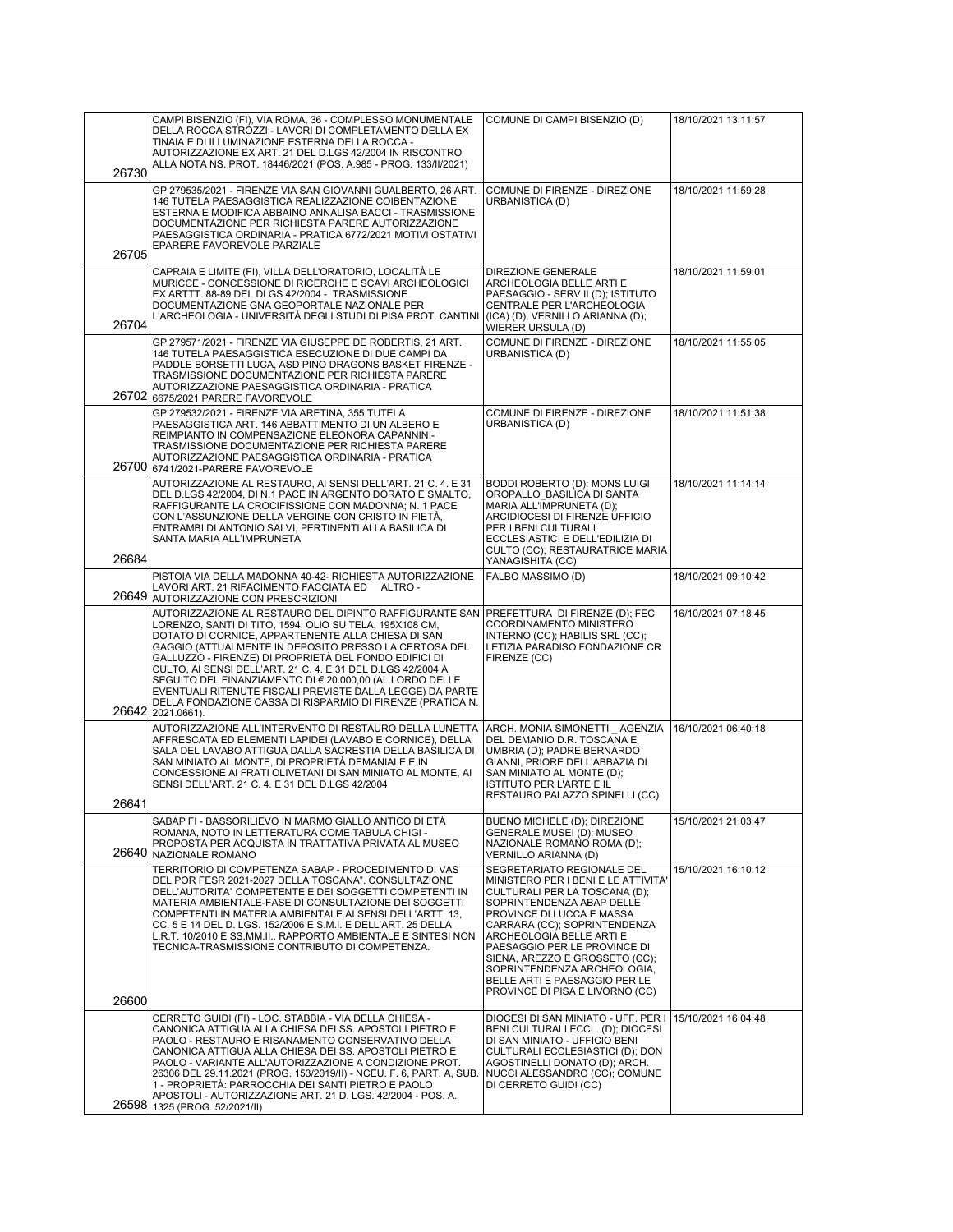| 26730 | CAMPI BISENZIO (FI), VIA ROMA, 36 - COMPLESSO MONUMENTALE<br>DELLA ROCCA STROZZI - LAVORI DI COMPLETAMENTO DELLA EX<br>TINAIA E DI ILLUMINAZIONE ESTERNA DELLA ROCCA -<br>AUTORIZZAZIONE EX ART. 21 DEL D.LGS 42/2004 IN RISCONTRO<br>ALLA NOTA NS. PROT. 18446/2021 (POS. A.985 - PROG. 133/II/2021)                                                                                                                                                                                                                                                                                                  | COMUNE DI CAMPI BISENZIO (D)                                                                                                                                                                                                                                                                                                                                                                  | 18/10/2021 13:11:57 |
|-------|--------------------------------------------------------------------------------------------------------------------------------------------------------------------------------------------------------------------------------------------------------------------------------------------------------------------------------------------------------------------------------------------------------------------------------------------------------------------------------------------------------------------------------------------------------------------------------------------------------|-----------------------------------------------------------------------------------------------------------------------------------------------------------------------------------------------------------------------------------------------------------------------------------------------------------------------------------------------------------------------------------------------|---------------------|
| 26705 | GP 279535/2021 - FIRENZE VIA SAN GIOVANNI GUALBERTO, 26 ART.<br>146 TUTELA PAESAGGISTICA REALIZZAZIONE COIBENTAZIONE<br>ESTERNA E MODIFICA ABBAINO ANNALISA BACCI - TRASMISSIONE<br>DOCUMENTAZIONE PER RICHIESTA PARERE AUTORIZZAZIONE<br>PAESAGGISTICA ORDINARIA - PRATICA 6772/2021 MOTIVI OSTATIVI<br>EPARERE FAVOREVOLE PARZIALE                                                                                                                                                                                                                                                                   | COMUNE DI FIRENZE - DIREZIONE<br>URBANISTICA (D)                                                                                                                                                                                                                                                                                                                                              | 18/10/2021 11:59:28 |
| 26704 | CAPRAIA E LIMITE (FI), VILLA DELL'ORATORIO, LOCALITÀ LE<br>MURICCE - CONCESSIONE DI RICERCHE E SCAVI ARCHEOLOGICI<br>EX ARTTT. 88-89 DEL DLGS 42/2004 - TRASMISSIONE<br>DOCUMENTAZIONE GNA GEOPORTALE NAZIONALE PER<br>L'ARCHEOLOGIA - UNIVERSITÀ DEGLI STUDI DI PISA PROT. CANTINI                                                                                                                                                                                                                                                                                                                    | DIREZIONE GENERALE<br>ARCHEOLOGIA BELLE ARTI E<br>PAESAGGIO - SERV II (D); ISTITUTO<br>CENTRALE PER L'ARCHEOLOGIA<br>(ICA) (D); VERNILLO ARIANNA (D);<br>WIERER URSULA (D)                                                                                                                                                                                                                    | 18/10/2021 11:59:01 |
| 26702 | GP 279571/2021 - FIRENZE VIA GIUSEPPE DE ROBERTIS, 21 ART.<br>146 TUTELA PAESAGGISTICA ESECUZIONE DI DUE CAMPI DA<br>PADDLE BORSETTI LUCA, ASD PINO DRAGONS BASKET FIRENZE -<br>TRASMISSIONE DOCUMENTAZIONE PER RICHIESTA PARERE<br>AUTORIZZAZIONE PAESAGGISTICA ORDINARIA - PRATICA<br>6675/2021 PARERE FAVOREVOLE                                                                                                                                                                                                                                                                                    | COMUNE DI FIRENZE - DIREZIONE<br>URBANISTICA (D)                                                                                                                                                                                                                                                                                                                                              | 18/10/2021 11:55:05 |
|       | GP 279532/2021 - FIRENZE VIA ARETINA, 355 TUTELA<br>PAESAGGISTICA ART. 146 ABBATTIMENTO DI UN ALBERO E<br>REIMPIANTO IN COMPENSAZIONE ELEONORA CAPANNINI-<br>TRASMISSIONE DOCUMENTAZIONE PER RICHIESTA PARERE<br>AUTORIZZAZIONE PAESAGGISTICA ORDINARIA - PRATICA<br>26700 6741/2021-PARERE FAVOREVOLE                                                                                                                                                                                                                                                                                                 | COMUNE DI FIRENZE - DIREZIONE<br>URBANISTICA (D)                                                                                                                                                                                                                                                                                                                                              | 18/10/2021 11:51:38 |
| 26684 | AUTORIZZAZIONE AL RESTAURO, AI SENSI DELL'ART. 21 C. 4. E 31<br>DEL D.LGS 42/2004, DI N.1 PACE IN ARGENTO DORATO E SMALTO,<br>RAFFIGURANTE LA CROCIFISSIONE CON MADONNA; N. 1 PACE<br>CON L'ASSUNZIONE DELLA VERGINE CON CRISTO IN PIETÀ,<br>ENTRAMBI DI ANTONIO SALVI, PERTINENTI ALLA BASILICA DI<br>SANTA MARIA ALL'IMPRUNETA                                                                                                                                                                                                                                                                       | <b>BODDI ROBERTO (D); MONS LUIGI</b><br>OROPALLO BASILICA DI SANTA<br>MARIA ALL'IMPRUNETA (D);<br>ARCIDIOCESI DI FIRENZE UFFICIO<br>PER I BENI CULTURALI<br>ECCLESIASTICI E DELL'EDILIZIA DI<br>CULTO (CC); RESTAURATRICE MARIA<br>YANAGISHITA (CC)                                                                                                                                           | 18/10/2021 11:14:14 |
|       | PISTOIA VIA DELLA MADONNA 40-42- RICHIESTA AUTORIZZAZIONE<br>LAVORI ART. 21 RIFACIMENTO FACCIATA ED ALTRO -<br>26649 AUTORIZZAZIONE CON PRESCRIZIONI                                                                                                                                                                                                                                                                                                                                                                                                                                                   | FALBO MASSIMO (D)                                                                                                                                                                                                                                                                                                                                                                             | 18/10/2021 09:10:42 |
|       | AUTORIZZAZIONE AL RESTAURO DEL DIPINTO RAFFIGURANTE SAN   PREFETTURA DI FIRENZE (D); FEC<br>LORENZO, SANTI DI TITO, 1594, OLIO SU TELA, 195X108 CM,<br>DOTATO DI CORNICE, APPARTENENTE ALLA CHIESA DI SAN<br>GAGGIO (ATTUALMENTE IN DEPOSITO PRESSO LA CERTOSA DEL<br>GALLUZZO - FIRENZE) DI PROPRIETÀ DEL FONDO EDIFICI DI<br>CULTO, AI SENSI DELL'ART. 21 C. 4. E 31 DEL D.LGS 42/2004 A<br>SEGUITO DEL FINANZIAMENTO DI € 20.000,00 (AL LORDO DELLE<br>EVENTUALI RITENUTE FISCALI PREVISTE DALLA LEGGE) DA PARTE<br>DELLA FONDAZIONE CASSA DI RISPARMIO DI FIRENZE (PRATICA N.<br>26642 2021.0661). | COORDINAMENTO MINISTERO<br>INTERNO (CC); HABILIS SRL (CC);<br>LETIZIA PARADISO FONDAZIONE CR<br>FIRENZE (CC)                                                                                                                                                                                                                                                                                  | 16/10/2021 07:18:45 |
| 26641 | AUTORIZZAZIONE ALL'INTERVENTO DI RESTAURO DELLA LUNETTA<br>AFFRESCATA ED ELEMENTI LAPIDEI (LAVABO E CORNICE), DELLA<br>SALA DEL LAVABO ATTIGUA DALLA SACRESTIA DELLA BASILICA DI<br>SAN MINIATO AL MONTE, DI PROPRIETÀ DEMANIALE E IN<br>CONCESSIONE AI FRATI OLIVETANI DI SAN MINIATO AL MONTE, AI<br>SENSI DELL'ART. 21 C. 4. E 31 DEL D.LGS 42/2004                                                                                                                                                                                                                                                 | ARCH. MONIA SIMONETTI AGENZIA<br>DEL DEMANIO D.R. TOSCANA E<br>UMBRIA (D); PADRE BERNARDO<br>GIANNI, PRIORE DELL'ABBAZIA DI<br>SAN MINIATO AL MONTE (D);<br><b>ISTITUTO PER L'ARTE E IL</b><br>RESTAURO PALAZZO SPINELLI (CC)                                                                                                                                                                 | 16/10/2021 06:40:18 |
| 26640 | SABAP FI - BASSORILIEVO IN MARMO GIALLO ANTICO DI ETA<br>ROMANA, NOTO IN LETTERATURA COME TABULA CHIGI -<br>PROPOSTA PER ACQUISTA IN TRATTATIVA PRIVATA AL MUSEO<br>NAZIONALE ROMANO                                                                                                                                                                                                                                                                                                                                                                                                                   | BUENO MICHELE (D); DIREZIONE<br><b>GENERALE MUSEI (D); MUSEO</b><br>NAZIONALE ROMANO ROMA (D);<br>VERNILLO ARIANNA (D)                                                                                                                                                                                                                                                                        | 15/10/2021 21:03:47 |
| 26600 | TERRITORIO DI COMPETENZA SABAP - PROCEDIMENTO DI VAS<br>DEL POR FESR 2021-2027 DELLA TOSCANA". CONSULTAZIONE<br>DELL'AUTORITA` COMPETENTE E DEI SOGGETTI COMPETENTI IN<br>MATERIA AMBIENTALE-FASE DI CONSULTAZIONE DEI SOGGETTI<br>COMPETENTI IN MATERIA AMBIENTALE AI SENSI DELL'ARTT. 13,<br>CC. 5 E 14 DEL D. LGS. 152/2006 E S.M.I. E DELL'ART. 25 DELLA<br>L.R.T. 10/2010 E SS.MM.II RAPPORTO AMBIENTALE E SINTESI NON<br>TECNICA-TRASMISSIONE CONTRIBUTO DI COMPETENZA.                                                                                                                          | SEGRETARIATO REGIONALE DEL<br>MINISTERO PER I BENI E LE ATTIVITA'<br>CULTURALI PER LA TOSCANA (D);<br>SOPRINTENDENZA ABAP DELLE<br>PROVINCE DI LUCCA E MASSA<br>CARRARA (CC); SOPRINTENDENZA<br>ARCHEOLOGIA BELLE ARTI E<br>PAESAGGIO PER LE PROVINCE DI<br>SIENA, AREZZO E GROSSETO (CC);<br>SOPRINTENDENZA ARCHEOLOGIA,<br>BELLE ARTI E PAESAGGIO PER LE<br>PROVINCE DI PISA E LIVORNO (CC) | 15/10/2021 16:10:12 |
| 26598 | CERRETO GUIDI (FI) - LOC. STABBIA - VIA DELLA CHIESA -<br>CANONICA ATTIGUA ALLA CHIESA DEI SS. APOSTOLI PIETRO E<br>PAOLO - RESTAURO E RISANAMENTO CONSERVATIVO DELLA<br>CANONICA ATTIGUA ALLA CHIESA DEI SS. APOSTOLI PIETRO E<br>PAOLO - VARIANTE ALL'AUTORIZZAZIONE A CONDIZIONE PROT.<br>26306 DEL 29.11.2021 (PROG. 153/2019/II) - NCEU. F. 6, PART. A, SUB.<br>1 - PROPRIETÀ: PARROCCHIA DEI SANTI PIETRO E PAOLO<br>APOSTOLI - AUTORIZZAZIONE ART. 21 D. LGS. 42/2004 - POS. A.<br>1325 (PROG. 52/2021/II)                                                                                      | DIOCESI DI SAN MINIATO - UFF. PER I<br>BENI CULTURALI ECCL. (D); DIOCESI<br>DI SAN MINIATO - UFFICIO BENI<br>CULTURALI ECCLESIASTICI (D); DON<br>AGOSTINELLI DONATO (D); ARCH.<br>NUCCI ALESSANDRO (CC); COMUNE<br>DI CERRETO GUIDI (CC)                                                                                                                                                      | 15/10/2021 16:04:48 |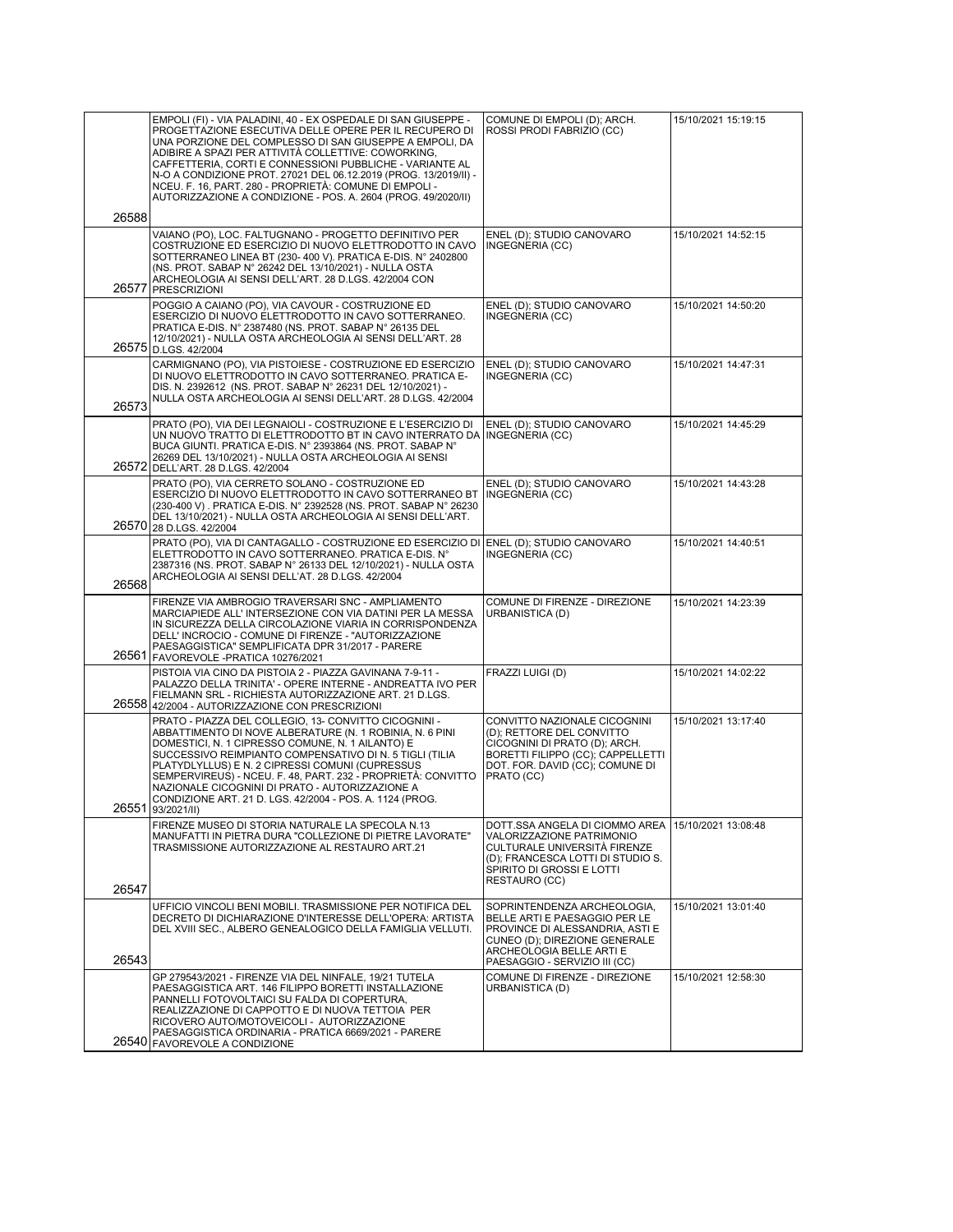|       | EMPOLI (FI) - VIA PALADINI, 40 - EX OSPEDALE DI SAN GIUSEPPE -<br>PROGETTAZIONE ESECUTIVA DELLE OPERE PER IL RECUPERO DI<br>UNA PORZIONE DEL COMPLESSO DI SAN GIUSEPPE A EMPOLI, DA<br>ADIBIRE A SPAZI PER ATTIVITÀ COLLETTIVE: COWORKING,<br>CAFFETTERIA, CORTI E CONNESSIONI PUBBLICHE - VARIANTE AL<br>N-O A CONDIZIONE PROT. 27021 DEL 06.12.2019 (PROG. 13/2019/II) -<br>NCEU. F. 16, PART. 280 - PROPRIETÀ: COMUNE DI EMPOLI -<br>AUTORIZZAZIONE A CONDIZIONE - POS. A. 2604 (PROG. 49/2020/II) | COMUNE DI EMPOLI (D); ARCH.<br>ROSSI PRODI FABRIZIO (CC)                                                                                                                                      | 15/10/2021 15:19:15 |
|-------|-------------------------------------------------------------------------------------------------------------------------------------------------------------------------------------------------------------------------------------------------------------------------------------------------------------------------------------------------------------------------------------------------------------------------------------------------------------------------------------------------------|-----------------------------------------------------------------------------------------------------------------------------------------------------------------------------------------------|---------------------|
| 26588 |                                                                                                                                                                                                                                                                                                                                                                                                                                                                                                       |                                                                                                                                                                                               |                     |
| 26577 | VAIANO (PO), LOC. FALTUGNANO - PROGETTO DEFINITIVO PER<br>COSTRUZIONE ED ESERCIZIO DI NUOVO ELETTRODOTTO IN CAVO<br>SOTTERRANEO LINEA BT (230-400 V). PRATICA E-DIS. N° 2402800<br>(NS. PROT. SABAP N° 26242 DEL 13/10/2021) - NULLA OSTA<br>ARCHEOLOGIA AI SENSI DELL'ART. 28 D.LGS. 42/2004 CON<br>PRESCRIZIONI                                                                                                                                                                                     | ENEL (D); STUDIO CANOVARO<br>INGEGNERIA (CC)                                                                                                                                                  | 15/10/2021 14:52:15 |
|       | POGGIO A CAIANO (PO), VIA CAVOUR - COSTRUZIONE ED<br>ESERCIZIO DI NUOVO ELETTRODOTTO IN CAVO SOTTERRANEO.<br>PRATICA E-DIS. N° 2387480 (NS. PROT. SABAP N° 26135 DEL<br>12/10/2021) - NULLA OSTA ARCHEOLOGIA AI SENSI DELL'ART. 28<br>26575 D.LGS. 42/2004                                                                                                                                                                                                                                            | ENEL (D); STUDIO CANOVARO<br>INGEGNERIA (CC)                                                                                                                                                  | 15/10/2021 14:50:20 |
| 26573 | CARMIGNANO (PO), VIA PISTOIESE - COSTRUZIONE ED ESERCIZIO<br>DI NUOVO ELETTRODOTTO IN CAVO SOTTERRANEO. PRATICA E-<br>DIS. N. 2392612 (NS. PROT. SABAP N° 26231 DEL 12/10/2021) -<br>NULLA OSTA ARCHEOLOGIA AI SENSI DELL'ART. 28 D.LGS. 42/2004                                                                                                                                                                                                                                                      | ENEL (D); STUDIO CANOVARO<br>INGEGNERIA (CC)                                                                                                                                                  | 15/10/2021 14:47:31 |
|       | PRATO (PO), VIA DEI LEGNAIOLI - COSTRUZIONE E L'ESERCIZIO DI<br>UN NUOVO TRATTO DI ELETTRODOTTO BT IN CAVO INTERRATO DA   INGEGNERIA (CC)<br>BUCA GIUNTI. PRATICA E-DIS. Nº 2393864 (NS. PROT. SABAP Nº<br>26269 DEL 13/10/2021) - NULLA OSTA ARCHEOLOGIA AI SENSI<br>26572 DELL'ART. 28 D.LGS. 42/2004                                                                                                                                                                                               | ENEL (D); STUDIO CANOVARO                                                                                                                                                                     | 15/10/2021 14:45:29 |
|       | PRATO (PO), VIA CERRETO SOLANO - COSTRUZIONE ED<br>ESERCIZIO DI NUOVO ELETTRODOTTO IN CAVO SOTTERRANEO BT<br>(230-400 V). PRATICA E-DIS. N° 2392528 (NS. PROT. SABAP N° 26230<br>DEL 13/10/2021) - NULLA OSTA ARCHEOLOGIA AI SENSI DELL'ART.<br>26570 28 D.LGS. 42/2004                                                                                                                                                                                                                               | ENEL (D); STUDIO CANOVARO<br>INGEGNERIA (CC)                                                                                                                                                  | 15/10/2021 14:43:28 |
| 26568 | PRATO (PO), VIA DI CANTAGALLO - COSTRUZIONE ED ESERCIZIO DI<br>ELETTRODOTTO IN CAVO SOTTERRANEO. PRATICA E-DIS. Nº<br>2387316 (NS. PROT. SABAP N° 26133 DEL 12/10/2021) - NULLA OSTA<br>ARCHEOLOGIA AI SENSI DELL'AT. 28 D.LGS. 42/2004                                                                                                                                                                                                                                                               | ENEL (D); STUDIO CANOVARO<br>INGEGNERIA (CC)                                                                                                                                                  | 15/10/2021 14:40:51 |
|       | FIRENZE VIA AMBROGIO TRAVERSARI SNC - AMPLIAMENTO<br>MARCIAPIEDE ALL' INTERSEZIONE CON VIA DATINI PER LA MESSA<br>IN SICUREZZA DELLA CIRCOLAZIONE VIARIA IN CORRISPONDENZA<br>DELL' INCROCIO - COMUNE DI FIRENZE - "AUTORIZZAZIONE<br>PAESAGGISTICA" SEMPLIFICATA DPR 31/2017 - PARERE<br>26561 FAVOREVOLE - PRATICA 10276/2021                                                                                                                                                                       | COMUNE DI FIRENZE - DIREZIONE<br>URBANISTICA (D)                                                                                                                                              | 15/10/2021 14:23:39 |
|       | PISTOIA VIA CINO DA PISTOIA 2 - PIAZZA GAVINANA 7-9-11 -<br>PALAZZO DELLA TRINITA' - OPERE INTERNE - ANDREATTA IVO PER<br>FIELMANN SRL - RICHIESTA AUTORIZZAZIONE ART. 21 D.LGS.<br>26558 42/2004 - AUTORIZZAZIONE CON PRESCRIZIONI                                                                                                                                                                                                                                                                   | FRAZZI LUIGI (D)                                                                                                                                                                              | 15/10/2021 14:02:22 |
|       | PRATO - PIAZZA DEL COLLEGIO, 13- CONVITTO CICOGNINI -<br>ABBATTIMENTO DI NOVE ALBERATURE (N. 1 ROBINIA, N. 6 PINI<br>DOMESTICI, N. 1 CIPRESSO COMUNE, N. 1 AILANTO) E<br>SUCCESSIVO REIMPIANTO COMPENSATIVO DI N. 5 TIGLI (TILIA<br>PLATYDLYLLUS) E N. 2 CIPRESSI COMUNI (CUPRESSUS<br>SEMPERVIREUS) - NCEU. F. 48, PART. 232 - PROPRIETÀ: CONVITTO<br>NAZIONALE CICOGNINI DI PRATO - AUTORIZZAZIONE A<br>CONDIZIONE ART. 21 D. LGS. 42/2004 - POS. A. 1124 (PROG.<br>26551 93/2021/II)               | CONVITTO NAZIONALE CICOGNINI<br>(D); RETTORE DEL CONVITTO<br>CICOGNINI DI PRATO (D); ARCH.<br>BORETTI FILIPPO (CC); CAPPELLETTI<br>DOT. FOR. DAVID (CC); COMUNE DI<br>PRATO (CC)              | 15/10/2021 13:17:40 |
|       | FIRENZE MUSEO DI STORIA NATURALE LA SPECOLA N.13<br>MANUFATTI IN PIETRA DURA "COLLEZIONE DI PIETRE LAVORATE"<br>TRASMISSIONE AUTORIZZAZIONE AL RESTAURO ART.21                                                                                                                                                                                                                                                                                                                                        | DOTT.SSA ANGELA DI CIOMMO AREA<br>VALORIZZAZIONE PATRIMONIO<br>CULTURALE UNIVERSITÀ FIRENZE<br>(D): FRANCESCA LOTTI DI STUDIO S.<br>SPIRITO DI GROSSI E LOTTI<br>RESTAURO (CC)                | 15/10/2021 13:08:48 |
| 26547 |                                                                                                                                                                                                                                                                                                                                                                                                                                                                                                       |                                                                                                                                                                                               |                     |
| 26543 | UFFICIO VINCOLI BENI MOBILI. TRASMISSIONE PER NOTIFICA DEL<br>DECRETO DI DICHIARAZIONE D'INTERESSE DELL'OPERA: ARTISTA<br>DEL XVIII SEC., ALBERO GENEALOGICO DELLA FAMIGLIA VELLUTI.                                                                                                                                                                                                                                                                                                                  | SOPRINTENDENZA ARCHEOLOGIA,<br>BELLE ARTI E PAESAGGIO PER LE<br>PROVINCE DI ALESSANDRIA, ASTI E<br>CUNEO (D); DIREZIONE GENERALE<br>ARCHEOLOGIA BELLE ARTI E<br>PAESAGGIO - SERVIZIO III (CC) | 15/10/2021 13:01:40 |
|       | GP 279543/2021 - FIRENZE VIA DEL NINFALE, 19/21 TUTELA<br>PAESAGGISTICA ART. 146 FILIPPO BORETTI INSTALLAZIONE<br>PANNELLI FOTOVOLTAICI SU FALDA DI COPERTURA,<br>REALIZZAZIONE DI CAPPOTTO E DI NUOVA TETTOIA PER<br>RICOVERO AUTO/MOTOVEICOLI - AUTORIZZAZIONE<br>PAESAGGISTICA ORDINARIA - PRATICA 6669/2021 - PARERE                                                                                                                                                                              | COMUNE DI FIRENZE - DIREZIONE<br>URBANISTICA (D)                                                                                                                                              | 15/10/2021 12:58:30 |
|       | 26540 FAVOREVOLE A CONDIZIONE                                                                                                                                                                                                                                                                                                                                                                                                                                                                         |                                                                                                                                                                                               |                     |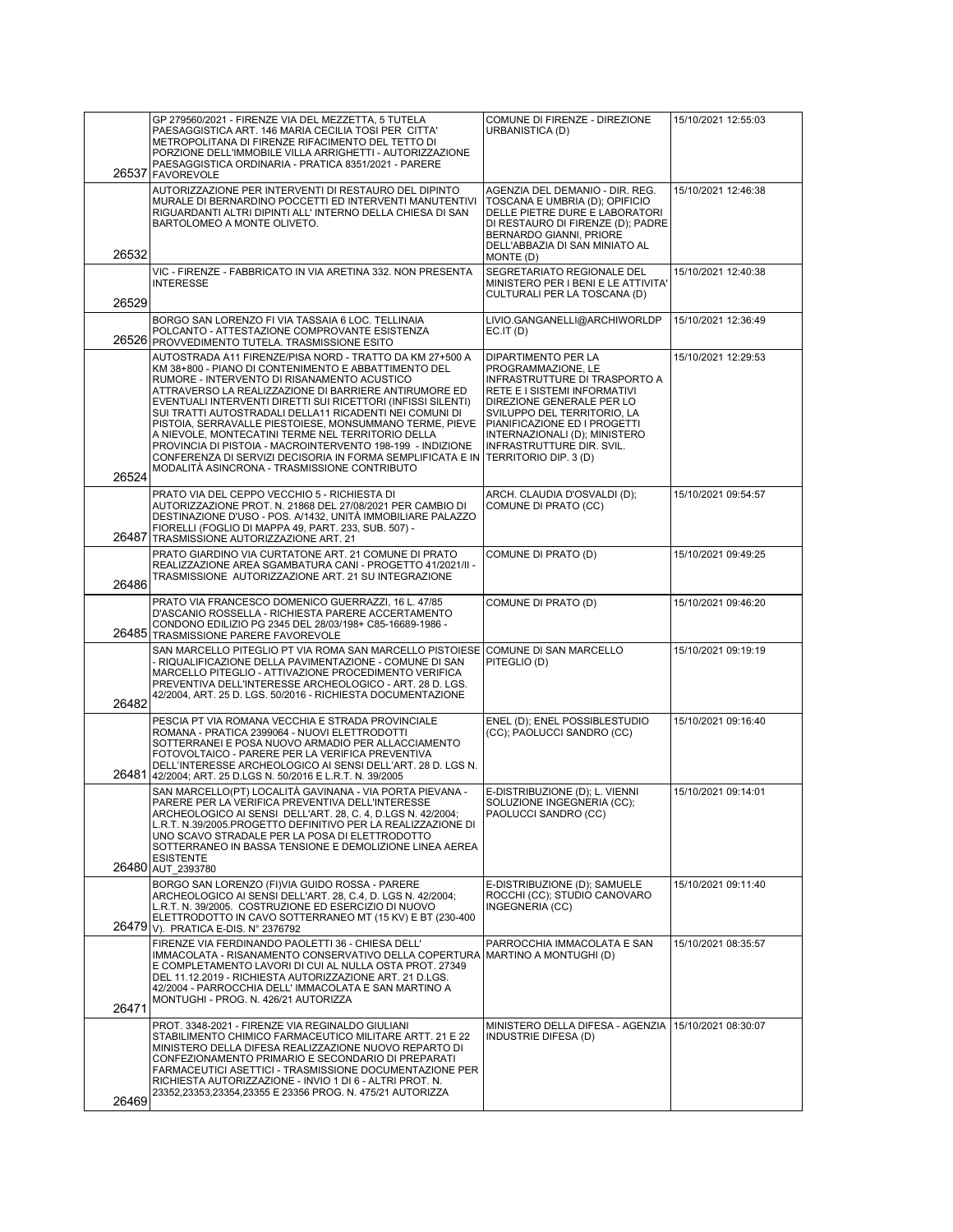|       | GP 279560/2021 - FIRENZE VIA DEL MEZZETTA, 5 TUTELA<br>PAESAGGISTICA ART. 146 MARIA CECILIA TOSI PER CITTA'<br>METROPOLITANA DI FIRENZE RIFACIMENTO DEL TETTO DI<br>PORZIONE DELL'IMMOBILE VILLA ARRIGHETTI - AUTORIZZAZIONE<br>PAESAGGISTICA ORDINARIA - PRATICA 8351/2021 - PARERE                                                                                                                                                                                                                                                                                                                                                                                  | COMUNE DI FIRENZE - DIREZIONE<br>URBANISTICA (D)                                                                                                                                                                                                                            | 15/10/2021 12:55:03 |
|-------|-----------------------------------------------------------------------------------------------------------------------------------------------------------------------------------------------------------------------------------------------------------------------------------------------------------------------------------------------------------------------------------------------------------------------------------------------------------------------------------------------------------------------------------------------------------------------------------------------------------------------------------------------------------------------|-----------------------------------------------------------------------------------------------------------------------------------------------------------------------------------------------------------------------------------------------------------------------------|---------------------|
| 26537 | <b>FAVOREVOLE</b>                                                                                                                                                                                                                                                                                                                                                                                                                                                                                                                                                                                                                                                     |                                                                                                                                                                                                                                                                             |                     |
| 26532 | AUTORIZZAZIONE PER INTERVENTI DI RESTAURO DEL DIPINTO<br>MURALE DI BERNARDINO POCCETTI ED INTERVENTI MANUTENTIVI<br>RIGUARDANTI ALTRI DIPINTI ALL'INTERNO DELLA CHIESA DI SAN<br>BARTOLOMEO A MONTE OLIVETO.                                                                                                                                                                                                                                                                                                                                                                                                                                                          | AGENZIA DEL DEMANIO - DIR. REG.<br>TOSCANA E UMBRIA (D); OPIFICIO<br>DELLE PIETRE DURE E LABORATORI<br>DI RESTAURO DI FIRENZE (D); PADRE<br>BERNARDO GIANNI, PRIORE<br>DELL'ABBAZIA DI SAN MINIATO AL<br>MONTE (D)                                                          | 15/10/2021 12:46:38 |
| 26529 | VIC - FIRENZE - FABBRICATO IN VIA ARETINA 332. NON PRESENTA<br><b>INTERESSE</b>                                                                                                                                                                                                                                                                                                                                                                                                                                                                                                                                                                                       | SEGRETARIATO REGIONALE DEL<br>MINISTERO PER I BENI E LE ATTIVITA'<br>CULTURALI PER LA TOSCANA (D)                                                                                                                                                                           | 15/10/2021 12:40:38 |
|       | BORGO SAN LORENZO FI VIA TASSAIA 6 LOC. TELLINAIA<br>POLCANTO - ATTESTAZIONE COMPROVANTE ESISTENZA<br>26526 PROVVEDIMENTO TUTELA. TRASMISSIONE ESITO                                                                                                                                                                                                                                                                                                                                                                                                                                                                                                                  | LIVIO.GANGANELLI@ARCHIWORLDP<br>EC.IT(D)                                                                                                                                                                                                                                    | 15/10/2021 12:36:49 |
| 26524 | AUTOSTRADA A11 FIRENZE/PISA NORD - TRATTO DA KM 27+500 A<br>KM 38+800 - PIANO DI CONTENIMENTO E ABBATTIMENTO DEL<br>RUMORE - INTERVENTO DI RISANAMENTO ACUSTICO<br>ATTRAVERSO LA REALIZZAZIONE DI BARRIERE ANTIRUMORE ED<br>EVENTUALI INTERVENTI DIRETTI SUI RICETTORI (INFISSI SILENTI)<br>SUI TRATTI AUTOSTRADALI DELLA11 RICADENTI NEI COMUNI DI<br>PISTOIA, SERRAVALLE PIESTOIESE, MONSUMMANO TERME, PIEVE<br>A NIEVOLE, MONTECATINI TERME NEL TERRITORIO DELLA<br>PROVINCIA DI PISTOIA - MACROINTERVENTO 198-199 - INDIZIONE<br>CONFERENZA DI SERVIZI DECISORIA IN FORMA SEMPLIFICATA E IN TERRITORIO DIP. 3 (D)<br>MODALITÀ ASINCRONA - TRASMISSIONE CONTRIBUTO | DIPARTIMENTO PER LA<br>PROGRAMMAZIONE, LE<br>INFRASTRUTTURE DI TRASPORTO A<br>RETE E I SISTEMI INFORMATIVI<br>DIREZIONE GENERALE PER LO<br>SVILUPPO DEL TERRITORIO, LA<br>PIANIFICAZIONE ED I PROGETTI<br>INTERNAZIONALI (D); MINISTERO<br><b>INFRASTRUTTURE DIR. SVIL.</b> | 15/10/2021 12:29:53 |
|       | PRATO VIA DEL CEPPO VECCHIO 5 - RICHIESTA DI                                                                                                                                                                                                                                                                                                                                                                                                                                                                                                                                                                                                                          | ARCH. CLAUDIA D'OSVALDI (D);                                                                                                                                                                                                                                                | 15/10/2021 09:54:57 |
| 26487 | AUTORIZZAZIONE PROT. N. 21868 DEL 27/08/2021 PER CAMBIO DI<br>DESTINAZIONE D'USO - POS. A/1432, UNITÀ IMMOBILIARE PALAZZO<br>FIORELLI (FOGLIO DI MAPPA 49, PART. 233, SUB. 507) -<br>TRASMISSIONE AUTORIZZAZIONE ART. 21                                                                                                                                                                                                                                                                                                                                                                                                                                              | COMUNE DI PRATO (CC)                                                                                                                                                                                                                                                        |                     |
| 26486 | PRATO GIARDINO VIA CURTATONE ART. 21 COMUNE DI PRATO<br>REALIZZAZIONE AREA SGAMBATURA CANI - PROGETTO 41/2021/II -<br>TRASMISSIONE AUTORIZZAZIONE ART. 21 SU INTEGRAZIONE                                                                                                                                                                                                                                                                                                                                                                                                                                                                                             | COMUNE DI PRATO (D)                                                                                                                                                                                                                                                         | 15/10/2021 09:49:25 |
|       | PRATO VIA FRANCESCO DOMENICO GUERRAZZI, 16 L. 47/85<br>D'ASCANIO ROSSELLA - RICHIESTA PARERE ACCERTAMENTO<br>CONDONO EDILIZIO PG 2345 DEL 28/03/198+ C85-16689-1986 -<br>26485 TRASMISSIONE PARERE FAVOREVOLE                                                                                                                                                                                                                                                                                                                                                                                                                                                         | COMUNE DI PRATO (D)                                                                                                                                                                                                                                                         | 15/10/2021 09:46:20 |
| 26482 | SAN MARCELLO PITEGLIO PT VIA ROMA SAN MARCELLO PISTOIESE<br>- RIQUALIFICAZIONE DELLA PAVIMENTAZIONE - COMUNE DI SAN<br>MARCELLO PITEGLIO - ATTIVAZIONE PROCEDIMENTO VERIFICA<br>PREVENTIVA DELL'INTERESSE ARCHEOLOGICO - ART. 28 D. LGS.<br>42/2004, ART. 25 D. LGS. 50/2016 - RICHIESTA DOCUMENTAZIONE                                                                                                                                                                                                                                                                                                                                                               | COMUNE DI SAN MARCELLO<br>PITEGLIO (D)                                                                                                                                                                                                                                      | 15/10/2021 09:19:19 |
| 26481 | PESCIA PT VIA ROMANA VECCHIA E STRADA PROVINCIALE<br>ROMANA - PRATICA 2399064 - NUOVI ELETTRODOTTI<br>SOTTERRANEI E POSA NUOVO ARMADIO PER ALLACCIAMENTO<br>FOTOVOLTAICO - PARERE PER LA VERIFICA PREVENTIVA<br>DELL'INTERESSE ARCHEOLOGICO AI SENSI DELL'ART. 28 D. LGS N.<br>42/2004; ART. 25 D.LGS N. 50/2016 E L.R.T. N. 39/2005                                                                                                                                                                                                                                                                                                                                  | ENEL (D); ENEL POSSIBLESTUDIO<br>(CC); PAOLUCCI SANDRO (CC)                                                                                                                                                                                                                 | 15/10/2021 09:16:40 |
| 26480 | SAN MARCELLO(PT) LOCALITÀ GAVINANA - VIA PORTA PIEVANA -<br>PARERE PER LA VERIFICA PREVENTIVA DELL'INTERESSE<br>ARCHEOLOGICO AI SENSI DELL'ART. 28, C. 4, D.LGS N. 42/2004;<br>L.R.T. N.39/2005.PROGETTO DEFINITIVO PER LA REALIZZAZIONE DI<br>UNO SCAVO STRADALE PER LA POSA DI ELETTRODOTTO<br>SOTTERRANEO IN BASSA TENSIONE E DEMOLIZIONE LINEA AEREA<br><b>ESISTENTE</b><br>AUT 2393780                                                                                                                                                                                                                                                                           | E-DISTRIBUZIONE (D); L. VIENNI<br>SOLUZIONE INGEGNERIA (CC);<br>PAOLUCCI SANDRO (CC)                                                                                                                                                                                        | 15/10/2021 09:14:01 |
| 26479 | BORGO SAN LORENZO (FI)VIA GUIDO ROSSA - PARERE<br>ARCHEOLOGICO AI SENSI DELL'ART. 28, C.4, D. LGS N. 42/2004;<br>L.R.T. N. 39/2005. COSTRUZIONE ED ESERCIZIO DI NUOVO<br>ELETTRODOTTO IN CAVO SOTTERRANEO MT (15 KV) E BT (230-400<br>V). PRATICA E-DIS. N° 2376792                                                                                                                                                                                                                                                                                                                                                                                                   | E-DISTRIBUZIONE (D); SAMUELE<br>ROCCHI (CC); STUDIO CANOVARO<br>INGEGNERIA (CC)                                                                                                                                                                                             | 15/10/2021 09:11:40 |
| 26471 | FIRENZE VIA FERDINANDO PAOLETTI 36 - CHIESA DELL'<br>IMMACOLATA - RISANAMENTO CONSERVATIVO DELLA COPERTURA<br>E COMPLETAMENTO LAVORI DI CUI AL NULLA OSTA PROT. 27349<br>DEL 11.12.2019 - RICHIESTA AUTORIZZAZIONE ART. 21 D.LGS.<br>42/2004 - PARROCCHIA DELL' IMMACOLATA E SAN MARTINO A<br>MONTUGHI - PROG. N. 426/21 AUTORIZZA                                                                                                                                                                                                                                                                                                                                    | PARROCCHIA IMMACOLATA E SAN<br> MARTINO A MONTUGHI (D)                                                                                                                                                                                                                      | 15/10/2021 08:35:57 |
|       | PROT. 3348-2021 - FIRENZE VIA REGINALDO GIULIANI<br>STABILIMENTO CHIMICO FARMACEUTICO MILITARE ARTT. 21 E 22<br>MINISTERO DELLA DIFESA REALIZZAZIONE NUOVO REPARTO DI<br>CONFEZIONAMENTO PRIMARIO E SECONDARIO DI PREPARATI<br>FARMACEUTICI ASETTICI - TRASMISSIONE DOCUMENTAZIONE PER<br>RICHIESTA AUTORIZZAZIONE - INVIO 1 DI 6 - ALTRI PROT. N.<br>23352,23353,23354,23355 E 23356 PROG. N. 475/21 AUTORIZZA                                                                                                                                                                                                                                                       | MINISTERO DELLA DIFESA - AGENZIA<br><b>INDUSTRIE DIFESA (D)</b>                                                                                                                                                                                                             | 15/10/2021 08:30:07 |
| 26469 |                                                                                                                                                                                                                                                                                                                                                                                                                                                                                                                                                                                                                                                                       |                                                                                                                                                                                                                                                                             |                     |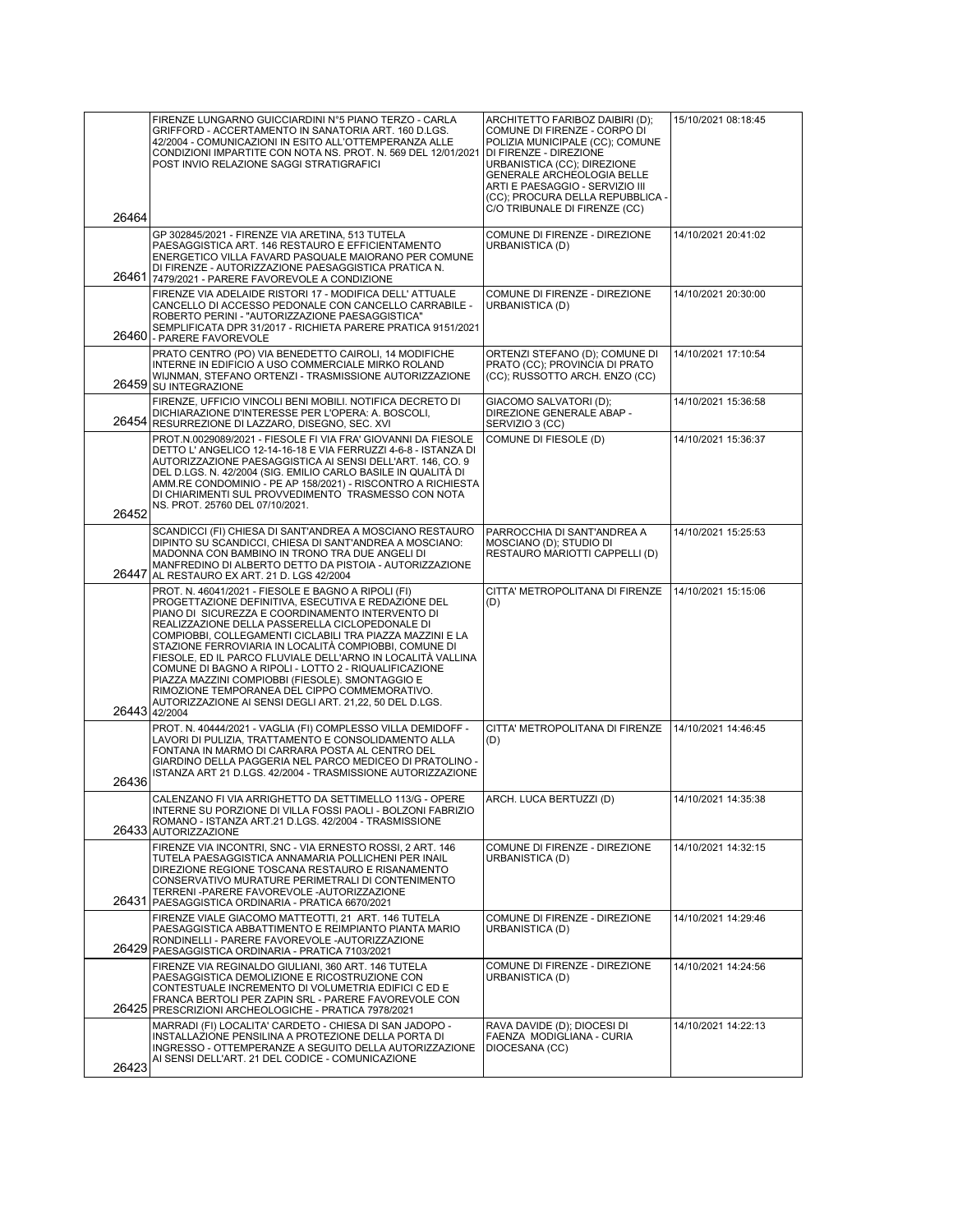| 26464 | FIRENZE LUNGARNO GUICCIARDINI N°5 PIANO TERZO - CARLA<br>GRIFFORD - ACCERTAMENTO IN SANATORIA ART. 160 D.LGS.<br>42/2004 - COMUNICAZIONI IN ESITO ALL'OTTEMPERANZA ALLE<br>CONDIZIONI IMPARTITE CON NOTA NS. PROT. N. 569 DEL 12/01/2021<br>POST INVIO RELAZIONE SAGGI STRATIGRAFICI                                                                                                                                                                                                                                                                                                                                                             | ARCHITETTO FARIBOZ DAIBIRI (D);<br>COMUNE DI FIRENZE - CORPO DI<br>POLIZIA MUNICIPALE (CC); COMUNE<br>DI FIRENZE - DIREZIONE<br>URBANISTICA (CC); DIREZIONE<br>GENERALE ARCHEOLOGIA BELLE<br>ARTI E PAESAGGIO - SERVIZIO III<br>(CC); PROCURA DELLA REPUBBLICA -<br>C/O TRIBUNALE DI FIRENZE (CC) | 15/10/2021 08:18:45 |
|-------|--------------------------------------------------------------------------------------------------------------------------------------------------------------------------------------------------------------------------------------------------------------------------------------------------------------------------------------------------------------------------------------------------------------------------------------------------------------------------------------------------------------------------------------------------------------------------------------------------------------------------------------------------|---------------------------------------------------------------------------------------------------------------------------------------------------------------------------------------------------------------------------------------------------------------------------------------------------|---------------------|
|       | GP 302845/2021 - FIRENZE VIA ARETINA, 513 TUTELA<br>PAESAGGISTICA ART. 146 RESTAURO E EFFICIENTAMENTO<br>ENERGETICO VILLA FAVARD PASQUALE MAIORANO PER COMUNE<br>DI FIRENZE - AUTORIZZAZIONE PAESAGGISTICA PRATICA N.<br>26461 7479/2021 - PARERE FAVOREVOLE A CONDIZIONE                                                                                                                                                                                                                                                                                                                                                                        | COMUNE DI FIRENZE - DIREZIONE<br>URBANISTICA (D)                                                                                                                                                                                                                                                  | 14/10/2021 20:41:02 |
|       | FIRENZE VIA ADELAIDE RISTORI 17 - MODIFICA DELL' ATTUALE<br>CANCELLO DI ACCESSO PEDONALE CON CANCELLO CARRABILE -<br>ROBERTO PERINI - "AUTORIZZAZIONE PAESAGGISTICA"<br>SEMPLIFICATA DPR 31/2017 - RICHIETA PARERE PRATICA 9151/2021<br>26460 - PARERE FAVOREVOLE                                                                                                                                                                                                                                                                                                                                                                                | COMUNE DI FIRENZE - DIREZIONE<br>URBANISTICA (D)                                                                                                                                                                                                                                                  | 14/10/2021 20:30:00 |
|       | PRATO CENTRO (PO) VIA BENEDETTO CAIROLI, 14 MODIFICHE<br>INTERNE IN EDIFICIO A USO COMMERCIALE MIRKO ROLAND<br>WIJNMAN, STEFANO ORTENZI - TRASMISSIONE AUTORIZZAZIONE<br>26459 SU INTEGRAZIONE                                                                                                                                                                                                                                                                                                                                                                                                                                                   | ORTENZI STEFANO (D); COMUNE DI<br>PRATO (CC); PROVINCIA DI PRATO<br>(CC); RUSSOTTO ARCH. ENZO (CC)                                                                                                                                                                                                | 14/10/2021 17:10:54 |
|       | FIRENZE, UFFICIO VINCOLI BENI MOBILI. NOTIFICA DECRETO DI<br>DICHIARAZIONE D'INTERESSE PER L'OPERA: A. BOSCOLI,<br>26454 RESURREZIONE DI LAZZARO, DISEGNO, SEC. XVI                                                                                                                                                                                                                                                                                                                                                                                                                                                                              | GIACOMO SALVATORI (D);<br>DIREZIONE GENERALE ABAP -<br>SERVIZIO 3 (CC)                                                                                                                                                                                                                            | 14/10/2021 15:36:58 |
| 26452 | PROT.N.0029089/2021 - FIESOLE FI VIA FRA' GIOVANNI DA FIESOLE<br>DETTO L'ANGELICO 12-14-16-18 E VIA FERRUZZI 4-6-8 - ISTANZA DI<br>AUTORIZZAZIONE PAESAGGISTICA AI SENSI DELL'ART. 146, CO. 9<br>DEL D.LGS. N. 42/2004 (SIG. EMILIO CARLO BASILE IN QUALITÀ DI<br>AMM.RE CONDOMINIO - PE AP 158/2021) - RISCONTRO A RICHIESTA<br>DI CHIARIMENTI SUL PROVVEDIMENTO TRASMESSO CON NOTA<br>NS. PROT. 25760 DEL 07/10/2021.                                                                                                                                                                                                                          | COMUNE DI FIESOLE (D)                                                                                                                                                                                                                                                                             | 14/10/2021 15:36:37 |
| 26447 | SCANDICCI (FI) CHIESA DI SANT'ANDREA A MOSCIANO RESTAURO<br>DIPINTO SU SCANDICCI, CHIESA DI SANT'ANDREA A MOSCIANO:<br>MADONNA CON BAMBINO IN TRONO TRA DUE ANGELI DI<br>MANFREDINO DI ALBERTO DETTO DA PISTOIA - AUTORIZZAZIONE<br>AL RESTAURO EX ART. 21 D. LGS 42/2004                                                                                                                                                                                                                                                                                                                                                                        | PARROCCHIA DI SANT'ANDREA A<br>MOSCIANO (D); STUDIO DI<br>RESTAURO MARIOTTI CAPPELLI (D)                                                                                                                                                                                                          | 14/10/2021 15:25:53 |
|       | PROT. N. 46041/2021 - FIESOLE E BAGNO A RIPOLI (FI)<br>PROGETTAZIONE DEFINITIVA, ESECUTIVA E REDAZIONE DEL<br>PIANO DI SICUREZZA E COORDINAMENTO INTERVENTO DI<br>REALIZZAZIONE DELLA PASSERELLA CICLOPEDONALE DI<br>COMPIOBBI, COLLEGAMENTI CICLABILI TRA PIAZZA MAZZINI E LA<br>STAZIONE FERROVIARIA IN LOCALITÀ COMPIOBBI, COMUNE DI<br>FIESOLE, ED IL PARCO FLUVIALE DELL'ARNO IN LOCALITÀ VALLINA<br>COMUNE DI BAGNO A RIPOLI - LOTTO 2 - RIQUALIFICAZIONE<br>PIAZZA MAZZINI COMPIOBBI (FIESOLE). SMONTAGGIO E<br>RIMOZIONE TEMPORANEA DEL CIPPO COMMEMORATIVO.<br>AUTORIZZAZIONE AI SENSI DEGLI ART. 21,22, 50 DEL D.LGS.<br>26443 42/2004 | CITTA' METROPOLITANA DI FIRENZE<br>(D)                                                                                                                                                                                                                                                            | 14/10/2021 15:15:06 |
| 26436 | PROT. N. 40444/2021 - VAGLIA (FI) COMPLESSO VILLA DEMIDOFF -<br>LAVORI DI PULIZIA, TRATTAMENTO E CONSOLIDAMENTO ALLA<br>FONTANA IN MARMO DI CARRARA POSTA AL CENTRO DEL<br>GIARDINO DELLA PAGGERIA NEL PARCO MEDICEO DI PRATOLINO -<br>ISTANZA ART 21 D.LGS. 42/2004 - TRASMISSIONE AUTORIZZAZIONE                                                                                                                                                                                                                                                                                                                                               | CITTA' METROPOLITANA DI FIRENZE<br>(D)                                                                                                                                                                                                                                                            | 14/10/2021 14:46:45 |
|       | CALENZANO FI VIA ARRIGHETTO DA SETTIMELLO 113/G - OPERE<br>INTERNE SU PORZIONE DI VILLA FOSSI PAOLI - BOLZONI FABRIZIO<br>ROMANO - ISTANZA ART.21 D.LGS. 42/2004 - TRASMISSIONE<br>26433 AUTORIZZAZIONE                                                                                                                                                                                                                                                                                                                                                                                                                                          | ARCH. LUCA BERTUZZI (D)                                                                                                                                                                                                                                                                           | 14/10/2021 14:35:38 |
|       | FIRENZE VIA INCONTRI, SNC - VIA ERNESTO ROSSI, 2 ART, 146<br>TUTELA PAESAGGISTICA ANNAMARIA POLLICHENI PER INAIL<br>DIREZIONE REGIONE TOSCANA RESTAURO E RISANAMENTO<br>CONSERVATIVO MURATURE PERIMETRALI DI CONTENIMENTO<br>TERRENI -PARERE FAVOREVOLE -AUTORIZZAZIONE<br>26431 PAESAGGISTICA ORDINARIA - PRATICA 6670/2021                                                                                                                                                                                                                                                                                                                     | COMUNE DI FIRENZE - DIREZIONE<br>URBANISTICA (D)                                                                                                                                                                                                                                                  | 14/10/2021 14:32:15 |
|       | FIRENZE VIALE GIACOMO MATTEOTTI, 21 ART. 146 TUTELA<br>PAESAGGISTICA ABBATTIMENTO E REIMPIANTO PIANTA MARIO<br>RONDINELLI - PARERE FAVOREVOLE -AUTORIZZAZIONE<br>26429 PAESAGGISTICA ORDINARIA - PRATICA 7103/2021                                                                                                                                                                                                                                                                                                                                                                                                                               | COMUNE DI FIRENZE - DIREZIONE<br>URBANISTICA (D)                                                                                                                                                                                                                                                  | 14/10/2021 14:29:46 |
|       | FIRENZE VIA REGINALDO GIULIANI, 360 ART. 146 TUTELA<br>PAESAGGISTICA DEMOLIZIONE E RICOSTRUZIONE CON<br>CONTESTUALE INCREMENTO DI VOLUMETRIA EDIFICI C ED E<br>FRANCA BERTOLI PER ZAPIN SRL - PARERE FAVOREVOLE CON<br>26425 PRESCRIZIONI ARCHEOLOGICHE - PRATICA 7978/2021                                                                                                                                                                                                                                                                                                                                                                      | COMUNE DI FIRENZE - DIREZIONE<br>URBANISTICA (D)                                                                                                                                                                                                                                                  | 14/10/2021 14:24:56 |
| 26423 | MARRADI (FI) LOCALITA' CARDETO - CHIESA DI SAN JADOPO -<br>INSTALLAZIONE PENSILINA A PROTEZIONE DELLA PORTA DI<br>INGRESSO - OTTEMPERANZE A SEGUITO DELLA AUTORIZZAZIONE<br>AI SENSI DELL'ART. 21 DEL CODICE - COMUNICAZIONE                                                                                                                                                                                                                                                                                                                                                                                                                     | RAVA DAVIDE (D); DIOCESI DI<br>FAENZA MODIGLIANA - CURIA<br>DIOCESANA (CC)                                                                                                                                                                                                                        | 14/10/2021 14:22:13 |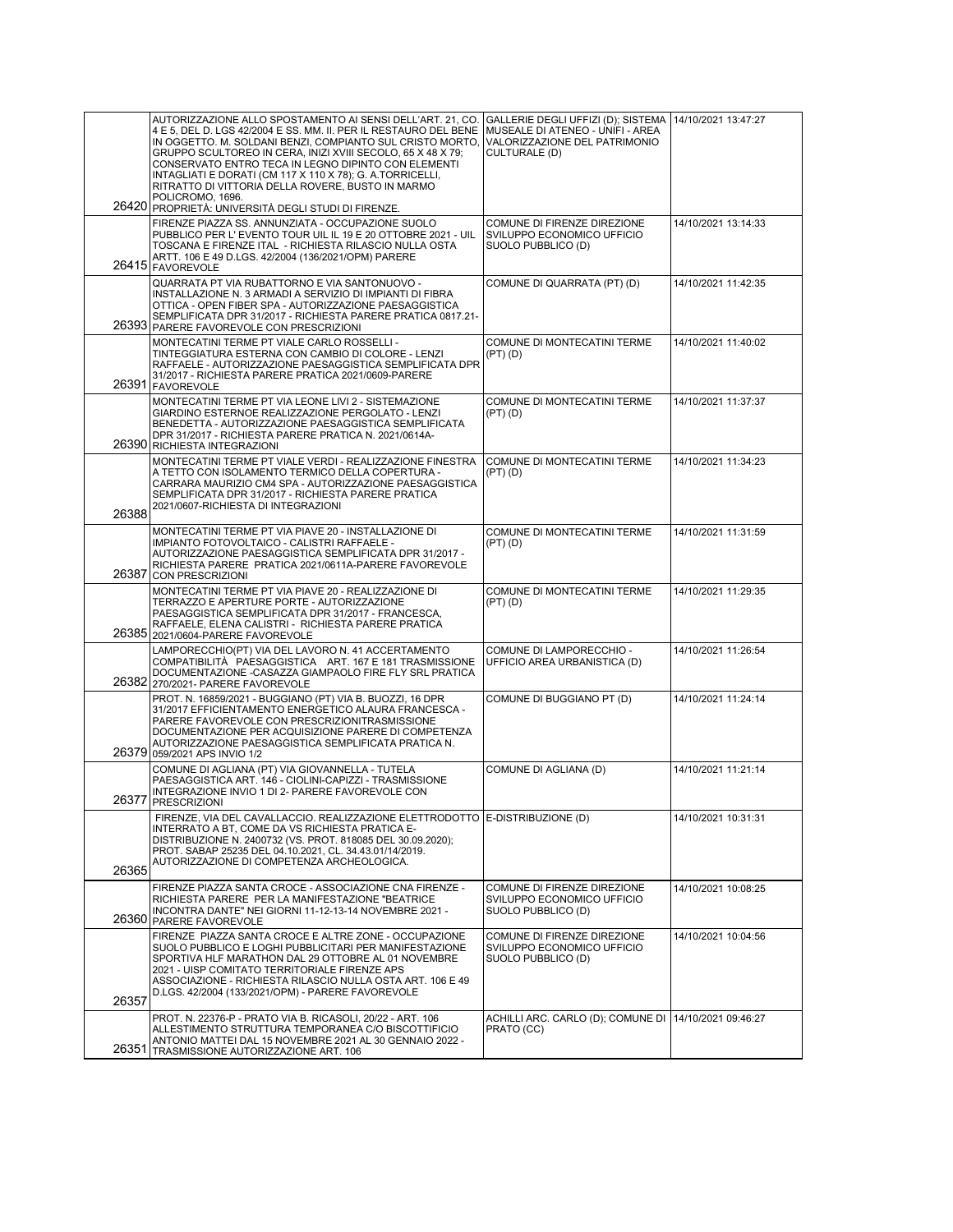|       | AUTORIZZAZIONE ALLO SPOSTAMENTO AI SENSI DELL'ART. 21, CO.<br>4 E 5, DEL D. LGS 42/2004 E SS. MM. II. PER IL RESTAURO DEL BENE<br>IN OGGETTO. M. SOLDANI BENZI, COMPIANTO SUL CRISTO MORTO,<br>GRUPPO SCULTOREO IN CERA, INIZI XVIII SECOLO, 65 X 48 X 79;<br>CONSERVATO ENTRO TECA IN LEGNO DIPINTO CON ELEMENTI<br>INTAGLIATI E DORATI (CM 117 X 110 X 78); G. A.TORRICELLI,<br>RITRATTO DI VITTORIA DELLA ROVERE, BUSTO IN MARMO<br>POLICROMO, 1696.<br>26420 PROPRIETÀ: UNIVERSITÀ DEGLI STUDI DI FIRENZE. | GALLERIE DEGLI UFFIZI (D); SISTEMA<br>MUSEALE DI ATENEO - UNIFI - AREA<br>VALORIZZAZIONE DEL PATRIMONIO<br>CULTURALE (D) | 14/10/2021 13:47:27 |
|-------|----------------------------------------------------------------------------------------------------------------------------------------------------------------------------------------------------------------------------------------------------------------------------------------------------------------------------------------------------------------------------------------------------------------------------------------------------------------------------------------------------------------|--------------------------------------------------------------------------------------------------------------------------|---------------------|
|       | FIRENZE PIAZZA SS. ANNUNZIATA - OCCUPAZIONE SUOLO<br>PUBBLICO PER L'EVENTO TOUR UIL IL 19 E 20 OTTOBRE 2021 - UIL<br>TOSCANA E FIRENZE ITAL - RICHIESTA RILASCIO NULLA OSTA<br>ARTT. 106 E 49 D.LGS. 42/2004 (136/2021/OPM) PARERE<br>26415 FAVOREVOLE                                                                                                                                                                                                                                                         | COMUNE DI FIRENZE DIREZIONE<br>SVILUPPO ECONOMICO UFFICIO<br>SUOLO PUBBLICO (D)                                          | 14/10/2021 13:14:33 |
|       | QUARRATA PT VIA RUBATTORNO E VIA SANTONUOVO -<br>INSTALLAZIONE N. 3 ARMADI A SERVIZIO DI IMPIANTI DI FIBRA<br>OTTICA - OPEN FIBER SPA - AUTORIZZAZIONE PAESAGGISTICA<br>SEMPLIFICATA DPR 31/2017 - RICHIESTA PARERE PRATICA 0817.21-<br>26393 PARERE FAVOREVOLE CON PRESCRIZIONI                                                                                                                                                                                                                               | COMUNE DI QUARRATA (PT) (D)                                                                                              | 14/10/2021 11:42:35 |
| 26391 | MONTECATINI TERME PT VIALE CARLO ROSSELLI -<br>TINTEGGIATURA ESTERNA CON CAMBIO DI COLORE - LENZI<br>RAFFAELE - AUTORIZZAZIONE PAESAGGISTICA SEMPLIFICATA DPR<br>31/2017 - RICHIESTA PARERE PRATICA 2021/0609-PARERE<br><b>FAVOREVOLE</b>                                                                                                                                                                                                                                                                      | COMUNE DI MONTECATINI TERME<br>$(PT)$ $(D)$                                                                              | 14/10/2021 11:40:02 |
|       | MONTECATINI TERME PT VIA LEONE LIVI 2 - SISTEMAZIONE<br>GIARDINO ESTERNOE REALIZZAZIONE PERGOLATO - LENZI<br>BENEDETTA - AUTORIZZAZIONE PAESAGGISTICA SEMPLIFICATA<br>DPR 31/2017 - RICHIESTA PARERE PRATICA N. 2021/0614A-<br>26390 RICHIESTA INTEGRAZIONI                                                                                                                                                                                                                                                    | COMUNE DI MONTECATINI TERME<br>(PT)(D)                                                                                   | 14/10/2021 11:37:37 |
| 26388 | MONTECATINI TERME PT VIALE VERDI - REALIZZAZIONE FINESTRA<br>A TETTO CON ISOLAMENTO TERMICO DELLA COPERTURA -<br>CARRARA MAURIZIO CM4 SPA - AUTORIZZAZIONE PAESAGGISTICA<br>SEMPLIFICATA DPR 31/2017 - RICHIESTA PARERE PRATICA<br>2021/0607-RICHIESTA DI INTEGRAZIONI                                                                                                                                                                                                                                         | COMUNE DI MONTECATINI TERME<br>$(PT)$ $(D)$                                                                              | 14/10/2021 11:34:23 |
| 26387 | MONTECATINI TERME PT VIA PIAVE 20 - INSTALLAZIONE DI<br>IMPIANTO FOTOVOLTAICO - CALISTRI RAFFAELE -<br>AUTORIZZAZIONE PAESAGGISTICA SEMPLIFICATA DPR 31/2017 -<br>RICHIESTA PARERE PRATICA 2021/0611A-PARERE FAVOREVOLE<br><b>CON PRESCRIZIONI</b>                                                                                                                                                                                                                                                             | COMUNE DI MONTECATINI TERME<br>$(PT)$ $(D)$                                                                              | 14/10/2021 11:31:59 |
|       | MONTECATINI TERME PT VIA PIAVE 20 - REALIZZAZIONE DI<br>TERRAZZO E APERTURE PORTE - AUTORIZZAZIONE<br>PAESAGGISTICA SEMPLIFICATA DPR 31/2017 - FRANCESCA,<br>RAFFAELE, ELENA CALISTRI - RICHIESTA PARERE PRATICA<br>26385 2021/0604-PARERE FAVOREVOLE                                                                                                                                                                                                                                                          | COMUNE DI MONTECATINI TERME<br>$(PT)$ $(D)$                                                                              | 14/10/2021 11:29:35 |
|       | LAMPORECCHIO(PT) VIA DEL LAVORO N. 41 ACCERTAMENTO<br>COMPATIBILITÀ PAESAGGISTICA ART. 167 E 181 TRASMISSIONE<br>DOCUMENTAZIONE - CASAZZA GIAMPAOLO FIRE FLY SRL PRATICA<br>26382 270/2021- PARERE FAVOREVOLE                                                                                                                                                                                                                                                                                                  | COMUNE DI LAMPORECCHIO -<br>UFFICIO AREA URBANISTICA (D)                                                                 | 14/10/2021 11:26:54 |
|       | PROT. N. 16859/2021 - BUGGIANO (PT) VIA B. BUOZZI, 16 DPR<br>31/2017 EFFICIENTAMENTO ENERGETICO ALAURA FRANCESCA -<br>PARERE FAVOREVOLE CON PRESCRIZIONITRASMISSIONE<br>DOCUMENTAZIONE PER ACQUISIZIONE PARERE DI COMPETENZA<br>AUTORIZZAZIONE PAESAGGISTICA SEMPLIFICATA PRATICA N.<br>26379 059/2021 APS INVIO 1/2                                                                                                                                                                                           | COMUNE DI BUGGIANO PT (D)                                                                                                | 14/10/2021 11:24:14 |
|       | COMUNE DI AGLIANA (PT) VIA GIOVANNELLA - TUTELA<br>PAESAGGISTICA ART. 146 - CIOLINI-CAPIZZI - TRASMISSIONE<br>INTEGRAZIONE INVIO 1 DI 2- PARERE FAVOREVOLE CON<br>26377 PRESCRIZIONI                                                                                                                                                                                                                                                                                                                           | COMUNE DI AGLIANA (D)                                                                                                    | 14/10/2021 11:21:14 |
| 26365 | FIRENZE, VIA DEL CAVALLACCIO. REALIZZAZIONE ELETTRODOTTO E-DISTRIBUZIONE (D)<br>INTERRATO A BT, COME DA VS RICHIESTA PRATICA E-<br>DISTRIBUZIONE N. 2400732 (VS. PROT. 818085 DEL 30.09.2020);<br>PROT. SABAP 25235 DEL 04.10.2021, CL. 34.43.01/14/2019.<br>AUTORIZZAZIONE DI COMPETENZA ARCHEOLOGICA.                                                                                                                                                                                                        |                                                                                                                          | 14/10/2021 10:31:31 |
|       | FIRENZE PIAZZA SANTA CROCE - ASSOCIAZIONE CNA FIRENZE -<br>RICHIESTA PARERE PER LA MANIFESTAZIONE "BEATRICE<br>INCONTRA DANTE" NEI GIORNI 11-12-13-14 NOVEMBRE 2021 -<br>26360 PARERE FAVOREVOLE                                                                                                                                                                                                                                                                                                               | COMUNE DI FIRENZE DIREZIONE<br>SVILUPPO ECONOMICO UFFICIO<br>SUOLO PUBBLICO (D)                                          | 14/10/2021 10:08:25 |
|       | FIRENZE PIAZZA SANTA CROCE E ALTRE ZONE - OCCUPAZIONE<br>SUOLO PUBBLICO E LOGHI PUBBLICITARI PER MANIFESTAZIONE<br>SPORTIVA HLF MARATHON DAL 29 OTTOBRE AL 01 NOVEMBRE<br>2021 - UISP COMITATO TERRITORIALE FIRENZE APS<br>ASSOCIAZIONE - RICHIESTA RILASCIO NULLA OSTA ART. 106 E 49                                                                                                                                                                                                                          | COMUNE DI FIRENZE DIREZIONE<br>SVILUPPO ECONOMICO UFFICIO<br>SUOLO PUBBLICO (D)                                          | 14/10/2021 10:04:56 |
| 26357 | D.LGS. 42/2004 (133/2021/OPM) - PARERE FAVOREVOLE                                                                                                                                                                                                                                                                                                                                                                                                                                                              |                                                                                                                          |                     |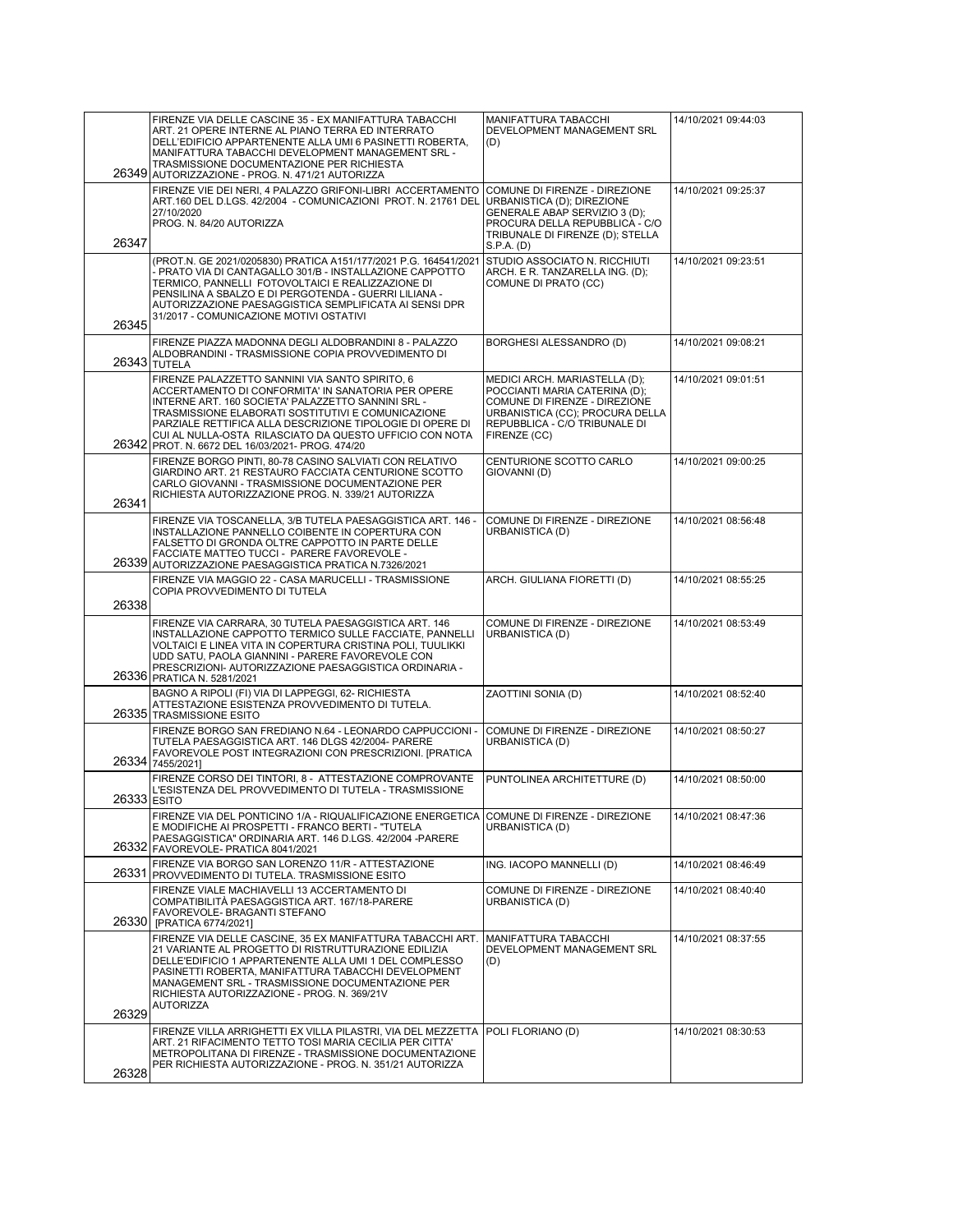|             | FIRENZE VIA DELLE CASCINE 35 - EX MANIFATTURA TABACCHI<br>ART. 21 OPERE INTERNE AL PIANO TERRA ED INTERRATO<br>DELL'EDIFICIO APPARTENENTE ALLA UMI 6 PASINETTI ROBERTA,<br>MANIFATTURA TABACCHI DEVELOPMENT MANAGEMENT SRL -<br>TRASMISSIONE DOCUMENTAZIONE PER RICHIESTA                                                                                                                     | MANIFATTURA TABACCHI<br>DEVELOPMENT MANAGEMENT SRL<br>(D)                                                                                                                           | 14/10/2021 09:44:03 |
|-------------|-----------------------------------------------------------------------------------------------------------------------------------------------------------------------------------------------------------------------------------------------------------------------------------------------------------------------------------------------------------------------------------------------|-------------------------------------------------------------------------------------------------------------------------------------------------------------------------------------|---------------------|
| 26347       | 26349 AUTORIZZAZIONE - PROG. N. 471/21 AUTORIZZA<br>FIRENZE VIE DEI NERI, 4 PALAZZO GRIFONI-LIBRI ACCERTAMENTO<br>ART.160 DEL D.LGS. 42/2004 - COMUNICAZIONI PROT. N. 21761 DEL<br>27/10/2020<br>PROG. N. 84/20 AUTORIZZA                                                                                                                                                                     | COMUNE DI FIRENZE - DIREZIONE<br>URBANISTICA (D); DIREZIONE<br>GENERALE ABAP SERVIZIO 3 (D);<br>PROCURA DELLA REPUBBLICA - C/O<br>TRIBUNALE DI FIRENZE (D); STELLA<br>S.P.A. (D)    | 14/10/2021 09:25:37 |
| 26345       | (PROT.N. GE 2021/0205830) PRATICA A151/177/2021 P.G. 164541/2021<br>- PRATO VIA DI CANTAGALLO 301/B - INSTALLAZIONE CAPPOTTO<br>TERMICO, PANNELLI FOTOVOLTAICI E REALIZZAZIONE DI<br>PENSILINA A SBALZO E DI PERGOTENDA - GUERRI LILIANA -<br>AUTORIZZAZIONE PAESAGGISTICA SEMPLIFICATA AI SENSI DPR<br>31/2017 - COMUNICAZIONE MOTIVI OSTATIVI                                               | STUDIO ASSOCIATO N. RICCHIUTI<br>ARCH. E R. TANZARELLA ING. (D);<br>COMUNE DI PRATO (CC)                                                                                            | 14/10/2021 09:23:51 |
|             | FIRENZE PIAZZA MADONNA DEGLI ALDOBRANDINI 8 - PALAZZO<br>ALDOBRANDINI - TRASMISSIONE COPIA PROVVEDIMENTO DI<br><b>26343 TUTELA</b>                                                                                                                                                                                                                                                            | BORGHESI ALESSANDRO (D)                                                                                                                                                             | 14/10/2021 09:08:21 |
|             | FIRENZE PALAZZETTO SANNINI VIA SANTO SPIRITO, 6<br>ACCERTAMENTO DI CONFORMITA' IN SANATORIA PER OPERE<br>INTERNE ART. 160 SOCIETA' PALAZZETTO SANNINI SRL -<br>TRASMISSIONE ELABORATI SOSTITUTIVI E COMUNICAZIONE<br>PARZIALE RETTIFICA ALLA DESCRIZIONE TIPOLOGIE DI OPERE DI<br>CUI AL NULLA-OSTA RILASCIATO DA QUESTO UFFICIO CON NOTA<br>26342 PROT. N. 6672 DEL 16/03/2021- PROG. 474/20 | MEDICI ARCH. MARIASTELLA (D);<br>POCCIANTI MARIA CATERINA (D);<br>COMUNE DI FIRENZE - DIREZIONE<br>URBANISTICA (CC): PROCURA DELLA<br>REPUBBLICA - C/O TRIBUNALE DI<br>FIRENZE (CC) | 14/10/2021 09:01:51 |
| 26341       | FIRENZE BORGO PINTI, 80-78 CASINO SALVIATI CON RELATIVO<br>GIARDINO ART. 21 RESTAURO FACCIATA CENTURIONE SCOTTO<br>CARLO GIOVANNI - TRASMISSIONE DOCUMENTAZIONE PER<br>RICHIESTA AUTORIZZAZIONE PROG. N. 339/21 AUTORIZZA                                                                                                                                                                     | CENTURIONE SCOTTO CARLO<br>GIOVANNI (D)                                                                                                                                             | 14/10/2021 09:00:25 |
| 26339       | FIRENZE VIA TOSCANELLA, 3/B TUTELA PAESAGGISTICA ART. 146 -<br>INSTALLAZIONE PANNELLO COIBENTE IN COPERTURA CON<br>FALSETTO DI GRONDA OLTRE CAPPOTTO IN PARTE DELLE<br>FACCIATE MATTEO TUCCI - PARERE FAVOREVOLE -<br>AUTORIZZAZIONE PAESAGGISTICA PRATICA N.7326/2021                                                                                                                        | COMUNE DI FIRENZE - DIREZIONE<br>URBANISTICA (D)                                                                                                                                    | 14/10/2021 08:56:48 |
| 26338       | FIRENZE VIA MAGGIO 22 - CASA MARUCELLI - TRASMISSIONE<br>COPIA PROVVEDIMENTO DI TUTELA                                                                                                                                                                                                                                                                                                        | ARCH. GIULIANA FIORETTI (D)                                                                                                                                                         | 14/10/2021 08:55:25 |
|             | FIRENZE VIA CARRARA, 30 TUTELA PAESAGGISTICA ART. 146<br>INSTALLAZIONE CAPPOTTO TERMICO SULLE FACCIATE, PANNELLI<br>VOLTAICI E LINEA VITA IN COPERTURA CRISTINA POLI, TUULIKKI<br>UDD SATU, PAOLA GIANNINI - PARERE FAVOREVOLE CON<br>PRESCRIZIONI- AUTORIZZAZIONE PAESAGGISTICA ORDINARIA -<br>26336 PRATICA N. 5281/2021                                                                    | COMUNE DI FIRENZE - DIREZIONE<br>URBANISTICA (D)                                                                                                                                    | 14/10/2021 08:53:49 |
|             | BAGNO A RIPOLI (FI) VIA DI LAPPEGGI, 62- RICHIESTA<br>ATTESTAZIONE ESISTENZA PROVVEDIMENTO DI TUTELA.<br>26335 TRASMISSIONE ESITO                                                                                                                                                                                                                                                             | ZAOTTINI SONIA (D)                                                                                                                                                                  | 14/10/2021 08:52:40 |
|             | FIRENZE BORGO SAN FREDIANO N.64 - LEONARDO CAPPUCCIONI -<br>TUTELA PAESAGGISTICA ART. 146 DLGS 42/2004- PARERE<br>FAVOREVOLE POST INTEGRAZIONI CON PRESCRIZIONI. [PRATICA<br>26334 7455/2021]                                                                                                                                                                                                 | COMUNE DI FIRENZE - DIREZIONE<br>URBANISTICA (D)                                                                                                                                    | 14/10/2021 08:50:27 |
| 26333 ESITO | FIRENZE CORSO DEI TINTORI, 8 - ATTESTAZIONE COMPROVANTE<br>L'ESISTENZA DEL PROVVEDIMENTO DI TUTELA - TRASMISSIONE                                                                                                                                                                                                                                                                             | PUNTOLINEA ARCHITETTURE (D)                                                                                                                                                         | 14/10/2021 08:50:00 |
|             | FIRENZE VIA DEL PONTICINO 1/A - RIQUALIFICAZIONE ENERGETICA<br>E MODIFICHE AI PROSPETTI - FRANCO BERTI - "TUTELA<br>PAESAGGISTICA" ORDINARIA ART. 146 D.LGS. 42/2004 - PARERE<br>26332 FAVOREVOLE- PRATICA 8041/2021                                                                                                                                                                          | COMUNE DI FIRENZE - DIREZIONE<br>URBANISTICA (D)                                                                                                                                    | 14/10/2021 08:47:36 |
| 26331       | FIRENZE VIA BORGO SAN LORENZO 11/R - ATTESTAZIONE<br>PROVVEDIMENTO DI TUTELA. TRASMISSIONE ESITO                                                                                                                                                                                                                                                                                              | ING. IACOPO MANNELLI (D)                                                                                                                                                            | 14/10/2021 08:46:49 |
| 26330       | FIRENZE VIALE MACHIAVELLI 13 ACCERTAMENTO DI<br>COMPATIBILITÀ PAESAGGISTICA ART. 167/18-PARERE<br>FAVOREVOLE- BRAGANTI STEFANO<br>[PRATICA 6774/2021]                                                                                                                                                                                                                                         | COMUNE DI FIRENZE - DIREZIONE<br>URBANISTICA (D)                                                                                                                                    | 14/10/2021 08:40:40 |
| 26329       | FIRENZE VIA DELLE CASCINE, 35 EX MANIFATTURA TABACCHI ART.<br>21 VARIANTE AL PROGETTO DI RISTRUTTURAZIONE EDILIZIA<br>DELLE'EDIFICIO 1 APPARTENENTE ALLA UMI 1 DEL COMPLESSO<br>PASINETTI ROBERTA, MANIFATTURA TABACCHI DEVELOPMENT<br>MANAGEMENT SRL - TRASMISSIONE DOCUMENTAZIONE PER<br>RICHIESTA AUTORIZZAZIONE - PROG. N. 369/21V<br><b>AUTORIZZA</b>                                    | MANIFATTURA TABACCHI<br>DEVELOPMENT MANAGEMENT SRL<br>(D)                                                                                                                           | 14/10/2021 08:37:55 |
| 26328       | FIRENZE VILLA ARRIGHETTI EX VILLA PILASTRI, VIA DEL MEZZETTA<br>ART. 21 RIFACIMENTO TETTO TOSI MARIA CECILIA PER CITTA'<br>METROPOLITANA DI FIRENZE - TRASMISSIONE DOCUMENTAZIONE<br>PER RICHIESTA AUTORIZZAZIONE - PROG. N. 351/21 AUTORIZZA                                                                                                                                                 | POLI FLORIANO (D)                                                                                                                                                                   | 14/10/2021 08:30:53 |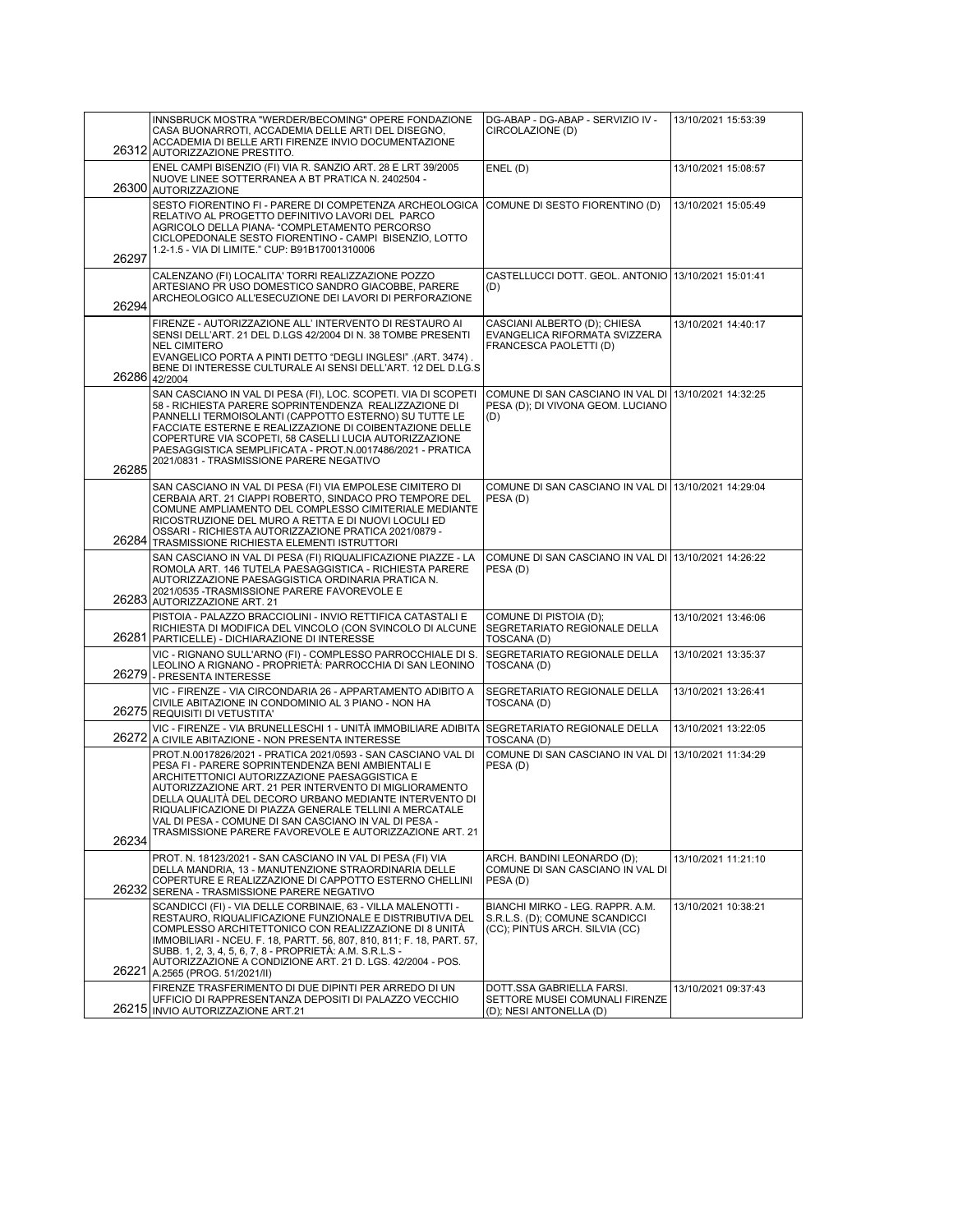|       | INNSBRUCK MOSTRA "WERDER/BECOMING" OPERE FONDAZIONE<br>CASA BUONARROTI, ACCADEMIA DELLE ARTI DEL DISEGNO,<br>ACCADEMIA DI BELLE ARTI FIRENZE INVIO DOCUMENTAZIONE<br>26312 AUTORIZZAZIONE PRESTITO.                                                                                                                                                                                                                                                                    | DG-ABAP - DG-ABAP - SERVIZIO IV -<br>CIRCOLAZIONE (D)                                                | 13/10/2021 15:53:39 |
|-------|------------------------------------------------------------------------------------------------------------------------------------------------------------------------------------------------------------------------------------------------------------------------------------------------------------------------------------------------------------------------------------------------------------------------------------------------------------------------|------------------------------------------------------------------------------------------------------|---------------------|
|       | ENEL CAMPI BISENZIO (FI) VIA R. SANZIO ART. 28 E LRT 39/2005<br>NUOVE LINEE SOTTERRANEA A BT PRATICA N. 2402504 -<br>26300 AUTORIZZAZIONE                                                                                                                                                                                                                                                                                                                              | ENEL (D)                                                                                             | 13/10/2021 15:08:57 |
| 26297 | SESTO FIORENTINO FI - PARERE DI COMPETENZA ARCHEOLOGICA<br>RELATIVO AL PROGETTO DEFINITIVO LAVORI DEL PARCO<br>AGRICOLO DELLA PIANA- "COMPLETAMENTO PERCORSO<br>CICLOPEDONALE SESTO FIORENTINO - CAMPI BISENZIO, LOTTO<br>1.2-1.5 - VIA DI LIMITE." CUP: B91B17001310006                                                                                                                                                                                               | COMUNE DI SESTO FIORENTINO (D)                                                                       | 13/10/2021 15:05:49 |
| 26294 | CALENZANO (FI) LOCALITA' TORRI REALIZZAZIONE POZZO<br>ARTESIANO PR USO DOMESTICO SANDRO GIACOBBE, PARERE<br>ARCHEOLOGICO ALL'ESECUZIONE DEI LAVORI DI PERFORAZIONE                                                                                                                                                                                                                                                                                                     | CASTELLUCCI DOTT. GEOL. ANTONIO 13/10/2021 15:01:41<br>(D)                                           |                     |
|       | FIRENZE - AUTORIZZAZIONE ALL'INTERVENTO DI RESTAURO AI<br>SENSI DELL'ART. 21 DEL D.LGS 42/2004 DI N. 38 TOMBE PRESENTI<br><b>NEL CIMITERO</b><br>EVANGELICO PORTA A PINTI DETTO "DEGLI INGLESI" .(ART. 3474).<br>BENE DI INTERESSE CULTURALE AI SENSI DELL'ART. 12 DEL D.LG.S<br>26286 42/2004                                                                                                                                                                         | CASCIANI ALBERTO (D); CHIESA<br>EVANGELICA RIFORMATA SVIZZERA<br>FRANCESCA PAOLETTI (D)              | 13/10/2021 14:40:17 |
| 26285 | SAN CASCIANO IN VAL DI PESA (FI), LOC. SCOPETI. VIA DI SCOPETI<br>58 - RICHIESTA PARERE SOPRINTENDENZA REALIZZAZIONE DI<br>PANNELLI TERMOISOLANTI (CAPPOTTO ESTERNO) SU TUTTE LE<br>FACCIATE ESTERNE E REALIZZAZIONE DI COIBENTAZIONE DELLE<br>COPERTURE VIA SCOPETI, 58 CASELLI LUCIA AUTORIZZAZIONE<br>PAESAGGISTICA SEMPLIFICATA - PROT.N.0017486/2021 - PRATICA<br>2021/0831 - TRASMISSIONE PARERE NEGATIVO                                                        | COMUNE DI SAN CASCIANO IN VAL DI 13/10/2021 14:32:25<br>PESA (D); DI VIVONA GEOM. LUCIANO<br>(D)     |                     |
|       | SAN CASCIANO IN VAL DI PESA (FI) VIA EMPOLESE CIMITERO DI<br>CERBAIA ART. 21 CIAPPI ROBERTO, SINDACO PRO TEMPORE DEL<br>COMUNE AMPLIAMENTO DEL COMPLESSO CIMITERIALE MEDIANTE<br>RICOSTRUZIONE DEL MURO A RETTA E DI NUOVI LOCULI ED<br>OSSARI - RICHIESTA AUTORIZZAZIONE PRATICA 2021/0879 -<br>26284 TRASMISSIONE RICHIESTA ELEMENTI ISTRUTTORI                                                                                                                      | COMUNE DI SAN CASCIANO IN VAL DI 13/10/2021 14:29:04<br>PESA(D)                                      |                     |
|       | SAN CASCIANO IN VAL DI PESA (FI) RIQUALIFICAZIONE PIAZZE - LA<br>ROMOLA ART. 146 TUTELA PAESAGGISTICA - RICHIESTA PARERE<br>AUTORIZZAZIONE PAESAGGISTICA ORDINARIA PRATICA N.<br>2021/0535 - TRASMISSIONE PARERE FAVOREVOLE E<br>26283 AUTORIZZAZIONE ART. 21                                                                                                                                                                                                          | COMUNE DI SAN CASCIANO IN VAL DI 13/10/2021 14:26:22<br>PESA(D)                                      |                     |
|       | PISTOIA - PALAZZO BRACCIOLINI - INVIO RETTIFICA CATASTALI E<br>RICHIESTA DI MODIFICA DEL VINCOLO (CON SVINCOLO DI ALCUNE<br>26281 PARTICELLE) - DICHIARAZIONE DI INTERESSE                                                                                                                                                                                                                                                                                             | COMUNE DI PISTOIA (D);<br>SEGRETARIATO REGIONALE DELLA<br>TOSCANA (D)                                | 13/10/2021 13:46:06 |
| 26279 | VIC - RIGNANO SULL'ARNO (FI) - COMPLESSO PARROCCHIALE DI S.<br>LEOLINO A RIGNANO - PROPRIETÀ: PARROCCHIA DI SAN LEONINO<br>- PRESENTA INTERESSE                                                                                                                                                                                                                                                                                                                        | SEGRETARIATO REGIONALE DELLA<br>TOSCANA (D)                                                          | 13/10/2021 13:35:37 |
|       | VIC - FIRENZE - VIA CIRCONDARIA 26 - APPARTAMENTO ADIBITO A<br>CIVILE ABITAZIONE IN CONDOMINIO AL 3 PIANO - NON HA<br>26275 REQUISITI DI VETUSTITA'                                                                                                                                                                                                                                                                                                                    | SEGRETARIATO REGIONALE DELLA<br>TOSCANA (D)                                                          | 13/10/2021 13:26:41 |
|       | VIC - FIRENZE - VIA BRUNELLESCHI 1 - UNITÀ IMMOBILIARE ADIBITA<br>26272 A CIVILE ABITAZIONE - NON PRESENTA INTERESSE                                                                                                                                                                                                                                                                                                                                                   | SEGRETARIATO REGIONALE DELLA<br>TOSCANA (D)                                                          | 13/10/2021 13:22:05 |
| 26234 | PROT.N.0017826/2021 - PRATICA 2021/0593 - SAN CASCIANO VAL DI<br>PESA FI - PARERE SOPRINTENDENZA BENI AMBIENTALI E<br>ARCHITETTONICI AUTORIZZAZIONE PAESAGGISTICA E<br>AUTORIZZAZIONE ART. 21 PER INTERVENTO DI MIGLIORAMENTO<br>DELLA QUALITÀ DEL DECORO URBANO MEDIANTE INTERVENTO DI<br>RIQUALIFICAZIONE DI PIAZZA GENERALE TELLINI A MERCATALE<br>VAL DI PESA - COMUNE DI SAN CASCIANO IN VAL DI PESA -<br>TRASMISSIONE PARERE FAVOREVOLE E AUTORIZZAZIONE ART. 21 | COMUNE DI SAN CASCIANO IN VAL DI 13/10/2021 11:34:29<br>PESA(D)                                      |                     |
| 26232 | PROT. N. 18123/2021 - SAN CASCIANO IN VAL DI PESA (FI) VIA<br>DELLA MANDRIA, 13 - MANUTENZIONE STRAORDINARIA DELLE<br>COPERTURE E REALIZZAZIONE DI CAPPOTTO ESTERNO CHELLINI<br>SERENA - TRASMISSIONE PARERE NEGATIVO                                                                                                                                                                                                                                                  | ARCH. BANDINI LEONARDO (D);<br>COMUNE DI SAN CASCIANO IN VAL DI<br>PESA (D)                          | 13/10/2021 11:21:10 |
|       | SCANDICCI (FI) - VIA DELLE CORBINAIE, 63 - VILLA MALENOTTI -<br>RESTAURO, RIQUALIFICAZIONE FUNZIONALE E DISTRIBUTIVA DEL<br>COMPLESSO ARCHITETTONICO CON REALIZZAZIONE DI 8 UNITÀ<br>IMMOBILIARI - NCEU. F. 18, PARTT. 56, 807, 810, 811; F. 18, PART. 57,<br>SUBB. 1, 2, 3, 4, 5, 6, 7, 8 - PROPRIETA: A.M. S.R.L.S -<br>AUTORIZZAZIONE A CONDIZIONE ART. 21 D. LGS. 42/2004 - POS.<br>26221 A.2565 (PROG. 51/2021/II)                                                | BIANCHI MIRKO - LEG. RAPPR. A.M.<br>S.R.L.S. (D); COMUNE SCANDICCI<br>(CC); PINTUS ARCH. SILVIA (CC) | 13/10/2021 10:38:21 |
|       | FIRENZE TRASFERIMENTO DI DUE DIPINTI PER ARREDO DI UN<br>UFFICIO DI RAPPRESENTANZA DEPOSITI DI PALAZZO VECCHIO<br>26215 INVIO AUTORIZZAZIONE ART.21                                                                                                                                                                                                                                                                                                                    | DOTT.SSA GABRIELLA FARSI.<br>SETTORE MUSEI COMUNALI FIRENZE<br>(D); NESI ANTONELLA (D)               | 13/10/2021 09:37:43 |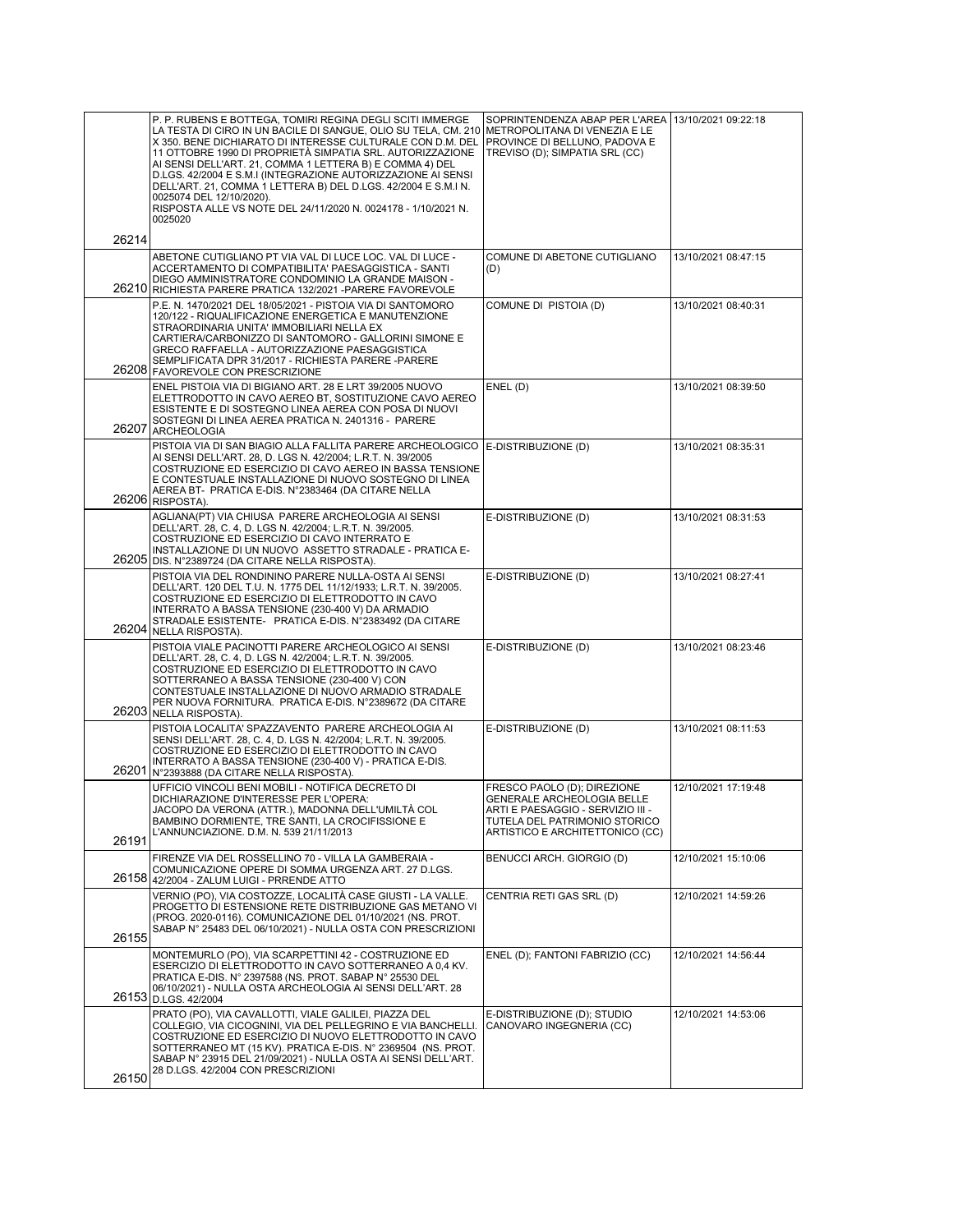|       | P. P. RUBENS E BOTTEGA, TOMIRI REGINA DEGLI SCITI IMMERGE<br>LA TESTA DI CIRO IN UN BACILE DI SANGUE, OLIO SU TELA, CM. 210   METROPOLITANA DI VENEZIA E LE<br>X 350. BENE DICHIARATO DI INTERESSE CULTURALE CON D.M. DEL<br>11 OTTOBRE 1990 DI PROPRIETÀ SIMPATIA SRL. AUTORIZZAZIONE<br>AI SENSI DELL'ART. 21, COMMA 1 LETTERA B) E COMMA 4) DEL<br>D.LGS. 42/2004 E S.M.I (INTEGRAZIONE AUTORIZZAZIONE AI SENSI<br>DELL'ART. 21, COMMA 1 LETTERA B) DEL D.LGS. 42/2004 E S.M.I N.<br>0025074 DEL 12/10/2020).<br>RISPOSTA ALLE VS NOTE DEL 24/11/2020 N. 0024178 - 1/10/2021 N.<br>0025020 | SOPRINTENDENZA ABAP PER L'AREA   13/10/2021 09:22:18<br>PROVINCE DI BELLUNO, PADOVA E<br>TREVISO (D); SIMPATIA SRL (CC)                                            |                     |
|-------|-----------------------------------------------------------------------------------------------------------------------------------------------------------------------------------------------------------------------------------------------------------------------------------------------------------------------------------------------------------------------------------------------------------------------------------------------------------------------------------------------------------------------------------------------------------------------------------------------|--------------------------------------------------------------------------------------------------------------------------------------------------------------------|---------------------|
| 26214 |                                                                                                                                                                                                                                                                                                                                                                                                                                                                                                                                                                                               |                                                                                                                                                                    |                     |
|       | ABETONE CUTIGLIANO PT VIA VAL DI LUCE LOC. VAL DI LUCE -<br>ACCERTAMENTO DI COMPATIBILITA' PAESAGGISTICA - SANTI<br>DIEGO AMMINISTRATORE CONDOMINIO LA GRANDE MAISON -<br>26210 RICHIESTA PARERE PRATICA 132/2021 - PARERE FAVOREVOLE                                                                                                                                                                                                                                                                                                                                                         | COMUNE DI ABETONE CUTIGLIANO<br>(D)                                                                                                                                | 13/10/2021 08:47:15 |
|       | P.E. N. 1470/2021 DEL 18/05/2021 - PISTOIA VIA DI SANTOMORO<br>120/122 - RIQUALIFICAZIONE ENERGETICA E MANUTENZIONE<br>STRAORDINARIA UNITA' IMMOBILIARI NELLA EX<br>CARTIERA/CARBONIZZO DI SANTOMORO - GALLORINI SIMONE E<br>GRECO RAFFAELLA - AUTORIZZAZIONE PAESAGGISTICA<br>SEMPLIFICATA DPR 31/2017 - RICHIESTA PARERE -PARERE<br>26208 FAVOREVOLE CON PRESCRIZIONE                                                                                                                                                                                                                       | COMUNE DI PISTOIA (D)                                                                                                                                              | 13/10/2021 08:40:31 |
|       | ENEL PISTOIA VIA DI BIGIANO ART. 28 E LRT 39/2005 NUOVO<br>ELETTRODOTTO IN CAVO AEREO BT, SOSTITUZIONE CAVO AEREO<br>ESISTENTE E DI SOSTEGNO LINEA AEREA CON POSA DI NUOVI<br>SOSTEGNI DI LINEA AEREA PRATICA N. 2401316 - PARERE<br>26207 ARCHEOLOGIA                                                                                                                                                                                                                                                                                                                                        | ENEL(D)                                                                                                                                                            | 13/10/2021 08:39:50 |
|       | PISTOIA VIA DI SAN BIAGIO ALLA FALLITA PARERE ARCHEOLOGICO<br>AI SENSI DELL'ART. 28, D. LGS N. 42/2004; L.R.T. N. 39/2005<br>COSTRUZIONE ED ESERCIZIO DI CAVO AEREO IN BASSA TENSIONE<br>E CONTESTUALE INSTALLAZIONE DI NUOVO SOSTEGNO DI LINEA<br>AEREA BT- PRATICA E-DIS. N°2383464 (DA CITARE NELLA<br>26206 RISPOSTA).                                                                                                                                                                                                                                                                    | E-DISTRIBUZIONE (D)                                                                                                                                                | 13/10/2021 08:35:31 |
|       | AGLIANA(PT) VIA CHIUSA PARERE ARCHEOLOGIA AI SENSI<br>DELL'ART. 28, C. 4, D. LGS N. 42/2004; L.R.T. N. 39/2005.<br>COSTRUZIONE ED ESERCIZIO DI CAVO INTERRATO E<br>INSTALLAZIONE DI UN NUOVO ASSETTO STRADALE - PRATICA E-<br>26205 DIS. N°2389724 (DA CITARE NELLA RISPOSTA).                                                                                                                                                                                                                                                                                                                | E-DISTRIBUZIONE (D)                                                                                                                                                | 13/10/2021 08:31:53 |
| 26204 | PISTOIA VIA DEL RONDININO PARERE NULLA-OSTA AI SENSI<br>DELL'ART. 120 DEL T.U. N. 1775 DEL 11/12/1933; L.R.T. N. 39/2005.<br>COSTRUZIONE ED ESERCIZIO DI ELETTRODOTTO IN CAVO<br>INTERRATO A BASSA TENSIONE (230-400 V) DA ARMADIO<br>STRADALE ESISTENTE- PRATICA E-DIS. N°2383492 (DA CITARE<br>NELLA RISPOSTA).                                                                                                                                                                                                                                                                             | E-DISTRIBUZIONE (D)                                                                                                                                                | 13/10/2021 08:27:41 |
|       | PISTOIA VIALE PACINOTTI PARERE ARCHEOLOGICO AI SENSI<br>DELL'ART. 28, C. 4, D. LGS N. 42/2004; L.R.T. N. 39/2005.<br>COSTRUZIONE ED ESERCIZIO DI ELETTRODOTTO IN CAVO<br>SOTTERRANEO A BASSA TENSIONE (230-400 V) CON<br>CONTESTUALE INSTALLAZIONE DI NUOVO ARMADIO STRADALE<br>PER NUOVA FORNITURA. PRATICA E-DIS. N°2389672 (DA CITARE<br>26203 NELLA RISPOSTA).                                                                                                                                                                                                                            | E-DISTRIBUZIONE (D)                                                                                                                                                | 13/10/2021 08:23:46 |
| 26201 | PISTOIA LOCALITA' SPAZZAVENTO PARERE ARCHEOLOGIA AI<br>SENSI DELL'ART. 28, C. 4, D. LGS N. 42/2004; L.R.T. N. 39/2005.<br>COSTRUZIONE ED ESERCIZIO DI ELETTRODOTTO IN CAVO<br>INTERRATO A BASSA TENSIONE (230-400 V) - PRATICA E-DIS.<br>N°2393888 (DA CITARE NELLA RISPOSTA).                                                                                                                                                                                                                                                                                                                | E-DISTRIBUZIONE (D)                                                                                                                                                | 13/10/2021 08:11:53 |
| 26191 | UFFICIO VINCOLI BENI MOBILI - NOTIFICA DECRETO DI<br>DICHIARAZIONE D'INTERESSE PER L'OPERA:<br>JACOPO DA VERONA (ATTR.), MADONNA DELL'UMILTA COL<br>BAMBINO DORMIENTE, TRE SANTI, LA CROCIFISSIONE E<br>L'ANNUNCIAZIONE. D.M. N. 539 21/11/2013                                                                                                                                                                                                                                                                                                                                               | FRESCO PAOLO (D): DIREZIONE<br>GENERALE ARCHEOLOGIA BELLE<br>ARTI E PAESAGGIO - SERVIZIO III -<br>TUTELA DEL PATRIMONIO STORICO<br>ARTISTICO E ARCHITETTONICO (CC) | 12/10/2021 17:19:48 |
| 26158 | FIRENZE VIA DEL ROSSELLINO 70 - VILLA LA GAMBERAIA -<br>COMUNICAZIONE OPERE DI SOMMA URGENZA ART. 27 D.LGS.<br>42/2004 - ZALUM LUIGI - PRRENDE ATTO                                                                                                                                                                                                                                                                                                                                                                                                                                           | BENUCCI ARCH. GIORGIO (D)                                                                                                                                          | 12/10/2021 15:10:06 |
| 26155 | VERNIO (PO), VIA COSTOZZE, LOCALITÀ CASE GIUSTI - LA VALLE.<br>PROGETTO DI ESTENSIONE RETE DISTRIBUZIONE GAS METANO VI<br>(PROG. 2020-0116). COMUNICAZIONE DEL 01/10/2021 (NS. PROT.<br>SABAP N° 25483 DEL 06/10/2021) - NULLA OSTA CON PRESCRIZIONI                                                                                                                                                                                                                                                                                                                                          | CENTRIA RETI GAS SRL (D)                                                                                                                                           | 12/10/2021 14:59:26 |
|       | MONTEMURLO (PO), VIA SCARPETTINI 42 - COSTRUZIONE ED<br>ESERCIZIO DI ELETTRODOTTO IN CAVO SOTTERRANEO A 0,4 KV.<br>PRATICA E-DIS. N° 2397588 (NS. PROT. SABAP N° 25530 DEL<br>06/10/2021) - NULLA OSTA ARCHEOLOGIA AI SENSI DELL'ART. 28<br>26153 D.LGS. 42/2004                                                                                                                                                                                                                                                                                                                              | ENEL (D); FANTONI FABRIZIO (CC)                                                                                                                                    | 12/10/2021 14:56:44 |
| 26150 | PRATO (PO), VIA CAVALLOTTI, VIALE GALILEI, PIAZZA DEL<br>COLLEGIO, VIA CICOGNINI, VIA DEL PELLEGRINO E VIA BANCHELLI.<br>COSTRUZIONE ED ESERCIZIO DI NUOVO ELETTRODOTTO IN CAVO<br>SOTTERRANEO MT (15 KV). PRATICA E-DIS. N° 2369504 (NS. PROT.<br>SABAP N° 23915 DEL 21/09/2021) - NULLA OSTA AI SENSI DELL'ART.<br>28 D.LGS. 42/2004 CON PRESCRIZIONI                                                                                                                                                                                                                                       | E-DISTRIBUZIONE (D); STUDIO<br>CANOVARO INGEGNERIA (CC)                                                                                                            | 12/10/2021 14:53:06 |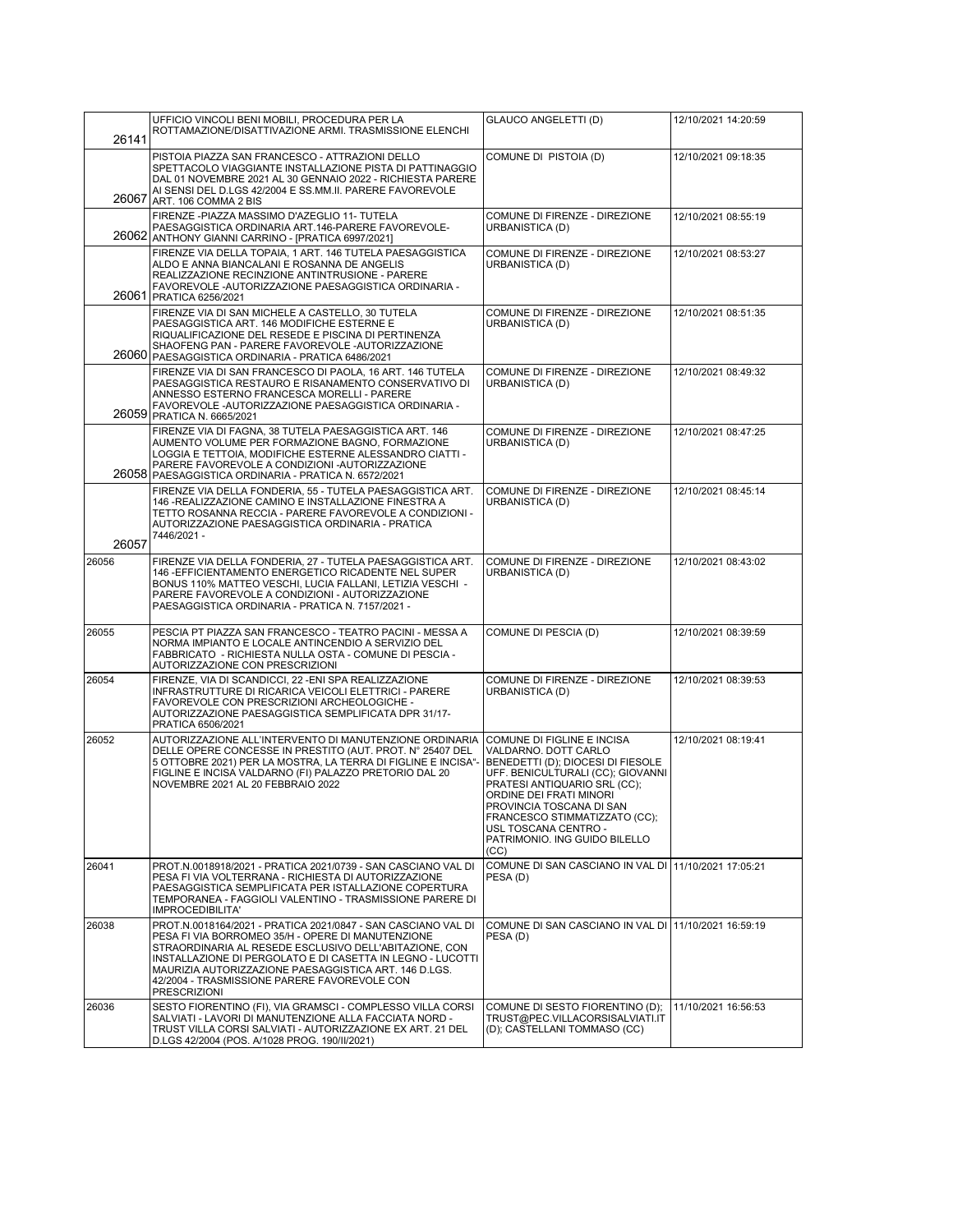|       | UFFICIO VINCOLI BENI MOBILI, PROCEDURA PER LA                                                                                                                                                                                                                                                                                                                              | GLAUCO ANGELETTI (D)                                                                                                                                                                                                                                                                                                  | 12/10/2021 14:20:59 |
|-------|----------------------------------------------------------------------------------------------------------------------------------------------------------------------------------------------------------------------------------------------------------------------------------------------------------------------------------------------------------------------------|-----------------------------------------------------------------------------------------------------------------------------------------------------------------------------------------------------------------------------------------------------------------------------------------------------------------------|---------------------|
| 26141 | ROTTAMAZIONE/DISATTIVAZIONE ARMI. TRASMISSIONE ELENCHI                                                                                                                                                                                                                                                                                                                     |                                                                                                                                                                                                                                                                                                                       |                     |
| 26067 | PISTOIA PIAZZA SAN FRANCESCO - ATTRAZIONI DELLO<br>SPETTACOLO VIAGGIANTE INSTALLAZIONE PISTA DI PATTINAGGIO<br>DAL 01 NOVEMBRE 2021 AL 30 GENNAIO 2022 - RICHIESTA PARERE<br>AI SENSI DEL D.LGS 42/2004 E SS.MM.II. PARERE FAVOREVOLE<br>ART. 106 COMMA 2 BIS                                                                                                              | COMUNE DI PISTOIA (D)                                                                                                                                                                                                                                                                                                 | 12/10/2021 09:18:35 |
|       | FIRENZE - PIAZZA MASSIMO D'AZEGLIO 11- TUTELA<br>PAESAGGISTICA ORDINARIA ART.146-PARERE FAVOREVOLE-<br>26062 ANTHONY GIANNI CARRINO - [PRATICA 6997/2021]                                                                                                                                                                                                                  | COMUNE DI FIRENZE - DIREZIONE<br>URBANISTICA (D)                                                                                                                                                                                                                                                                      | 12/10/2021 08:55:19 |
| 26061 | FIRENZE VIA DELLA TOPAIA, 1 ART. 146 TUTELA PAESAGGISTICA<br>ALDO E ANNA BIANCALANI E ROSANNA DE ANGELIS<br>REALIZZAZIONE RECINZIONE ANTINTRUSIONE - PARERE<br>FAVOREVOLE - AUTORIZZAZIONE PAESAGGISTICA ORDINARIA -<br><b>PRATICA 6256/2021</b>                                                                                                                           | COMUNE DI FIRENZE - DIREZIONE<br>URBANISTICA (D)                                                                                                                                                                                                                                                                      | 12/10/2021 08:53:27 |
|       | FIRENZE VIA DI SAN MICHELE A CASTELLO, 30 TUTELA<br>PAESAGGISTICA ART. 146 MODIFICHE ESTERNE E<br>RIQUALIFICAZIONE DEL RESEDE E PISCINA DI PERTINENZA<br>SHAOFENG PAN - PARERE FAVOREVOLE - AUTORIZZAZIONE<br>26060 PAESAGGISTICA ORDINARIA - PRATICA 6486/2021                                                                                                            | COMUNE DI FIRENZE - DIREZIONE<br>URBANISTICA (D)                                                                                                                                                                                                                                                                      | 12/10/2021 08:51:35 |
|       | FIRENZE VIA DI SAN FRANCESCO DI PAOLA, 16 ART. 146 TUTELA<br>PAESAGGISTICA RESTAURO E RISANAMENTO CONSERVATIVO DI<br>ANNESSO ESTERNO FRANCESCA MORELLI - PARERE<br>FAVOREVOLE - AUTORIZZAZIONE PAESAGGISTICA ORDINARIA -<br>26059 PRATICA N. 6665/2021                                                                                                                     | COMUNE DI FIRENZE - DIREZIONE<br>URBANISTICA (D)                                                                                                                                                                                                                                                                      | 12/10/2021 08:49:32 |
|       | FIRENZE VIA DI FAGNA, 38 TUTELA PAESAGGISTICA ART. 146<br>AUMENTO VOLUME PER FORMAZIONE BAGNO, FORMAZIONE<br>LOGGIA E TETTOIA. MODIFICHE ESTERNE ALESSANDRO CIATTI -<br>PARERE FAVOREVOLE A CONDIZIONI - AUTORIZZAZIONE<br>26058 PAESAGGISTICA ORDINARIA - PRATICA N. 6572/2021                                                                                            | COMUNE DI FIRENZE - DIREZIONE<br>URBANISTICA (D)                                                                                                                                                                                                                                                                      | 12/10/2021 08:47:25 |
| 26057 | FIRENZE VIA DELLA FONDERIA, 55 - TUTELA PAESAGGISTICA ART.<br>146 - REALIZZAZIONE CAMINO E INSTALLAZIONE FINESTRA A<br>TETTO ROSANNA RECCIA - PARERE FAVOREVOLE A CONDIZIONI -<br>AUTORIZZAZIONE PAESAGGISTICA ORDINARIA - PRATICA<br>7446/2021 -                                                                                                                          | COMUNE DI FIRENZE - DIREZIONE<br>URBANISTICA (D)                                                                                                                                                                                                                                                                      | 12/10/2021 08:45:14 |
| 26056 | FIRENZE VIA DELLA FONDERIA, 27 - TUTELA PAESAGGISTICA ART.<br>146 - EFFICIENTAMENTO ENERGETICO RICADENTE NEL SUPER<br>BONUS 110% MATTEO VESCHI, LUCIA FALLANI, LETIZIA VESCHI -<br>PARERE FAVOREVOLE A CONDIZIONI - AUTORIZZAZIONE<br>PAESAGGISTICA ORDINARIA - PRATICA N. 7157/2021 -                                                                                     | COMUNE DI FIRENZE - DIREZIONE<br>URBANISTICA (D)                                                                                                                                                                                                                                                                      | 12/10/2021 08:43:02 |
| 26055 | PESCIA PT PIAZZA SAN FRANCESCO - TEATRO PACINI - MESSA A<br>NORMA IMPIANTO E LOCALE ANTINCENDIO A SERVIZIO DEL<br>FABBRICATO - RICHIESTA NULLA OSTA - COMUNE DI PESCIA -<br>AUTORIZZAZIONE CON PRESCRIZIONI                                                                                                                                                                | COMUNE DI PESCIA (D)                                                                                                                                                                                                                                                                                                  | 12/10/2021 08:39:59 |
| 26054 | FIRENZE, VIA DI SCANDICCI, 22 - ENI SPA REALIZZAZIONE<br>INFRASTRUTTURE DI RICARICA VEICOLI ELETTRICI - PARERE<br>FAVOREVOLE CON PRESCRIZIONI ARCHEOLOGICHE -<br>AUTORIZZAZIONE PAESAGGISTICA SEMPLIFICATA DPR 31/17-<br>PRATICA 6506/2021                                                                                                                                 | COMUNE DI FIRENZE - DIREZIONE<br>URBANISTICA (D)                                                                                                                                                                                                                                                                      | 12/10/2021 08:39:53 |
| 26052 | AUTORIZZAZIONE ALL'INTERVENTO DI MANUTENZIONE ORDINARIA<br>DELLE OPERE CONCESSE IN PRESTITO (AUT. PROT. N° 25407 DEL<br>5 OTTOBRE 2021) PER LA MOSTRA, LA TERRA DI FIGLINE E INCISA"-<br>FIGLINE E INCISA VALDARNO (FI) PALAZZO PRETORIO DAL 20<br>NOVEMBRE 2021 AL 20 FEBBRAIO 2022                                                                                       | COMUNE DI FIGLINE E INCISA<br>VALDARNO. DOTT CARLO<br>BENEDETTI (D); DIOCESI DI FIESOLE<br>UFF. BENICULTURALI (CC); GIOVANNI<br>PRATESI ANTIQUARIO SRL (CC);<br>ORDINE DEI FRATI MINORI<br>PROVINCIA TOSCANA DI SAN<br>FRANCESCO STIMMATIZZATO (CC);<br>USL TOSCANA CENTRO -<br>PATRIMONIO. ING GUIDO BILELLO<br>(CC) | 12/10/2021 08:19:41 |
| 26041 | PROT.N.0018918/2021 - PRATICA 2021/0739 - SAN CASCIANO VAL DI<br>PESA FI VIA VOLTERRANA - RICHIESTA DI AUTORIZZAZIONE<br>PAESAGGISTICA SEMPLIFICATA PER ISTALLAZIONE COPERTURA<br>TEMPORANEA - FAGGIOLI VALENTINO - TRASMISSIONE PARERE DI<br><b>IMPROCEDIBILITA'</b>                                                                                                      | COMUNE DI SAN CASCIANO IN VAL DI 11/10/2021 17:05:21<br>PESA(D)                                                                                                                                                                                                                                                       |                     |
| 26038 | PROT.N.0018164/2021 - PRATICA 2021/0847 - SAN CASCIANO VAL DI<br>PESA FI VIA BORROMEO 35/H - OPERE DI MANUTENZIONE<br>STRAORDINARIA AL RESEDE ESCLUSIVO DELL'ABITAZIONE, CON<br>INSTALLAZIONE DI PERGOLATO E DI CASETTA IN LEGNO - LUCOTTI<br>MAURIZIA AUTORIZZAZIONE PAESAGGISTICA ART. 146 D.LGS.<br>42/2004 - TRASMISSIONE PARERE FAVOREVOLE CON<br><b>PRESCRIZIONI</b> | COMUNE DI SAN CASCIANO IN VAL DI<br>PESA (D)                                                                                                                                                                                                                                                                          | 11/10/2021 16:59:19 |
| 26036 | SESTO FIORENTINO (FI), VIA GRAMSCI - COMPLESSO VILLA CORSI<br>SALVIATI - LAVORI DI MANUTENZIONE ALLA FACCIATA NORD -<br>TRUST VILLA CORSI SALVIATI - AUTORIZZAZIONE EX ART. 21 DEL<br>D.LGS 42/2004 (POS. A/1028 PROG. 190/II/2021)                                                                                                                                        | COMUNE DI SESTO FIORENTINO (D);<br>TRUST@PEC.VILLACORSISALVIATI.IT<br>(D); CASTELLANI TOMMASO (CC)                                                                                                                                                                                                                    | 11/10/2021 16:56:53 |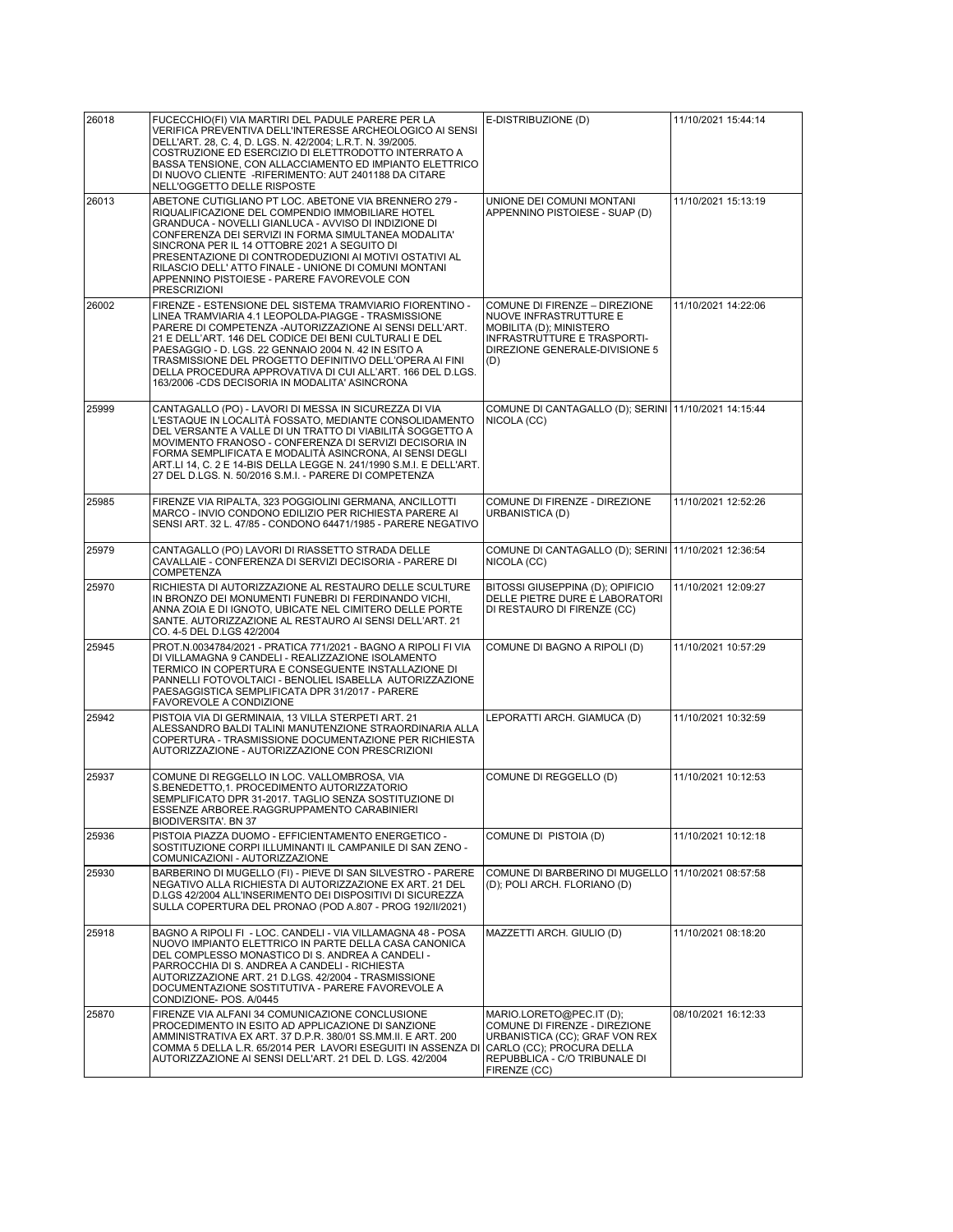| 26018 | FUCECCHIO(FI) VIA MARTIRI DEL PADULE PARERE PER LA<br>VERIFICA PREVENTIVA DELL'INTERESSE ARCHEOLOGICO AI SENSI<br>DELL'ART. 28, C. 4, D. LGS. N. 42/2004; L.R.T. N. 39/2005.<br>COSTRUZIONE ED ESERCIZIO DI ELETTRODOTTO INTERRATO A<br>BASSA TENSIONE, CON ALLACCIAMENTO ED IMPIANTO ELETTRICO<br>DI NUOVO CLIENTE - RIFERIMENTO: AUT 2401188 DA CITARE<br>NELL'OGGETTO DELLE RISPOSTE                                                                                   | E-DISTRIBUZIONE (D)                                                                                                                                                       | 11/10/2021 15:44:14 |
|-------|---------------------------------------------------------------------------------------------------------------------------------------------------------------------------------------------------------------------------------------------------------------------------------------------------------------------------------------------------------------------------------------------------------------------------------------------------------------------------|---------------------------------------------------------------------------------------------------------------------------------------------------------------------------|---------------------|
| 26013 | ABETONE CUTIGLIANO PT LOC. ABETONE VIA BRENNERO 279 -<br>RIQUALIFICAZIONE DEL COMPENDIO IMMOBILIARE HOTEL<br>GRANDUCA - NOVELLI GIANLUCA - AVVISO DI INDIZIONE DI<br>CONFERENZA DEI SERVIZI IN FORMA SIMULTANEA MODALITA'<br>SINCRONA PER IL 14 OTTOBRE 2021 A SEGUITO DI<br>PRESENTAZIONE DI CONTRODEDUZIONI AI MOTIVI OSTATIVI AL<br>RILASCIO DELL' ATTO FINALE - UNIONE DI COMUNI MONTANI<br>APPENNINO PISTOIESE - PARERE FAVOREVOLE CON<br><b>PRESCRIZIONI</b>        | UNIONE DEI COMUNI MONTANI<br>APPENNINO PISTOIESE - SUAP (D)                                                                                                               | 11/10/2021 15:13:19 |
| 26002 | FIRENZE - ESTENSIONE DEL SISTEMA TRAMVIARIO FIORENTINO -<br>LINEA TRAMVIARIA 4.1 LEOPOLDA-PIAGGE - TRASMISSIONE<br>PARERE DI COMPETENZA - AUTORIZZAZIONE AI SENSI DELL'ART.<br>21 E DELL'ART. 146 DEL CODICE DEI BENI CULTURALI E DEL<br>PAESAGGIO - D. LGS. 22 GENNAIO 2004 N. 42 IN ESITO A<br>TRASMISSIONE DEL PROGETTO DEFINITIVO DELL'OPERA AI FINI<br>DELLA PROCEDURA APPROVATIVA DI CUI ALL'ART. 166 DEL D.LGS.<br>163/2006 - CDS DECISORIA IN MODALITA' ASINCRONA | COMUNE DI FIRENZE – DIREZIONE<br><b>NUOVE INFRASTRUTTURE E</b><br>MOBILITA (D); MINISTERO<br>INFRASTRUTTURE E TRASPORTI-<br>DIREZIONE GENERALE-DIVISIONE 5<br>(D)         | 11/10/2021 14:22:06 |
| 25999 | CANTAGALLO (PO) - LAVORI DI MESSA IN SICUREZZA DI VIA<br>L'ESTAQUE IN LOCALITÀ FOSSATO. MEDIANTE CONSOLIDAMENTO<br>DEL VERSANTE A VALLE DI UN TRATTO DI VIABILITÀ SOGGETTO A<br>MOVIMENTO FRANOSO - CONFERENZA DI SERVIZI DECISORIA IN<br>FORMA SEMPLIFICATA E MODALITÀ ASINCRONA, AI SENSI DEGLI<br>ART.LI 14, C. 2 E 14-BIS DELLA LEGGE N. 241/1990 S.M.I. E DELL'ART.<br>27 DEL D.LGS. N. 50/2016 S.M.I. - PARERE DI COMPETENZA                                        | COMUNE DI CANTAGALLO (D); SERINI 11/10/2021 14:15:44<br>NICOLA (CC)                                                                                                       |                     |
| 25985 | FIRENZE VIA RIPALTA, 323 POGGIOLINI GERMANA, ANCILLOTTI<br>MARCO - INVIO CONDONO EDILIZIO PER RICHIESTA PARERE AI<br>SENSI ART. 32 L. 47/85 - CONDONO 64471/1985 - PARERE NEGATIVO                                                                                                                                                                                                                                                                                        | COMUNE DI FIRENZE - DIREZIONE<br>URBANISTICA (D)                                                                                                                          | 11/10/2021 12:52:26 |
| 25979 | CANTAGALLO (PO) LAVORI DI RIASSETTO STRADA DELLE<br>CAVALLAIE - CONFERENZA DI SERVIZI DECISORIA - PARERE DI<br>COMPETENZA                                                                                                                                                                                                                                                                                                                                                 | COMUNE DI CANTAGALLO (D); SERINI 11/10/2021 12:36:54<br>NICOLA (CC)                                                                                                       |                     |
| 25970 | RICHIESTA DI AUTORIZZAZIONE AL RESTAURO DELLE SCULTURE<br>IN BRONZO DEI MONUMENTI FUNEBRI DI FERDINANDO VICHI,<br>ANNA ZOIA E DI IGNOTO, UBICATE NEL CIMITERO DELLE PORTE<br>SANTE. AUTORIZZAZIONE AL RESTAURO AI SENSI DELL'ART. 21<br>CO. 4-5 DEL D.LGS 42/2004                                                                                                                                                                                                         | BITOSSI GIUSEPPINA (D); OPIFICIO<br>DELLE PIETRE DURE E LABORATORI<br>DI RESTAURO DI FIRENZE (CC)                                                                         | 11/10/2021 12:09:27 |
| 25945 | PROT.N.0034784/2021 - PRATICA 771/2021 - BAGNO A RIPOLI FI VIA<br>DI VILLAMAGNA 9 CANDELI - REALIZZAZIONE ISOLAMENTO<br>TERMICO IN COPERTURA E CONSEGUENTE INSTALLAZIONE DI<br>PANNELLI FOTOVOLTAICI - BENOLIEL ISABELLA AUTORIZZAZIONE<br>PAESAGGISTICA SEMPLIFICATA DPR 31/2017 - PARERE<br>FAVOREVOLE A CONDIZIONE                                                                                                                                                     | COMUNE DI BAGNO A RIPOLI (D)                                                                                                                                              | 11/10/2021 10:57:29 |
| 25942 | PISTOIA VIA DI GERMINAIA, 13 VILLA STERPETI ART. 21<br>ALESSANDRO BALDI TALINI MANUTENZIONE STRAORDINARIA ALLA<br>COPERTURA - TRASMISSIONE DOCUMENTAZIONE PER RICHIESTA<br>AUTORIZZAZIONE - AUTORIZZAZIONE CON PRESCRIZIONI                                                                                                                                                                                                                                               | LEPORATTI ARCH. GIAMUCA (D)                                                                                                                                               | 11/10/2021 10:32:59 |
| 25937 | COMUNE DI REGGELLO IN LOC. VALLOMBROSA, VIA<br>S.BENEDETTO, 1. PROCEDIMENTO AUTORIZZATORIO<br>SEMPLIFICATO DPR 31-2017. TAGLIO SENZA SOSTITUZIONE DI<br>ESSENZE ARBOREE.RAGGRUPPAMENTO CARABINIERI<br>BIODIVERSITA'. BN 37                                                                                                                                                                                                                                                | COMUNE DI REGGELLO (D)                                                                                                                                                    | 11/10/2021 10:12:53 |
| 25936 | PISTOIA PIAZZA DUOMO - EFFICIENTAMENTO ENERGETICO -<br>SOSTITUZIONE CORPI ILLUMINANTI IL CAMPANILE DI SAN ZENO -<br>COMUNICAZIONI - AUTORIZZAZIONE                                                                                                                                                                                                                                                                                                                        | COMUNE DI PISTOIA (D)                                                                                                                                                     | 11/10/2021 10:12:18 |
| 25930 | BARBERINO DI MUGELLO (FI) - PIEVE DI SAN SILVESTRO - PARERE<br>NEGATIVO ALLA RICHIESTA DI AUTORIZZAZIONE EX ART. 21 DEL<br>D.LGS 42/2004 ALL'INSERIMENTO DEI DISPOSITIVI DI SICUREZZA<br>SULLA COPERTURA DEL PRONAO (POD A.807 - PROG 192/II/2021)                                                                                                                                                                                                                        | COMUNE DI BARBERINO DI MUGELLO 11/10/2021 08:57:58<br>(D); POLI ARCH. FLORIANO (D)                                                                                        |                     |
| 25918 | BAGNO A RIPOLI FI - LOC. CANDELI - VIA VILLAMAGNA 48 - POSA<br>NUOVO IMPIANTO ELETTRICO IN PARTE DELLA CASA CANONICA<br>DEL COMPLESSO MONASTICO DI S. ANDREA A CANDELI -<br>PARROCCHIA DI S. ANDREA A CANDELI - RICHIESTA<br>AUTORIZZAZIONE ART. 21 D.LGS. 42/2004 - TRASMISSIONE<br>DOCUMENTAZIONE SOSTITUTIVA - PARERE FAVOREVOLE A<br>CONDIZIONE- POS. A/0445                                                                                                          | MAZZETTI ARCH. GIULIO (D)                                                                                                                                                 | 11/10/2021 08:18:20 |
| 25870 | FIRENZE VIA ALFANI 34 COMUNICAZIONE CONCLUSIONE<br>PROCEDIMENTO IN ESITO AD APPLICAZIONE DI SANZIONE<br>AMMINISTRATIVA EX ART. 37 D.P.R. 380/01 SS.MM.II. E ART. 200<br>COMMA 5 DELLA L.R. 65/2014 PER LAVORI ESEGUITI IN ASSENZA DI<br>AUTORIZZAZIONE AI SENSI DELL'ART. 21 DEL D. LGS. 42/2004                                                                                                                                                                          | MARIO.LORETO@PEC.IT (D);<br>COMUNE DI FIRENZE - DIREZIONE<br>URBANISTICA (CC); GRAF VON REX<br>CARLO (CC); PROCURA DELLA<br>REPUBBLICA - C/O TRIBUNALE DI<br>FIRENZE (CC) | 08/10/2021 16:12:33 |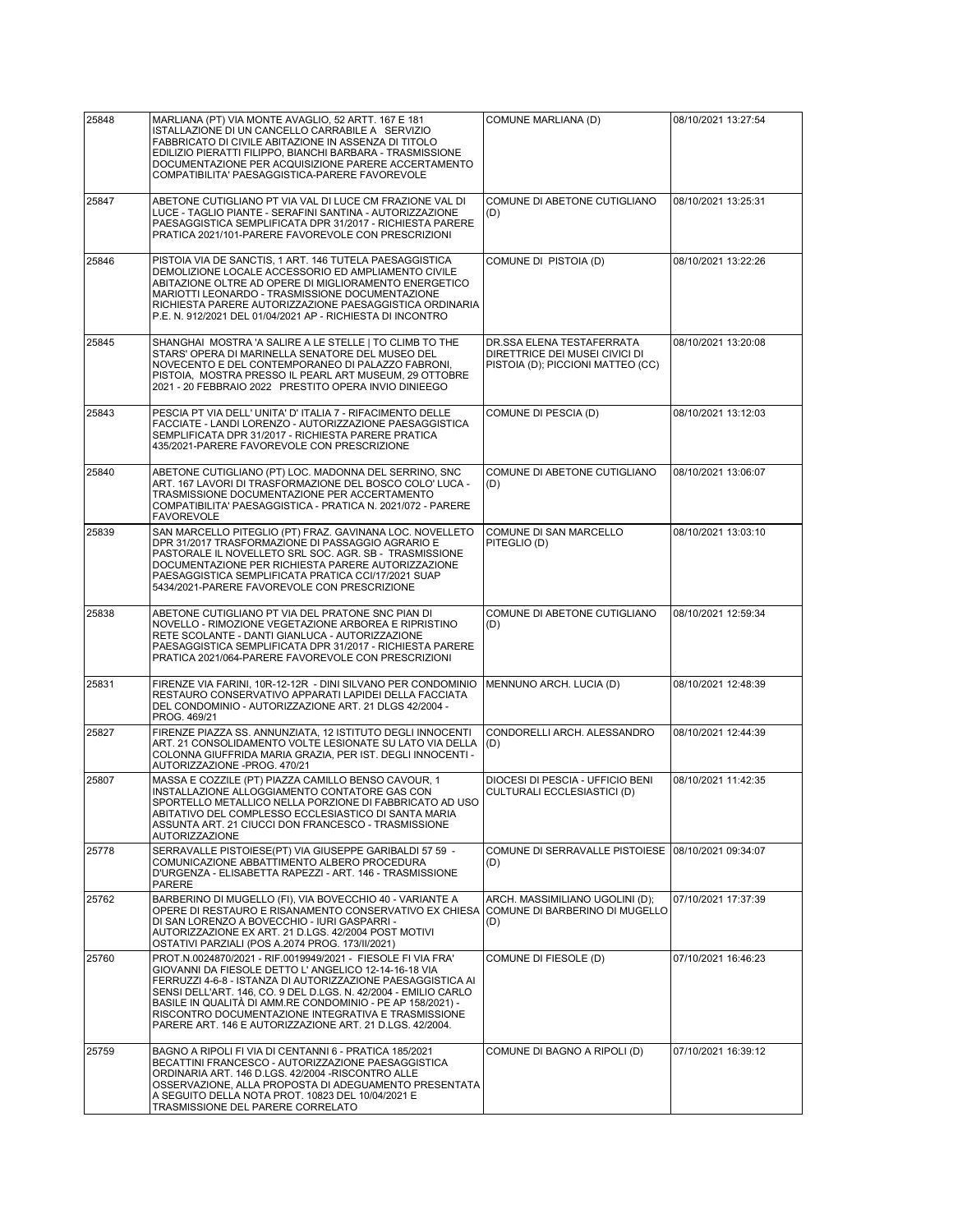| 25848 | MARLIANA (PT) VIA MONTE AVAGLIO, 52 ARTT. 167 E 181<br>ISTALLAZIONE DI UN CANCELLO CARRABILE A SERVIZIO                                                                                                                                                                                                                                                                                                                                 | COMUNE MARLIANA (D)                                                                              | 08/10/2021 13:27:54 |
|-------|-----------------------------------------------------------------------------------------------------------------------------------------------------------------------------------------------------------------------------------------------------------------------------------------------------------------------------------------------------------------------------------------------------------------------------------------|--------------------------------------------------------------------------------------------------|---------------------|
|       | FABBRICATO DI CIVILE ABITAZIONE IN ASSENZA DI TITOLO<br>EDILIZIO PIERATTI FILIPPO, BIANCHI BARBARA - TRASMISSIONE<br>DOCUMENTAZIONE PER ACQUISIZIONE PARERE ACCERTAMENTO<br>COMPATIBILITA' PAESAGGISTICA-PARERE FAVOREVOLE                                                                                                                                                                                                              |                                                                                                  |                     |
| 25847 | ABETONE CUTIGLIANO PT VIA VAL DI LUCE CM FRAZIONE VAL DI<br>LUCE - TAGLIO PIANTE - SERAFINI SANTINA - AUTORIZZAZIONE<br>PAESAGGISTICA SEMPLIFICATA DPR 31/2017 - RICHIESTA PARERE<br>PRATICA 2021/101-PARERE FAVOREVOLE CON PRESCRIZIONI                                                                                                                                                                                                | COMUNE DI ABETONE CUTIGLIANO<br>(D)                                                              | 08/10/2021 13:25:31 |
| 25846 | PISTOIA VIA DE SANCTIS, 1 ART. 146 TUTELA PAESAGGISTICA<br>DEMOLIZIONE LOCALE ACCESSORIO ED AMPLIAMENTO CIVILE<br>ABITAZIONE OLTRE AD OPERE DI MIGLIORAMENTO ENERGETICO<br>MARIOTTI LEONARDO - TRASMISSIONE DOCUMENTAZIONE<br>RICHIESTA PARERE AUTORIZZAZIONE PAESAGGISTICA ORDINARIA<br>P.E. N. 912/2021 DEL 01/04/2021 AP - RICHIESTA DI INCONTRO                                                                                     | COMUNE DI PISTOIA (D)                                                                            | 08/10/2021 13:22:26 |
| 25845 | SHANGHAI MOSTRA 'A SALIRE A LE STELLE   TO CLIMB TO THE<br>STARS' OPERA DI MARINELLA SENATORE DEL MUSEO DEL<br>NOVECENTO E DEL CONTEMPORANEO DI PALAZZO FABRONI,<br>PISTOIA, MOSTRA PRESSO IL PEARL ART MUSEUM, 29 OTTOBRE<br>2021 - 20 FEBBRAIO 2022 PRESTITO OPERA INVIO DINIEEGO                                                                                                                                                     | DR.SSA ELENA TESTAFERRATA<br>DIRETTRICE DEI MUSEI CIVICI DI<br>PISTOIA (D); PICCIONI MATTEO (CC) | 08/10/2021 13:20:08 |
| 25843 | PESCIA PT VIA DELL' UNITA' D' ITALIA 7 - RIFACIMENTO DELLE<br>FACCIATE - LANDI LORENZO - AUTORIZZAZIONE PAESAGGISTICA<br>SEMPLIFICATA DPR 31/2017 - RICHIESTA PARERE PRATICA<br>435/2021-PARERE FAVOREVOLE CON PRESCRIZIONE                                                                                                                                                                                                             | COMUNE DI PESCIA (D)                                                                             | 08/10/2021 13:12:03 |
| 25840 | ABETONE CUTIGLIANO (PT) LOC. MADONNA DEL SERRINO, SNC<br>ART. 167 LAVORI DI TRASFORMAZIONE DEL BOSCO COLO' LUCA -<br>TRASMISSIONE DOCUMENTAZIONE PER ACCERTAMENTO<br>COMPATIBILITA' PAESAGGISTICA - PRATICA N. 2021/072 - PARERE<br><b>FAVOREVOLE</b>                                                                                                                                                                                   | COMUNE DI ABETONE CUTIGLIANO<br>(D)                                                              | 08/10/2021 13:06:07 |
| 25839 | SAN MARCELLO PITEGLIO (PT) FRAZ. GAVINANA LOC. NOVELLETO<br>DPR 31/2017 TRASFORMAZIONE DI PASSAGGIO AGRARIO E<br>PASTORALE IL NOVELLETO SRL SOC. AGR. SB - TRASMISSIONE<br>DOCUMENTAZIONE PER RICHIESTA PARERE AUTORIZZAZIONE<br>PAESAGGISTICA SEMPLIFICATA PRATICA CCI/17/2021 SUAP<br>5434/2021-PARERE FAVOREVOLE CON PRESCRIZIONE                                                                                                    | COMUNE DI SAN MARCELLO<br>PITEGLIO (D)                                                           | 08/10/2021 13:03:10 |
| 25838 | ABETONE CUTIGLIANO PT VIA DEL PRATONE SNC PIAN DI<br>NOVELLO - RIMOZIONE VEGETAZIONE ARBOREA E RIPRISTINO<br>RETE SCOLANTE - DANTI GIANLUCA - AUTORIZZAZIONE<br>PAESAGGISTICA SEMPLIFICATA DPR 31/2017 - RICHIESTA PARERE<br>PRATICA 2021/064-PARERE FAVOREVOLE CON PRESCRIZIONI                                                                                                                                                        | COMUNE DI ABETONE CUTIGLIANO<br>(D)                                                              | 08/10/2021 12:59:34 |
| 25831 | FIRENZE VIA FARINI, 10R-12-12R - DINI SILVANO PER CONDOMINIO<br>RESTAURO CONSERVATIVO APPARATI LAPIDEI DELLA FACCIATA<br>DEL CONDOMINIO - AUTORIZZAZIONE ART. 21 DLGS 42/2004 -<br>PROG. 469/21                                                                                                                                                                                                                                         | MENNUNO ARCH. LUCIA (D)                                                                          | 08/10/2021 12:48:39 |
| 25827 | FIRENZE PIAZZA SS. ANNUNZIATA, 12 ISTITUTO DEGLI INNOCENTI<br>ART. 21 CONSOLIDAMENTO VOLTE LESIONATE SU LATO VIA DELLA<br>COLONNA GIUFFRIDA MARIA GRAZIA, PER IST. DEGLI INNOCENTI -<br>AUTORIZZAZIONE -PROG. 470/21                                                                                                                                                                                                                    | CONDORELLI ARCH. ALESSANDRO<br>(D)                                                               | 08/10/2021 12:44:39 |
| 25807 | MASSA E COZZILE (PT) PIAZZA CAMILLO BENSO CAVOUR, 1<br>INSTALLAZIONE ALLOGGIAMENTO CONTATORE GAS CON<br>SPORTELLO METALLICO NELLA PORZIONE DI FABBRICATO AD USO<br>ABITATIVO DEL COMPLESSO ECCLESIASTICO DI SANTA MARIA<br>ASSUNTA ART. 21 CIUCCI DON FRANCESCO - TRASMISSIONE<br><b>AUTORIZZAZIONE</b>                                                                                                                                 | DIOCESI DI PESCIA - UFFICIO BENI<br>CULTURALI ECCLESIASTICI (D)                                  | 08/10/2021 11:42:35 |
| 25778 | SERRAVALLE PISTOIESE(PT) VIA GIUSEPPE GARIBALDI 57 59 -<br>COMUNICAZIONE ABBATTIMENTO ALBERO PROCEDURA<br>D'URGENZA - ELISABETTA RAPEZZI - ART. 146 - TRASMISSIONE<br><b>PARERE</b>                                                                                                                                                                                                                                                     | COMUNE DI SERRAVALLE PISTOIESE<br>(D)                                                            | 08/10/2021 09:34:07 |
| 25762 | BARBERINO DI MUGELLO (FI), VIA BOVECCHIO 40 - VARIANTE A<br>OPERE DI RESTAURO E RISANAMENTO CONSERVATIVO EX CHIESA<br>DI SAN LORENZO A BOVECCHIO - IURI GASPARRI -<br>AUTORIZZAZIONE EX ART. 21 D.LGS. 42/2004 POST MOTIVI<br>OSTATIVI PARZIALI (POS A.2074 PROG. 173/II/2021)                                                                                                                                                          | ARCH. MASSIMILIANO UGOLINI (D);<br>COMUNE DI BARBERINO DI MUGELLO<br>(D)                         | 07/10/2021 17:37:39 |
| 25760 | PROT.N.0024870/2021 - RIF.0019949/2021 - FIESOLE FI VIA FRA'<br>GIOVANNI DA FIESOLE DETTO L'ANGELICO 12-14-16-18 VIA<br>FERRUZZI 4-6-8 - ISTANZA DI AUTORIZZAZIONE PAESAGGISTICA AI<br>SENSI DELL'ART. 146, CO. 9 DEL D.LGS. N. 42/2004 - EMILIO CARLO<br>BASILE IN QUALITA DI AMM.RE CONDOMINIO - PE AP 158/2021) -<br>RISCONTRO DOCUMENTAZIONE INTEGRATIVA E TRASMISSIONE<br>PARERE ART. 146 E AUTORIZZAZIONE ART. 21 D.LGS. 42/2004. | COMUNE DI FIESOLE (D)                                                                            | 07/10/2021 16:46:23 |
| 25759 | BAGNO A RIPOLI FI VIA DI CENTANNI 6 - PRATICA 185/2021<br>BECATTINI FRANCESCO - AUTORIZZAZIONE PAESAGGISTICA<br>ORDINARIA ART. 146 D.LGS. 42/2004 -RISCONTRO ALLE<br>OSSERVAZIONE, ALLA PROPOSTA DI ADEGUAMENTO PRESENTATA<br>A SEGUITO DELLA NOTA PROT. 10823 DEL 10/04/2021 E<br>TRASMISSIONE DEL PARERE CORRELATO                                                                                                                    | COMUNE DI BAGNO A RIPOLI (D)                                                                     | 07/10/2021 16:39:12 |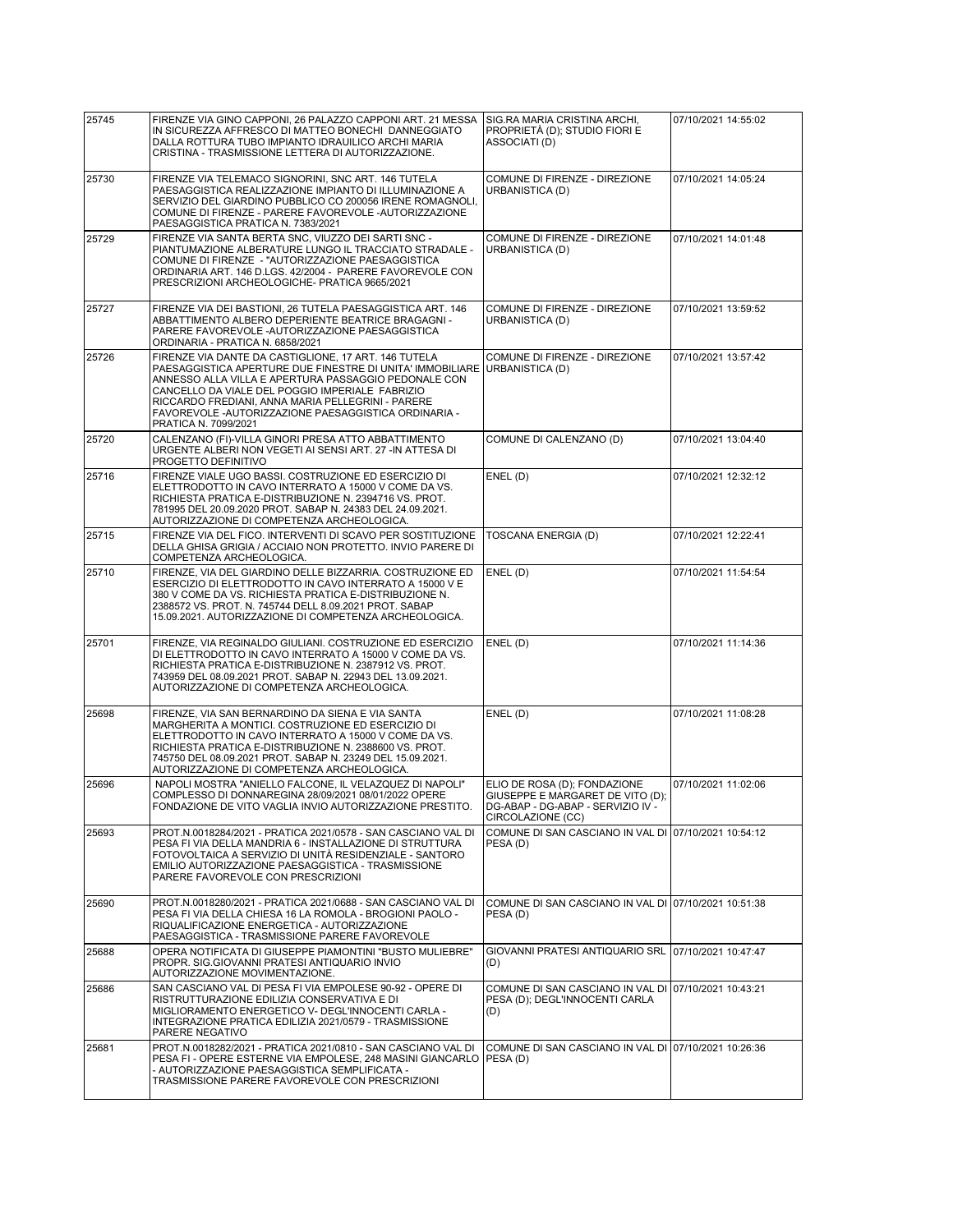| 25745 | FIRENZE VIA GINO CAPPONI, 26 PALAZZO CAPPONI ART. 21 MESSA<br>IN SICUREZZA AFFRESCO DI MATTEO BONECHI DANNEGGIATO<br>DALLA ROTTURA TUBO IMPIANTO IDRAUILICO ARCHI MARIA<br>CRISTINA - TRASMISSIONE LETTERA DI AUTORIZZAZIONE.                                                                                                                                      | SIG.RA MARIA CRISTINA ARCHI,<br>PROPRIETÀ (D); STUDIO FIORI E<br>ASSOCIATI (D)                                           | 07/10/2021 14:55:02 |
|-------|--------------------------------------------------------------------------------------------------------------------------------------------------------------------------------------------------------------------------------------------------------------------------------------------------------------------------------------------------------------------|--------------------------------------------------------------------------------------------------------------------------|---------------------|
| 25730 | FIRENZE VIA TELEMACO SIGNORINI, SNC ART. 146 TUTELA<br>PAESAGGISTICA REALIZZAZIONE IMPIANTO DI ILLUMINAZIONE A<br>SERVIZIO DEL GIARDINO PUBBLICO CO 200056 IRENE ROMAGNOLI,<br>COMUNE DI FIRENZE - PARERE FAVOREVOLE - AUTORIZZAZIONE<br>PAESAGGISTICA PRATICA N. 7383/2021                                                                                        | COMUNE DI FIRENZE - DIREZIONE<br>URBANISTICA (D)                                                                         | 07/10/2021 14:05:24 |
| 25729 | FIRENZE VIA SANTA BERTA SNC, VIUZZO DEI SARTI SNC -<br>PIANTUMAZIONE ALBERATURE LUNGO IL TRACCIATO STRADALE -<br>COMUNE DI FIRENZE - "AUTORIZZAZIONE PAESAGGISTICA<br>ORDINARIA ART. 146 D.LGS. 42/2004 - PARERE FAVOREVOLE CON<br>PRESCRIZIONI ARCHEOLOGICHE- PRATICA 9665/2021                                                                                   | COMUNE DI FIRENZE - DIREZIONE<br>URBANISTICA (D)                                                                         | 07/10/2021 14:01:48 |
| 25727 | FIRENZE VIA DEI BASTIONI, 26 TUTELA PAESAGGISTICA ART. 146<br>ABBATTIMENTO ALBERO DEPERIENTE BEATRICE BRAGAGNI -<br>PARERE FAVOREVOLE - AUTORIZZAZIONE PAESAGGISTICA<br>ORDINARIA - PRATICA N. 6858/2021                                                                                                                                                           | COMUNE DI FIRENZE - DIREZIONE<br>URBANISTICA (D)                                                                         | 07/10/2021 13:59:52 |
| 25726 | FIRENZE VIA DANTE DA CASTIGLIONE, 17 ART. 146 TUTELA<br>PAESAGGISTICA APERTURE DUE FINESTRE DI UNITA' IMMOBILIARE<br>ANNESSO ALLA VILLA E APERTURA PASSAGGIO PEDONALE CON<br>CANCELLO DA VIALE DEL POGGIO IMPERIALE FABRIZIO<br>RICCARDO FREDIANI, ANNA MARIA PELLEGRINI - PARERE<br>FAVOREVOLE - AUTORIZZAZIONE PAESAGGISTICA ORDINARIA -<br>PRATICA N. 7099/2021 | COMUNE DI FIRENZE - DIREZIONE<br>URBANISTICA (D)                                                                         | 07/10/2021 13:57:42 |
| 25720 | CALENZANO (FI)-VILLA GINORI PRESA ATTO ABBATTIMENTO<br>URGENTE ALBERI NON VEGETI AI SENSI ART. 27 -IN ATTESA DI<br>PROGETTO DEFINITIVO                                                                                                                                                                                                                             | COMUNE DI CALENZANO (D)                                                                                                  | 07/10/2021 13:04:40 |
| 25716 | FIRENZE VIALE UGO BASSI. COSTRUZIONE ED ESERCIZIO DI<br>ELETTRODOTTO IN CAVO INTERRATO A 15000 V COME DA VS.<br>RICHIESTA PRATICA E-DISTRIBUZIONE N. 2394716 VS. PROT.<br>781995 DEL 20.09.2020 PROT. SABAP N. 24383 DEL 24.09.2021.<br>AUTORIZZAZIONE DI COMPETENZA ARCHEOLOGICA.                                                                                 | ENEL(D)                                                                                                                  | 07/10/2021 12:32:12 |
| 25715 | FIRENZE VIA DEL FICO. INTERVENTI DI SCAVO PER SOSTITUZIONE<br>DELLA GHISA GRIGIA / ACCIAIO NON PROTETTO. INVIO PARERE DI<br>COMPETENZA ARCHEOLOGICA.                                                                                                                                                                                                               | <b>TOSCANA ENERGIA (D)</b>                                                                                               | 07/10/2021 12:22:41 |
| 25710 | FIRENZE, VIA DEL GIARDINO DELLE BIZZARRIA. COSTRUZIONE ED<br>ESERCIZIO DI ELETTRODOTTO IN CAVO INTERRATO A 15000 V E<br>380 V COME DA VS. RICHIESTA PRATICA E-DISTRIBUZIONE N.<br>2388572 VS. PROT. N. 745744 DELL 8.09.2021 PROT. SABAP<br>15.09.2021. AUTORIZZAZIONE DI COMPETENZA ARCHEOLOGICA.                                                                 | ENEL(D)                                                                                                                  | 07/10/2021 11:54:54 |
| 25701 | FIRENZE, VIA REGINALDO GIULIANI. COSTRUZIONE ED ESERCIZIO<br>DI ELETTRODOTTO IN CAVO INTERRATO A 15000 V COME DA VS.<br>RICHIESTA PRATICA E-DISTRIBUZIONE N. 2387912 VS. PROT.<br>743959 DEL 08.09.2021 PROT. SABAP N. 22943 DEL 13.09.2021.<br>AUTORIZZAZIONE DI COMPETENZA ARCHEOLOGICA.                                                                         | ENEL(D)                                                                                                                  | 07/10/2021 11:14:36 |
| 25698 | FIRENZE, VIA SAN BERNARDINO DA SIENA E VIA SANTA<br>MARGHERITA A MONTICI. COSTRUZIONE ED ESERCIZIO DI<br>ELETTRODOTTO IN CAVO INTERRATO A 15000 V COME DA VS.<br>RICHIESTA PRATICA E-DISTRIBUZIONE N. 2388600 VS. PROT.<br>745750 DEL 08.09.2021 PROT. SABAP N. 23249 DEL 15.09.2021.<br>AUTORIZZAZIONE DI COMPETENZA ARCHEOLOGICA.                                | ENEL (D)                                                                                                                 | 07/10/2021 11:08:28 |
| 25696 | NAPOLI MOSTRA "ANIELLO FALCONE, IL VELAZQUEZ DI NAPOLI"<br>COMPLESSO DI DONNAREGINA 28/09/2021 08/01/2022 OPERE<br>FONDAZIONE DE VITO VAGLIA INVIO AUTORIZZAZIONE PRESTITO.                                                                                                                                                                                        | ELIO DE ROSA (D); FONDAZIONE<br>GIUSEPPE E MARGARET DE VITO (D);<br>DG-ABAP - DG-ABAP - SERVIZIO IV<br>CIRCOLAZIONE (CC) | 07/10/2021 11:02:06 |
| 25693 | PROT.N.0018284/2021 - PRATICA 2021/0578 - SAN CASCIANO VAL DI<br>PESA FI VIA DELLA MANDRIA 6 - INSTALLAZIONE DI STRUTTURA<br>FOTOVOLTAICA A SERVIZIO DI UNITÀ RESIDENZIALE - SANTORO<br>EMILIO AUTORIZZAZIONE PAESAGGISTICA - TRASMISSIONE<br>PARERE FAVOREVOLE CON PRESCRIZIONI                                                                                   | COMUNE DI SAN CASCIANO IN VAL DI 07/10/2021 10:54:12<br>PESA(D)                                                          |                     |
| 25690 | PROT.N.0018280/2021 - PRATICA 2021/0688 - SAN CASCIANO VAL DI<br>PESA FI VIA DELLA CHIESA 16 LA ROMOLA - BROGIONI PAOLO -<br>RIQUALIFICAZIONE ENERGETICA - AUTORIZZAZIONE<br>PAESAGGISTICA - TRASMISSIONE PARERE FAVOREVOLE                                                                                                                                        | COMUNE DI SAN CASCIANO IN VAL DI 07/10/2021 10:51:38<br>PESA(D)                                                          |                     |
| 25688 | OPERA NOTIFICATA DI GIUSEPPE PIAMONTINI "BUSTO MULIEBRE"<br>PROPR. SIG.GIOVANNI PRATESI ANTIQUARIO INVIO<br>AUTORIZZAZIONE MOVIMENTAZIONE.                                                                                                                                                                                                                         | GIOVANNI PRATESI ANTIQUARIO SRL 07/10/2021 10:47:47<br>(D)                                                               |                     |
| 25686 | SAN CASCIANO VAL DI PESA FI VIA EMPOLESE 90-92 - OPERE DI<br>RISTRUTTURAZIONE EDILIZIA CONSERVATIVA E DI<br>MIGLIORAMENTO ENERGETICO V- DEGL'INNOCENTI CARLA -<br>INTEGRAZIONE PRATICA EDILIZIA 2021/0579 - TRASMISSIONE<br>PARERE NEGATIVO                                                                                                                        | COMUNE DI SAN CASCIANO IN VAL DI 07/10/2021 10:43:21<br>PESA (D); DEGL'INNOCENTI CARLA<br>(D)                            |                     |
| 25681 | PROT.N.0018282/2021 - PRATICA 2021/0810 - SAN CASCIANO VAL DI<br>PESA FI - OPERE ESTERNE VIA EMPOLESE, 248 MASINI GIANCARLO<br>- AUTORIZZAZIONE PAESAGGISTICA SEMPLIFICATA -<br>TRASMISSIONE PARERE FAVOREVOLE CON PRESCRIZIONI                                                                                                                                    | COMUNE DI SAN CASCIANO IN VAL DI 07/10/2021 10:26:36<br>PESA (D)                                                         |                     |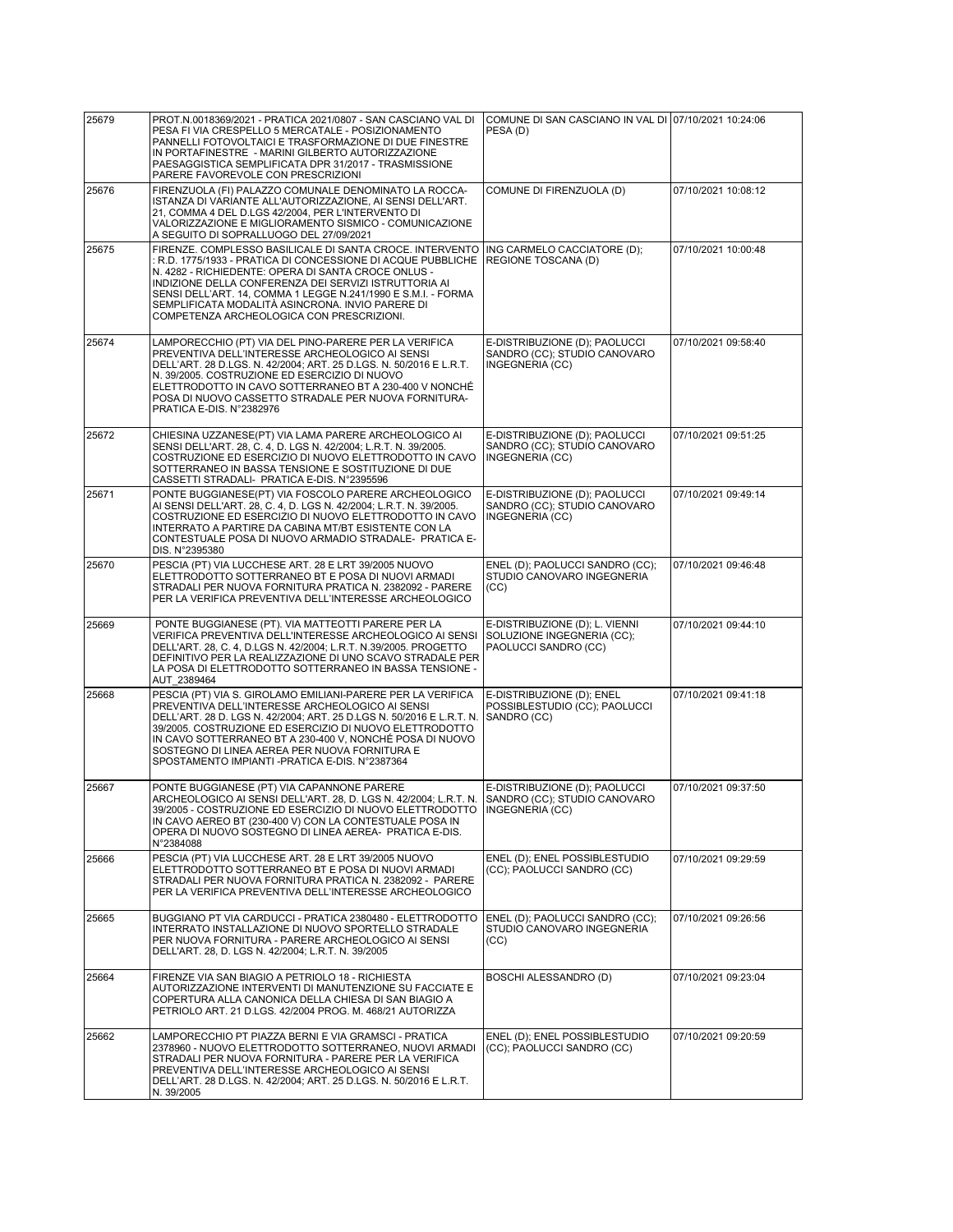| 25679 | PROT.N.0018369/2021 - PRATICA 2021/0807 - SAN CASCIANO VAL DI                                                                                                                                                                                                                                                                                                                                                     | COMUNE DI SAN CASCIANO IN VAL DI 07/10/2021 10:24:06                                 |                     |
|-------|-------------------------------------------------------------------------------------------------------------------------------------------------------------------------------------------------------------------------------------------------------------------------------------------------------------------------------------------------------------------------------------------------------------------|--------------------------------------------------------------------------------------|---------------------|
|       | PESA FI VIA CRESPELLO 5 MERCATALE - POSIZIONAMENTO<br>PANNELLI FOTOVOLTAICI E TRASFORMAZIONE DI DUE FINESTRE<br>IN PORTAFINESTRE - MARINI GILBERTO AUTORIZZAZIONE<br>PAESAGGISTICA SEMPLIFICATA DPR 31/2017 - TRASMISSIONE                                                                                                                                                                                        | PESA(D)                                                                              |                     |
|       | PARERE FAVOREVOLE CON PRESCRIZIONI                                                                                                                                                                                                                                                                                                                                                                                |                                                                                      |                     |
| 25676 | FIRENZUOLA (FI) PALAZZO COMUNALE DENOMINATO LA ROCCA-<br>ISTANZA DI VARIANTE ALL'AUTORIZZAZIONE, AI SENSI DELL'ART.<br>21, COMMA 4 DEL D.LGS 42/2004, PER L'INTERVENTO DI<br>VALORIZZAZIONE E MIGLIORAMENTO SISMICO - COMUNICAZIONE<br>A SEGUITO DI SOPRALLUOGO DEL 27/09/2021                                                                                                                                    | COMUNE DI FIRENZUOLA (D)                                                             | 07/10/2021 10:08:12 |
| 25675 | FIRENZE. COMPLESSO BASILICALE DI SANTA CROCE. INTERVENTO<br>: R.D. 1775/1933 - PRATICA DI CONCESSIONE DI ACQUE PUBBLICHE<br>N. 4282 - RICHIEDENTE: OPERA DI SANTA CROCE ONLUS -<br>INDIZIONE DELLA CONFERENZA DEI SERVIZI ISTRUTTORIA AI<br>SENSI DELL'ART. 14, COMMA 1 LEGGE N.241/1990 E S.M.I. - FORMA<br>SEMPLIFICATA MODALITÀ ASINCRONA. INVIO PARERE DI<br>COMPETENZA ARCHEOLOGICA CON PRESCRIZIONI.        | ING CARMELO CACCIATORE (D);<br>REGIONE TOSCANA (D)                                   | 07/10/2021 10:00:48 |
| 25674 | LAMPORECCHIO (PT) VIA DEL PINO-PARERE PER LA VERIFICA<br>PREVENTIVA DELL'INTERESSE ARCHEOLOGICO AI SENSI<br>DELL'ART. 28 D.LGS. N. 42/2004; ART. 25 D.LGS. N. 50/2016 E L.R.T.<br>N. 39/2005. COSTRUZIONE ED ESERCIZIO DI NUOVO<br>ELETTRODOTTO IN CAVO SOTTERRANEO BT A 230-400 V NONCHÉ<br>POSA DI NUOVO CASSETTO STRADALE PER NUOVA FORNITURA-<br>PRATICA E-DIS. N°2382976                                     | E-DISTRIBUZIONE (D); PAOLUCCI<br>SANDRO (CC); STUDIO CANOVARO<br>INGEGNERIA (CC)     | 07/10/2021 09:58:40 |
| 25672 | CHIESINA UZZANESE(PT) VIA LAMA PARERE ARCHEOLOGICO AI<br>SENSI DELL'ART. 28, C. 4, D. LGS N. 42/2004; L.R.T. N. 39/2005.<br>COSTRUZIONE ED ESERCIZIO DI NUOVO ELETTRODOTTO IN CAVO<br>SOTTERRANEO IN BASSA TENSIONE E SOSTITUZIONE DI DUE<br>CASSETTI STRADALI- PRATICA E-DIS. N°2395596                                                                                                                          | E-DISTRIBUZIONE (D); PAOLUCCI<br>SANDRO (CC); STUDIO CANOVARO<br>INGEGNERIA (CC)     | 07/10/2021 09:51:25 |
| 25671 | PONTE BUGGIANESE(PT) VIA FOSCOLO PARERE ARCHEOLOGICO<br>AI SENSI DELL'ART. 28, C. 4, D. LGS N. 42/2004; L.R.T. N. 39/2005.<br>COSTRUZIONE ED ESERCIZIO DI NUOVO ELETTRODOTTO IN CAVO<br>INTERRATO A PARTIRE DA CABINA MT/BT ESISTENTE CON LA<br>CONTESTUALE POSA DI NUOVO ARMADIO STRADALE- PRATICA E-<br>DIS. N°2395380                                                                                          | E-DISTRIBUZIONE (D); PAOLUCCI<br>SANDRO (CC); STUDIO CANOVARO<br>INGEGNERIA (CC)     | 07/10/2021 09:49:14 |
| 25670 | PESCIA (PT) VIA LUCCHESE ART. 28 E LRT 39/2005 NUOVO<br>ELETTRODOTTO SOTTERRANEO BT E POSA DI NUOVI ARMADI<br>STRADALI PER NUOVA FORNITURA PRATICA N. 2382092 - PARERE<br>PER LA VERIFICA PREVENTIVA DELL'INTERESSE ARCHEOLOGICO                                                                                                                                                                                  | ENEL (D); PAOLUCCI SANDRO (CC);<br>STUDIO CANOVARO INGEGNERIA<br>(CC)                | 07/10/2021 09:46:48 |
| 25669 | PONTE BUGGIANESE (PT). VIA MATTEOTTI PARERE PER LA<br>VERIFICA PREVENTIVA DELL'INTERESSE ARCHEOLOGICO AI SENSI<br>DELL'ART. 28, C. 4, D.LGS N. 42/2004; L.R.T. N.39/2005. PROGETTO<br>DEFINITIVO PER LA REALIZZAZIONE DI UNO SCAVO STRADALE PER<br>LA POSA DI ELETTRODOTTO SOTTERRANEO IN BASSA TENSIONE -<br>AUT 2389464                                                                                         | E-DISTRIBUZIONE (D); L. VIENNI<br>SOLUZIONE INGEGNERIA (CC);<br>PAOLUCCI SANDRO (CC) | 07/10/2021 09:44:10 |
| 25668 | PESCIA (PT) VIA S. GIROLAMO EMILIANI-PARERE PER LA VERIFICA<br>PREVENTIVA DELL'INTERESSE ARCHEOLOGICO AI SENSI<br>DELL'ART. 28 D. LGS N. 42/2004; ART. 25 D.LGS N. 50/2016 E L.R.T. N.<br>39/2005. COSTRUZIONE ED ESERCIZIO DI NUOVO ELETTRODOTTO<br>IN CAVO SOTTERRANEO BT A 230-400 V, NONCHÉ POSA DI NUOVO<br>SOSTEGNO DI LINEA AEREA PER NUOVA FORNITURA E<br>SPOSTAMENTO IMPIANTI - PRATICA E-DIS. N°2387364 | E-DISTRIBUZIONE (D); ENEL<br>POSSIBLESTUDIO (CC); PAOLUCCI<br>SANDRO (CC)            | 07/10/2021 09:41:18 |
| 25667 | PONTE BUGGIANESE (PT) VIA CAPANNONE PARERE<br>ARCHEOLOGICO AI SENSI DELL'ART. 28, D. LGS N. 42/2004; L.R.T. N.<br>39/2005 - COSTRUZIONE ED ESERCIZIO DI NUOVO ELETTRODOTTO<br>IN CAVO AEREO BT (230-400 V) CON LA CONTESTUALE POSA IN<br>OPERA DI NUOVO SOSTEGNO DI LINEA AEREA- PRATICA E-DIS.<br>N°2384088                                                                                                      | E-DISTRIBUZIONE (D); PAOLUCCI<br>SANDRO (CC); STUDIO CANOVARO<br>[INGEGNERIA (CC)    | 07/10/2021 09:37:50 |
| 25666 | PESCIA (PT) VIA LUCCHESE ART. 28 E LRT 39/2005 NUOVO<br>ELETTRODOTTO SOTTERRANEO BT E POSA DI NUOVI ARMADI<br>STRADALI PER NUOVA FORNITURA PRATICA N. 2382092 - PARERE<br>PER LA VERIFICA PREVENTIVA DELL'INTERESSE ARCHEOLOGICO                                                                                                                                                                                  | ENEL (D); ENEL POSSIBLESTUDIO<br>(CC); PAOLUCCI SANDRO (CC)                          | 07/10/2021 09:29:59 |
| 25665 | BUGGIANO PT VIA CARDUCCI - PRATICA 2380480 - ELETTRODOTTO<br>INTERRATO INSTALLAZIONE DI NUOVO SPORTELLO STRADALE<br>PER NUOVA FORNITURA - PARERE ARCHEOLOGICO AI SENSI<br>DELL'ART. 28, D. LGS N. 42/2004; L.R.T. N. 39/2005                                                                                                                                                                                      | ENEL (D); PAOLUCCI SANDRO (CC);<br>STUDIO CANOVARO INGEGNERIA<br>(CC)                | 07/10/2021 09:26:56 |
| 25664 | FIRENZE VIA SAN BIAGIO A PETRIOLO 18 - RICHIESTA<br>AUTORIZZAZIONE INTERVENTI DI MANUTENZIONE SU FACCIATE E<br>COPERTURA ALLA CANONICA DELLA CHIESA DI SAN BIAGIO A<br>PETRIOLO ART. 21 D.LGS. 42/2004 PROG. M. 468/21 AUTORIZZA                                                                                                                                                                                  | BOSCHI ALESSANDRO (D)                                                                | 07/10/2021 09:23:04 |
| 25662 | LAMPORECCHIO PT PIAZZA BERNI E VIA GRAMSCI - PRATICA<br>2378960 - NUOVO ELETTRODOTTO SOTTERRANEO, NUOVI ARMADI<br>STRADALI PER NUOVA FORNITURA - PARERE PER LA VERIFICA<br>PREVENTIVA DELL'INTERESSE ARCHEOLOGICO AI SENSI<br>DELL'ART. 28 D.LGS. N. 42/2004; ART. 25 D.LGS. N. 50/2016 E L.R.T.<br>N. 39/2005                                                                                                    | ENEL (D); ENEL POSSIBLESTUDIO<br>(CC); PAOLUCCI SANDRO (CC)                          | 07/10/2021 09:20:59 |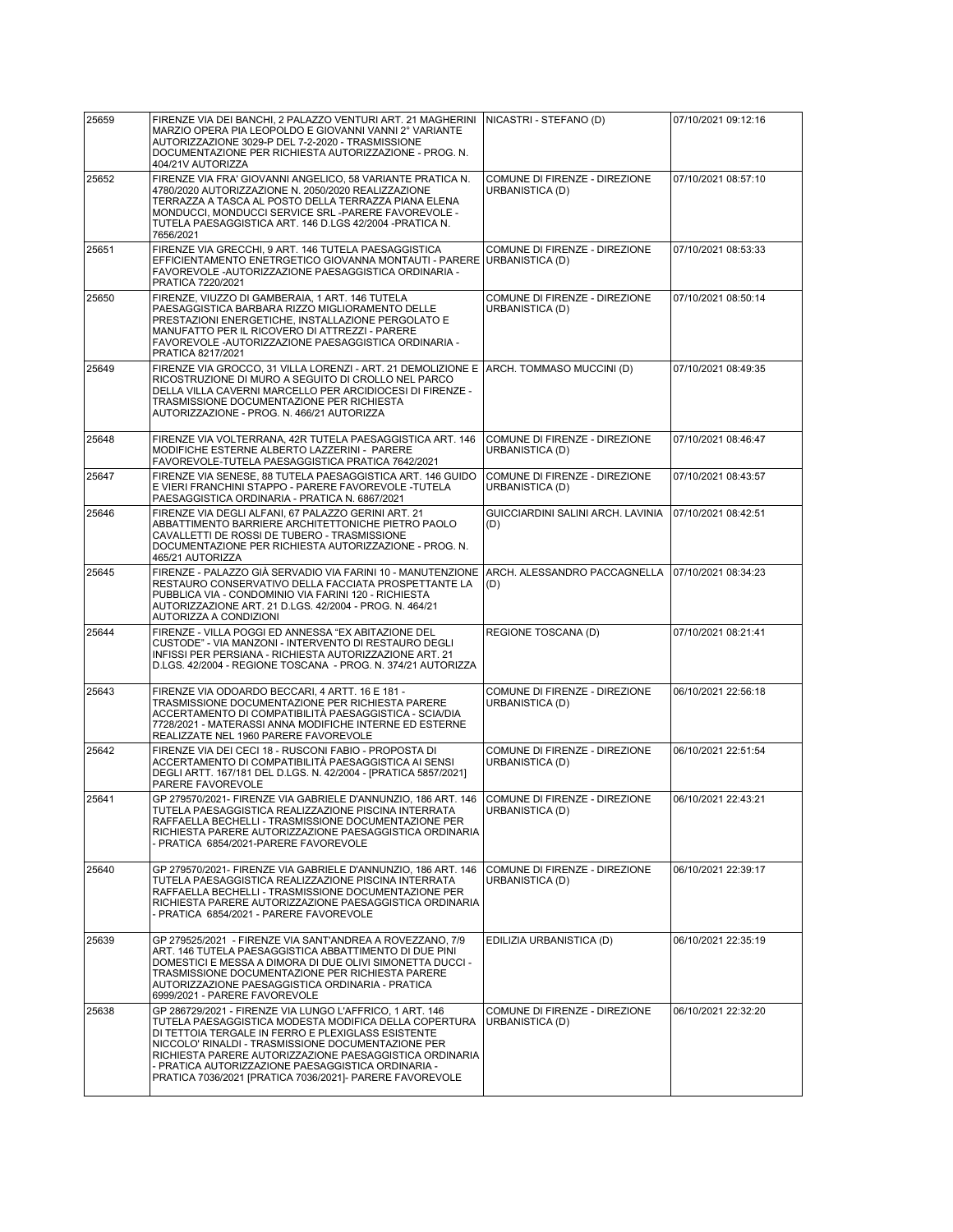| 25659 | FIRENZE VIA DEI BANCHI, 2 PALAZZO VENTURI ART. 21 MAGHERINI<br>MARZIO OPERA PIA LEOPOLDO E GIOVANNI VANNI 2° VARIANTE<br>AUTORIZZAZIONE 3029-P DEL 7-2-2020 - TRASMISSIONE<br>DOCUMENTAZIONE PER RICHIESTA AUTORIZZAZIONE - PROG. N.<br>404/21V AUTORIZZA                                                                                                                                                  | NICASTRI - STEFANO (D)                                    | 07/10/2021 09:12:16 |
|-------|------------------------------------------------------------------------------------------------------------------------------------------------------------------------------------------------------------------------------------------------------------------------------------------------------------------------------------------------------------------------------------------------------------|-----------------------------------------------------------|---------------------|
| 25652 | FIRENZE VIA FRA' GIOVANNI ANGELICO, 58 VARIANTE PRATICA N.<br>4780/2020 AUTORIZZAZIONE N. 2050/2020 REALIZZAZIONE<br>TERRAZZA A TASCA AL POSTO DELLA TERRAZZA PIANA ELENA<br>MONDUCCI, MONDUCCI SERVICE SRL -PARERE FAVOREVOLE -<br>TUTELA PAESAGGISTICA ART. 146 D.LGS 42/2004 - PRATICA N.<br>7656/2021                                                                                                  | COMUNE DI FIRENZE - DIREZIONE<br>URBANISTICA (D)          | 07/10/2021 08:57:10 |
| 25651 | FIRENZE VIA GRECCHI, 9 ART. 146 TUTELA PAESAGGISTICA<br>EFFICIENTAMENTO ENETRGETICO GIOVANNA MONTAUTI - PARERE<br>FAVOREVOLE - AUTORIZZAZIONE PAESAGGISTICA ORDINARIA -<br>PRATICA 7220/2021                                                                                                                                                                                                               | COMUNE DI FIRENZE - DIREZIONE<br>URBANISTICA (D)          | 07/10/2021 08:53:33 |
| 25650 | FIRENZE, VIUZZO DI GAMBERAIA, 1 ART. 146 TUTELA<br>PAESAGGISTICA BARBARA RIZZO MIGLIORAMENTO DELLE<br>PRESTAZIONI ENERGETICHE, INSTALLAZIONE PERGOLATO E<br>MANUFATTO PER IL RICOVERO DI ATTREZZI - PARERE<br>FAVOREVOLE - AUTORIZZAZIONE PAESAGGISTICA ORDINARIA -<br>PRATICA 8217/2021                                                                                                                   | COMUNE DI FIRENZE - DIREZIONE<br>URBANISTICA (D)          | 07/10/2021 08:50:14 |
| 25649 | FIRENZE VIA GROCCO, 31 VILLA LORENZI - ART. 21 DEMOLIZIONE E ARCH. TOMMASO MUCCINI (D)<br>RICOSTRUZIONE DI MURO A SEGUITO DI CROLLO NEL PARCO<br>DELLA VILLA CAVERNI MARCELLO PER ARCIDIOCESI DI FIRENZE -<br>TRASMISSIONE DOCUMENTAZIONE PER RICHIESTA<br>AUTORIZZAZIONE - PROG. N. 466/21 AUTORIZZA                                                                                                      |                                                           | 07/10/2021 08:49:35 |
| 25648 | FIRENZE VIA VOLTERRANA, 42R TUTELA PAESAGGISTICA ART. 146<br>MODIFICHE ESTERNE ALBERTO LAZZERINI - PARERE<br>FAVOREVOLE-TUTELA PAESAGGISTICA PRATICA 7642/2021                                                                                                                                                                                                                                             | COMUNE DI FIRENZE - DIREZIONE<br>URBANISTICA (D)          | 07/10/2021 08:46:47 |
| 25647 | FIRENZE VIA SENESE, 88 TUTELA PAESAGGISTICA ART. 146 GUIDO<br>E VIERI FRANCHINI STAPPO - PARERE FAVOREVOLE -TUTELA<br>PAESAGGISTICA ORDINARIA - PRATICA N. 6867/2021                                                                                                                                                                                                                                       | COMUNE DI FIRENZE - DIREZIONE<br>URBANISTICA (D)          | 07/10/2021 08:43:57 |
| 25646 | FIRENZE VIA DEGLI ALFANI, 67 PALAZZO GERINI ART. 21<br>ABBATTIMENTO BARRIERE ARCHITETTONICHE PIETRO PAOLO<br>CAVALLETTI DE ROSSI DE TUBERO - TRASMISSIONE<br>DOCUMENTAZIONE PER RICHIESTA AUTORIZZAZIONE - PROG. N.<br>465/21 AUTORIZZA                                                                                                                                                                    | GUICCIARDINI SALINI ARCH. LAVINIA<br>(D)                  | 07/10/2021 08:42:51 |
| 25645 | FIRENZE - PALAZZO GIÀ SERVADIO VIA FARINI 10 - MANUTENZIONE<br>RESTAURO CONSERVATIVO DELLA FACCIATA PROSPETTANTE LA<br>PUBBLICA VIA - CONDOMINIO VIA FARINI 120 - RICHIESTA<br>AUTORIZZAZIONE ART. 21 D.LGS. 42/2004 - PROG. N. 464/21<br>AUTORIZZA A CONDIZIONI                                                                                                                                           | ARCH. ALESSANDRO PACCAGNELLA  07/10/2021 08:34:23 <br>(D) |                     |
| 25644 | FIRENZE - VILLA POGGI ED ANNESSA "EX ABITAZIONE DEL<br>CUSTODE" - VIA MANZONI - INTERVENTO DI RESTAURO DEGLI<br>INFISSI PER PERSIANA - RICHIESTA AUTORIZZAZIONE ART. 21<br>D.LGS. 42/2004 - REGIONE TOSCANA - PROG. N. 374/21 AUTORIZZA                                                                                                                                                                    | REGIONE TOSCANA (D)                                       | 07/10/2021 08:21:41 |
| 25643 | FIRENZE VIA ODOARDO BECCARI, 4 ARTT. 16 E 181 -<br>TRASMISSIONE DOCUMENTAZIONE PER RICHIESTA PARERE<br>ACCERTAMENTO DI COMPATIBILITÀ PAESAGGISTICA - SCIA/DIA<br>7728/2021 - MATERASSI ANNA MODIFICHE INTERNE ED ESTERNE<br>REALIZZATE NEL 1960 PARERE FAVOREVOLE                                                                                                                                          | COMUNE DI FIRENZE - DIREZIONE<br>URBANISTICA (D)          | 06/10/2021 22:56:18 |
| 25642 | FIRENZE VIA DEI CECI 18 - RUSCONI FABIO - PROPOSTA DI<br>ACCERTAMENTO DI COMPATIBILITÀ PAESAGGISTICA AI SENSI<br>DEGLI ARTT. 167/181 DEL D.LGS. N. 42/2004 - [PRATICA 5857/2021]<br>PARERE FAVOREVOLE                                                                                                                                                                                                      | COMUNE DI FIRENZE - DIREZIONE<br>URBANISTICA (D)          | 06/10/2021 22:51:54 |
| 25641 | GP 279570/2021- FIRENZE VIA GABRIELE D'ANNUNZIO, 186 ART. 146<br>TUTELA PAESAGGISTICA REALIZZAZIONE PISCINA INTERRATA<br>RAFFAELLA BECHELLI - TRASMISSIONE DOCUMENTAZIONE PER<br>RICHIESTA PARERE AUTORIZZAZIONE PAESAGGISTICA ORDINARIA<br>- PRATICA 6854/2021-PARERE FAVOREVOLE                                                                                                                          | COMUNE DI FIRENZE - DIREZIONE<br>URBANISTICA (D)          | 06/10/2021 22:43:21 |
| 25640 | GP 279570/2021- FIRENZE VIA GABRIELE D'ANNUNZIO, 186 ART. 146<br>TUTELA PAESAGGISTICA REALIZZAZIONE PISCINA INTERRATA<br>RAFFAELLA BECHELLI - TRASMISSIONE DOCUMENTAZIONE PER<br>RICHIESTA PARERE AUTORIZZAZIONE PAESAGGISTICA ORDINARIA<br>- PRATICA 6854/2021 - PARERE FAVOREVOLE                                                                                                                        | COMUNE DI FIRENZE - DIREZIONE<br>URBANISTICA (D)          | 06/10/2021 22:39:17 |
| 25639 | GP 279525/2021 - FIRENZE VIA SANT'ANDREA A ROVEZZANO, 7/9<br>ART. 146 TUTELA PAESAGGISTICA ABBATTIMENTO DI DUE PINI<br>DOMESTICI E MESSA A DIMORA DI DUE OLIVI SIMONETTA DUCCI -<br>TRASMISSIONE DOCUMENTAZIONE PER RICHIESTA PARERE<br>AUTORIZZAZIONE PAESAGGISTICA ORDINARIA - PRATICA<br>6999/2021 - PARERE FAVOREVOLE                                                                                  | EDILIZIA URBANISTICA (D)                                  | 06/10/2021 22:35:19 |
| 25638 | GP 286729/2021 - FIRENZE VIA LUNGO L'AFFRICO, 1 ART. 146<br>TUTELA PAESAGGISTICA MODESTA MODIFICA DELLA COPERTURA<br>DI TETTOIA TERGALE IN FERRO E PLEXIGLASS ESISTENTE<br>NICCOLO' RINALDI - TRASMISSIONE DOCUMENTAZIONE PER<br>RICHIESTA PARERE AUTORIZZAZIONE PAESAGGISTICA ORDINARIA<br>- PRATICA AUTORIZZAZIONE PAESAGGISTICA ORDINARIA -<br>PRATICA 7036/2021 [PRATICA 7036/2021]- PARERE FAVOREVOLE | COMUNE DI FIRENZE - DIREZIONE<br>URBANISTICA (D)          | 06/10/2021 22:32:20 |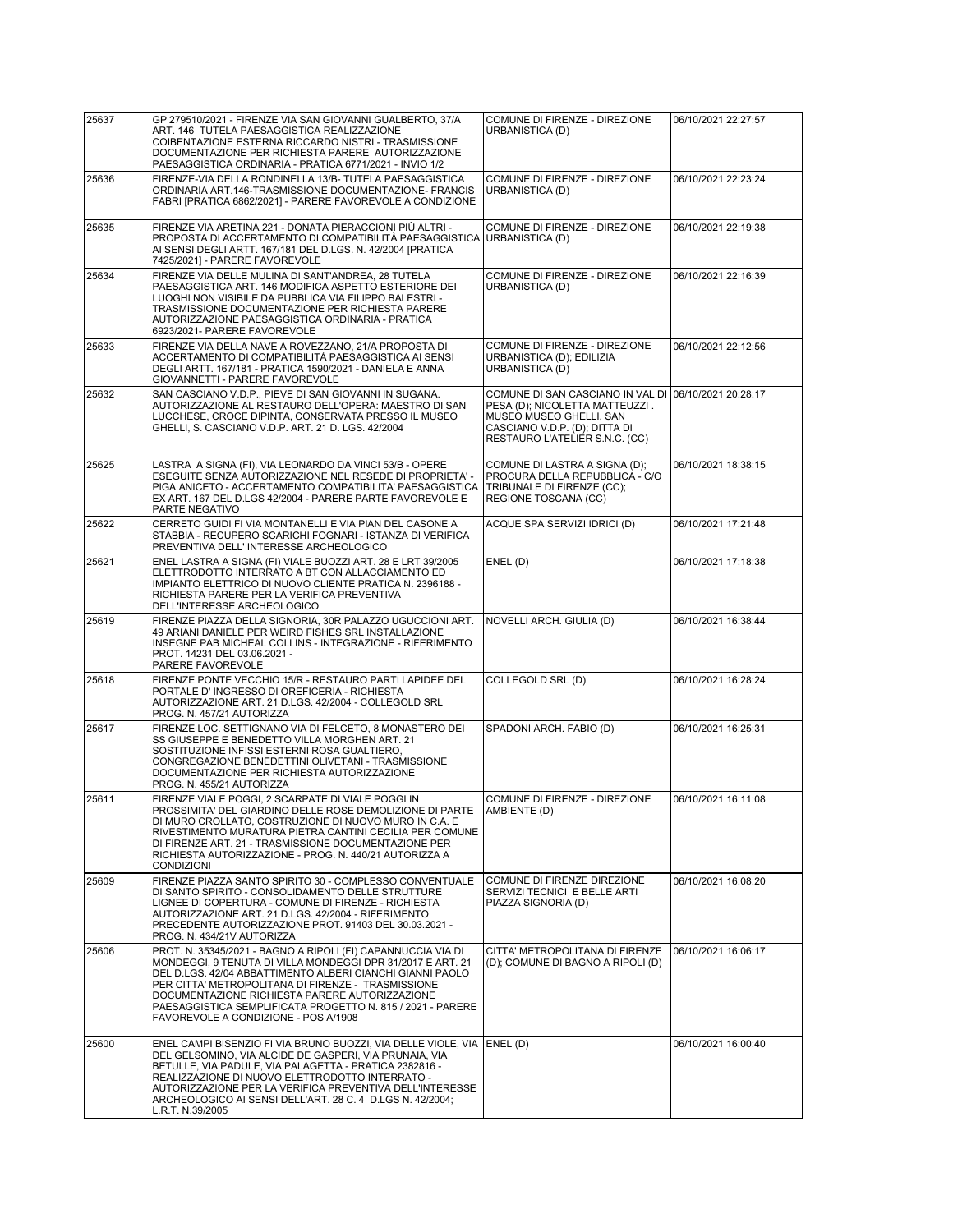| 25637 | GP 279510/2021 - FIRENZE VIA SAN GIOVANNI GUALBERTO, 37/A<br>ART. 146 TUTELA PAESAGGISTICA REALIZZAZIONE<br>COIBENTAZIONE ESTERNA RICCARDO NISTRI - TRASMISSIONE<br>DOCUMENTAZIONE PER RICHIESTA PARERE AUTORIZZAZIONE                                                                                                                                                                                | COMUNE DI FIRENZE - DIREZIONE<br>URBANISTICA (D)                                                                                                                                     | 06/10/2021 22:27:57 |
|-------|-------------------------------------------------------------------------------------------------------------------------------------------------------------------------------------------------------------------------------------------------------------------------------------------------------------------------------------------------------------------------------------------------------|--------------------------------------------------------------------------------------------------------------------------------------------------------------------------------------|---------------------|
| 25636 | PAESAGGISTICA ORDINARIA - PRATICA 6771/2021 - INVIO 1/2<br>FIRENZE-VIA DELLA RONDINELLA 13/B- TUTELA PAESAGGISTICA<br>ORDINARIA ART.146-TRASMISSIONE DOCUMENTAZIONE- FRANCIS<br>FABRI [PRATICA 6862/2021] - PARERE FAVOREVOLE A CONDIZIONE                                                                                                                                                            | COMUNE DI FIRENZE - DIREZIONE<br>URBANISTICA (D)                                                                                                                                     | 06/10/2021 22:23:24 |
| 25635 | FIRENZE VIA ARETINA 221 - DONATA PIERACCIONI PIÙ ALTRI -<br>PROPOSTA DI ACCERTAMENTO DI COMPATIBILITÀ PAESAGGISTICA<br>AI SENSI DEGLI ARTT. 167/181 DEL D.LGS. N. 42/2004 [PRATICA<br>7425/2021] - PARERE FAVOREVOLE                                                                                                                                                                                  | COMUNE DI FIRENZE - DIREZIONE<br>URBANISTICA (D)                                                                                                                                     | 06/10/2021 22:19:38 |
| 25634 | FIRENZE VIA DELLE MULINA DI SANT'ANDREA, 28 TUTELA<br>PAESAGGISTICA ART. 146 MODIFICA ASPETTO ESTERIORE DEI<br>LUOGHI NON VISIBILE DA PUBBLICA VIA FILIPPO BALESTRI -<br>TRASMISSIONE DOCUMENTAZIONE PER RICHIESTA PARERE<br>AUTORIZZAZIONE PAESAGGISTICA ORDINARIA - PRATICA<br>6923/2021- PARERE FAVOREVOLE                                                                                         | COMUNE DI FIRENZE - DIREZIONE<br>URBANISTICA (D)                                                                                                                                     | 06/10/2021 22:16:39 |
| 25633 | FIRENZE VIA DELLA NAVE A ROVEZZANO, 21/A PROPOSTA DI<br>ACCERTAMENTO DI COMPATIBILITÀ PAESAGGISTICA AI SENSI<br>DEGLI ARTT. 167/181 - PRATICA 1590/2021 - DANIELA E ANNA<br>GIOVANNETTI - PARERE FAVOREVOLE                                                                                                                                                                                           | COMUNE DI FIRENZE - DIREZIONE<br>URBANISTICA (D); EDILIZIA<br>URBANISTICA (D)                                                                                                        | 06/10/2021 22:12:56 |
| 25632 | SAN CASCIANO V.D.P., PIEVE DI SAN GIOVANNI IN SUGANA.<br>AUTORIZZAZIONE AL RESTAURO DELL'OPERA: MAESTRO DI SAN<br>LUCCHESE, CROCE DIPINTA, CONSERVATA PRESSO IL MUSEO<br>GHELLI, S. CASCIANO V.D.P. ART. 21 D. LGS. 42/2004                                                                                                                                                                           | COMUNE DI SAN CASCIANO IN VAL DI 06/10/2021 20:28:17<br>PESA (D); NICOLETTA MATTEUZZI.<br>MUSEO MUSEO GHELLI, SAN<br>CASCIANO V.D.P. (D); DITTA DI<br>RESTAURO L'ATELIER S.N.C. (CC) |                     |
| 25625 | LASTRA A SIGNA (FI), VIA LEONARDO DA VINCI 53/B - OPERE<br>ESEGUITE SENZA AUTORIZZAZIONE NEL RESEDE DI PROPRIETA' -<br>PIGA ANICETO - ACCERTAMENTO COMPATIBILITA' PAESAGGISTICA<br>EX ART. 167 DEL D.LGS 42/2004 - PARERE PARTE FAVOREVOLE E<br>PARTE NEGATIVO                                                                                                                                        | COMUNE DI LASTRA A SIGNA (D);<br>PROCURA DELLA REPUBBLICA - C/O<br>TRIBUNALE DI FIRENZE (CC);<br>REGIONE TOSCANA (CC)                                                                | 06/10/2021 18:38:15 |
| 25622 | CERRETO GUIDI FI VIA MONTANELLI E VIA PIAN DEL CASONE A<br>STABBIA - RECUPERO SCARICHI FOGNARI - ISTANZA DI VERIFICA<br>PREVENTIVA DELL' INTERESSE ARCHEOLOGICO                                                                                                                                                                                                                                       | ACQUE SPA SERVIZI IDRICI (D)                                                                                                                                                         | 06/10/2021 17:21:48 |
| 25621 | ENEL LASTRA A SIGNA (FI) VIALE BUOZZI ART. 28 E LRT 39/2005<br>ELETTRODOTTO INTERRATO A BT CON ALLACCIAMENTO ED<br>IMPIANTO ELETTRICO DI NUOVO CLIENTE PRATICA N. 2396188 -<br>RICHIESTA PARERE PER LA VERIFICA PREVENTIVA<br>DELL'INTERESSE ARCHEOLOGICO                                                                                                                                             | ENEL (D)                                                                                                                                                                             | 06/10/2021 17:18:38 |
| 25619 | FIRENZE PIAZZA DELLA SIGNORIA, 30R PALAZZO UGUCCIONI ART.<br>49 ARIANI DANIELE PER WEIRD FISHES SRL INSTALLAZIONE<br>INSEGNE PAB MICHEAL COLLINS - INTEGRAZIONE - RIFERIMENTO<br>PROT. 14231 DEL 03.06.2021 -<br>PARERE FAVOREVOLE                                                                                                                                                                    | NOVELLI ARCH. GIULIA (D)                                                                                                                                                             | 06/10/2021 16:38:44 |
| 25618 | FIRENZE PONTE VECCHIO 15/R - RESTAURO PARTI LAPIDEE DEL<br>PORTALE D'INGRESSO DI OREFICERIA - RICHIESTA<br>AUTORIZZAZIONE ART. 21 D.LGS. 42/2004 - COLLEGOLD SRL<br>PROG. N. 457/21 AUTORIZZA                                                                                                                                                                                                         | COLLEGOLD SRL (D)                                                                                                                                                                    | 06/10/2021 16:28:24 |
| 25617 | FIRENZE LOC. SETTIGNANO VIA DI FELCETO. 8 MONASTERO DEI<br>SS GIUSEPPE E BENEDETTO VILLA MORGHEN ART. 21<br>SOSTITUZIONE INFISSI ESTERNI ROSA GUALTIERO,<br>CONGREGAZIONE BENEDETTINI OLIVETANI - TRASMISSIONE<br>DOCUMENTAZIONE PER RICHIESTA AUTORIZZAZIONE<br>PROG. N. 455/21 AUTORIZZA                                                                                                            | SPADONI ARCH. FABIO (D)                                                                                                                                                              | 06/10/2021 16:25:31 |
| 25611 | FIRENZE VIALE POGGI, 2 SCARPATE DI VIALE POGGI IN<br>PROSSIMITA' DEL GIARDINO DELLE ROSE DEMOLIZIONE DI PARTE<br>DI MURO CROLLATO. COSTRUZIONE DI NUOVO MURO IN C.A. E<br>RIVESTIMENTO MURATURA PIETRA CANTINI CECILIA PER COMUNE<br>DI FIRENZE ART. 21 - TRASMISSIONE DOCUMENTAZIONE PER<br>RICHIESTA AUTORIZZAZIONE - PROG. N. 440/21 AUTORIZZA A<br><b>CONDIZIONI</b>                              | COMUNE DI FIRENZE - DIREZIONE<br> AMBIENTE (D)                                                                                                                                       | 06/10/2021 16:11:08 |
| 25609 | FIRENZE PIAZZA SANTO SPIRITO 30 - COMPLESSO CONVENTUALE<br>DI SANTO SPIRITO - CONSOLIDAMENTO DELLE STRUTTURE<br>LIGNEE DI COPERTURA - COMUNE DI FIRENZE - RICHIESTA<br>AUTORIZZAZIONE ART. 21 D.LGS. 42/2004 - RIFERIMENTO<br>PRECEDENTE AUTORIZZAZIONE PROT. 91403 DEL 30.03.2021 -<br>PROG. N. 434/21V AUTORIZZA                                                                                    | COMUNE DI FIRENZE DIREZIONE<br>SERVIZI TECNICI E BELLE ARTI<br>PIAZZA SIGNORIA (D)                                                                                                   | 06/10/2021 16:08:20 |
| 25606 | PROT. N. 35345/2021 - BAGNO A RIPOLI (FI) CAPANNUCCIA VIA DI<br>MONDEGGI, 9 TENUTA DI VILLA MONDEGGI DPR 31/2017 E ART. 21<br>DEL D.LGS. 42/04 ABBATTIMENTO ALBERI CIANCHI GIANNI PAOLO<br>PER CITTA' METROPOLITANA DI FIRENZE - TRASMISSIONE<br>DOCUMENTAZIONE RICHIESTA PARERE AUTORIZZAZIONE<br>PAESAGGISTICA SEMPLIFICATA PROGETTO N. 815 / 2021 - PARERE<br>FAVOREVOLE A CONDIZIONE - POS A/1908 | CITTA' METROPOLITANA DI FIRENZE<br>(D); COMUNE DI BAGNO A RIPOLI (D)                                                                                                                 | 06/10/2021 16:06:17 |
| 25600 | ENEL CAMPI BISENZIO FI VIA BRUNO BUOZZI, VIA DELLE VIOLE, VIA<br>DEL GELSOMINO, VIA ALCIDE DE GASPERI, VIA PRUNAIA, VIA<br>BETULLE, VIA PADULE, VIA PALAGETTA - PRATICA 2382816 -<br>REALIZZAZIONE DI NUOVO ELETTRODOTTO INTERRATO -<br>AUTORIZZAZIONE PER LA VERIFICA PREVENTIVA DELL'INTERESSE<br>ARCHEOLOGICO AI SENSI DELL'ART. 28 C. 4 D.LGS N. 42/2004;<br>L.R.T. N.39/2005                     | (ENEL (D                                                                                                                                                                             | 06/10/2021 16:00:40 |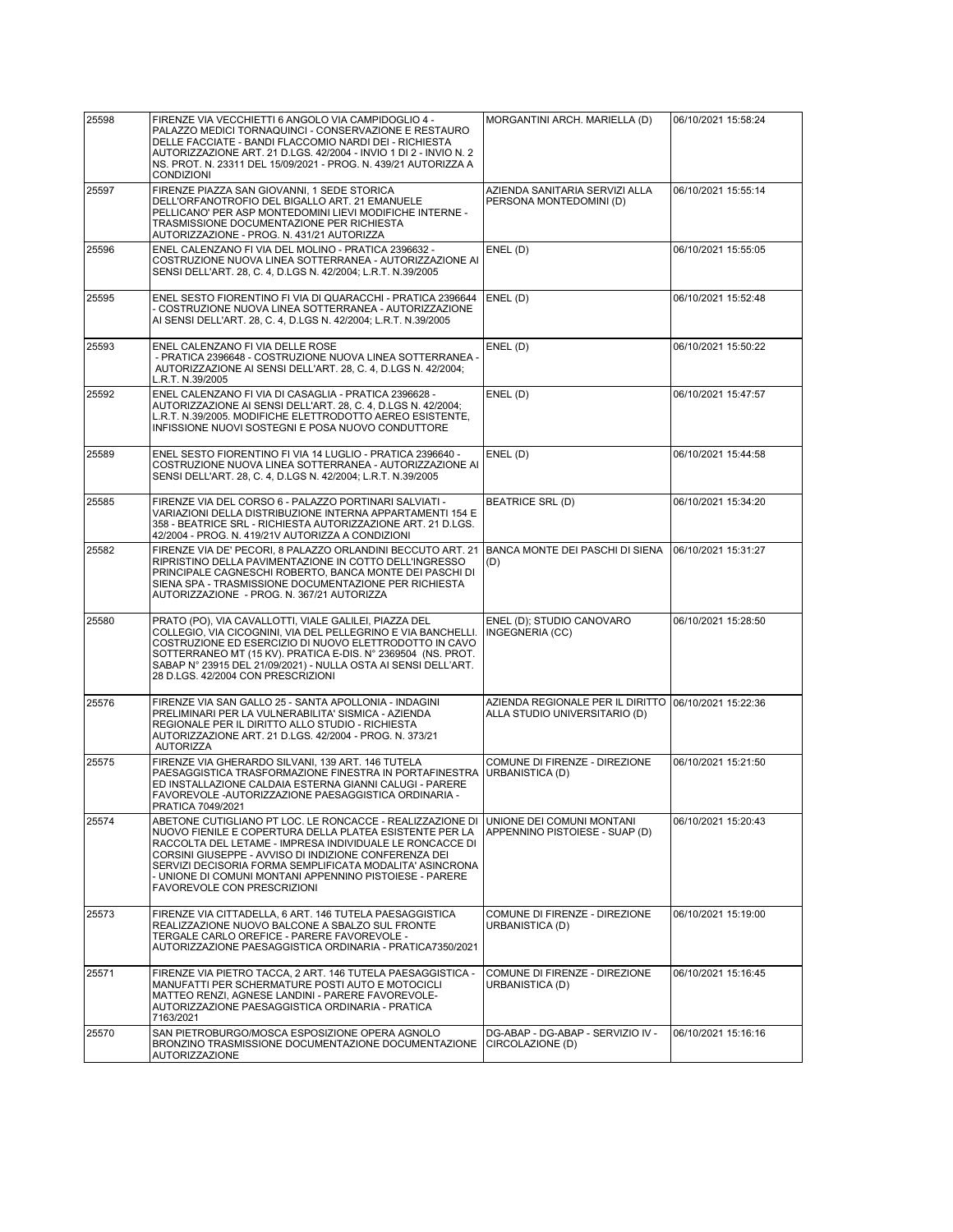| 25598 | FIRENZE VIA VECCHIETTI 6 ANGOLO VIA CAMPIDOGLIO 4 -<br>PALAZZO MEDICI TORNAQUINCI - CONSERVAZIONE E RESTAURO<br>DELLE FACCIATE - BANDI FLACCOMIO NARDI DEI - RICHIESTA<br>AUTORIZZAZIONE ART. 21 D.LGS. 42/2004 - INVIO 1 DI 2 - INVIO N. 2<br>NS. PROT. N. 23311 DEL 15/09/2021 - PROG. N. 439/21 AUTORIZZA A<br>CONDIZIONI                                                                    | MORGANTINI ARCH. MARIELLA (D)                                     | 06/10/2021 15:58:24 |
|-------|-------------------------------------------------------------------------------------------------------------------------------------------------------------------------------------------------------------------------------------------------------------------------------------------------------------------------------------------------------------------------------------------------|-------------------------------------------------------------------|---------------------|
| 25597 | FIRENZE PIAZZA SAN GIOVANNI, 1 SEDE STORICA<br>DELL'ORFANOTROFIO DEL BIGALLO ART. 21 EMANUELE<br>PELLICANO' PER ASP MONTEDOMINI LIEVI MODIFICHE INTERNE -<br>TRASMISSIONE DOCUMENTAZIONE PER RICHIESTA<br>AUTORIZZAZIONE - PROG. N. 431/21 AUTORIZZA                                                                                                                                            | AZIENDA SANITARIA SERVIZI ALLA<br>PERSONA MONTEDOMINI (D)         | 06/10/2021 15:55:14 |
| 25596 | ENEL CALENZANO FI VIA DEL MOLINO - PRATICA 2396632 -<br>COSTRUZIONE NUOVA LINEA SOTTERRANEA - AUTORIZZAZIONE AI<br>SENSI DELL'ART. 28, C. 4, D.LGS N. 42/2004; L.R.T. N.39/2005                                                                                                                                                                                                                 | ENEL (D)                                                          | 06/10/2021 15:55:05 |
| 25595 | ENEL SESTO FIORENTINO FI VIA DI QUARACCHI - PRATICA 2396644<br>- COSTRUZIONE NUOVA LINEA SOTTERRANEA - AUTORIZZAZIONE<br>AI SENSI DELL'ART. 28, C. 4, D.LGS N. 42/2004; L.R.T. N.39/2005                                                                                                                                                                                                        | ENEL (D)                                                          | 06/10/2021 15:52:48 |
| 25593 | ENEL CALENZANO FI VIA DELLE ROSE<br>- PRATICA 2396648 - COSTRUZIONE NUOVA LINEA SOTTERRANEA -<br>AUTORIZZAZIONE AI SENSI DELL'ART. 28, C. 4, D.LGS N. 42/2004;<br>L.R.T. N.39/2005                                                                                                                                                                                                              | ENEL(D)                                                           | 06/10/2021 15:50:22 |
| 25592 | ENEL CALENZANO FI VIA DI CASAGLIA - PRATICA 2396628 -<br>AUTORIZZAZIONE AI SENSI DELL'ART. 28, C. 4, D.LGS N. 42/2004;<br>L.R.T. N.39/2005. MODIFICHE ELETTRODOTTO AEREO ESISTENTE,<br>INFISSIONE NUOVI SOSTEGNI E POSA NUOVO CONDUTTORE                                                                                                                                                        | ENEL (D)                                                          | 06/10/2021 15:47:57 |
| 25589 | ENEL SESTO FIORENTINO FI VIA 14 LUGLIO - PRATICA 2396640 -<br>COSTRUZIONE NUOVA LINEA SOTTERRANEA - AUTORIZZAZIONE AI<br>SENSI DELL'ART. 28, C. 4, D.LGS N. 42/2004; L.R.T. N.39/2005                                                                                                                                                                                                           | ENEL (D)                                                          | 06/10/2021 15:44:58 |
| 25585 | FIRENZE VIA DEL CORSO 6 - PALAZZO PORTINARI SALVIATI -<br>VARIAZIONI DELLA DISTRIBUZIONE INTERNA APPARTAMENTI 154 E<br>358 - BEATRICE SRL - RICHIESTA AUTORIZZAZIONE ART. 21 D.LGS.<br>42/2004 - PROG. N. 419/21V AUTORIZZA A CONDIZIONI                                                                                                                                                        | <b>BEATRICE SRL (D)</b>                                           | 06/10/2021 15:34:20 |
| 25582 | FIRENZE VIA DE' PECORI, 8 PALAZZO ORLANDINI BECCUTO ART. 21<br>RIPRISTINO DELLA PAVIMENTAZIONE IN COTTO DELL'INGRESSO<br>PRINCIPALE CAGNESCHI ROBERTO, BANCA MONTE DEI PASCHI DI<br>SIENA SPA - TRASMISSIONE DOCUMENTAZIONE PER RICHIESTA<br>AUTORIZZAZIONE - PROG. N. 367/21 AUTORIZZA                                                                                                         | BANCA MONTE DEI PASCHI DI SIENA<br>(D)                            | 06/10/2021 15:31:27 |
| 25580 | PRATO (PO), VIA CAVALLOTTI, VIALE GALILEI, PIAZZA DEL<br>COLLEGIO, VIA CICOGNINI, VIA DEL PELLEGRINO E VIA BANCHELLI.<br>COSTRUZIONE ED ESERCIZIO DI NUOVO ELETTRODOTTO IN CAVO<br>SOTTERRANEO MT (15 KV). PRATICA E-DIS. N° 2369504 (NS. PROT.<br>SABAP N° 23915 DEL 21/09/2021) - NULLA OSTA AI SENSI DELL'ART.<br>28 D.LGS. 42/2004 CON PRESCRIZIONI                                         | ENEL (D); STUDIO CANOVARO<br>INGEGNERIA (CC)                      | 06/10/2021 15:28:50 |
| 25576 | FIRENZE VIA SAN GALLO 25 - SANTA APOLLONIA - INDAGINI<br>PRELIMINARI PER LA VULNERABILITA' SISMICA - AZIENDA<br>REGIONALE PER IL DIRITTO ALLO STUDIO - RICHIESTA<br>AUTORIZZAZIONE ART. 21 D.LGS. 42/2004 - PROG. N. 373/21<br><b>AUTORIZZA</b>                                                                                                                                                 | AZIENDA REGIONALE PER IL DIRITTO<br>ALLA STUDIO UNIVERSITARIO (D) | 06/10/2021 15:22:36 |
| 25575 | FIRENZE VIA GHERARDO SILVANI, 139 ART. 146 TUTELA<br>PAESAGGISTICA TRASFORMAZIONE FINESTRA IN PORTAFINESTRA<br>ED INSTALLAZIONE CALDAIA ESTERNA GIANNI CALUGI - PARERE<br>FAVOREVOLE - AUTORIZZAZIONE PAESAGGISTICA ORDINARIA -<br>PRATICA 7049/2021                                                                                                                                            | COMUNE DI FIRENZE - DIREZIONE<br>URBANISTICA (D)                  | 06/10/2021 15:21:50 |
| 25574 | ABETONE CUTIGLIANO PT LOC. LE RONCACCE - REALIZZAZIONE DI<br>NUOVO FIENILE E COPERTURA DELLA PLATEA ESISTENTE PER LA<br>RACCOLTA DEL LETAME - IMPRESA INDIVIDUALE LE RONCACCE DI<br>CORSINI GIUSEPPE - AVVISO DI INDIZIONE CONFERENZA DEI<br>SERVIZI DECISORIA FORMA SEMPLIFICATA MODALITA' ASINCRONA<br>- UNIONE DI COMUNI MONTANI APPENNINO PISTOIESE - PARERE<br>FAVOREVOLE CON PRESCRIZIONI | UNIONE DEI COMUNI MONTANI<br>APPENNINO PISTOIESE - SUAP (D)       | 06/10/2021 15:20:43 |
| 25573 | FIRENZE VIA CITTADELLA, 6 ART. 146 TUTELA PAESAGGISTICA<br>REALIZZAZIONE NUOVO BALCONE A SBALZO SUL FRONTE<br>TERGALE CARLO OREFICE - PARERE FAVOREVOLE -<br>AUTORIZZAZIONE PAESAGGISTICA ORDINARIA - PRATICA7350/2021                                                                                                                                                                          | COMUNE DI FIRENZE - DIREZIONE<br>URBANISTICA (D)                  | 06/10/2021 15:19:00 |
| 25571 | FIRENZE VIA PIETRO TACCA, 2 ART. 146 TUTELA PAESAGGISTICA -<br>MANUFATTI PER SCHERMATURE POSTI AUTO E MOTOCICLI<br>MATTEO RENZI, AGNESE LANDINI - PARERE FAVOREVOLE-<br>AUTORIZZAZIONE PAESAGGISTICA ORDINARIA - PRATICA<br>7163/2021                                                                                                                                                           | COMUNE DI FIRENZE - DIREZIONE<br>URBANISTICA (D)                  | 06/10/2021 15:16:45 |
| 25570 | SAN PIETROBURGO/MOSCA ESPOSIZIONE OPERA AGNOLO<br>BRONZINO TRASMISSIONE DOCUMENTAZIONE DOCUMENTAZIONE<br><b>AUTORIZZAZIONE</b>                                                                                                                                                                                                                                                                  | DG-ABAP - DG-ABAP - SERVIZIO IV -<br>CIRCOLAZIONE (D)             | 06/10/2021 15:16:16 |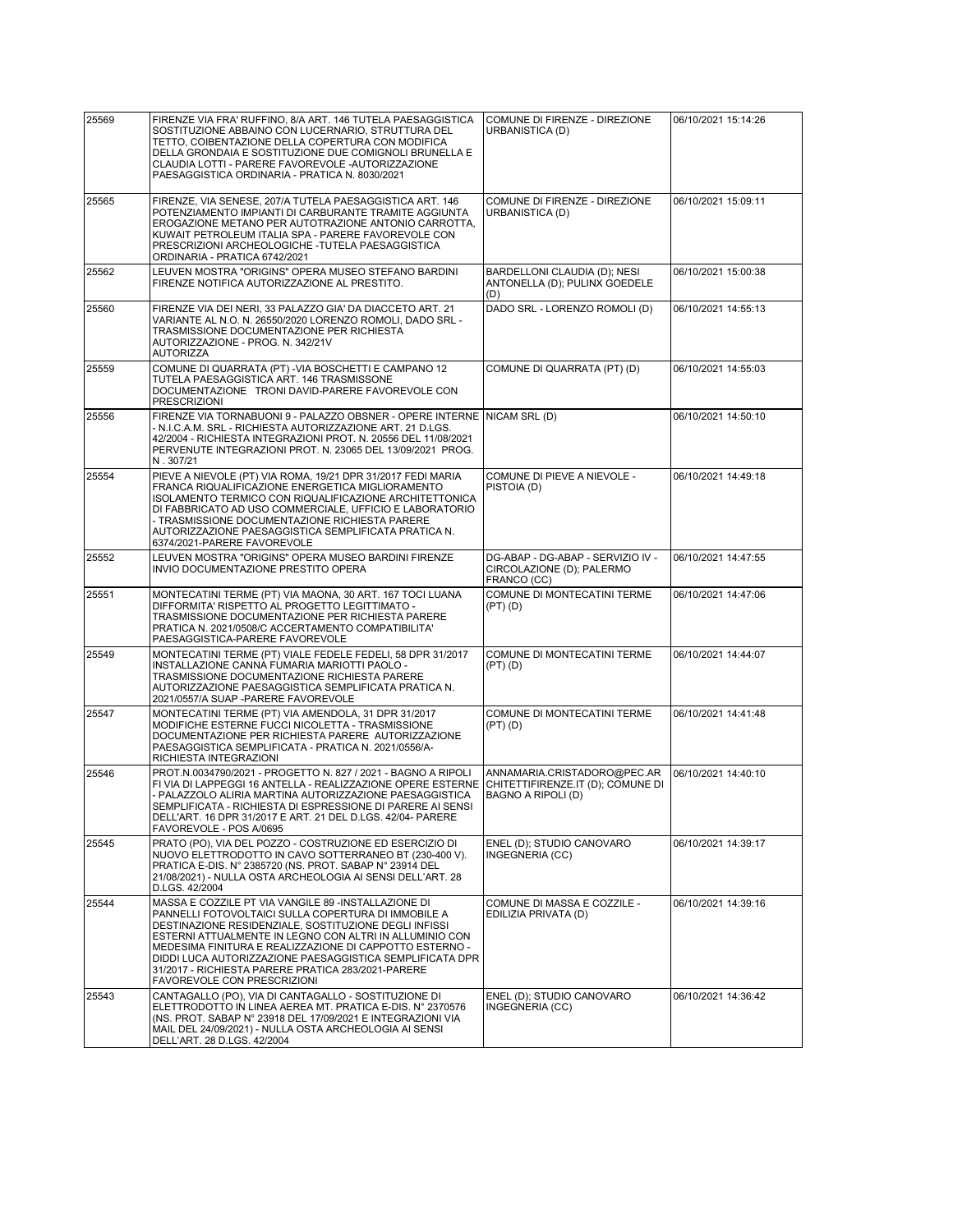| 25569 | FIRENZE VIA FRA' RUFFINO, 8/A ART. 146 TUTELA PAESAGGISTICA<br>SOSTITUZIONE ABBAINO CON LUCERNARIO. STRUTTURA DEL<br>TETTO, COIBENTAZIONE DELLA COPERTURA CON MODIFICA<br>DELLA GRONDAIA E SOSTITUZIONE DUE COMIGNOLI BRUNELLA E<br>CLAUDIA LOTTI - PARERE FAVOREVOLE - AUTORIZZAZIONE<br>PAESAGGISTICA ORDINARIA - PRATICA N. 8030/2021                                                                                                   | COMUNE DI FIRENZE - DIREZIONE<br>URBANISTICA (D)                                       | 06/10/2021 15:14:26 |
|-------|--------------------------------------------------------------------------------------------------------------------------------------------------------------------------------------------------------------------------------------------------------------------------------------------------------------------------------------------------------------------------------------------------------------------------------------------|----------------------------------------------------------------------------------------|---------------------|
| 25565 | FIRENZE, VIA SENESE, 207/A TUTELA PAESAGGISTICA ART. 146<br>POTENZIAMENTO IMPIANTI DI CARBURANTE TRAMITE AGGIUNTA<br>EROGAZIONE METANO PER AUTOTRAZIONE ANTONIO CARROTTA,<br>KUWAIT PETROLEUM ITALIA SPA - PARERE FAVOREVOLE CON<br>PRESCRIZIONI ARCHEOLOGICHE - TUTELA PAESAGGISTICA<br>ORDINARIA - PRATICA 6742/2021                                                                                                                     | COMUNE DI FIRENZE - DIREZIONE<br>URBANISTICA (D)                                       | 06/10/2021 15:09:11 |
| 25562 | LEUVEN MOSTRA "ORIGINS" OPERA MUSEO STEFANO BARDINI<br>FIRENZE NOTIFICA AUTORIZZAZIONE AL PRESTITO.                                                                                                                                                                                                                                                                                                                                        | BARDELLONI CLAUDIA (D); NESI<br>ANTONELLA (D): PULINX GOEDELE<br>(D)                   | 06/10/2021 15:00:38 |
| 25560 | FIRENZE VIA DEI NERI, 33 PALAZZO GIA' DA DIACCETO ART. 21<br>VARIANTE AL N.O. N. 26550/2020 LORENZO ROMOLI. DADO SRL -<br>TRASMISSIONE DOCUMENTAZIONE PER RICHIESTA<br>AUTORIZZAZIONE - PROG. N. 342/21V<br><b>AUTORIZZA</b>                                                                                                                                                                                                               | DADO SRL - LORENZO ROMOLI (D)                                                          | 06/10/2021 14:55:13 |
| 25559 | COMUNE DI QUARRATA (PT) - VIA BOSCHETTI E CAMPANO 12<br>TUTELA PAESAGGISTICA ART. 146 TRASMISSONE<br>DOCUMENTAZIONE TRONI DAVID-PARERE FAVOREVOLE CON<br><b>PRESCRIZIONI</b>                                                                                                                                                                                                                                                               | COMUNE DI QUARRATA (PT) (D)                                                            | 06/10/2021 14:55:03 |
| 25556 | FIRENZE VIA TORNABUONI 9 - PALAZZO OBSNER - OPERE INTERNE   NICAM SRL (D)<br>- N.I.C.A.M. SRL - RICHIESTA AUTORIZZAZIONE ART. 21 D.LGS.<br>42/2004 - RICHIESTA INTEGRAZIONI PROT. N. 20556 DEL 11/08/2021<br>PERVENUTE INTEGRAZIONI PROT. N. 23065 DEL 13/09/2021 PROG.<br>N.307/21                                                                                                                                                        |                                                                                        | 06/10/2021 14:50:10 |
| 25554 | PIEVE A NIEVOLE (PT) VIA ROMA, 19/21 DPR 31/2017 FEDI MARIA<br>FRANCA RIQUALIFICAZIONE ENERGETICA MIGLIORAMENTO<br>ISOLAMENTO TERMICO CON RIQUALIFICAZIONE ARCHITETTONICA<br>DI FABBRICATO AD USO COMMERCIALE, UFFICIO E LABORATORIO<br>- TRASMISSIONE DOCUMENTAZIONE RICHIESTA PARERE<br>AUTORIZZAZIONE PAESAGGISTICA SEMPLIFICATA PRATICA N.<br>6374/2021-PARERE FAVOREVOLE                                                              | COMUNE DI PIEVE A NIEVOLE -<br>PISTOIA (D)                                             | 06/10/2021 14:49:18 |
| 25552 | LEUVEN MOSTRA "ORIGINS" OPERA MUSEO BARDINI FIRENZE<br>INVIO DOCUMENTAZIONE PRESTITO OPERA                                                                                                                                                                                                                                                                                                                                                 | DG-ABAP - DG-ABAP - SERVIZIO IV -<br>CIRCOLAZIONE (D); PALERMO<br>FRANCO (CC)          | 06/10/2021 14:47:55 |
| 25551 | MONTECATINI TERME (PT) VIA MAONA, 30 ART. 167 TOCI LUANA<br>DIFFORMITA' RISPETTO AL PROGETTO LEGITTIMATO -<br>TRASMISSIONE DOCUMENTAZIONE PER RICHIESTA PARERE<br>PRATICA N. 2021/0508/C ACCERTAMENTO COMPATIBILITA'<br>PAESAGGISTICA-PARERE FAVOREVOLE                                                                                                                                                                                    | COMUNE DI MONTECATINI TERME<br>$(PT)$ $(D)$                                            | 06/10/2021 14:47:06 |
| 25549 | MONTECATINI TERME (PT) VIALE FEDELE FEDELI, 58 DPR 31/2017<br>INSTALLAZIONE CANNA FUMARIA MARIOTTI PAOLO -<br>TRASMISSIONE DOCUMENTAZIONE RICHIESTA PARERE<br>AUTORIZZAZIONE PAESAGGISTICA SEMPLIFICATA PRATICA N.<br>2021/0557/A SUAP -PARERE FAVOREVOLE                                                                                                                                                                                  | COMUNE DI MONTECATINI TERME<br>$(PT)$ $(D)$                                            | 06/10/2021 14:44:07 |
| 25547 | MONTECATINI TERME (PT) VIA AMENDOLA, 31 DPR 31/2017<br>MODIFICHE ESTERNE FUCCI NICOLETTA - TRASMISSIONE<br>DOCUMENTAZIONE PER RICHIESTA PARERE AUTORIZZAZIONE<br>PAESAGGISTICA SEMPLIFICATA - PRATICA N. 2021/0556/A-<br>RICHIESTA INTEGRAZIONI                                                                                                                                                                                            | COMUNE DI MONTECATINI TERME<br>$(PT)$ $(D)$                                            | 06/10/2021 14:41:48 |
| 25546 | PROT.N.0034790/2021 - PROGETTO N. 827 / 2021 - BAGNO A RIPOLI<br>FI VIA DI LAPPEGGI 16 ANTELLA - REALIZZAZIONE OPERE ESTERNE<br>- PALAZZOLO ALIRIA MARTINA AUTORIZZAZIONE PAESAGGISTICA<br>SEMPLIFICATA - RICHIESTA DI ESPRESSIONE DI PARERE AI SENSI<br>DELL'ART. 16 DPR 31/2017 E ART. 21 DEL D.LGS. 42/04- PARERE<br>FAVOREVOLE - POS A/0695                                                                                            | ANNAMARIA.CRISTADORO@PEC.AR<br>CHITETTIFIRENZE.IT (D); COMUNE DI<br>BAGNO A RIPOLI (D) | 06/10/2021 14:40:10 |
| 25545 | PRATO (PO), VIA DEL POZZO - COSTRUZIONE ED ESERCIZIO DI<br>NUOVO ELETTRODOTTO IN CAVO SOTTERRANEO BT (230-400 V).<br>PRATICA E-DIS. N° 2385720 (NS. PROT. SABAP N° 23914 DEL<br>21/08/2021) - NULLA OSTA ARCHEOLOGIA AI SENSI DELL'ART. 28<br>D.LGS. 42/2004                                                                                                                                                                               | ENEL (D); STUDIO CANOVARO<br>INGEGNERIA (CC)                                           | 06/10/2021 14:39:17 |
| 25544 | MASSA E COZZILE PT VIA VANGILE 89 -INSTALLAZIONE DI<br>PANNELLI FOTOVOLTAICI SULLA COPERTURA DI IMMOBILE A<br>DESTINAZIONE RESIDENZIALE, SOSTITUZIONE DEGLI INFISSI<br>ESTERNI ATTUALMENTE IN LEGNO CON ALTRI IN ALLUMINIO CON<br>MEDESIMA FINITURA E REALIZZAZIONE DI CAPPOTTO ESTERNO -<br>DIDDI LUCA AUTORIZZAZIONE PAESAGGISTICA SEMPLIFICATA DPR<br>31/2017 - RICHIESTA PARERE PRATICA 283/2021-PARERE<br>FAVOREVOLE CON PRESCRIZIONI | COMUNE DI MASSA E COZZILE -<br>EDILIZIA PRIVATA (D)                                    | 06/10/2021 14:39:16 |
| 25543 | CANTAGALLO (PO), VIA DI CANTAGALLO - SOSTITUZIONE DI<br>ELETTRODOTTO IN LINEA AEREA MT. PRATICA E-DIS. Nº 2370576<br>(NS. PROT. SABAP N° 23918 DEL 17/09/2021 E INTEGRAZIONI VIA<br>MAIL DEL 24/09/2021) - NULLA OSTA ARCHEOLOGIA AI SENSI<br>DELL'ART. 28 D.LGS. 42/2004                                                                                                                                                                  | ENEL (D); STUDIO CANOVARO<br>INGEGNERIA (CC)                                           | 06/10/2021 14:36:42 |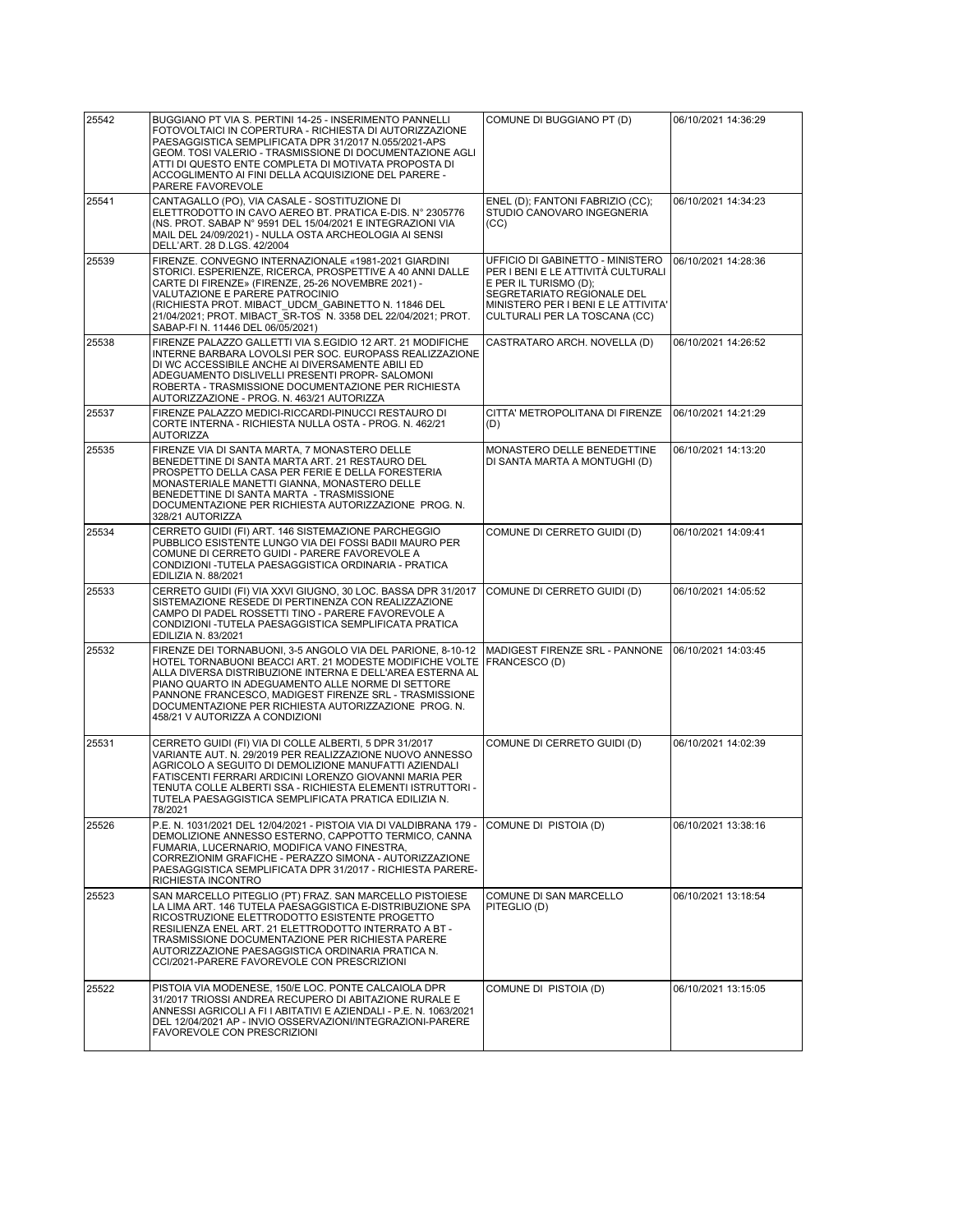| 25542 | BUGGIANO PT VIA S. PERTINI 14-25 - INSERIMENTO PANNELLI<br>FOTOVOLTAICI IN COPERTURA - RICHIESTA DI AUTORIZZAZIONE<br>PAESAGGISTICA SEMPLIFICATA DPR 31/2017 N.055/2021-APS<br>GEOM. TOSI VALERIO - TRASMISSIONE DI DOCUMENTAZIONE AGLI<br>ATTI DI QUESTO ENTE COMPLETA DI MOTIVATA PROPOSTA DI<br>ACCOGLIMENTO AI FINI DELLA ACQUISIZIONE DEL PARERE -<br>PARERE FAVOREVOLE                  | COMUNE DI BUGGIANO PT (D)                                                                                                                                                                             | 06/10/2021 14:36:29 |
|-------|-----------------------------------------------------------------------------------------------------------------------------------------------------------------------------------------------------------------------------------------------------------------------------------------------------------------------------------------------------------------------------------------------|-------------------------------------------------------------------------------------------------------------------------------------------------------------------------------------------------------|---------------------|
| 25541 | CANTAGALLO (PO), VIA CASALE - SOSTITUZIONE DI<br>ELETTRODOTTO IN CAVO AEREO BT. PRATICA E-DIS. Nº 2305776<br>(NS. PROT. SABAP N° 9591 DEL 15/04/2021 E INTEGRAZIONI VIA<br>MAIL DEL 24/09/2021) - NULLA OSTA ARCHEOLOGIA AI SENSI<br>DELL'ART. 28 D.LGS. 42/2004                                                                                                                              | ENEL (D); FANTONI FABRIZIO (CC);<br>STUDIO CANOVARO INGEGNERIA<br>(CC)                                                                                                                                | 06/10/2021 14:34:23 |
| 25539 | FIRENZE. CONVEGNO INTERNAZIONALE «1981-2021 GIARDINI<br>STORICI. ESPERIENZE, RICERCA, PROSPETTIVE A 40 ANNI DALLE<br>CARTE DI FIRENZE» (FIRENZE, 25-26 NOVEMBRE 2021) -<br>VALUTAZIONE E PARERE PATROCINIO<br>(RICHIESTA PROT. MIBACT UDCM GABINETTO N. 11846 DEL<br>21/04/2021; PROT. MIBACT SR-TOS N. 3358 DEL 22/04/2021; PROT.<br>SABAP-FI N. 11446 DEL 06/05/2021)                       | UFFICIO DI GABINETTO - MINISTERO<br>PER I BENI E LE ATTIVITÀ CULTURALI<br>E PER IL TURISMO (D);<br>SEGRETARIATO REGIONALE DEL<br>MINISTERO PER I BENI E LE ATTIVITA'<br>CULTURALI PER LA TOSCANA (CC) | 06/10/2021 14:28:36 |
| 25538 | FIRENZE PALAZZO GALLETTI VIA S.EGIDIO 12 ART. 21 MODIFICHE<br>INTERNE BARBARA LOVOLSI PER SOC. EUROPASS REALIZZAZIONE<br>DI WC ACCESSIBILE ANCHE AI DIVERSAMENTE ABILI ED<br>ADEGUAMENTO DISLIVELLI PRESENTI PROPR- SALOMONI<br>ROBERTA - TRASMISSIONE DOCUMENTAZIONE PER RICHIESTA<br>AUTORIZZAZIONE - PROG. N. 463/21 AUTORIZZA                                                             | CASTRATARO ARCH. NOVELLA (D)                                                                                                                                                                          | 06/10/2021 14:26:52 |
| 25537 | FIRENZE PALAZZO MEDICI-RICCARDI-PINUCCI RESTAURO DI<br>CORTE INTERNA - RICHIESTA NULLA OSTA - PROG. N. 462/21<br><b>AUTORIZZA</b>                                                                                                                                                                                                                                                             | CITTA' METROPOLITANA DI FIRENZE<br>(D)                                                                                                                                                                | 06/10/2021 14:21:29 |
| 25535 | FIRENZE VIA DI SANTA MARTA, 7 MONASTERO DELLE<br>BENEDETTINE DI SANTA MARTA ART. 21 RESTAURO DEL<br>PROSPETTO DELLA CASA PER FERIE E DELLA FORESTERIA<br>MONASTERIALE MANETTI GIANNA, MONASTERO DELLE<br>BENEDETTINE DI SANTA MARTA - TRASMISSIONE<br>DOCUMENTAZIONE PER RICHIESTA AUTORIZZAZIONE PROG. N.<br>328/21 AUTORIZZA                                                                | MONASTERO DELLE BENEDETTINE<br>DI SANTA MARTA A MONTUGHI (D)                                                                                                                                          | 06/10/2021 14:13:20 |
| 25534 | CERRETO GUIDI (FI) ART. 146 SISTEMAZIONE PARCHEGGIO<br>PUBBLICO ESISTENTE LUNGO VIA DEI FOSSI BADII MAURO PER<br>COMUNE DI CERRETO GUIDI - PARERE FAVOREVOLE A<br>CONDIZIONI - TUTELA PAESAGGISTICA ORDINARIA - PRATICA<br>EDILIZIA N. 88/2021                                                                                                                                                | COMUNE DI CERRETO GUIDI (D)                                                                                                                                                                           | 06/10/2021 14:09:41 |
| 25533 | CERRETO GUIDI (FI) VIA XXVI GIUGNO, 30 LOC. BASSA DPR 31/2017<br>SISTEMAZIONE RESEDE DI PERTINENZA CON REALIZZAZIONE<br>CAMPO DI PADEL ROSSETTI TINO - PARERE FAVOREVOLE A<br>CONDIZIONI - TUTELA PAESAGGISTICA SEMPLIFICATA PRATICA<br>EDILIZIA N. 83/2021                                                                                                                                   | COMUNE DI CERRETO GUIDI (D)                                                                                                                                                                           | 06/10/2021 14:05:52 |
| 25532 | FIRENZE DEI TORNABUONI, 3-5 ANGOLO VIA DEL PARIONE, 8-10-12<br>HOTEL TORNABUONI BEACCI ART. 21 MODESTE MODIFICHE VOLTE<br>ALLA DIVERSA DISTRIBUZIONE INTERNA E DELL'AREA ESTERNA AL<br>PIANO QUARTO IN ADEGUAMENTO ALLE NORME DI SETTORE<br>PANNONE FRANCESCO, MADIGEST FIRENZE SRL - TRASMISSIONE<br>DOCUMENTAZIONE PER RICHIESTA AUTORIZZAZIONE PROG. N.<br>458/21 V AUTORIZZA A CONDIZIONI | MADIGEST FIRENZE SRL - PANNONE<br><b>FRANCESCO (D)</b>                                                                                                                                                | 06/10/2021 14:03:45 |
| 25531 | CERRETO GUIDI (FI) VIA DI COLLE ALBERTI, 5 DPR 31/2017<br>VARIANTE AUT. N. 29/2019 PER REALIZZAZIONE NUOVO ANNESSO<br>AGRICOLO A SEGUITO DI DEMOLIZIONE MANUFATTI AZIENDALI<br>FATISCENTI FERRARI ARDICINI LORENZO GIOVANNI MARIA PER<br>TENUTA COLLE ALBERTI SSA - RICHIESTA ELEMENTI ISTRUTTORI -<br>TUTELA PAESAGGISTICA SEMPLIFICATA PRATICA EDILIZIA N.<br>78/2021                       | COMUNE DI CERRETO GUIDI (D)                                                                                                                                                                           | 06/10/2021 14:02:39 |
| 25526 | P.E. N. 1031/2021 DEL 12/04/2021 - PISTOIA VIA DI VALDIBRANA 179 -<br>DEMOLIZIONE ANNESSO ESTERNO, CAPPOTTO TERMICO, CANNA<br>FUMARIA. LUCERNARIO. MODIFICA VANO FINESTRA.<br>CORREZIONIM GRAFICHE - PERAZZO SIMONA - AUTORIZZAZIONE<br>PAESAGGISTICA SEMPLIFICATA DPR 31/2017 - RICHIESTA PARERE-<br>RICHIESTA INCONTRO                                                                      | COMUNE DI PISTOIA (D)                                                                                                                                                                                 | 06/10/2021 13:38:16 |
| 25523 | SAN MARCELLO PITEGLIO (PT) FRAZ. SAN MARCELLO PISTOIESE<br>LA LIMA ART. 146 TUTELA PAESAGGISTICA E-DISTRIBUZIONE SPA<br>RICOSTRUZIONE ELETTRODOTTO ESISTENTE PROGETTO<br>RESILIENZA ENEL ART. 21 ELETTRODOTTO INTERRATO A BT -<br>TRASMISSIONE DOCUMENTAZIONE PER RICHIESTA PARERE<br>AUTORIZZAZIONE PAESAGGISTICA ORDINARIA PRATICA N.<br>CCI/2021-PARERE FAVOREVOLE CON PRESCRIZIONI        | COMUNE DI SAN MARCELLO<br>PITEGLIO (D)                                                                                                                                                                | 06/10/2021 13:18:54 |
| 25522 | PISTOIA VIA MODENESE, 150/E LOC. PONTE CALCAIOLA DPR<br>31/2017 TRIOSSI ANDREA RECUPERO DI ABITAZIONE RURALE E<br>ANNESSI AGRICOLI A FI I ABITATIVI E AZIENDALI - P.E. N. 1063/2021<br>DEL 12/04/2021 AP - INVIO OSSERVAZIONI/INTEGRAZIONI-PARERE<br>FAVOREVOLE CON PRESCRIZIONI                                                                                                              | COMUNE DI PISTOIA (D)                                                                                                                                                                                 | 06/10/2021 13:15:05 |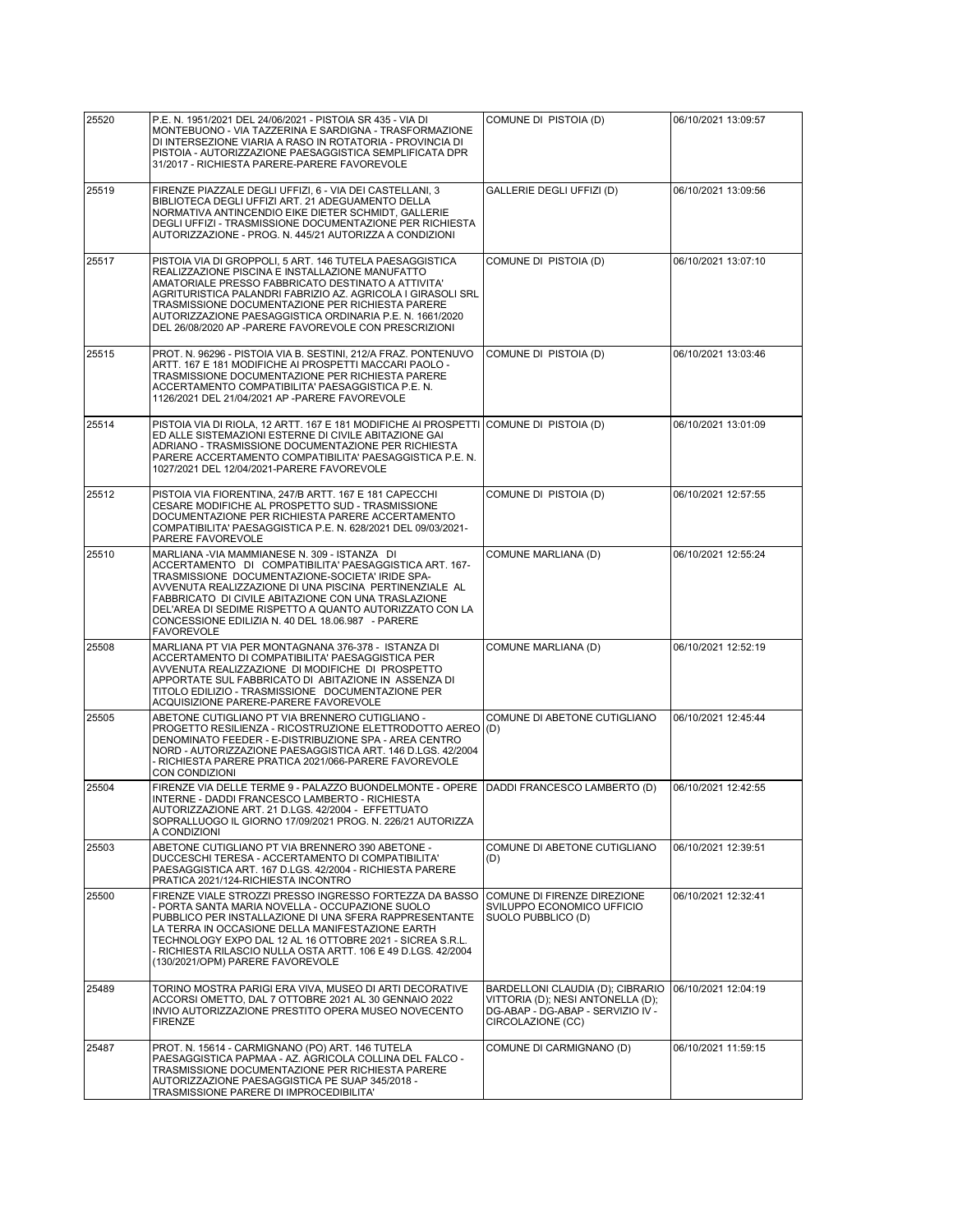| 25520 | P.E. N. 1951/2021 DEL 24/06/2021 - PISTOIA SR 435 - VIA DI                                                                                                                                                                                                                                                                                                                                                       |                                                                                                                                 |                     |
|-------|------------------------------------------------------------------------------------------------------------------------------------------------------------------------------------------------------------------------------------------------------------------------------------------------------------------------------------------------------------------------------------------------------------------|---------------------------------------------------------------------------------------------------------------------------------|---------------------|
|       | MONTEBUONO - VIA TAZZERINA E SARDIGNA - TRASFORMAZIONE<br>DI INTERSEZIONE VIARIA A RASO IN ROTATORIA - PROVINCIA DI<br>PISTOIA - AUTORIZZAZIONE PAESAGGISTICA SEMPLIFICATA DPR<br>31/2017 - RICHIESTA PARERE-PARERE FAVOREVOLE                                                                                                                                                                                   | COMUNE DI PISTOIA (D)                                                                                                           | 06/10/2021 13:09:57 |
| 25519 | FIRENZE PIAZZALE DEGLI UFFIZI, 6 - VIA DEI CASTELLANI, 3<br>BIBLIOTECA DEGLI UFFIZI ART. 21 ADEGUAMENTO DELLA<br>NORMATIVA ANTINCENDIO EIKE DIETER SCHMIDT, GALLERIE<br>DEGLI UFFIZI - TRASMISSIONE DOCUMENTAZIONE PER RICHIESTA<br>AUTORIZZAZIONE - PROG. N. 445/21 AUTORIZZA A CONDIZIONI                                                                                                                      | GALLERIE DEGLI UFFIZI (D)                                                                                                       | 06/10/2021 13:09:56 |
| 25517 | PISTOIA VIA DI GROPPOLI, 5 ART. 146 TUTELA PAESAGGISTICA<br>REALIZZAZIONE PISCINA E INSTALLAZIONE MANUFATTO<br>AMATORIALE PRESSO FABBRICATO DESTINATO A ATTIVITA'<br>AGRITURISTICA PALANDRI FABRIZIO AZ. AGRICOLA I GIRASOLI SRL<br>TRASMISSIONE DOCUMENTAZIONE PER RICHIESTA PARERE<br>AUTORIZZAZIONE PAESAGGISTICA ORDINARIA P.E. N. 1661/2020<br>DEL 26/08/2020 AP -PARERE FAVOREVOLE CON PRESCRIZIONI        | COMUNE DI PISTOIA (D)                                                                                                           | 06/10/2021 13:07:10 |
| 25515 | PROT. N. 96296 - PISTOIA VIA B. SESTINI, 212/A FRAZ. PONTENUVO<br>ARTT. 167 E 181 MODIFICHE AI PROSPETTI MACCARI PAOLO -<br>TRASMISSIONE DOCUMENTAZIONE PER RICHIESTA PARERE<br>ACCERTAMENTO COMPATIBILITA' PAESAGGISTICA P.E. N.<br>1126/2021 DEL 21/04/2021 AP -PARERE FAVOREVOLE                                                                                                                              | COMUNE DI PISTOIA (D)                                                                                                           | 06/10/2021 13:03:46 |
| 25514 | PISTOIA VIA DI RIOLA, 12 ARTT. 167 E 181 MODIFICHE AI PROSPETTI COMUNE DI PISTOIA (D)<br>ED ALLE SISTEMAZIONI ESTERNE DI CIVILE ABITAZIONE GAI<br>ADRIANO - TRASMISSIONE DOCUMENTAZIONE PER RICHIESTA<br>PARERE ACCERTAMENTO COMPATIBILITA' PAESAGGISTICA P.E. N.<br>1027/2021 DEL 12/04/2021-PARERE FAVOREVOLE                                                                                                  |                                                                                                                                 | 06/10/2021 13:01:09 |
| 25512 | PISTOIA VIA FIORENTINA, 247/B ARTT. 167 E 181 CAPECCHI<br>CESARE MODIFICHE AL PROSPETTO SUD - TRASMISSIONE<br>DOCUMENTAZIONE PER RICHIESTA PARERE ACCERTAMENTO<br>COMPATIBILITA' PAESAGGISTICA P.E. N. 628/2021 DEL 09/03/2021-<br>PARERE FAVOREVOLE                                                                                                                                                             | COMUNE DI PISTOIA (D)                                                                                                           | 06/10/2021 12:57:55 |
| 25510 | MARLIANA - VIA MAMMIANESE N. 309 - ISTANZA DI<br>ACCERTAMENTO DI COMPATIBILITA' PAESAGGISTICA ART. 167-<br>TRASMISSIONE DOCUMENTAZIONE-SOCIETA' IRIDE SPA-<br>AVVENUTA REALIZZAZIONE DI UNA PISCINA PERTINENZIALE AL<br>FABBRICATO DI CIVILE ABITAZIONE CON UNA TRASLAZIONE<br>DEL'AREA DI SEDIME RISPETTO A QUANTO AUTORIZZATO CON LA<br>CONCESSIONE EDILIZIA N. 40 DEL 18.06.987 - PARERE<br><b>FAVOREVOLE</b> | COMUNE MARLIANA (D)                                                                                                             | 06/10/2021 12:55:24 |
| 25508 | MARLIANA PT VIA PER MONTAGNANA 376-378 - ISTANZA DI<br>ACCERTAMENTO DI COMPATIBILITA' PAESAGGISTICA PER<br>AVVENUTA REALIZZAZIONE DI MODIFICHE DI PROSPETTO<br>APPORTATE SUL FABBRICATO DI ABITAZIONE IN ASSENZA DI<br>TITOLO EDILIZIO - TRASMISSIONE DOCUMENTAZIONE PER<br>ACQUISIZIONE PARERE-PARERE FAVOREVOLE                                                                                                | COMUNE MARLIANA (D)                                                                                                             | 06/10/2021 12:52:19 |
| 25505 | ABETONE CUTIGLIANO PT VIA BRENNERO CUTIGLIANO -<br>PROGETTO RESILIENZA - RICOSTRUZIONE ELETTRODOTTO AEREO (D)<br>DENOMINATO FEEDER - E-DISTRIBUZIONE SPA - AREA CENTRO<br>NORD - AUTORIZZAZIONE PAESAGGISTICA ART. 146 D.LGS. 42/2004<br>- RICHIESTA PARERE PRATICA 2021/066-PARERE FAVOREVOLE<br>CON CONDIZIONI                                                                                                 | COMUNE DI ABETONE CUTIGLIANO                                                                                                    | 06/10/2021 12:45:44 |
| 25504 | FIRENZE VIA DELLE TERME 9 - PALAZZO BUONDELMONTE - OPERE DADDI FRANCESCO LAMBERTO (D)<br>INTERNE - DADDI FRANCESCO LAMBERTO - RICHIESTA<br>AUTORIZZAZIONE ART. 21 D.LGS. 42/2004 - EFFETTUATO<br>SOPRALLUOGO IL GIORNO 17/09/2021 PROG. N. 226/21 AUTORIZZA<br>A CONDIZIONI                                                                                                                                      |                                                                                                                                 | 06/10/2021 12:42:55 |
| 25503 | ABETONE CUTIGLIANO PT VIA BRENNERO 390 ABETONE -<br>DUCCESCHI TERESA - ACCERTAMENTO DI COMPATIBILITA'<br>PAESAGGISTICA ART. 167 D.LGS. 42/2004 - RICHIESTA PARERE<br>PRATICA 2021/124-RICHIESTA INCONTRO                                                                                                                                                                                                         | COMUNE DI ABETONE CUTIGLIANO<br>(D)                                                                                             | 06/10/2021 12:39:51 |
| 25500 | FIRENZE VIALE STROZZI PRESSO INGRESSO FORTEZZA DA BASSO<br>- PORTA SANTA MARIA NOVELLA - OCCUPAZIONE SUOLO<br>PUBBLICO PER INSTALLAZIONE DI UNA SFERA RAPPRESENTANTE<br>LA TERRA IN OCCASIONE DELLA MANIFESTAZIONE EARTH<br>TECHNOLOGY EXPO DAL 12 AL 16 OTTOBRE 2021 - SICREA S.R.L.<br>- RICHIESTA RILASCIO NULLA OSTA ARTT. 106 E 49 D.LGS. 42/2004<br>(130/2021/OPM) PARERE FAVOREVOLE                       | COMUNE DI FIRENZE DIREZIONE<br>SVILUPPO ECONOMICO UFFICIO<br>SUOLO PUBBLICO (D)                                                 | 06/10/2021 12:32:41 |
| 25489 | TORINO MOSTRA PARIGI ERA VIVA, MUSEO DI ARTI DECORATIVE<br>ACCORSI OMETTO, DAL 7 OTTOBRE 2021 AL 30 GENNAIO 2022<br>INVIO AUTORIZZAZIONE PRESTITO OPERA MUSEO NOVECENTO<br><b>FIRENZE</b>                                                                                                                                                                                                                        | BARDELLONI CLAUDIA (D); CIBRARIO<br>VITTORIA (D); NESI ANTONELLA (D);<br>DG-ABAP - DG-ABAP - SERVIZIO IV -<br>CIRCOLAZIONE (CC) | 06/10/2021 12:04:19 |
| 25487 | PROT. N. 15614 - CARMIGNANO (PO) ART. 146 TUTELA<br>PAESAGGISTICA PAPMAA - AZ. AGRICOLA COLLINA DEL FALCO -<br>TRASMISSIONE DOCUMENTAZIONE PER RICHIESTA PARERE<br>AUTORIZZAZIONE PAESAGGISTICA PE SUAP 345/2018 -<br>TRASMISSIONE PARERE DI IMPROCEDIBILITA'                                                                                                                                                    | COMUNE DI CARMIGNANO (D)                                                                                                        | 06/10/2021 11:59:15 |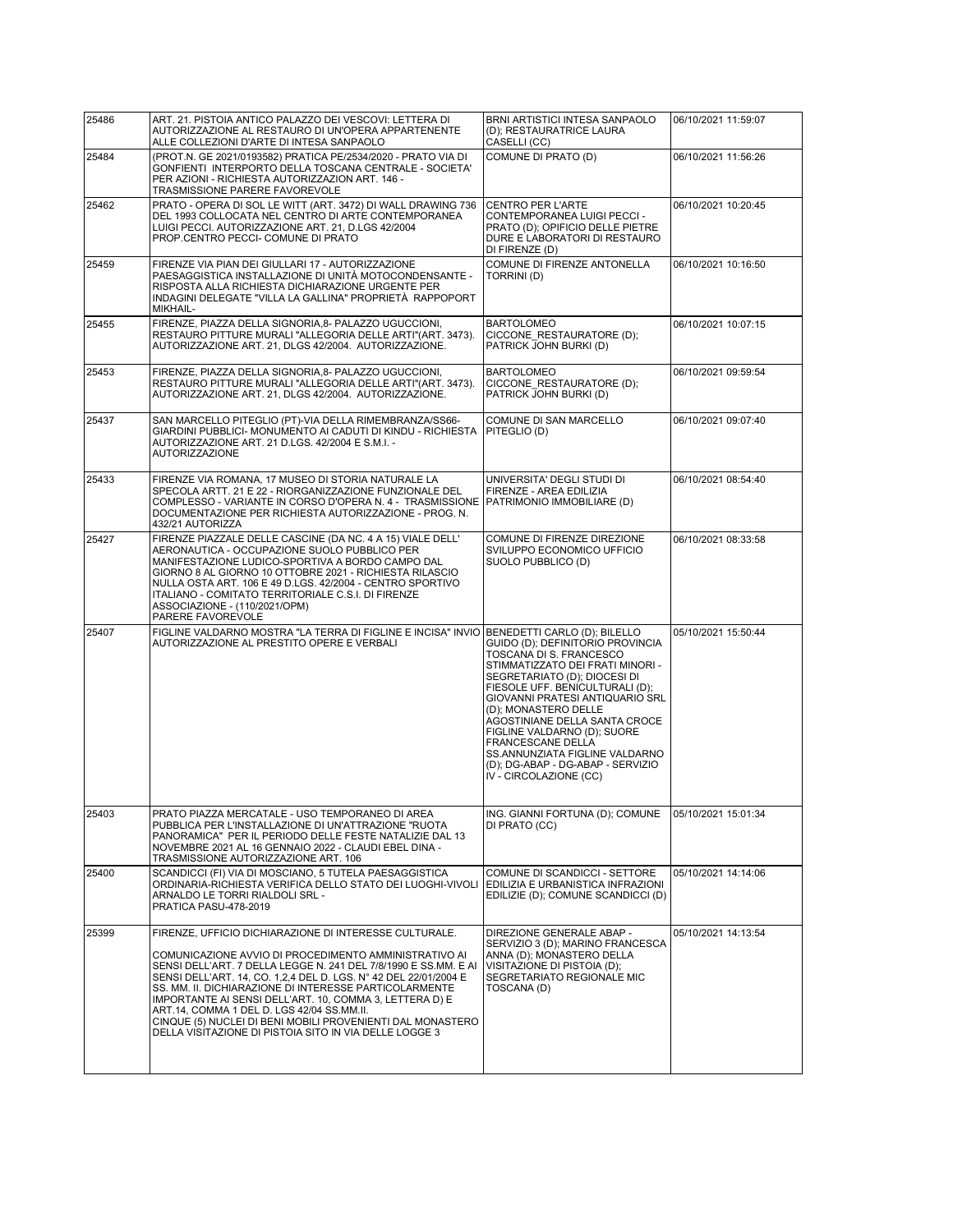| 25486 | ART. 21. PISTOIA ANTICO PALAZZO DEI VESCOVI: LETTERA DI<br>AUTORIZZAZIONE AL RESTAURO DI UN'OPERA APPARTENENTE                                                                                                                                                                                                                                                                                                                                                                                                                                    | BRNI ARTISTICI INTESA SANPAOLO<br>(D); RESTAURATRICE LAURA                                                                                                                                                                                                                                                                                                                                                                                          | 06/10/2021 11:59:07 |
|-------|---------------------------------------------------------------------------------------------------------------------------------------------------------------------------------------------------------------------------------------------------------------------------------------------------------------------------------------------------------------------------------------------------------------------------------------------------------------------------------------------------------------------------------------------------|-----------------------------------------------------------------------------------------------------------------------------------------------------------------------------------------------------------------------------------------------------------------------------------------------------------------------------------------------------------------------------------------------------------------------------------------------------|---------------------|
|       | ALLE COLLEZIONI D'ARTE DI INTESA SANPAOLO                                                                                                                                                                                                                                                                                                                                                                                                                                                                                                         | CASELLI (CC)                                                                                                                                                                                                                                                                                                                                                                                                                                        |                     |
| 25484 | (PROT.N. GE 2021/0193582) PRATICA PE/2534/2020 - PRATO VIA DI<br>GONFIENTI INTERPORTO DELLA TOSCANA CENTRALE - SOCIETA'<br>PER AZIONI - RICHIESTA AUTORIZZAZION ART. 146 -<br>TRASMISSIONE PARERE FAVOREVOLE                                                                                                                                                                                                                                                                                                                                      | COMUNE DI PRATO (D)                                                                                                                                                                                                                                                                                                                                                                                                                                 | 06/10/2021 11:56:26 |
| 25462 | PRATO - OPERA DI SOL LE WITT (ART. 3472) DI WALL DRAWING 736<br>DEL 1993 COLLOCATA NEL CENTRO DI ARTE CONTEMPORANEA<br>LUIGI PECCI. AUTORIZZAZIONE ART. 21, D.LGS 42/2004<br>PROP.CENTRO PECCI- COMUNE DI PRATO                                                                                                                                                                                                                                                                                                                                   | <b>CENTRO PER L'ARTE</b><br>CONTEMPORANEA LUIGI PECCI -<br>PRATO (D); OPIFICIO DELLE PIETRE<br>DURE E LABORATORI DI RESTAURO<br>DI FIRENZE (D)                                                                                                                                                                                                                                                                                                      | 06/10/2021 10:20:45 |
| 25459 | FIRENZE VIA PIAN DEI GIULLARI 17 - AUTORIZZAZIONE<br>PAESAGGISTICA INSTALLAZIONE DI UNITÀ MOTOCONDENSANTE -<br>RISPOSTA ALLA RICHIESTA DICHIARAZIONE URGENTE PER<br>INDAGINI DELEGATE "VILLA LA GALLINA" PROPRIETÀ RAPPOPORT<br>MIKHAIL-                                                                                                                                                                                                                                                                                                          | COMUNE DI FIRENZE ANTONELLA<br>TORRINI(D)                                                                                                                                                                                                                                                                                                                                                                                                           | 06/10/2021 10:16:50 |
| 25455 | FIRENZE, PIAZZA DELLA SIGNORIA, 8- PALAZZO UGUCCIONI,<br>RESTAURO PITTURE MURALI "ALLEGORIA DELLE ARTI"(ART. 3473).<br>AUTORIZZAZIONE ART. 21, DLGS 42/2004. AUTORIZZAZIONE.                                                                                                                                                                                                                                                                                                                                                                      | <b>BARTOLOMEO</b><br>CICCONE RESTAURATORE (D);<br>PATRICK JOHN BURKI (D)                                                                                                                                                                                                                                                                                                                                                                            | 06/10/2021 10:07:15 |
| 25453 | FIRENZE, PIAZZA DELLA SIGNORIA, 8- PALAZZO UGUCCIONI,<br>RESTAURO PITTURE MURALI "ALLEGORIA DELLE ARTI"(ART. 3473).<br>AUTORIZZAZIONE ART. 21, DLGS 42/2004. AUTORIZZAZIONE.                                                                                                                                                                                                                                                                                                                                                                      | <b>BARTOLOMEO</b><br>CICCONE RESTAURATORE (D);<br>PATRICK JOHN BURKI (D)                                                                                                                                                                                                                                                                                                                                                                            | 06/10/2021 09:59:54 |
| 25437 | SAN MARCELLO PITEGLIO (PT)-VIA DELLA RIMEMBRANZA/SS66-<br>GIARDINI PUBBLICI- MONUMENTO AI CADUTI DI KINDU - RICHIESTA<br>AUTORIZZAZIONE ART. 21 D.LGS. 42/2004 E S.M.I. -<br><b>AUTORIZZAZIONE</b>                                                                                                                                                                                                                                                                                                                                                | COMUNE DI SAN MARCELLO<br>PITEGLIO (D)                                                                                                                                                                                                                                                                                                                                                                                                              | 06/10/2021 09:07:40 |
| 25433 | FIRENZE VIA ROMANA, 17 MUSEO DI STORIA NATURALE LA<br>SPECOLA ARTT. 21 E 22 - RIORGANIZZAZIONE FUNZIONALE DEL<br>COMPLESSO - VARIANTE IN CORSO D'OPERA N. 4 - TRASMISSIONE<br>DOCUMENTAZIONE PER RICHIESTA AUTORIZZAZIONE - PROG. N.<br>432/21 AUTORIZZA                                                                                                                                                                                                                                                                                          | UNIVERSITA' DEGLI STUDI DI<br>FIRENZE - AREA EDILIZIA<br>PATRIMONIO IMMOBILIARE (D)                                                                                                                                                                                                                                                                                                                                                                 | 06/10/2021 08:54:40 |
| 25427 | FIRENZE PIAZZALE DELLE CASCINE (DA NC. 4 A 15) VIALE DELL'<br>AERONAUTICA - OCCUPAZIONE SUOLO PUBBLICO PER<br>MANIFESTAZIONE LUDICO-SPORTIVA A BORDO CAMPO DAL<br>GIORNO 8 AL GIORNO 10 OTTOBRE 2021 - RICHIESTA RILASCIO<br>NULLA OSTA ART. 106 E 49 D.LGS. 42/2004 - CENTRO SPORTIVO<br>ITALIANO - COMITATO TERRITORIALE C.S.I. DI FIRENZE<br>ASSOCIAZIONE - (110/2021/OPM)<br>PARERE FAVOREVOLE                                                                                                                                                | COMUNE DI FIRENZE DIREZIONE<br>SVILUPPO ECONOMICO UFFICIO<br>SUOLO PUBBLICO (D)                                                                                                                                                                                                                                                                                                                                                                     | 06/10/2021 08:33:58 |
| 25407 | FIGLINE VALDARNO MOSTRA "LA TERRA DI FIGLINE E INCISA" INVIO<br>AUTORIZZAZIONE AL PRESTITO OPERE E VERBALI                                                                                                                                                                                                                                                                                                                                                                                                                                        | BENEDETTI CARLO (D); BILELLO<br>GUIDO (D); DEFINITORIO PROVINCIA<br>TOSCANA DI S. FRANCESCO<br>STIMMATIZZATO DEI FRATI MINORI -<br>SEGRETARIATO (D); DIOCESI DI<br>FIESOLE UFF. BENICULTURALI (D);<br>GIOVANNI PRATESI ANTIQUARIO SRL<br>(D); MONASTERO DELLE<br>AGOSTINIANE DELLA SANTA CROCE<br>FIGLINE VALDARNO (D); SUORE<br>FRANCESCANE DELLA<br>SS.ANNUNZIATA FIGLINE VALDARNO<br>(D); DG-ABAP - DG-ABAP - SERVIZIO<br>IV - CIRCOLAZIONE (CC) | 05/10/2021 15:50:44 |
| 25403 | PRATO PIAZZA MERCATALE - USO TEMPORANEO DI AREA<br>PUBBLICA PER L'INSTALLAZIONE DI UN'ATTRAZIONE "RUOTA<br>PANORAMICA" PER IL PERIODO DELLE FESTE NATALIZIE DAL 13<br>NOVEMBRE 2021 AL 16 GENNAIO 2022 - CLAUDI EBEL DINA -<br>TRASMISSIONE AUTORIZZAZIONE ART. 106                                                                                                                                                                                                                                                                               | ING. GIANNI FORTUNA (D); COMUNE<br>DI PRATO (CC)                                                                                                                                                                                                                                                                                                                                                                                                    | 05/10/2021 15:01:34 |
| 25400 | SCANDICCI (FI) VIA DI MOSCIANO, 5 TUTELA PAESAGGISTICA<br>ORDINARIA-RICHIESTA VERIFICA DELLO STATO DEI LUOGHI-VIVOLI<br>ARNALDO LE TORRI RIALDOLI SRL -<br>PRATICA PASU-478-2019                                                                                                                                                                                                                                                                                                                                                                  | COMUNE DI SCANDICCI - SETTORE<br>EDILIZIA E URBANISTICA INFRAZIONI<br>EDILIZIE (D); COMUNE SCANDICCI (D)                                                                                                                                                                                                                                                                                                                                            | 05/10/2021 14:14:06 |
| 25399 | FIRENZE, UFFICIO DICHIARAZIONE DI INTERESSE CULTURALE.<br>COMUNICAZIONE AVVIO DI PROCEDIMENTO AMMINISTRATIVO AI<br>SENSI DELL'ART. 7 DELLA LEGGE N. 241 DEL 7/8/1990 E SS.MM. E AI<br>SENSI DELL'ART. 14, CO. 1,2,4 DEL D. LGS. N° 42 DEL 22/01/2004 E<br>SS. MM. II. DICHIARAZIONE DI INTERESSE PARTICOLARMENTE<br>IMPORTANTE AI SENSI DELL'ART. 10, COMMA 3, LETTERA D) E<br>ART.14, COMMA 1 DEL D. LGS 42/04 SS.MM.II.<br>CINQUE (5) NUCLEI DI BENI MOBILI PROVENIENTI DAL MONASTERO<br>DELLA VISITAZIONE DI PISTOIA SITO IN VIA DELLE LOGGE 3 | DIREZIONE GENERALE ABAP -<br>SERVIZIO 3 (D); MARINO FRANCESCA<br>ANNA (D); MONASTERO DELLA<br>VISITAZIONE DI PISTOIA (D);<br>SEGRETARIATO REGIONALE MIC<br>TOSCANA (D)                                                                                                                                                                                                                                                                              | 05/10/2021 14:13:54 |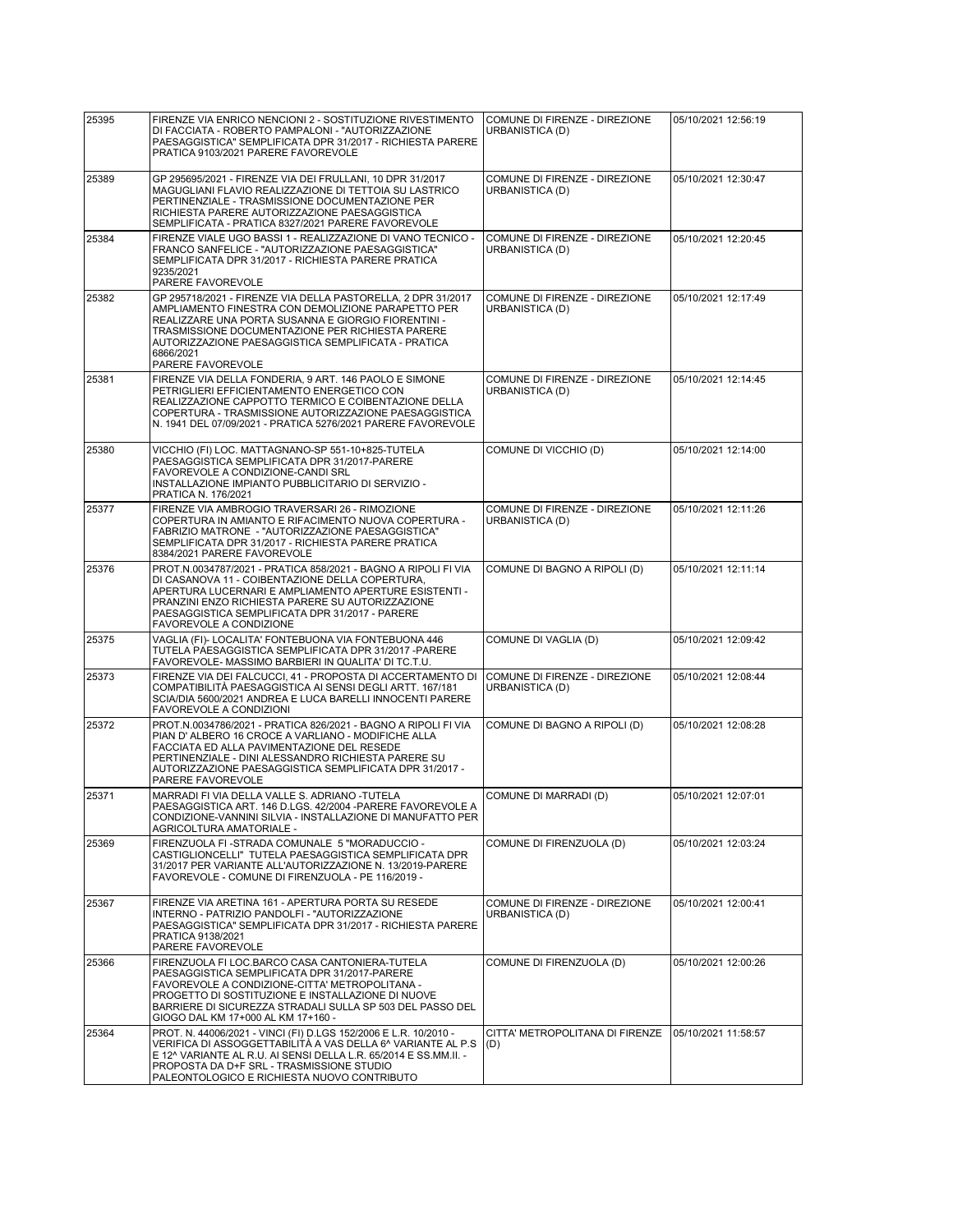| 25395 | FIRENZE VIA ENRICO NENCIONI 2 - SOSTITUZIONE RIVESTIMENTO<br>DI FACCIATA - ROBERTO PAMPALONI - "AUTORIZZAZIONE<br>PAESAGGISTICA" SEMPLIFICATA DPR 31/2017 - RICHIESTA PARERE<br>PRATICA 9103/2021 PARERE FAVOREVOLE                                                                                                    | COMUNE DI FIRENZE - DIREZIONE<br>URBANISTICA (D) | 05/10/2021 12:56:19 |
|-------|------------------------------------------------------------------------------------------------------------------------------------------------------------------------------------------------------------------------------------------------------------------------------------------------------------------------|--------------------------------------------------|---------------------|
| 25389 | GP 295695/2021 - FIRENZE VIA DEI FRULLANI, 10 DPR 31/2017<br>MAGUGLIANI FLAVIO REALIZZAZIONE DI TETTOIA SU LASTRICO<br>PERTINENZIALE - TRASMISSIONE DOCUMENTAZIONE PER<br>RICHIESTA PARERE AUTORIZZAZIONE PAESAGGISTICA<br>SEMPLIFICATA - PRATICA 8327/2021 PARERE FAVOREVOLE                                          | COMUNE DI FIRENZE - DIREZIONE<br>URBANISTICA (D) | 05/10/2021 12:30:47 |
| 25384 | FIRENZE VIALE UGO BASSI 1 - REALIZZAZIONE DI VANO TECNICO -<br>FRANCO SANFELICE - "AUTORIZZAZIONE PAESAGGISTICA"<br>SEMPLIFICATA DPR 31/2017 - RICHIESTA PARERE PRATICA<br>9235/2021<br>PARERE FAVOREVOLE                                                                                                              | COMUNE DI FIRENZE - DIREZIONE<br>URBANISTICA (D) | 05/10/2021 12:20:45 |
| 25382 | GP 295718/2021 - FIRENZE VIA DELLA PASTORELLA, 2 DPR 31/2017<br>AMPLIAMENTO FINESTRA CON DEMOLIZIONE PARAPETTO PER<br>REALIZZARE UNA PORTA SUSANNA E GIORGIO FIORENTINI -<br>TRASMISSIONE DOCUMENTAZIONE PER RICHIESTA PARERE<br>AUTORIZZAZIONE PAESAGGISTICA SEMPLIFICATA - PRATICA<br>6866/2021<br>PARERE FAVOREVOLE | COMUNE DI FIRENZE - DIREZIONE<br>URBANISTICA (D) | 05/10/2021 12:17:49 |
| 25381 | FIRENZE VIA DELLA FONDERIA, 9 ART. 146 PAOLO E SIMONE<br>PETRIGLIERI EFFICIENTAMENTO ENERGETICO CON<br>REALIZZAZIONE CAPPOTTO TERMICO E COIBENTAZIONE DELLA<br>COPERTURA - TRASMISSIONE AUTORIZZAZIONE PAESAGGISTICA<br>N. 1941 DEL 07/09/2021 - PRATICA 5276/2021 PARERE FAVOREVOLE                                   | COMUNE DI FIRENZE - DIREZIONE<br>URBANISTICA (D) | 05/10/2021 12:14:45 |
| 25380 | VICCHIO (FI) LOC. MATTAGNANO-SP 551-10+825-TUTELA<br>PAESAGGISTICA SEMPLIFICATA DPR 31/2017-PARERE<br>FAVOREVOLE A CONDIZIONE-CANDI SRL<br>INSTALLAZIONE IMPIANTO PUBBLICITARIO DI SERVIZIO -<br>PRATICA N. 176/2021                                                                                                   | COMUNE DI VICCHIO (D)                            | 05/10/2021 12:14:00 |
| 25377 | FIRENZE VIA AMBROGIO TRAVERSARI 26 - RIMOZIONE<br>COPERTURA IN AMIANTO E RIFACIMENTO NUOVA COPERTURA -<br>FABRIZIO MATRONE - "AUTORIZZAZIONE PAESAGGISTICA"<br>SEMPLIFICATA DPR 31/2017 - RICHIESTA PARERE PRATICA<br>8384/2021 PARERE FAVOREVOLE                                                                      | COMUNE DI FIRENZE - DIREZIONE<br>URBANISTICA (D) | 05/10/2021 12:11:26 |
| 25376 | PROT.N.0034787/2021 - PRATICA 858/2021 - BAGNO A RIPOLI FI VIA<br>DI CASANOVA 11 - COIBENTAZIONE DELLA COPERTURA,<br>APERTURA LUCERNARI E AMPLIAMENTO APERTURE ESISTENTI -<br>PRANZINI ENZO RICHIESTA PARERE SU AUTORIZZAZIONE<br>PAESAGGISTICA SEMPLIFICATA DPR 31/2017 - PARERE<br>FAVOREVOLE A CONDIZIONE           | COMUNE DI BAGNO A RIPOLI (D)                     | 05/10/2021 12:11:14 |
| 25375 | VAGLIA (FI)- LOCALITA' FONTEBUONA VIA FONTEBUONA 446<br>TUTELA PAESAGGISTICA SEMPLIFICATA DPR 31/2017 - PARERE<br>FAVOREVOLE- MASSIMO BARBIERI IN QUALITA' DI TC.T.U.                                                                                                                                                  | COMUNE DI VAGLIA (D)                             | 05/10/2021 12:09:42 |
| 25373 | FIRENZE VIA DEI FALCUCCI, 41 - PROPOSTA DI ACCERTAMENTO DI<br>COMPATIBILITÀ PAESAGGISTICA AI SENSI DEGLI ARTT. 167/181<br>SCIA/DIA 5600/2021 ANDREA E LUCA BARELLI INNOCENTI PARERE<br>FAVOREVOLE A CONDIZIONI                                                                                                         | COMUNE DI FIRENZE - DIREZIONE<br>URBANISTICA (D) | 05/10/2021 12:08:44 |
| 25372 | PROT.N.0034786/2021 - PRATICA 826/2021 - BAGNO A RIPOLI FI VIA<br>PIAN D'ALBERO 16 CROCE A VARLIANO - MODIFICHE ALLA<br>FACCIATA ED ALLA PAVIMENTAZIONE DEL RESEDE<br>PERTINENZIALE - DINI ALESSANDRO RICHIESTA PARERE SU<br>AUTORIZZAZIONE PAESAGGISTICA SEMPLIFICATA DPR 31/2017 -<br>PARERE FAVOREVOLE              | COMUNE DI BAGNO A RIPOLI (D)                     | 05/10/2021 12:08:28 |
| 25371 | MARRADI FI VIA DELLA VALLE S. ADRIANO -TUTELA<br>PAESAGGISTICA ART. 146 D.LGS. 42/2004 - PARERE FAVOREVOLE A<br>CONDIZIONE-VANNINI SILVIA - INSTALLAZIONE DI MANUFATTO PER<br>AGRICOLTURA AMATORIALE -                                                                                                                 | COMUNE DI MARRADI (D)                            | 05/10/2021 12:07:01 |
| 25369 | FIRENZUOLA FI -STRADA COMUNALE 5 "MORADUCCIO -<br>CASTIGLIONCELLI" TUTELA PAESAGGISTICA SEMPLIFICATA DPR<br>31/2017 PER VARIANTE ALL'AUTORIZZAZIONE N. 13/2019-PARERE<br>FAVOREVOLE - COMUNE DI FIRENZUOLA - PE 116/2019 -                                                                                             | COMUNE DI FIRENZUOLA (D)                         | 05/10/2021 12:03:24 |
| 25367 | FIRENZE VIA ARETINA 161 - APERTURA PORTA SU RESEDE<br>INTERNO - PATRIZIO PANDOLFI - "AUTORIZZAZIONE<br>PAESAGGISTICA" SEMPLIFICATA DPR 31/2017 - RICHIESTA PARERE<br>PRATICA 9138/2021<br>PARERE FAVOREVOLE                                                                                                            | COMUNE DI FIRENZE - DIREZIONE<br>URBANISTICA (D) | 05/10/2021 12:00:41 |
| 25366 | FIRENZUOLA FI LOC.BARCO CASA CANTONIERA-TUTELA<br>PAESAGGISTICA SEMPLIFICATA DPR 31/2017-PARERE<br>FAVOREVOLE A CONDIZIONE-CITTA' METROPOLITANA -<br>PROGETTO DI SOSTITUZIONE E INSTALLAZIONE DI NUOVE<br>BARRIERE DI SICUREZZA STRADALI SULLA SP 503 DEL PASSO DEL<br>GIOGO DAL KM 17+000 AL KM 17+160 -              | COMUNE DI FIRENZUOLA (D)                         | 05/10/2021 12:00:26 |
| 25364 | PROT. N. 44006/2021 - VINCI (FI) D.LGS 152/2006 E L.R. 10/2010 -<br>VERIFICA DI ASSOGGETTABILITÀ A VAS DELLA 6^ VARIANTE AL P.S<br>E 12^ VARIANTE AL R.U. AI SENSI DELLA L.R. 65/2014 E SS.MM.II. -<br>PROPOSTA DA D+F SRL - TRASMISSIONE STUDIO<br>PALEONTOLOGICO E RICHIESTA NUOVO CONTRIBUTO                        | CITTA' METROPOLITANA DI FIRENZE<br>(D)           | 05/10/2021 11:58:57 |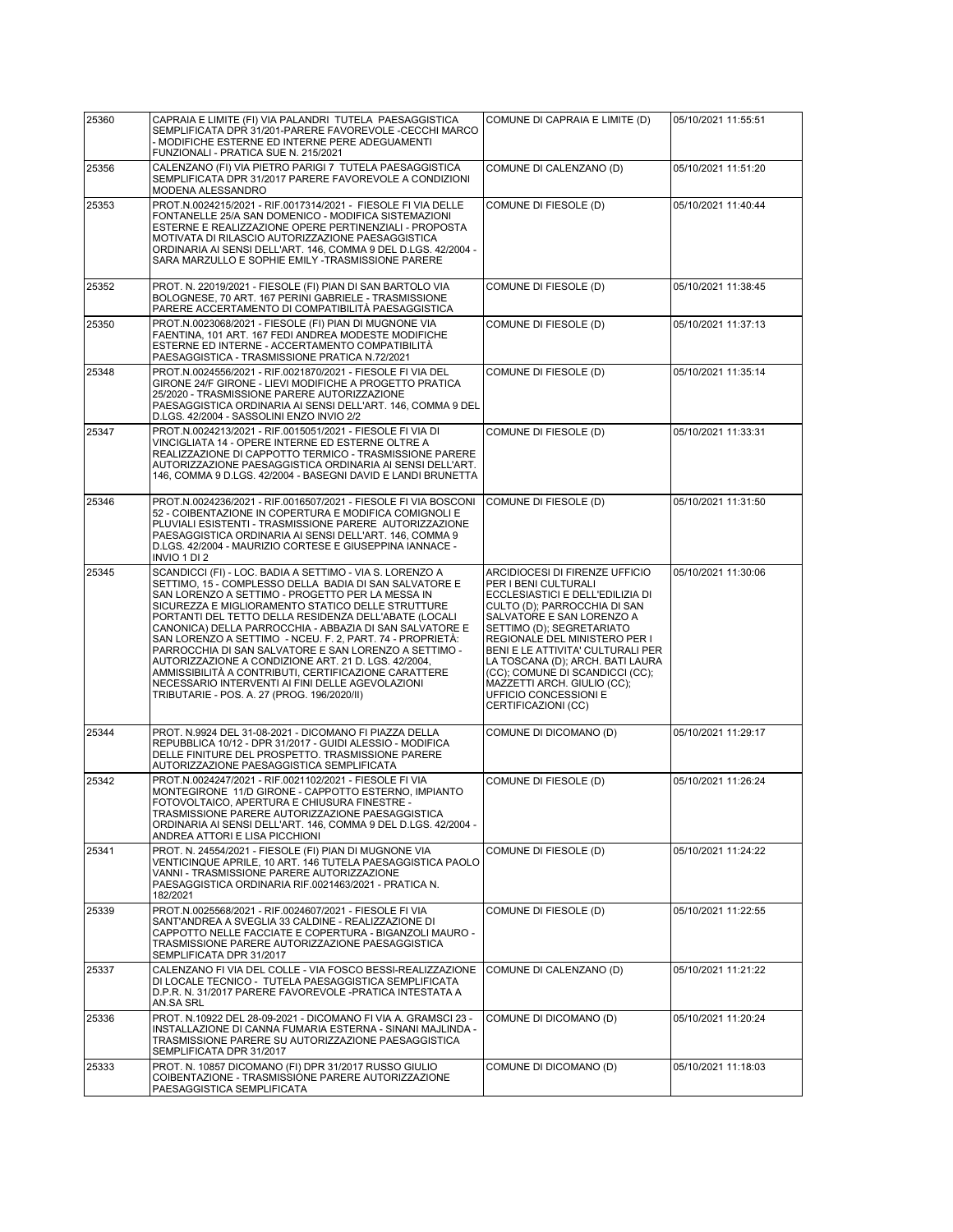| 25360 | CAPRAIA E LIMITE (FI) VIA PALANDRI TUTELA PAESAGGISTICA<br>SEMPLIFICATA DPR 31/201-PARERE FAVOREVOLE -CECCHI MARCO<br>- MODIFICHE ESTERNE ED INTERNE PERE ADEGUAMENTI<br>FUNZIONALI - PRATICA SUE N. 215/2021                                                                                                                                                                                                                                                                                                                                                                                                                                                                            | COMUNE DI CAPRAIA E LIMITE (D)                                                                                                                                                                                                                                                                                                                                                                                   | 05/10/2021 11:55:51 |
|-------|------------------------------------------------------------------------------------------------------------------------------------------------------------------------------------------------------------------------------------------------------------------------------------------------------------------------------------------------------------------------------------------------------------------------------------------------------------------------------------------------------------------------------------------------------------------------------------------------------------------------------------------------------------------------------------------|------------------------------------------------------------------------------------------------------------------------------------------------------------------------------------------------------------------------------------------------------------------------------------------------------------------------------------------------------------------------------------------------------------------|---------------------|
| 25356 | CALENZANO (FI) VIA PIETRO PARIGI 7 TUTELA PAESAGGISTICA<br>SEMPLIFICATA DPR 31/2017 PARERE FAVOREVOLE A CONDIZIONI<br>MODENA ALESSANDRO                                                                                                                                                                                                                                                                                                                                                                                                                                                                                                                                                  | COMUNE DI CALENZANO (D)                                                                                                                                                                                                                                                                                                                                                                                          | 05/10/2021 11:51:20 |
| 25353 | PROT.N.0024215/2021 - RIF.0017314/2021 - FIESOLE FI VIA DELLE<br>FONTANELLE 25/A SAN DOMENICO - MODIFICA SISTEMAZIONI<br>ESTERNE E REALIZZAZIONE OPERE PERTINENZIALI - PROPOSTA<br>MOTIVATA DI RILASCIO AUTORIZZAZIONE PAESAGGISTICA<br>ORDINARIA AI SENSI DELL'ART. 146, COMMA 9 DEL D.LGS. 42/2004 -<br>SARA MARZULLO E SOPHIE EMILY -TRASMISSIONE PARERE                                                                                                                                                                                                                                                                                                                              | COMUNE DI FIESOLE (D)                                                                                                                                                                                                                                                                                                                                                                                            | 05/10/2021 11:40:44 |
| 25352 | PROT. N. 22019/2021 - FIESOLE (FI) PIAN DI SAN BARTOLO VIA<br>BOLOGNESE, 70 ART. 167 PERINI GABRIELE - TRASMISSIONE<br>PARERE ACCERTAMENTO DI COMPATIBILITÀ PAESAGGISTICA                                                                                                                                                                                                                                                                                                                                                                                                                                                                                                                | COMUNE DI FIESOLE (D)                                                                                                                                                                                                                                                                                                                                                                                            | 05/10/2021 11:38:45 |
| 25350 | PROT.N.0023068/2021 - FIESOLE (FI) PIAN DI MUGNONE VIA<br>FAENTINA, 101 ART. 167 FEDI ANDREA MODESTE MODIFICHE<br>ESTERNE ED INTERNE - ACCERTAMENTO COMPATIBILITÀ<br>PAESAGGISTICA - TRASMISSIONE PRATICA N.72/2021                                                                                                                                                                                                                                                                                                                                                                                                                                                                      | COMUNE DI FIESOLE (D)                                                                                                                                                                                                                                                                                                                                                                                            | 05/10/2021 11:37:13 |
| 25348 | PROT.N.0024556/2021 - RIF.0021870/2021 - FIESOLE FI VIA DEL<br>GIRONE 24/F GIRONE - LIEVI MODIFICHE A PROGETTO PRATICA<br>25/2020 - TRASMISSIONE PARERE AUTORIZZAZIONE<br>PAESAGGISTICA ORDINARIA AI SENSI DELL'ART. 146, COMMA 9 DEL<br>D.LGS. 42/2004 - SASSOLINI ENZO INVIO 2/2                                                                                                                                                                                                                                                                                                                                                                                                       | COMUNE DI FIESOLE (D)                                                                                                                                                                                                                                                                                                                                                                                            | 05/10/2021 11:35:14 |
| 25347 | PROT.N.0024213/2021 - RIF.0015051/2021 - FIESOLE FI VIA DI<br>VINCIGLIATA 14 - OPERE INTERNE ED ESTERNE OLTRE A<br>REALIZZAZIONE DI CAPPOTTO TERMICO - TRASMISSIONE PARERE<br>AUTORIZZAZIONE PAESAGGISTICA ORDINARIA AI SENSI DELL'ART.<br>146, COMMA 9 D.LGS. 42/2004 - BASEGNI DAVID E LANDI BRUNETTA                                                                                                                                                                                                                                                                                                                                                                                  | COMUNE DI FIESOLE (D)                                                                                                                                                                                                                                                                                                                                                                                            | 05/10/2021 11:33:31 |
| 25346 | PROT.N.0024236/2021 - RIF.0016507/2021 - FIESOLE FI VIA BOSCONI<br>52 - COIBENTAZIONE IN COPERTURA E MODIFICA COMIGNOLI E<br>PLUVIALI ESISTENTI - TRASMISSIONE PARERE AUTORIZZAZIONE<br>PAESAGGISTICA ORDINARIA AI SENSI DELL'ART. 146, COMMA 9<br>D.LGS. 42/2004 - MAURIZIO CORTESE E GIUSEPPINA IANNACE -<br>INVIO 1 DI 2                                                                                                                                                                                                                                                                                                                                                              | COMUNE DI FIESOLE (D)                                                                                                                                                                                                                                                                                                                                                                                            | 05/10/2021 11:31:50 |
| 25345 | SCANDICCI (FI) - LOC. BADIA A SETTIMO - VIA S. LORENZO A<br>SETTIMO, 15 - COMPLESSO DELLA BADIA DI SAN SALVATORE E<br>SAN LORENZO A SETTIMO - PROGETTO PER LA MESSA IN<br>SICUREZZA E MIGLIORAMENTO STATICO DELLE STRUTTURE<br>PORTANTI DEL TETTO DELLA RESIDENZA DELL'ABATE (LOCALI<br>CANONICA) DELLA PARROCCHIA - ABBAZIA DI SAN SALVATORE E<br>SAN LORENZO A SETTIMO - NCEU. F. 2, PART. 74 - PROPRIETÀ:<br>PARROCCHIA DI SAN SALVATORE E SAN LORENZO A SETTIMO -<br>AUTORIZZAZIONE A CONDIZIONE ART. 21 D. LGS. 42/2004,<br>AMMISSIBILITÀ A CONTRIBUTI, CERTIFICAZIONE CARATTERE<br>NECESSARIO INTERVENTI AI FINI DELLE AGEVOLAZIONI<br>TRIBUTARIE - POS. A. 27 (PROG. 196/2020/II) | ARCIDIOCESI DI FIRENZE UFFICIO<br>PER I BENI CULTURALI<br>ECCLESIASTICI E DELL'EDILIZIA DI<br>CULTO (D); PARROCCHIA DI SAN<br>SALVATORE E SAN LORENZO A<br>SETTIMO (D); SEGRETARIATO<br>REGIONALE DEL MINISTERO PER I<br>BENI E LE ATTIVITA' CULTURALI PER<br>LA TOSCANA (D); ARCH. BATI LAURA<br>(CC); COMUNE DI SCANDICCI (CC);<br>MAZZETTI ARCH. GIULIO (CC);<br>UFFICIO CONCESSIONI E<br>CERTIFICAZIONI (CC) | 05/10/2021 11:30:06 |
| 25344 | PROT. N.9924 DEL 31-08-2021 - DICOMANO FI PIAZZA DELLA<br>REPUBBLICA 10/12 - DPR 31/2017 - GUIDI ALESSIO - MODIFICA<br>DELLE FINITURE DEL PROSPETTO. TRASMISSIONE PARERE<br>AUTORIZZAZIONE PAESAGGISTICA SEMPLIFICATA                                                                                                                                                                                                                                                                                                                                                                                                                                                                    | COMUNE DI DICOMANO (D)                                                                                                                                                                                                                                                                                                                                                                                           | 05/10/2021 11:29:17 |
| 25342 | PROT.N.0024247/2021 - RIF.0021102/2021 - FIESOLE FI VIA<br>MONTEGIRONE 11/D GIRONE - CAPPOTTO ESTERNO, IMPIANTO<br>FOTOVOLTAICO, APERTURA E CHIUSURA FINESTRE -<br>TRASMISSIONE PARERE AUTORIZZAZIONE PAESAGGISTICA<br>ORDINARIA AI SENSI DELL'ART. 146, COMMA 9 DEL D.LGS. 42/2004 -<br>ANDREA ATTORI E LISA PICCHIONI                                                                                                                                                                                                                                                                                                                                                                  | COMUNE DI FIESOLE (D)                                                                                                                                                                                                                                                                                                                                                                                            | 05/10/2021 11:26:24 |
| 25341 | PROT. N. 24554/2021 - FIESOLE (FI) PIAN DI MUGNONE VIA<br>VENTICINQUE APRILE, 10 ART. 146 TUTELA PAESAGGISTICA PAOLO<br>VANNI - TRASMISSIONE PARERE AUTORIZZAZIONE<br>PAESAGGISTICA ORDINARIA RIF.0021463/2021 - PRATICA N.<br>182/2021                                                                                                                                                                                                                                                                                                                                                                                                                                                  | COMUNE DI FIESOLE (D)                                                                                                                                                                                                                                                                                                                                                                                            | 05/10/2021 11:24:22 |
| 25339 | PROT.N.0025568/2021 - RIF.0024607/2021 - FIESOLE FI VIA<br>SANT'ANDREA A SVEGLIA 33 CALDINE - REALIZZAZIONE DI<br>CAPPOTTO NELLE FACCIATE E COPERTURA - BIGANZOLI MAURO -<br>TRASMISSIONE PARERE AUTORIZZAZIONE PAESAGGISTICA<br>SEMPLIFICATA DPR 31/2017                                                                                                                                                                                                                                                                                                                                                                                                                                | COMUNE DI FIESOLE (D)                                                                                                                                                                                                                                                                                                                                                                                            | 05/10/2021 11:22:55 |
| 25337 | CALENZANO FI VIA DEL COLLE - VIA FOSCO BESSI-REALIZZAZIONE<br>DI LOCALE TECNICO - TUTELA PAESAGGISTICA SEMPLIFICATA<br>D.P.R. N. 31/2017 PARERE FAVOREVOLE -PRATICA INTESTATA A<br>AN.SA SRL                                                                                                                                                                                                                                                                                                                                                                                                                                                                                             | COMUNE DI CALENZANO (D)                                                                                                                                                                                                                                                                                                                                                                                          | 05/10/2021 11:21:22 |
| 25336 | PROT. N.10922 DEL 28-09-2021 - DICOMANO FI VIA A. GRAMSCI 23 -<br>INSTALLAZIONE DI CANNA FUMARIA ESTERNA - SINANI MAJLINDA -<br>TRASMISSIONE PARERE SU AUTORIZZAZIONE PAESAGGISTICA<br>SEMPLIFICATA DPR 31/2017                                                                                                                                                                                                                                                                                                                                                                                                                                                                          | COMUNE DI DICOMANO (D)                                                                                                                                                                                                                                                                                                                                                                                           | 05/10/2021 11:20:24 |
| 25333 | PROT. N. 10857 DICOMANO (FI) DPR 31/2017 RUSSO GIULIO<br>COIBENTAZIONE - TRASMISSIONE PARERE AUTORIZZAZIONE<br>PAESAGGISTICA SEMPLIFICATA                                                                                                                                                                                                                                                                                                                                                                                                                                                                                                                                                | COMUNE DI DICOMANO (D)                                                                                                                                                                                                                                                                                                                                                                                           | 05/10/2021 11:18:03 |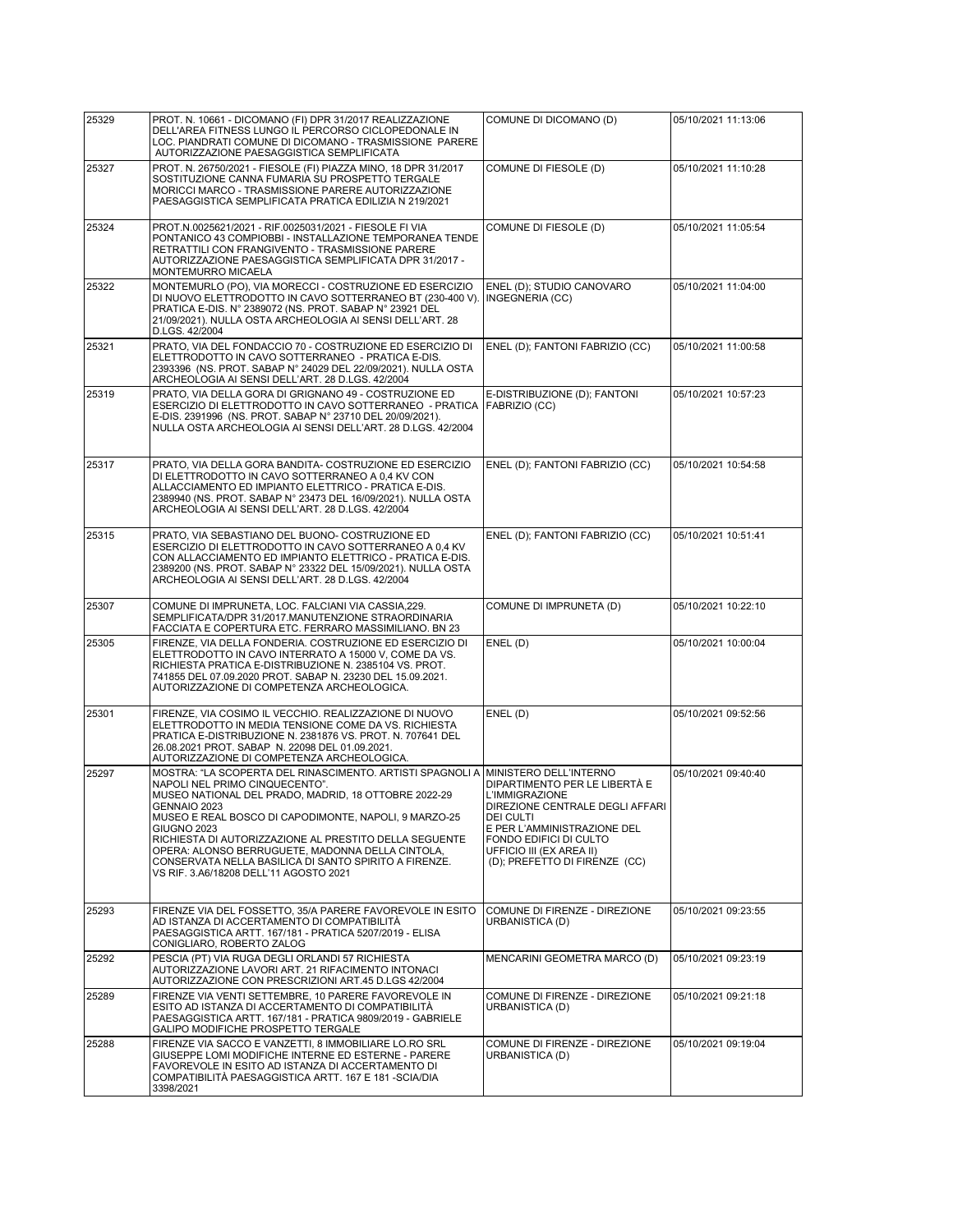| 25329 | PROT. N. 10661 - DICOMANO (FI) DPR 31/2017 REALIZZAZIONE<br>DELL'AREA FITNESS LUNGO IL PERCORSO CICLOPEDONALE IN<br>LOC. PIANDRATI COMUNE DI DICOMANO - TRASMISSIONE PARERE<br>AUTORIZZAZIONE PAESAGGISTICA SEMPLIFICATA                                                                                                                                                                                                                                            | COMUNE DI DICOMANO (D)                                                                                                                                                                                                                          | 05/10/2021 11:13:06 |
|-------|---------------------------------------------------------------------------------------------------------------------------------------------------------------------------------------------------------------------------------------------------------------------------------------------------------------------------------------------------------------------------------------------------------------------------------------------------------------------|-------------------------------------------------------------------------------------------------------------------------------------------------------------------------------------------------------------------------------------------------|---------------------|
| 25327 | PROT. N. 26750/2021 - FIESOLE (FI) PIAZZA MINO, 18 DPR 31/2017<br>SOSTITUZIONE CANNA FUMARIA SU PROSPETTO TERGALE<br>MORICCI MARCO - TRASMISSIONE PARERE AUTORIZZAZIONE<br>PAESAGGISTICA SEMPLIFICATA PRATICA EDILIZIA N 219/2021                                                                                                                                                                                                                                   | COMUNE DI FIESOLE (D)                                                                                                                                                                                                                           | 05/10/2021 11:10:28 |
| 25324 | PROT.N.0025621/2021 - RIF.0025031/2021 - FIESOLE FI VIA<br>PONTANICO 43 COMPIOBBI - INSTALLAZIONE TEMPORANEA TENDE<br>RETRATTILI CON FRANGIVENTO - TRASMISSIONE PARERE<br>AUTORIZZAZIONE PAESAGGISTICA SEMPLIFICATA DPR 31/2017 -<br>MONTEMURRO MICAELA                                                                                                                                                                                                             | COMUNE DI FIESOLE (D)                                                                                                                                                                                                                           | 05/10/2021 11:05:54 |
| 25322 | MONTEMURLO (PO), VIA MORECCI - COSTRUZIONE ED ESERCIZIO<br>DI NUOVO ELETTRODOTTO IN CAVO SOTTERRANEO BT (230-400 V).<br>PRATICA E-DIS. N° 2389072 (NS. PROT. SABAP N° 23921 DEL<br>21/09/2021). NULLA OSTA ARCHEOLOGIA AI SENSI DELL'ART. 28<br>D.LGS. 42/2004                                                                                                                                                                                                      | ENEL (D); STUDIO CANOVARO<br>INGEGNERIA (CC)                                                                                                                                                                                                    | 05/10/2021 11:04:00 |
| 25321 | PRATO, VIA DEL FONDACCIO 70 - COSTRUZIONE ED ESERCIZIO DI<br>ELETTRODOTTO IN CAVO SOTTERRANEO - PRATICA E-DIS.<br>2393396 (NS. PROT. SABAP N° 24029 DEL 22/09/2021). NULLA OSTA<br>ARCHEOLOGIA AI SENSI DELL'ART. 28 D.LGS. 42/2004                                                                                                                                                                                                                                 | ENEL (D); FANTONI FABRIZIO (CC)                                                                                                                                                                                                                 | 05/10/2021 11:00:58 |
| 25319 | PRATO, VIA DELLA GORA DI GRIGNANO 49 - COSTRUZIONE ED<br>ESERCIZIO DI ELETTRODOTTO IN CAVO SOTTERRANEO - PRATICA<br>E-DIS. 2391996 (NS. PROT. SABAP N° 23710 DEL 20/09/2021).<br>NULLA OSTA ARCHEOLOGIA AI SENSI DELL'ART. 28 D.LGS. 42/2004                                                                                                                                                                                                                        | E-DISTRIBUZIONE (D); FANTONI<br>FABRIZIO (CC)                                                                                                                                                                                                   | 05/10/2021 10:57:23 |
| 25317 | PRATO, VIA DELLA GORA BANDITA- COSTRUZIONE ED ESERCIZIO<br>DI ELETTRODOTTO IN CAVO SOTTERRANEO A 0,4 KV CON<br>ALLACCIAMENTO ED IMPIANTO ELETTRICO - PRATICA E-DIS.<br>2389940 (NS. PROT. SABAP N° 23473 DEL 16/09/2021). NULLA OSTA<br>ARCHEOLOGIA AI SENSI DELL'ART. 28 D.LGS. 42/2004                                                                                                                                                                            | ENEL (D); FANTONI FABRIZIO (CC)                                                                                                                                                                                                                 | 05/10/2021 10:54:58 |
| 25315 | PRATO, VIA SEBASTIANO DEL BUONO- COSTRUZIONE ED<br>ESERCIZIO DI ELETTRODOTTO IN CAVO SOTTERRANEO A 0.4 KV<br>CON ALLACCIAMENTO ED IMPIANTO ELETTRICO - PRATICA E-DIS.<br>2389200 (NS. PROT. SABAP N° 23322 DEL 15/09/2021). NULLA OSTA<br>ARCHEOLOGIA AI SENSI DELL'ART. 28 D.LGS. 42/2004                                                                                                                                                                          | ENEL (D); FANTONI FABRIZIO (CC)                                                                                                                                                                                                                 | 05/10/2021 10:51:41 |
| 25307 | COMUNE DI IMPRUNETA, LOC. FALCIANI VIA CASSIA, 229.<br>SEMPLIFICATA/DPR 31/2017.MANUTENZIONE STRAORDINARIA<br>FACCIATA E COPERTURA ETC. FERRARO MASSIMILIANO. BN 23                                                                                                                                                                                                                                                                                                 | COMUNE DI IMPRUNETA (D)                                                                                                                                                                                                                         | 05/10/2021 10:22:10 |
| 25305 | FIRENZE, VIA DELLA FONDERIA. COSTRUZIONE ED ESERCIZIO DI<br>ELETTRODOTTO IN CAVO INTERRATO A 15000 V, COME DA VS.<br>RICHIESTA PRATICA E-DISTRIBUZIONE N. 2385104 VS. PROT.<br>741855 DEL 07.09.2020 PROT. SABAP N. 23230 DEL 15.09.2021.<br>AUTORIZZAZIONE DI COMPETENZA ARCHEOLOGICA.                                                                                                                                                                             | ENEL(D)                                                                                                                                                                                                                                         | 05/10/2021 10:00:04 |
| 25301 | FIRENZE, VIA COSIMO IL VECCHIO. REALIZZAZIONE DI NUOVO<br>ELETTRODOTTO IN MEDIA TENSIONE COME DA VS. RICHIESTA<br>PRATICA E-DISTRIBUZIONE N. 2381876 VS. PROT. N. 707641 DEL<br>26.08.2021 PROT. SABAP N. 22098 DEL 01.09.2021.<br>AUTORIZZAZIONE DI COMPETENZA ARCHEOLOGICA.                                                                                                                                                                                       | ENEL(D)                                                                                                                                                                                                                                         | 05/10/2021 09:52:56 |
| 25297 | MOSTRA: "LA SCOPERTA DEL RINASCIMENTO. ARTISTI SPAGNOLI A<br>NAPOLI NEL PRIMO CINQUECENTO".<br>MUSEO NATIONAL DEL PRADO, MADRID, 18 OTTOBRE 2022-29<br>GENNAIO 2023<br>MUSEO E REAL BOSCO DI CAPODIMONTE, NAPOLI, 9 MARZO-25<br><b>GIUGNO 2023</b><br>RICHIESTA DI AUTORIZZAZIONE AL PRESTITO DELLA SEGUENTE<br>OPERA: ALONSO BERRUGUETE, MADONNA DELLA CINTOLA,<br>CONSERVATA NELLA BASILICA DI SANTO SPIRITO A FIRENZE.<br>VS RIF. 3.A6/18208 DELL'11 AGOSTO 2021 | MINISTERO DELL'INTERNO<br>DIPARTIMENTO PER LE LIBERTÀ E<br>L'IMMIGRAZIONE<br>DIREZIONE CENTRALE DEGLI AFFARI<br>DEI CULTI<br>E PER L'AMMINISTRAZIONE DEL<br>FONDO EDIFICI DI CULTO<br>UFFICIO III (EX AREA II)<br>(D); PREFETTO DI FIRENZE (CC) | 05/10/2021 09:40:40 |
| 25293 | FIRENZE VIA DEL FOSSETTO, 35/A PARERE FAVOREVOLE IN ESITO<br>AD ISTANZA DI ACCERTAMENTO DI COMPATIBILITÀ<br>PAESAGGISTICA ARTT. 167/181 - PRATICA 5207/2019 - ELISA<br>CONIGLIARO, ROBERTO ZALOG                                                                                                                                                                                                                                                                    | COMUNE DI FIRENZE - DIREZIONE<br>URBANISTICA (D)                                                                                                                                                                                                | 05/10/2021 09:23:55 |
| 25292 | PESCIA (PT) VIA RUGA DEGLI ORLANDI 57 RICHIESTA<br>AUTORIZZAZIONE LAVORI ART. 21 RIFACIMENTO INTONACI<br>AUTORIZZAZIONE CON PRESCRIZIONI ART.45 D.LGS 42/2004                                                                                                                                                                                                                                                                                                       | MENCARINI GEOMETRA MARCO (D)                                                                                                                                                                                                                    | 05/10/2021 09:23:19 |
| 25289 | FIRENZE VIA VENTI SETTEMBRE, 10 PARERE FAVOREVOLE IN<br>ESITO AD ISTANZA DI ACCERTAMENTO DI COMPATIBILITÀ<br>PAESAGGISTICA ARTT. 167/181 - PRATICA 9809/2019 - GABRIELE<br>GALIPO MODIFICHE PROSPETTO TERGALE                                                                                                                                                                                                                                                       | COMUNE DI FIRENZE - DIREZIONE<br>URBANISTICA (D)                                                                                                                                                                                                | 05/10/2021 09:21:18 |
| 25288 | FIRENZE VIA SACCO E VANZETTI, 8 IMMOBILIARE LO.RO SRL<br>GIUSEPPE LOMI MODIFICHE INTERNE ED ESTERNE - PARERE<br>FAVOREVOLE IN ESITO AD ISTANZA DI ACCERTAMENTO DI<br>COMPATIBILITÀ PAESAGGISTICA ARTT. 167 E 181 - SCIA/DIA<br>3398/2021                                                                                                                                                                                                                            | COMUNE DI FIRENZE - DIREZIONE<br>URBANISTICA (D)                                                                                                                                                                                                | 05/10/2021 09:19:04 |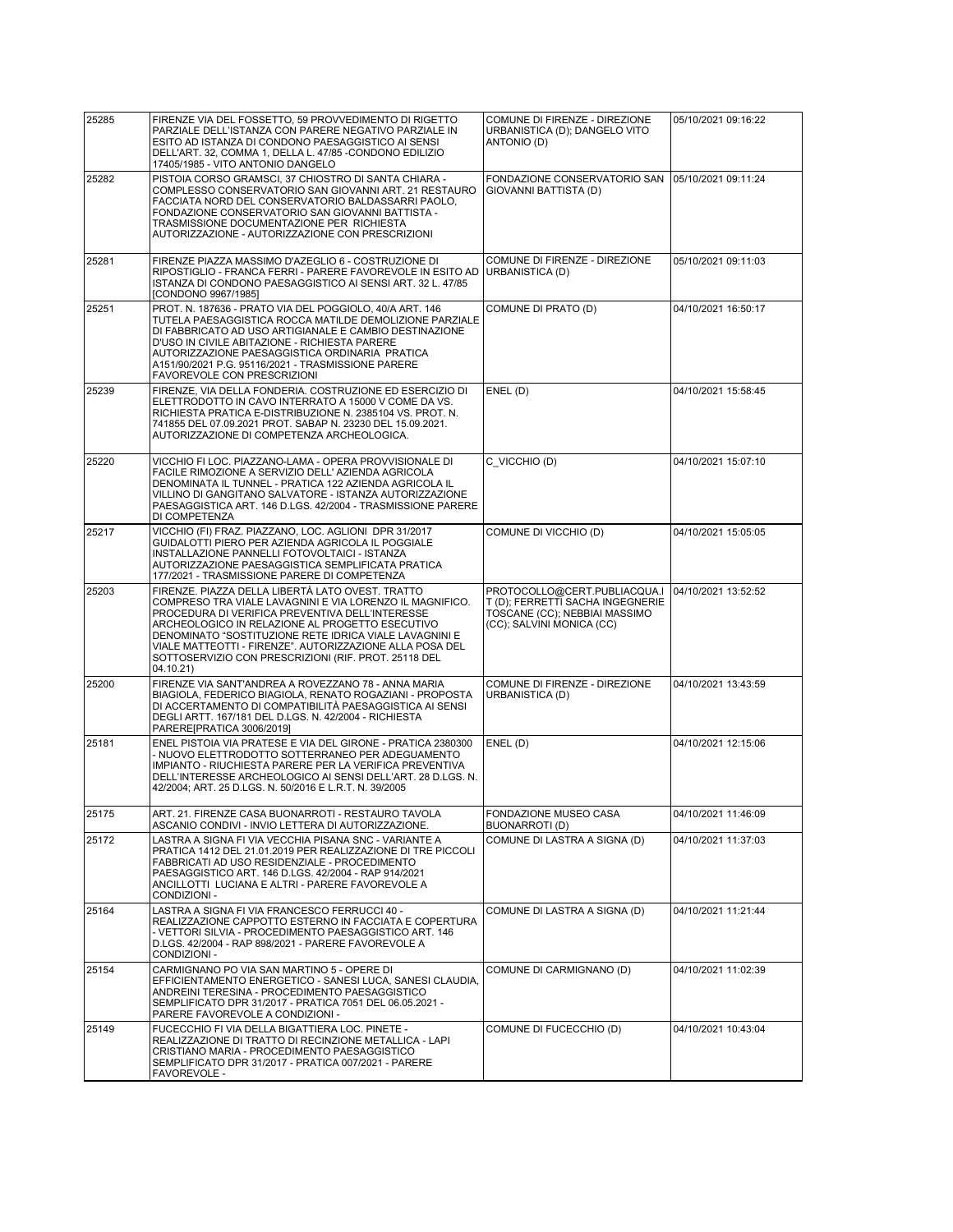| 25285 | FIRENZE VIA DEL FOSSETTO, 59 PROVVEDIMENTO DI RIGETTO<br>PARZIALE DELL'ISTANZA CON PARERE NEGATIVO PARZIALE IN<br>ESITO AD ISTANZA DI CONDONO PAESAGGISTICO AI SENSI<br>DELL'ART. 32, COMMA 1, DELLA L. 47/85 - CONDONO EDILIZIO<br>17405/1985 - VITO ANTONIO DANGELO                                                                                                                                         | COMUNE DI FIRENZE - DIREZIONE<br>URBANISTICA (D); DANGELO VITO<br>ANTONIO (D)                                                  | 05/10/2021 09:16:22 |
|-------|---------------------------------------------------------------------------------------------------------------------------------------------------------------------------------------------------------------------------------------------------------------------------------------------------------------------------------------------------------------------------------------------------------------|--------------------------------------------------------------------------------------------------------------------------------|---------------------|
| 25282 | PISTOIA CORSO GRAMSCI, 37 CHIOSTRO DI SANTA CHIARA -<br>COMPLESSO CONSERVATORIO SAN GIOVANNI ART. 21 RESTAURO<br>FACCIATA NORD DEL CONSERVATORIO BALDASSARRI PAOLO,<br>FONDAZIONE CONSERVATORIO SAN GIOVANNI BATTISTA -<br>TRASMISSIONE DOCUMENTAZIONE PER RICHIESTA<br>AUTORIZZAZIONE - AUTORIZZAZIONE CON PRESCRIZIONI                                                                                      | FONDAZIONE CONSERVATORIO SAN<br>GIOVANNI BATTISTA (D)                                                                          | 05/10/2021 09:11:24 |
| 25281 | FIRENZE PIAZZA MASSIMO D'AZEGLIO 6 - COSTRUZIONE DI<br>RIPOSTIGLIO - FRANCA FERRI - PARERE FAVOREVOLE IN ESITO AD<br>ISTANZA DI CONDONO PAESAGGISTICO AI SENSI ART. 32 L. 47/85<br>[CONDONO 9967/1985]                                                                                                                                                                                                        | COMUNE DI FIRENZE - DIREZIONE<br>URBANISTICA (D)                                                                               | 05/10/2021 09:11:03 |
| 25251 | PROT. N. 187636 - PRATO VIA DEL POGGIOLO, 40/A ART. 146<br>TUTELA PAESAGGISTICA ROCCA MATILDE DEMOLIZIONE PARZIALE<br>DI FABBRICATO AD USO ARTIGIANALE E CAMBIO DESTINAZIONE<br>D'USO IN CIVILE ABITAZIONE - RICHIESTA PARERE<br>AUTORIZZAZIONE PAESAGGISTICA ORDINARIA PRATICA<br>A151/90/2021 P.G. 95116/2021 - TRASMISSIONE PARERE<br>FAVOREVOLE CON PRESCRIZIONI                                          | COMUNE DI PRATO (D)                                                                                                            | 04/10/2021 16:50:17 |
| 25239 | FIRENZE, VIA DELLA FONDERIA. COSTRUZIONE ED ESERCIZIO DI<br>ELETTRODOTTO IN CAVO INTERRATO A 15000 V COME DA VS.<br>RICHIESTA PRATICA E-DISTRIBUZIONE N. 2385104 VS. PROT. N.<br>741855 DEL 07.09.2021 PROT. SABAP N. 23230 DEL 15.09.2021.<br>AUTORIZZAZIONE DI COMPETENZA ARCHEOLOGICA.                                                                                                                     | ENEL (D)                                                                                                                       | 04/10/2021 15:58:45 |
| 25220 | VICCHIO FI LOC. PIAZZANO-LAMA - OPERA PROVVISIONALE DI<br>FACILE RIMOZIONE A SERVIZIO DELL' AZIENDA AGRICOLA<br>DENOMINATA IL TUNNEL - PRATICA 122 AZIENDA AGRICOLA IL<br>VILLINO DI GANGITANO SALVATORE - ISTANZA AUTORIZZAZIONE<br>PAESAGGISTICA ART. 146 D.LGS. 42/2004 - TRASMISSIONE PARERE<br>DI COMPETENZA                                                                                             | C VICCHIO (D)                                                                                                                  | 04/10/2021 15:07:10 |
| 25217 | VICCHIO (FI) FRAZ. PIAZZANO, LOC. AGLIONI DPR 31/2017<br>GUIDALOTTI PIERO PER AZIENDA AGRICOLA IL POGGIALE<br>INSTALLAZIONE PANNELLI FOTOVOLTAICI - ISTANZA<br>AUTORIZZAZIONE PAESAGGISTICA SEMPLIFICATA PRATICA<br>177/2021 - TRASMISSIONE PARERE DI COMPETENZA                                                                                                                                              | COMUNE DI VICCHIO (D)                                                                                                          | 04/10/2021 15:05:05 |
| 25203 | FIRENZE. PIAZZA DELLA LIBERTÀ LATO OVEST. TRATTO<br>COMPRESO TRA VIALE LAVAGNINI E VIA LORENZO IL MAGNIFICO.<br>PROCEDURA DI VERIFICA PREVENTIVA DELL'INTERESSE<br>ARCHEOLOGICO IN RELAZIONE AL PROGETTO ESECUTIVO<br>DENOMINATO "SOSTITUZIONE RETE IDRICA VIALE LAVAGNINI E<br>VIALE MATTEOTTI - FIRENZE". AUTORIZZAZIONE ALLA POSA DEL<br>SOTTOSERVIZIO CON PRESCRIZIONI (RIF. PROT. 25118 DEL<br>04.10.21) | PROTOCOLLO@CERT.PUBLIACQUA.I<br>T (D); FERRETTI SACHA INGEGNERIE<br>TOSCANE (CC); NEBBIAI MASSIMO<br>(CC); SALVINI MONICA (CC) | 04/10/2021 13:52:52 |
| 25200 | FIRENZE VIA SANT'ANDREA A ROVEZZANO 78 - ANNA MARIA<br>BIAGIOLA, FEDERICO BIAGIOLA, RENATO ROGAZIANI - PROPOSTA<br>DI ACCERTAMENTO DI COMPATIBILITÀ PAESAGGISTICA AI SENSI<br>DEGLI ARTT. 167/181 DEL D.LGS. N. 42/2004 - RICHIESTA<br>PARERE[PRATICA 3006/2019]                                                                                                                                              | COMUNE DI FIRENZE - DIREZIONE<br>URBANISTICA (D)                                                                               | 04/10/2021 13:43:59 |
| 25181 | ENEL PISTOIA VIA PRATESE E VIA DEL GIRONE - PRATICA 2380300<br>- NUOVO ELETTRODOTTO SOTTERRANEO PER ADEGUAMENTO<br>IMPIANTO - RIUCHIESTA PARERE PER LA VERIFICA PREVENTIVA<br>DELL'INTERESSE ARCHEOLOGICO AI SENSI DELL'ART. 28 D.LGS. N.<br>42/2004; ART. 25 D.LGS. N. 50/2016 E L.R.T. N. 39/2005                                                                                                           | ENEL (D)                                                                                                                       | 04/10/2021 12:15:06 |
| 25175 | ART. 21. FIRENZE CASA BUONARROTI - RESTAURO TAVOLA<br>ASCANIO CONDIVI - INVIO LETTERA DI AUTORIZZAZIONE.                                                                                                                                                                                                                                                                                                      | FONDAZIONE MUSEO CASA<br>BUONARROTI (D)                                                                                        | 04/10/2021 11:46:09 |
| 25172 | LASTRA A SIGNA FI VIA VECCHIA PISANA SNC - VARIANTE A<br>PRATICA 1412 DEL 21.01.2019 PER REALIZZAZIONE DI TRE PICCOLI<br>FABBRICATI AD USO RESIDENZIALE - PROCEDIMENTO<br>PAESAGGISTICO ART. 146 D.LGS. 42/2004 - RAP 914/2021<br>ANCILLOTTI LUCIANA E ALTRI - PARERE FAVOREVOLE A<br>CONDIZIONI -                                                                                                            | COMUNE DI LASTRA A SIGNA (D)                                                                                                   | 04/10/2021 11:37:03 |
| 25164 | LASTRA A SIGNA FI VIA FRANCESCO FERRUCCI 40 -<br>REALIZZAZIONE CAPPOTTO ESTERNO IN FACCIATA E COPERTURA<br>- VETTORI SILVIA - PROCEDIMENTO PAESAGGISTICO ART. 146<br>D.LGS. 42/2004 - RAP 898/2021 - PARERE FAVOREVOLE A<br>CONDIZIONI -                                                                                                                                                                      | COMUNE DI LASTRA A SIGNA (D)                                                                                                   | 04/10/2021 11:21:44 |
| 25154 | CARMIGNANO PO VIA SAN MARTINO 5 - OPERE DI<br>EFFICIENTAMENTO ENERGETICO - SANESI LUCA, SANESI CLAUDIA.<br>ANDREINI TERESINA - PROCEDIMENTO PAESAGGISTICO<br>SEMPLIFICATO DPR 31/2017 - PRATICA 7051 DEL 06.05.2021 -<br>PARERE FAVOREVOLE A CONDIZIONI -                                                                                                                                                     | COMUNE DI CARMIGNANO (D)                                                                                                       | 04/10/2021 11:02:39 |
| 25149 | FUCECCHIO FI VIA DELLA BIGATTIERA LOC. PINETE -<br>REALIZZAZIONE DI TRATTO DI RECINZIONE METALLICA - LAPI<br>CRISTIANO MARIA - PROCEDIMENTO PAESAGGISTICO<br>SEMPLIFICATO DPR 31/2017 - PRATICA 007/2021 - PARERE<br>FAVOREVOLE -                                                                                                                                                                             | COMUNE DI FUCECCHIO (D)                                                                                                        | 04/10/2021 10:43:04 |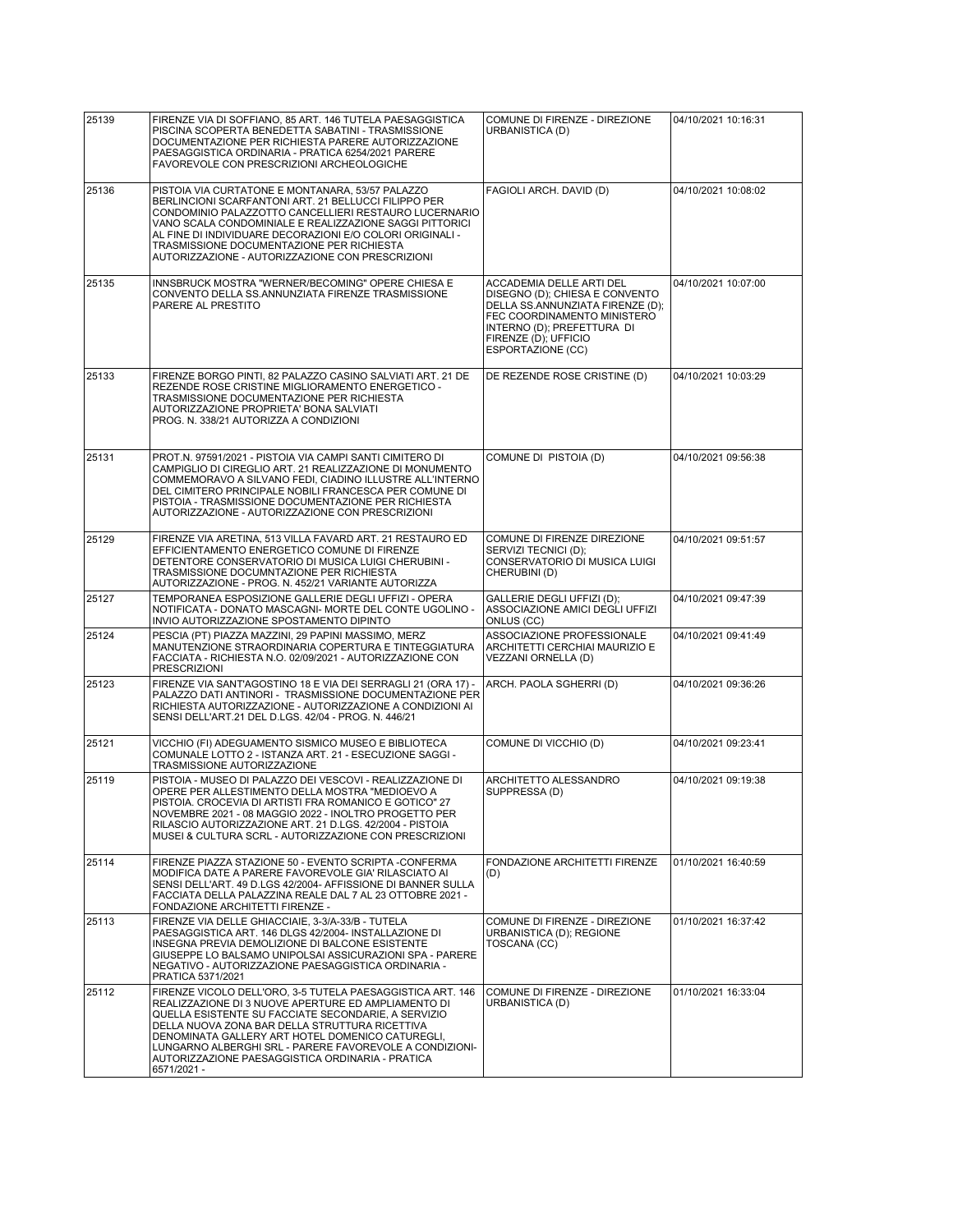| 25139 | FIRENZE VIA DI SOFFIANO, 85 ART. 146 TUTELA PAESAGGISTICA<br>PISCINA SCOPERTA BENEDETTA SABATINI - TRASMISSIONE<br>DOCUMENTAZIONE PER RICHIESTA PARERE AUTORIZZAZIONE<br>PAESAGGISTICA ORDINARIA - PRATICA 6254/2021 PARERE<br>FAVOREVOLE CON PRESCRIZIONI ARCHEOLOGICHE                                                                                                                                     | COMUNE DI FIRENZE - DIREZIONE<br>URBANISTICA (D)                                                                                                                                                         | 04/10/2021 10:16:31 |
|-------|--------------------------------------------------------------------------------------------------------------------------------------------------------------------------------------------------------------------------------------------------------------------------------------------------------------------------------------------------------------------------------------------------------------|----------------------------------------------------------------------------------------------------------------------------------------------------------------------------------------------------------|---------------------|
| 25136 | PISTOIA VIA CURTATONE E MONTANARA, 53/57 PALAZZO<br>BERLINCIONI SCARFANTONI ART. 21 BELLUCCI FILIPPO PER<br>CONDOMINIO PALAZZOTTO CANCELLIERI RESTAURO LUCERNARIO<br>VANO SCALA CONDOMINIALE E REALIZZAZIONE SAGGI PITTORICI<br>AL FINE DI INDIVIDUARE DECORAZIONI E/O COLORI ORIGINALI -<br>TRASMISSIONE DOCUMENTAZIONE PER RICHIESTA<br>AUTORIZZAZIONE - AUTORIZZAZIONE CON PRESCRIZIONI                   | FAGIOLI ARCH. DAVID (D)                                                                                                                                                                                  | 04/10/2021 10:08:02 |
| 25135 | INNSBRUCK MOSTRA "WERNER/BECOMING" OPERE CHIESA E<br>CONVENTO DELLA SS.ANNUNZIATA FIRENZE TRASMISSIONE<br>PARERE AL PRESTITO                                                                                                                                                                                                                                                                                 | ACCADEMIA DELLE ARTI DEL<br>DISEGNO (D); CHIESA E CONVENTO<br>DELLA SS.ANNUNZIATA FIRENZE (D);<br>FEC COORDINAMENTO MINISTERO<br>INTERNO (D); PREFETTURA DI<br>FIRENZE (D); UFFICIO<br>ESPORTAZIONE (CC) | 04/10/2021 10:07:00 |
| 25133 | FIRENZE BORGO PINTI, 82 PALAZZO CASINO SALVIATI ART. 21 DE<br>REZENDE ROSE CRISTINE MIGLIORAMENTO ENERGETICO -<br>TRASMISSIONE DOCUMENTAZIONE PER RICHIESTA<br>AUTORIZZAZIONE PROPRIETA' BONA SALVIATI<br>PROG. N. 338/21 AUTORIZZA A CONDIZIONI                                                                                                                                                             | DE REZENDE ROSE CRISTINE (D)                                                                                                                                                                             | 04/10/2021 10:03:29 |
| 25131 | PROT.N. 97591/2021 - PISTOIA VIA CAMPI SANTI CIMITERO DI<br>CAMPIGLIO DI CIREGLIO ART. 21 REALIZZAZIONE DI MONUMENTO<br>COMMEMORAVO A SILVANO FEDI, CIADINO ILLUSTRE ALL'INTERNO<br>DEL CIMITERO PRINCIPALE NOBILI FRANCESCA PER COMUNE DI<br>PISTOIA - TRASMISSIONE DOCUMENTAZIONE PER RICHIESTA<br>AUTORIZZAZIONE - AUTORIZZAZIONE CON PRESCRIZIONI                                                        | COMUNE DI PISTOIA (D)                                                                                                                                                                                    | 04/10/2021 09:56:38 |
| 25129 | FIRENZE VIA ARETINA, 513 VILLA FAVARD ART. 21 RESTAURO ED<br>EFFICIENTAMENTO ENERGETICO COMUNE DI FIRENZE<br>DETENTORE CONSERVATORIO DI MUSICA LUIGI CHERUBINI -<br>TRASMISSIONE DOCUMNTAZIONE PER RICHIESTA<br>AUTORIZZAZIONE - PROG. N. 452/21 VARIANTE AUTORIZZA                                                                                                                                          | COMUNE DI FIRENZE DIREZIONE<br>SERVIZI TECNICI (D);<br>CONSERVATORIO DI MUSICA LUIGI<br>CHERUBINI (D)                                                                                                    | 04/10/2021 09:51:57 |
| 25127 | TEMPORANEA ESPOSIZIONE GALLERIE DEGLI UFFIZI - OPERA<br>NOTIFICATA - DONATO MASCAGNI- MORTE DEL CONTE UGOLINO -<br>INVIO AUTORIZZAZIONE SPOSTAMENTO DIPINTO                                                                                                                                                                                                                                                  | GALLERIE DEGLI UFFIZI (D);<br>ASSOCIAZIONE AMICI DEGLI UFFIZI<br>ONLUS (CC)                                                                                                                              | 04/10/2021 09:47:39 |
| 25124 | PESCIA (PT) PIAZZA MAZZINI, 29 PAPINI MASSIMO, MERZ<br>MANUTENZIONE STRAORDINARIA COPERTURA E TINTEGGIATURA<br>FACCIATA - RICHIESTA N.O. 02/09/2021 - AUTORIZZAZIONE CON<br><b>PRESCRIZIONI</b>                                                                                                                                                                                                              | ASSOCIAZIONE PROFESSIONALE<br>ARCHITETTI CERCHIAI MAURIZIO E<br>VEZZANI ORNELLA (D)                                                                                                                      | 04/10/2021 09:41:49 |
| 25123 | FIRENZE VIA SANT'AGOSTINO 18 E VIA DEI SERRAGLI 21 (ORA 17) -<br>PALAZZO DATI ANTINORI - TRASMISSIONE DOCUMENTAZIONE PER<br>RICHIESTA AUTORIZZAZIONE - AUTORIZZAZIONE A CONDIZIONI AI<br>SENSI DELL'ART.21 DEL D.LGS. 42/04 - PROG. N. 446/21                                                                                                                                                                | ARCH. PAOLA SGHERRI (D)                                                                                                                                                                                  | 04/10/2021 09:36:26 |
| 25121 | VICCHIO (FI) ADEGUAMENTO SISMICO MUSEO E BIBLIOTECA<br>COMUNALE LOTTO 2 - ISTANZA ART. 21 - ESECUZIONE SAGGI -<br>TRASMISSIONE AUTORIZZAZIONE                                                                                                                                                                                                                                                                | COMUNE DI VICCHIO (D)                                                                                                                                                                                    | 04/10/2021 09:23:41 |
| 25119 | PISTOIA - MUSEO DI PALAZZO DEI VESCOVI - REALIZZAZIONE DI<br>OPERE PER ALLESTIMENTO DELLA MOSTRA "MEDIOEVO A<br>PISTOIA. CROCEVIA DI ARTISTI FRA ROMANICO E GOTICO" 27<br>NOVEMBRE 2021 - 08 MAGGIO 2022 - INOLTRO PROGETTO PER<br>RILASCIO AUTORIZZAZIONE ART. 21 D.LGS. 42/2004 - PISTOIA<br>MUSEI & CULTURA SCRL - AUTORIZZAZIONE CON PRESCRIZIONI                                                        | ARCHITETTO ALESSANDRO<br>SUPPRESSA (D)                                                                                                                                                                   | 04/10/2021 09:19:38 |
| 25114 | FIRENZE PIAZZA STAZIONE 50 - EVENTO SCRIPTA -CONFERMA<br>MODIFICA DATE A PARERE FAVOREVOLE GIA' RILASCIATO AI<br>SENSI DELL'ART. 49 D.LGS 42/2004- AFFISSIONE DI BANNER SULLA<br>FACCIATA DELLA PALAZZINA REALE DAL 7 AL 23 OTTOBRE 2021 -<br>FONDAZIONE ARCHITETTI FIRENZE -                                                                                                                                | FONDAZIONE ARCHITETTI FIRENZE<br>(D)                                                                                                                                                                     | 01/10/2021 16:40:59 |
| 25113 | FIRENZE VIA DELLE GHIACCIAIE, 3-3/A-33/B - TUTELA<br>PAESAGGISTICA ART. 146 DLGS 42/2004- INSTALLAZIONE DI<br>INSEGNA PREVIA DEMOLIZIONE DI BALCONE ESISTENTE<br>GIUSEPPE LO BALSAMO UNIPOLSAI ASSICURAZIONI SPA - PARERE<br>NEGATIVO - AUTORIZZAZIONE PAESAGGISTICA ORDINARIA -<br>PRATICA 5371/2021                                                                                                        | COMUNE DI FIRENZE - DIREZIONE<br>URBANISTICA (D); REGIONE<br>TOSCANA (CC)                                                                                                                                | 01/10/2021 16:37:42 |
| 25112 | FIRENZE VICOLO DELL'ORO, 3-5 TUTELA PAESAGGISTICA ART. 146<br>REALIZZAZIONE DI 3 NUOVE APERTURE ED AMPLIAMENTO DI<br>QUELLA ESISTENTE SU FACCIATE SECONDARIE, A SERVIZIO<br>DELLA NUOVA ZONA BAR DELLA STRUTTURA RICETTIVA<br>DENOMINATA GALLERY ART HOTEL DOMENICO CATUREGLI,<br>LUNGARNO ALBERGHI SRL - PARERE FAVOREVOLE A CONDIZIONI-<br>AUTORIZZAZIONE PAESAGGISTICA ORDINARIA - PRATICA<br>6571/2021 - | COMUNE DI FIRENZE - DIREZIONE<br>URBANISTICA (D)                                                                                                                                                         | 01/10/2021 16:33:04 |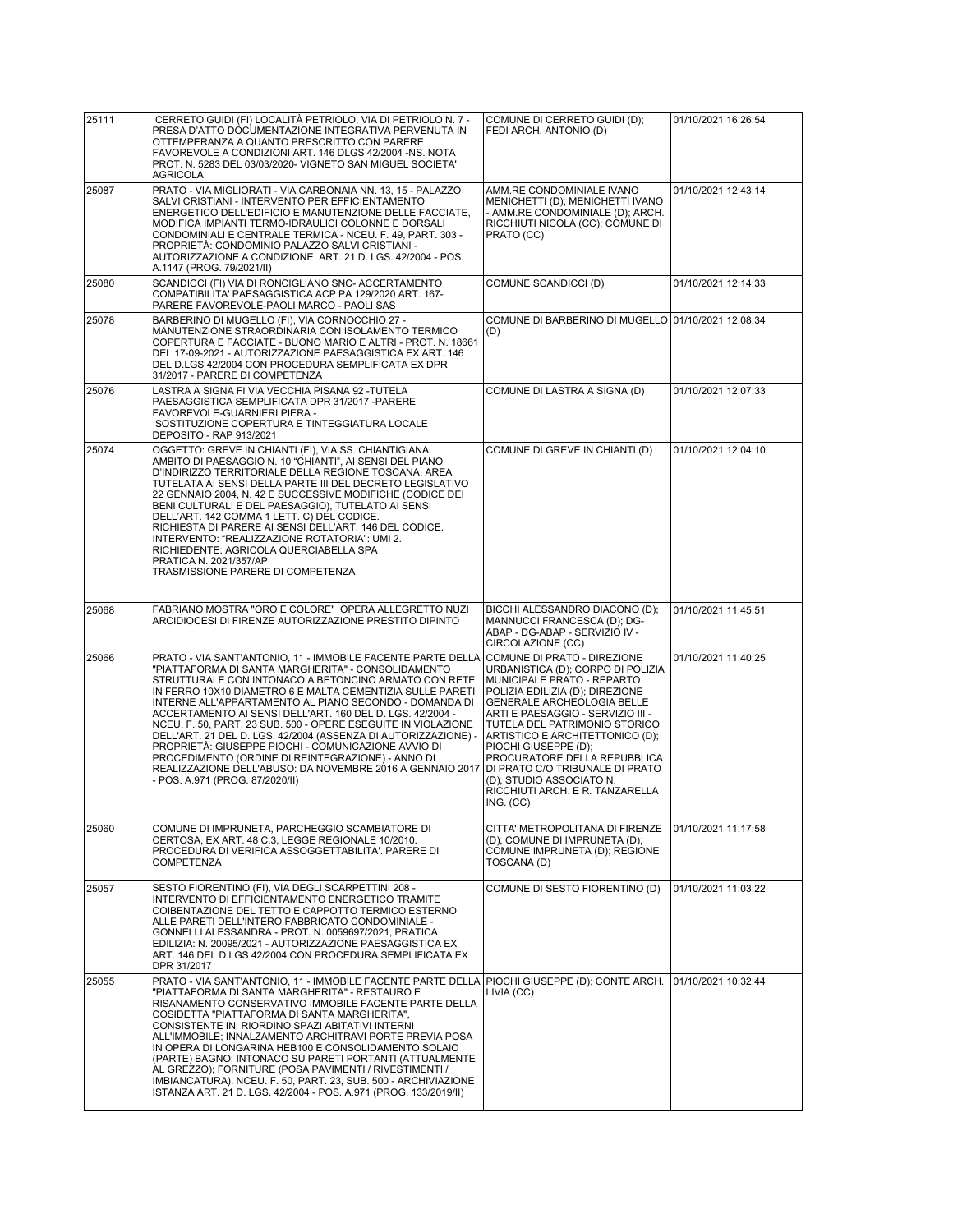| 25111 | CERRETO GUIDI (FI) LOCALITÀ PETRIOLO, VIA DI PETRIOLO N. 7 -<br>PRESA D'ATTO DOCUMENTAZIONE INTEGRATIVA PERVENUTA IN<br>OTTEMPERANZA A QUANTO PRESCRITTO CON PARERE<br>FAVOREVOLE A CONDIZIONI ART. 146 DLGS 42/2004 -NS. NOTA<br>PROT. N. 5283 DEL 03/03/2020- VIGNETO SAN MIGUEL SOCIETA'<br><b>AGRICOLA</b>                                                                                                                                                                                                                                                                                                                                                                                               | COMUNE DI CERRETO GUIDI (D);<br>FEDI ARCH. ANTONIO (D)                                                                                                                                                                                                                                                                                                                                                                                          | 01/10/2021 16:26:54 |
|-------|--------------------------------------------------------------------------------------------------------------------------------------------------------------------------------------------------------------------------------------------------------------------------------------------------------------------------------------------------------------------------------------------------------------------------------------------------------------------------------------------------------------------------------------------------------------------------------------------------------------------------------------------------------------------------------------------------------------|-------------------------------------------------------------------------------------------------------------------------------------------------------------------------------------------------------------------------------------------------------------------------------------------------------------------------------------------------------------------------------------------------------------------------------------------------|---------------------|
| 25087 | PRATO - VIA MIGLIORATI - VIA CARBONAIA NN. 13, 15 - PALAZZO<br>SALVI CRISTIANI - INTERVENTO PER EFFICIENTAMENTO<br>ENERGETICO DELL'EDIFICIO E MANUTENZIONE DELLE FACCIATE,<br>MODIFICA IMPIANTI TERMO-IDRAULICI COLONNE E DORSALI<br>CONDOMINIALI E CENTRALE TERMICA - NCEU. F. 49, PART. 303 -<br>PROPRIETÁ: CONDOMINIO PALAZZO SALVI CRISTIANI -<br>AUTORIZZAZIONE A CONDIZIONE ART. 21 D. LGS. 42/2004 - POS.<br>A.1147 (PROG. 79/2021/II)                                                                                                                                                                                                                                                                | AMM.RE CONDOMINIALE IVANO<br>MENICHETTI (D); MENICHETTI IVANO<br>- AMM.RE CONDOMINIALE (D); ARCH.<br>RICCHIUTI NICOLA (CC); COMUNE DI<br>PRATO (CC)                                                                                                                                                                                                                                                                                             | 01/10/2021 12:43:14 |
| 25080 | SCANDICCI (FI) VIA DI RONCIGLIANO SNC- ACCERTAMENTO<br>COMPATIBILITA' PAESAGGISTICA ACP PA 129/2020 ART. 167-<br>PARERE FAVOREVOLE-PAOLI MARCO - PAOLI SAS                                                                                                                                                                                                                                                                                                                                                                                                                                                                                                                                                   | COMUNE SCANDICCI (D)                                                                                                                                                                                                                                                                                                                                                                                                                            | 01/10/2021 12:14:33 |
| 25078 | BARBERINO DI MUGELLO (FI), VIA CORNOCCHIO 27 -<br>MANUTENZIONE STRAORDINARIA CON ISOLAMENTO TERMICO<br>COPERTURA E FACCIATE - BUONO MARIO E ALTRI - PROT. N. 18661<br>DEL 17-09-2021 - AUTORIZZAZIONE PAESAGGISTICA EX ART. 146<br>DEL D.LGS 42/2004 CON PROCEDURA SEMPLIFICATA EX DPR<br>31/2017 - PARERE DI COMPETENZA                                                                                                                                                                                                                                                                                                                                                                                     | COMUNE DI BARBERINO DI MUGELLO 01/10/2021 12:08:34<br>(D)                                                                                                                                                                                                                                                                                                                                                                                       |                     |
| 25076 | LASTRA A SIGNA FI VIA VECCHIA PISANA 92 -TUTELA<br>PAESAGGISTICA SEMPLIFICATA DPR 31/2017 - PARERE<br>FAVOREVOLE-GUARNIERI PIERA -<br>SOSTITUZIONE COPERTURA E TINTEGGIATURA LOCALE<br>DEPOSITO - RAP 913/2021                                                                                                                                                                                                                                                                                                                                                                                                                                                                                               | COMUNE DI LASTRA A SIGNA (D)                                                                                                                                                                                                                                                                                                                                                                                                                    | 01/10/2021 12:07:33 |
| 25074 | OGGETTO: GREVE IN CHIANTI (FI), VIA SS. CHIANTIGIANA.<br>AMBITO DI PAESAGGIO N. 10 "CHIANTI", AI SENSI DEL PIANO<br>D'INDIRIZZO TERRITORIALE DELLA REGIONE TOSCANA. AREA<br>TUTELATA AI SENSI DELLA PARTE III DEL DECRETO LEGISLATIVO<br>22 GENNAIO 2004, N. 42 E SUCCESSIVE MODIFICHE (CODICE DEI<br>BENI CULTURALI E DEL PAESAGGIO), TUTELATO AI SENSI<br>DELL'ART. 142 COMMA 1 LETT. C) DEL CODICE.<br>RICHIESTA DI PARERE AI SENSI DELL'ART. 146 DEL CODICE.<br>INTERVENTO: "REALIZZAZIONE ROTATORIA": UMI 2.<br>RICHIEDENTE: AGRICOLA QUERCIABELLA SPA<br>PRATICA N. 2021/357/AP<br>TRASMISSIONE PARERE DI COMPETENZA                                                                                   | COMUNE DI GREVE IN CHIANTI (D)                                                                                                                                                                                                                                                                                                                                                                                                                  | 01/10/2021 12:04:10 |
| 25068 | FABRIANO MOSTRA "ORO E COLORE" OPERA ALLEGRETTO NUZI<br>ARCIDIOCESI DI FIRENZE AUTORIZZAZIONE PRESTITO DIPINTO                                                                                                                                                                                                                                                                                                                                                                                                                                                                                                                                                                                               | BICCHI ALESSANDRO DIACONO (D);<br>MANNUCCI FRANCESCA (D); DG-<br>ABAP - DG-ABAP - SERVIZIO IV -<br>CIRCOLAZIONE (CC)                                                                                                                                                                                                                                                                                                                            | 01/10/2021 11:45:51 |
| 25066 | PRATO - VIA SANT'ANTONIO, 11 - IMMOBILE FACENTE PARTE DELLA<br>"PIATTAFORMA DI SANTA MARGHERITA" - CONSOLIDAMENTO<br>STRUTTURALE CON INTONACO A BETONCINO ARMATO CON RETE<br>IN FERRO 10X10 DIAMETRO 6 E MALTA CEMENTIZIA SULLE PARETI<br>INTERNE ALL'APPARTAMENTO AL PIANO SECONDO - DOMANDA DI<br>ACCERTAMENTO AI SENSI DELL'ART. 160 DEL D. LGS. 42/2004 -<br>NCEU. F. 50, PART. 23 SUB. 500 - OPERE ESEGUITE IN VIOLAZIONE<br>DELL'ART. 21 DEL D. LGS. 42/2004 (ASSENZA DI AUTORIZZAZIONE) -<br>PROPRIETÀ: GIUSEPPE PIOCHI - COMUNICAZIONE AVVIO DI<br>PROCEDIMENTO (ORDINE DI REINTEGRAZIONE) - ANNO DI<br>REALIZZAZIONE DELL'ABUSO: DA NOVEMBRE 2016 A GENNAIO 2017<br>- POS. A.971 (PROG. 87/2020/II) | COMUNE DI PRATO - DIREZIONE<br>URBANISTICA (D); CORPO DI POLIZIA<br>MUNICIPALE PRATO - REPARTO<br>POLIZIA EDILIZIA (D); DIREZIONE<br>GENERALE ARCHEOLOGIA BELLE<br>ARTI E PAESAGGIO - SERVIZIO III -<br>TUTELA DEL PATRIMONIO STORICO<br>ARTISTICO E ARCHITETTONICO (D);<br>PIOCHI GIUSEPPE (D);<br>PROCURATORE DELLA REPUBBLICA<br>DI PRATO C/O TRIBUNALE DI PRATO<br>(D); STUDIO ASSOCIATO N.<br>RICCHIUTI ARCH. E R. TANZARELLA<br>ING. (CC) | 01/10/2021 11:40:25 |
| 25060 | COMUNE DI IMPRUNETA, PARCHEGGIO SCAMBIATORE DI<br>CERTOSA, EX ART. 48 C.3, LEGGE REGIONALE 10/2010.<br>PROCEDURA DI VERIFICA ASSOGGETTABILITA'. PARERE DI<br>COMPETENZA                                                                                                                                                                                                                                                                                                                                                                                                                                                                                                                                      | CITTA' METROPOLITANA DI FIRENZE<br>(D); COMUNE DI IMPRUNETA (D);<br>COMUNE IMPRUNETA (D); REGIONE<br>TOSCANA (D)                                                                                                                                                                                                                                                                                                                                | 01/10/2021 11:17:58 |
| 25057 | SESTO FIORENTINO (FI), VIA DEGLI SCARPETTINI 208 -<br>INTERVENTO DI EFFICIENTAMENTO ENERGETICO TRAMITE<br>COIBENTAZIONE DEL TETTO E CAPPOTTO TERMICO ESTERNO<br>ALLE PARETI DELL'INTERO FABBRICATO CONDOMINIALE -<br>GONNELLI ALESSANDRA - PROT. N. 0059697/2021, PRATICA<br>EDILIZIA: N. 20095/2021 - AUTORIZZAZIONE PAESAGGISTICA EX<br>ART. 146 DEL D.LGS 42/2004 CON PROCEDURA SEMPLIFICATA EX<br>DPR 31/2017                                                                                                                                                                                                                                                                                            | COMUNE DI SESTO FIORENTINO (D)                                                                                                                                                                                                                                                                                                                                                                                                                  | 01/10/2021 11:03:22 |
| 25055 | PRATO - VIA SANT'ANTONIO, 11 - IMMOBILE FACENTE PARTE DELLA<br>"PIATTAFORMA DI SANTA MARGHERITA" - RESTAURO E<br>RISANAMENTO CONSERVATIVO IMMOBILE FACENTE PARTE DELLA<br>COSIDETTA "PIATTAFORMA DI SANTA MARGHERITA",<br>CONSISTENTE IN: RIORDINO SPAZI ABITATIVI INTERNI<br>ALL'IMMOBILE; INNALZAMENTO ARCHITRAVI PORTE PREVIA POSA<br>IN OPERA DI LONGARINA HEB100 E CONSOLIDAMENTO SOLAIO<br>(PARTE) BAGNO; INTONACO SU PARETI PORTANTI (ATTUALMENTE<br>AL GREZZO); FORNITURE (POSA PAVIMENTI / RIVESTIMENTI /<br>IMBIANCATURA). NCEU. F. 50, PART. 23, SUB. 500 - ARCHIVIAZIONE<br>ISTANZA ART. 21 D. LGS. 42/2004 - POS. A.971 (PROG. 133/2019/II)                                                     | PIOCHI GIUSEPPE (D); CONTE ARCH.<br>LIVIA (CC)                                                                                                                                                                                                                                                                                                                                                                                                  | 01/10/2021 10:32:44 |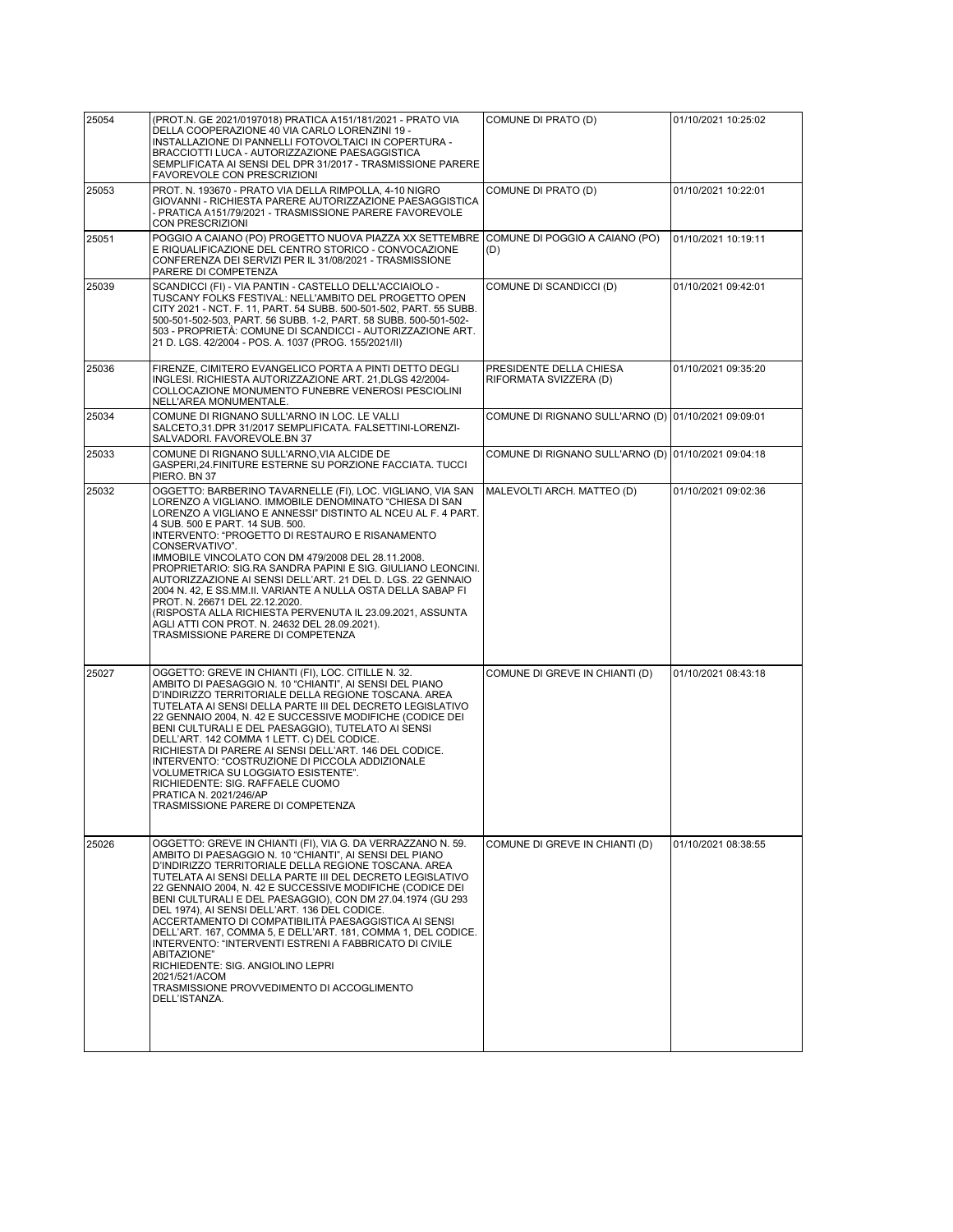| 25054 | (PROT.N. GE 2021/0197018) PRATICA A151/181/2021 - PRATO VIA<br>DELLA COOPERAZIONE 40 VIA CARLO LORENZINI 19 -<br>INSTALLAZIONE DI PANNELLI FOTOVOLTAICI IN COPERTURA -<br>BRACCIOTTI LUCA - AUTORIZZAZIONE PAESAGGISTICA<br>SEMPLIFICATA AI SENSI DEL DPR 31/2017 - TRASMISSIONE PARERE<br>FAVOREVOLE CON PRESCRIZIONI                                                                                                                                                                                                                                                                                                                                                                                                                         | COMUNE DI PRATO (D)                                 | 01/10/2021 10:25:02 |
|-------|------------------------------------------------------------------------------------------------------------------------------------------------------------------------------------------------------------------------------------------------------------------------------------------------------------------------------------------------------------------------------------------------------------------------------------------------------------------------------------------------------------------------------------------------------------------------------------------------------------------------------------------------------------------------------------------------------------------------------------------------|-----------------------------------------------------|---------------------|
| 25053 | PROT. N. 193670 - PRATO VIA DELLA RIMPOLLA, 4-10 NIGRO<br>GIOVANNI - RICHIESTA PARERE AUTORIZZAZIONE PAESAGGISTICA<br>- PRATICA A151/79/2021 - TRASMISSIONE PARERE FAVOREVOLE<br>CON PRESCRIZIONI                                                                                                                                                                                                                                                                                                                                                                                                                                                                                                                                              | COMUNE DI PRATO (D)                                 | 01/10/2021 10:22:01 |
| 25051 | POGGIO A CAIANO (PO) PROGETTO NUOVA PIAZZA XX SETTEMBRE<br>E RIQUALIFICAZIONE DEL CENTRO STORICO - CONVOCAZIONE<br>CONFERENZA DEI SERVIZI PER IL 31/08/2021 - TRASMISSIONE<br>PARERE DI COMPETENZA                                                                                                                                                                                                                                                                                                                                                                                                                                                                                                                                             | COMUNE DI POGGIO A CAIANO (PO)<br>(D)               | 01/10/2021 10:19:11 |
| 25039 | SCANDICCI (FI) - VIA PANTIN - CASTELLO DELL'ACCIAIOLO -<br>TUSCANY FOLKS FESTIVAL: NELL'AMBITO DEL PROGETTO OPEN<br>CITY 2021 - NCT. F. 11, PART. 54 SUBB. 500-501-502, PART. 55 SUBB.<br>500-501-502-503, PART. 56 SUBB. 1-2, PART. 58 SUBB. 500-501-502-<br>503 - PROPRIETÀ: COMUNE DI SCANDICCI - AUTORIZZAZIONE ART.<br>21 D. LGS. 42/2004 - POS. A. 1037 (PROG. 155/2021/II)                                                                                                                                                                                                                                                                                                                                                              | COMUNE DI SCANDICCI (D)                             | 01/10/2021 09:42:01 |
| 25036 | FIRENZE, CIMITERO EVANGELICO PORTA A PINTI DETTO DEGLI<br>INGLESI. RICHIESTA AUTORIZZAZIONE ART. 21, DLGS 42/2004-<br>COLLOCAZIONE MONUMENTO FUNEBRE VENEROSI PESCIOLINI<br>NELL'AREA MONUMENTALE.                                                                                                                                                                                                                                                                                                                                                                                                                                                                                                                                             | PRESIDENTE DELLA CHIESA<br>RIFORMATA SVIZZERA (D)   | 01/10/2021 09:35:20 |
| 25034 | COMUNE DI RIGNANO SULL'ARNO IN LOC. LE VALLI<br>SALCETO,31.DPR 31/2017 SEMPLIFICATA. FALSETTINI-LORENZI-<br>SALVADORI. FAVOREVOLE.BN 37                                                                                                                                                                                                                                                                                                                                                                                                                                                                                                                                                                                                        | COMUNE DI RIGNANO SULL'ARNO (D) 01/10/2021 09:09:01 |                     |
| 25033 | COMUNE DI RIGNANO SULL'ARNO, VIA ALCIDE DE<br>GASPERI,24.FINITURE ESTERNE SU PORZIONE FACCIATA. TUCCI<br>PIERO. BN 37                                                                                                                                                                                                                                                                                                                                                                                                                                                                                                                                                                                                                          | COMUNE DI RIGNANO SULL'ARNO (D) 01/10/2021 09:04:18 |                     |
| 25032 | OGGETTO: BARBERINO TAVARNELLE (FI), LOC. VIGLIANO, VIA SAN<br>LORENZO A VIGLIANO. IMMOBILE DENOMINATO "CHIESA DI SAN<br>LORENZO A VIGLIANO E ANNESSI" DISTINTO AL NCEU AL F. 4 PART.<br>4 SUB. 500 E PART. 14 SUB. 500.<br>INTERVENTO: "PROGETTO DI RESTAURO E RISANAMENTO<br>CONSERVATIVO".<br>IMMOBILE VINCOLATO CON DM 479/2008 DEL 28.11.2008.<br>PROPRIETARIO: SIG.RA SANDRA PAPINI E SIG. GIULIANO LEONCINI.<br>AUTORIZZAZIONE AI SENSI DELL'ART. 21 DEL D. LGS. 22 GENNAIO<br>2004 N. 42, E SS.MM.II. VARIANTE A NULLA OSTA DELLA SABAP FI<br>PROT. N. 26671 DEL 22.12.2020.<br>(RISPOSTA ALLA RICHIESTA PERVENUTA IL 23.09.2021, ASSUNTA<br>AGLI ATTI CON PROT. N. 24632 DEL 28.09.2021).<br>TRASMISSIONE PARERE DI COMPETENZA         | MALEVOLTI ARCH. MATTEO (D)                          | 01/10/2021 09:02:36 |
| 25027 | OGGETTO: GREVE IN CHIANTI (FI), LOC. CITILLE N. 32.<br>AMBITO DI PAESAGGIO N. 10 "CHIANTI", AI SENSI DEL PIANO<br>D'INDIRIZZO TERRITORIALE DELLA REGIONE TOSCANA. AREA<br>TUTELATA AI SENSI DELLA PARTE III DEL DECRETO LEGISLATIVO<br>22 GENNAIO 2004, N. 42 E SUCCESSIVE MODIFICHE (CODICE DEI<br>BENI CULTURALI E DEL PAESAGGIO), TUTELATO AI SENSI<br>DELL'ART. 142 COMMA 1 LETT. C) DEL CODICE.<br>RICHIESTA DI PARERE AI SENSI DELL'ART. 146 DEL CODICE.<br>INTERVENTO: "COSTRUZIONE DI PICCOLA ADDIZIONALE<br>VOLUMETRICA SU LOGGIATO ESISTENTE".<br>RICHIEDENTE: SIG. RAFFAELE CUOMO<br>PRATICA N. 2021/246/AP<br>TRASMISSIONE PARERE DI COMPETENZA                                                                                    | COMUNE DI GREVE IN CHIANTI (D)                      | 01/10/2021 08:43:18 |
| 25026 | OGGETTO: GREVE IN CHIANTI (FI), VIA G. DA VERRAZZANO N. 59.<br>AMBITO DI PAESAGGIO N. 10 "CHIANTI", AI SENSI DEL PIANO<br>D'INDIRIZZO TERRITORIALE DELLA REGIONE TOSCANA. AREA<br>TUTELATA AI SENSI DELLA PARTE III DEL DECRETO LEGISLATIVO<br>22 GENNAIO 2004, N. 42 E SUCCESSIVE MODIFICHE (CODICE DEI<br>BENI CULTURALI E DEL PAESAGGIO), CON DM 27.04.1974 (GU 293<br>DEL 1974). AI SENSI DELL'ART. 136 DEL CODICE.<br>ACCERTAMENTO DI COMPATIBILITÀ PAESAGGISTICA AI SENSI<br>DELL'ART. 167, COMMA 5, E DELL'ART. 181, COMMA 1, DEL CODICE.<br>INTERVENTO: "INTERVENTI ESTRENI A FABBRICATO DI CIVILE<br>ABITAZIONE"<br>RICHIEDENTE: SIG. ANGIOLINO LEPRI<br>2021/521/ACOM<br>TRASMISSIONE PROVVEDIMENTO DI ACCOGLIMENTO<br>DELL'ISTANZA. | COMUNE DI GREVE IN CHIANTI (D)                      | 01/10/2021 08:38:55 |